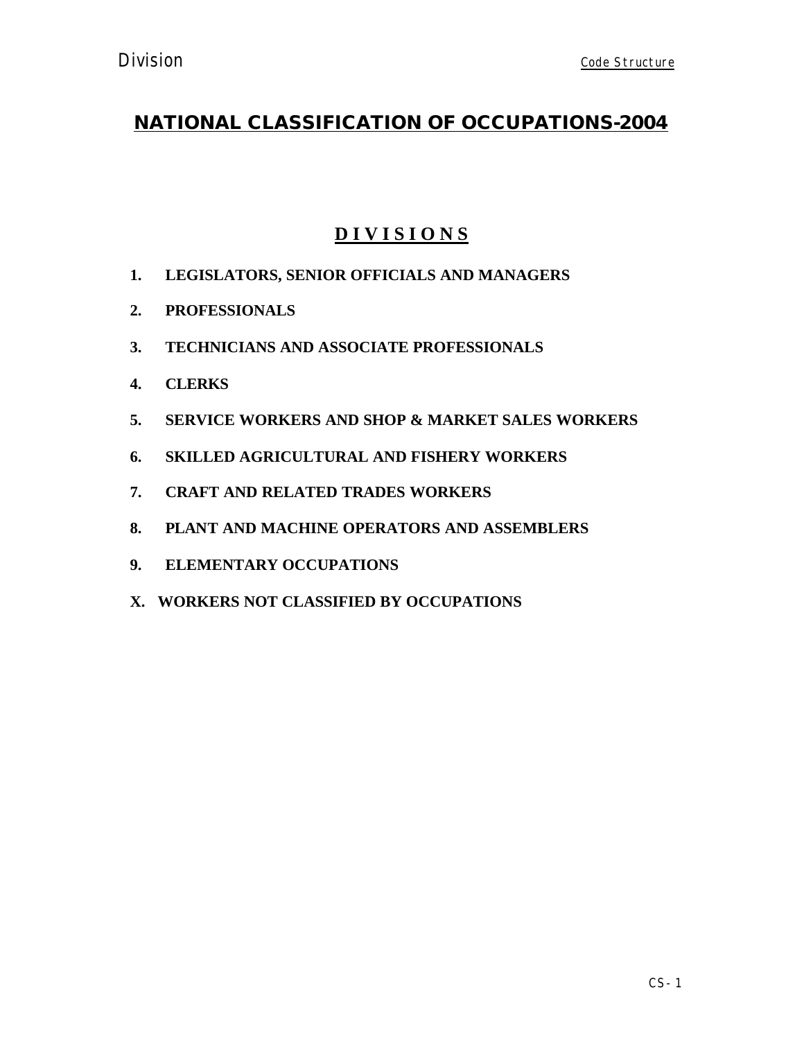# **D I V I S I O N S**

- **1. LEGISLATORS, SENIOR OFFICIALS AND MANAGERS**
- **2. PROFESSIONALS**
- **3. TECHNICIANS AND ASSOCIATE PROFESSIONALS**
- **4. CLERKS**
- **5. SERVICE WORKERS AND SHOP & MARKET SALES WORKERS**
- **6. SKILLED AGRICULTURAL AND FISHERY WORKERS**
- **7. CRAFT AND RELATED TRADES WORKERS**
- **8. PLANT AND MACHINE OPERATORS AND ASSEMBLERS**
- **9. ELEMENTARY OCCUPATIONS**
- **X. WORKERS NOT CLASSIFIED BY OCCUPATIONS**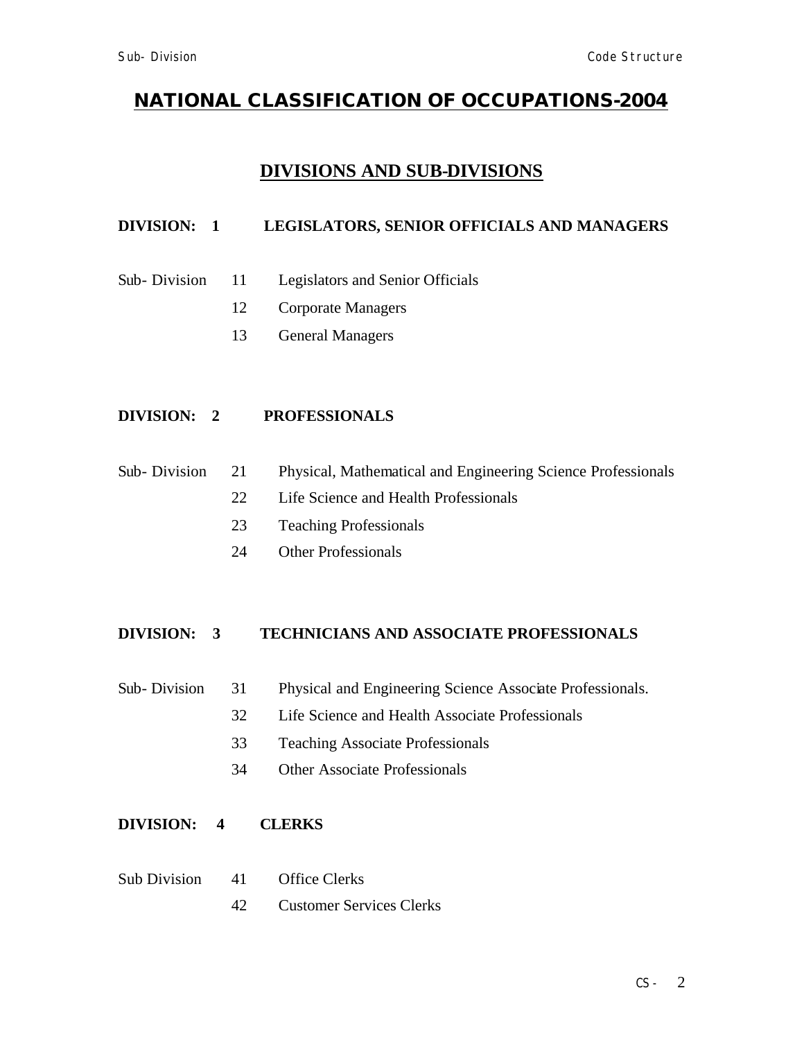## **DIVISIONS AND SUB-DIVISIONS**

### **DIVISION: 1 LEGISLATORS, SENIOR OFFICIALS AND MANAGERS**

- Sub- Division 11 Legislators and Senior Officials
	- 12 Corporate Managers
	- 13 General Managers

## **DIVISION: 2 PROFESSIONALS**

- Sub- Division 21 Physical, Mathematical and Engineering Science Professionals
	- 22 Life Science and Health Professionals
	- 23 Teaching Professionals
	- 24 Other Professionals

#### **DIVISION: 3 TECHNICIANS AND ASSOCIATE PROFESSIONALS**

- Sub- Division 31 Physical and Engineering Science Associate Professionals.
	- 32 Life Science and Health Associate Professionals
	- 33 Teaching Associate Professionals
	- 34 Other Associate Professionals

#### **DIVISION: 4 CLERKS**

- Sub Division 41 Office Clerks
	- 42 Customer Services Clerks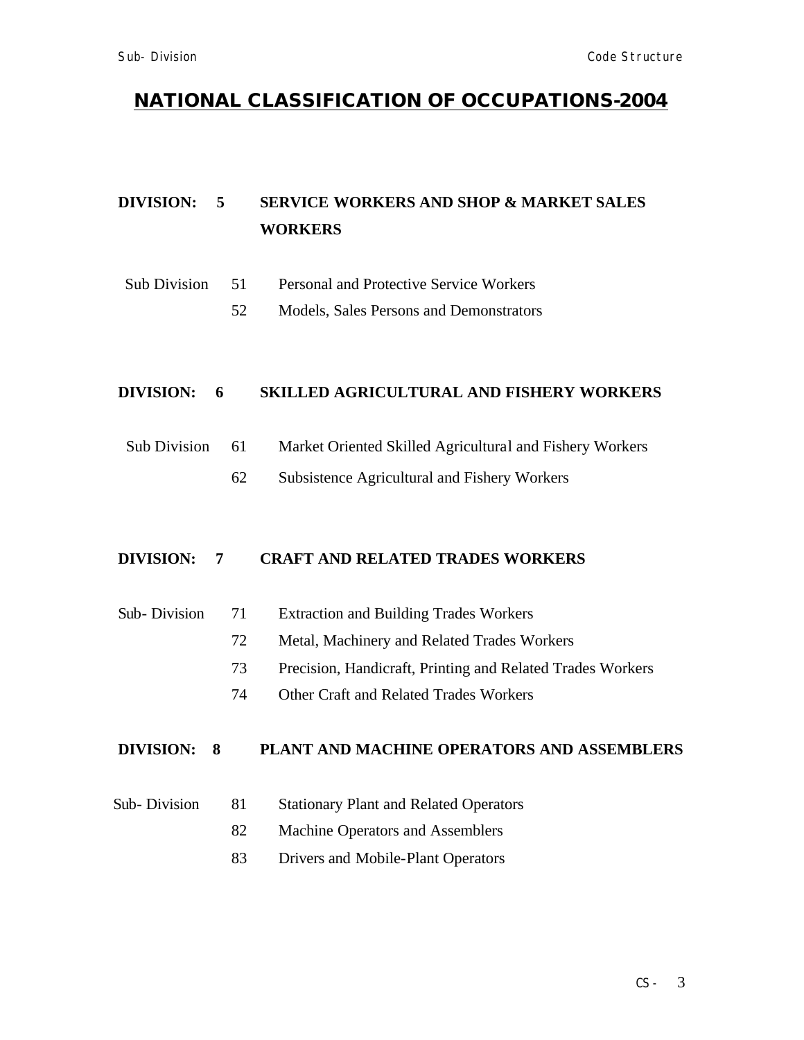## **DIVISION: 5 SERVICE WORKERS AND SHOP & MARKET SALES WORKERS**

- Sub Division 51 Personal and Protective Service Workers
	- 52 Models, Sales Persons and Demonstrators

#### **DIVISION: 6 SKILLED AGRICULTURAL AND FISHERY WORKERS**

- Sub Division 61 Market Oriented Skilled Agricultural and Fishery Workers
	- 62 Subsistence Agricultural and Fishery Workers

#### **DIVISION: 7 CRAFT AND RELATED TRADES WORKERS**

- Sub- Division 71 Extraction and Building Trades Workers
	- 72 Metal, Machinery and Related Trades Workers
	- 73 Precision, Handicraft, Printing and Related Trades Workers
	- 74 Other Craft and Related Trades Workers

#### **DIVISION: 8 PLANT AND MACHINE OPERATORS AND ASSEMBLERS**

- Sub- Division 81 Stationary Plant and Related Operators
	- 82 Machine Operators and Assemblers
	- 83 Drivers and Mobile-Plant Operators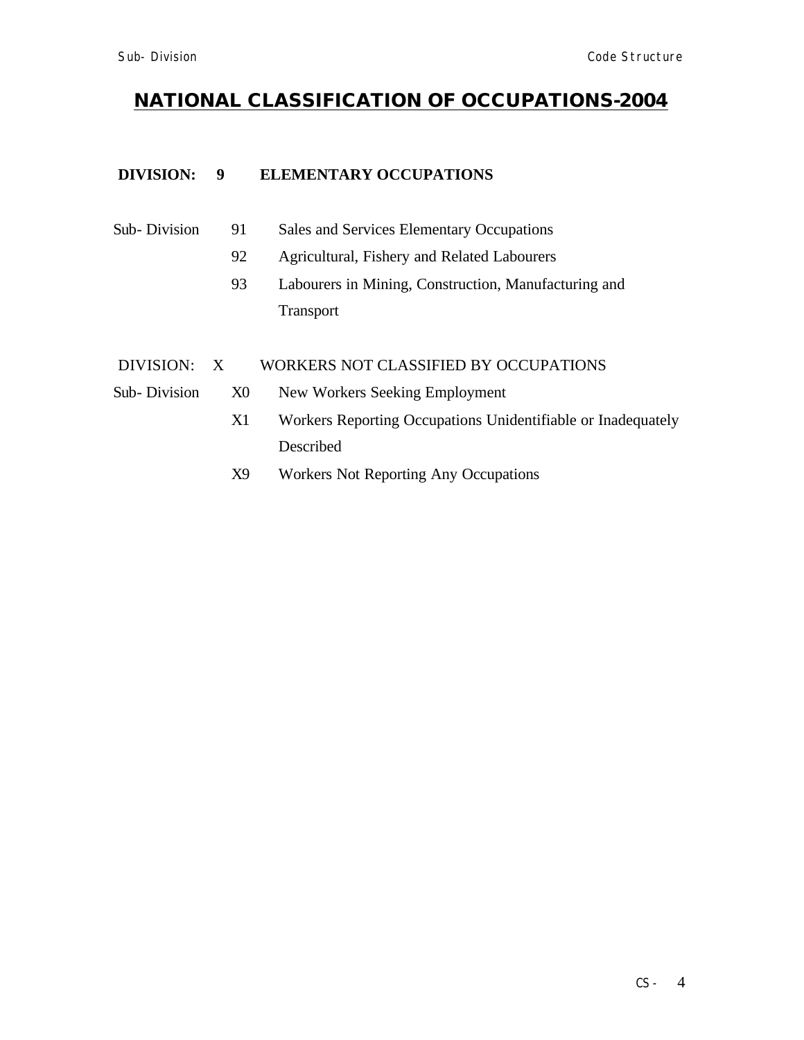### **DIVISION: 9 ELEMENTARY OCCUPATIONS**

| Sub-Division<br>Sales and Services Elementary Occupations<br>91. |  |
|------------------------------------------------------------------|--|
|------------------------------------------------------------------|--|

- 92 Agricultural, Fishery and Related Labourers
- 93 Labourers in Mining, Construction, Manufacturing and Transport

#### DIVISION: X WORKERS NOT CLASSIFIED BY OCCUPATIONS

- 
- Sub- Division X0 New Workers Seeking Employment
	- X1 Workers Reporting Occupations Unidentifiable or Inadequately Described
	- X9 Workers Not Reporting Any Occupations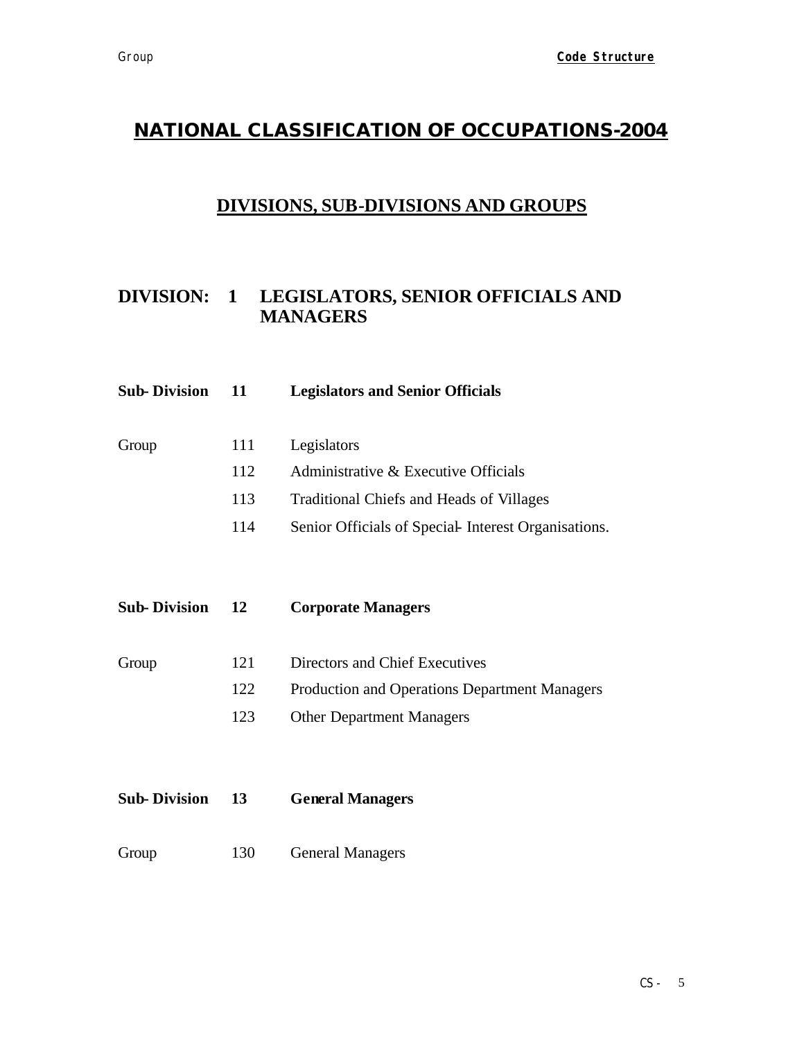## **DIVISIONS, SUB-DIVISIONS AND GROUPS**

## **DIVISION: 1 LEGISLATORS, SENIOR OFFICIALS AND MANAGERS**

| <b>Sub-Division</b> | 11  | <b>Legislators and Senior Officials</b>             |
|---------------------|-----|-----------------------------------------------------|
|                     |     |                                                     |
| Group               | 111 | Legislators                                         |
|                     | 112 | Administrative & Executive Officials                |
|                     | 113 | <b>Traditional Chiefs and Heads of Villages</b>     |
|                     | 114 | Senior Officials of Special Interest Organisations. |
|                     |     |                                                     |
|                     |     |                                                     |
| <b>Sub-Division</b> | 12  | <b>Corporate Managers</b>                           |
|                     |     |                                                     |
| Group               | 121 | Directors and Chief Executives                      |
|                     | 122 | Production and Operations Department Managers       |
|                     | 123 | <b>Other Department Managers</b>                    |
|                     |     |                                                     |
|                     |     |                                                     |
| <b>Sub-Division</b> | 13  | <b>General Managers</b>                             |
|                     |     |                                                     |

Group 130 General Managers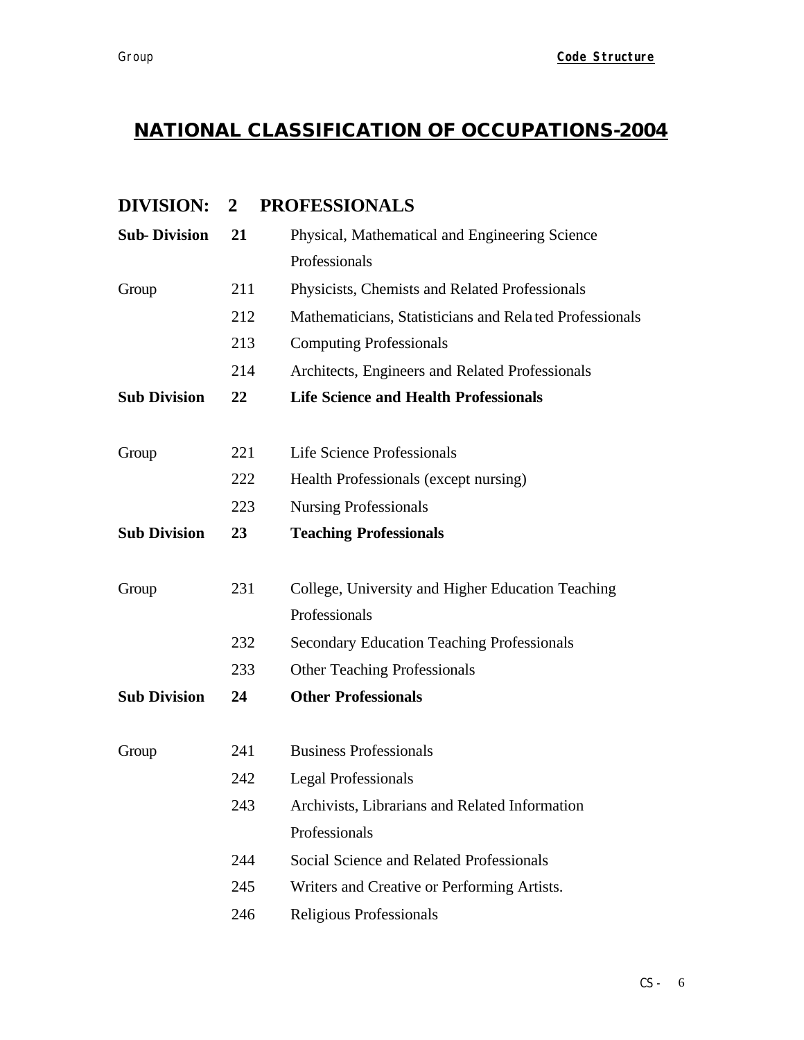## **DIVISION: 2 PROFESSIONALS**

| <b>Sub-Division</b> | 21  | Physical, Mathematical and Engineering Science          |
|---------------------|-----|---------------------------------------------------------|
|                     |     | Professionals                                           |
| Group               | 211 | Physicists, Chemists and Related Professionals          |
|                     | 212 | Mathematicians, Statisticians and Related Professionals |
|                     | 213 | <b>Computing Professionals</b>                          |
|                     | 214 | Architects, Engineers and Related Professionals         |
| <b>Sub Division</b> | 22  | <b>Life Science and Health Professionals</b>            |
| Group               | 221 | Life Science Professionals                              |
|                     | 222 | Health Professionals (except nursing)                   |
|                     | 223 | <b>Nursing Professionals</b>                            |
| <b>Sub Division</b> | 23  | <b>Teaching Professionals</b>                           |
| Group               | 231 | College, University and Higher Education Teaching       |
|                     |     | Professionals                                           |
|                     | 232 | <b>Secondary Education Teaching Professionals</b>       |
|                     | 233 | <b>Other Teaching Professionals</b>                     |
| <b>Sub Division</b> | 24  | <b>Other Professionals</b>                              |
| Group               | 241 | <b>Business Professionals</b>                           |
|                     | 242 | <b>Legal Professionals</b>                              |
|                     | 243 | Archivists, Librarians and Related Information          |
|                     |     | Professionals                                           |
|                     | 244 | Social Science and Related Professionals                |
|                     | 245 | Writers and Creative or Performing Artists.             |
|                     | 246 | Religious Professionals                                 |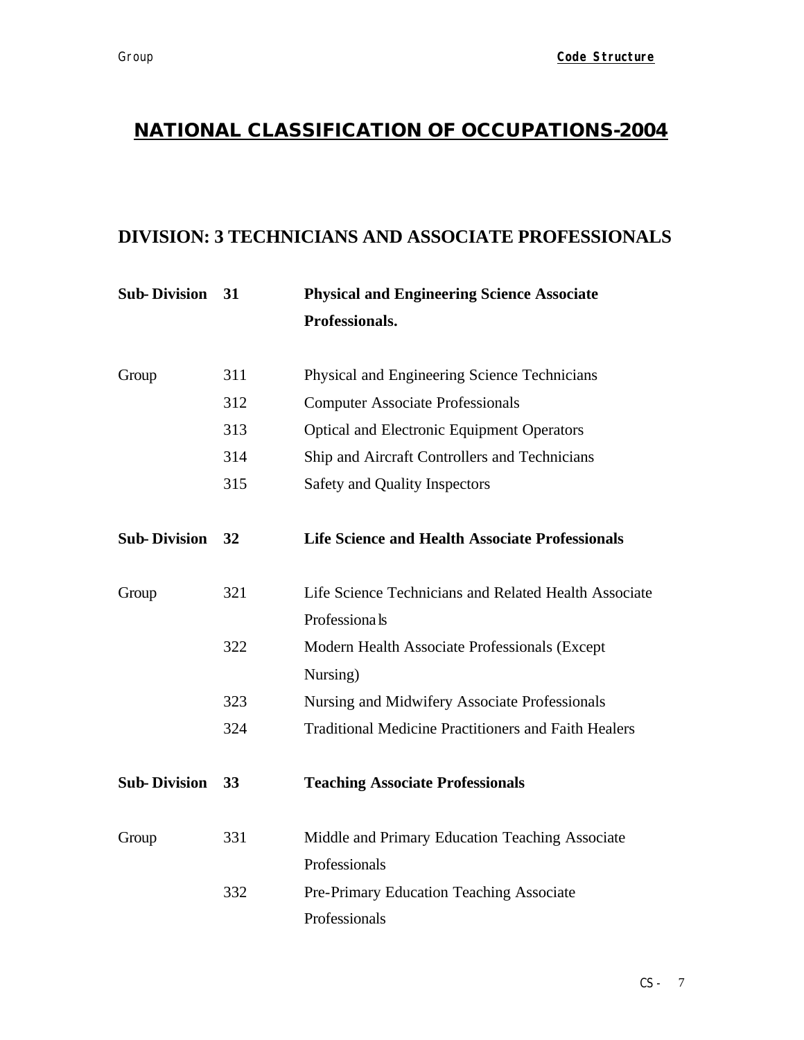## **DIVISION: 3 TECHNICIANS AND ASSOCIATE PROFESSIONALS**

| <b>Sub-Division</b> | 31  | <b>Physical and Engineering Science Associate</b>           |
|---------------------|-----|-------------------------------------------------------------|
|                     |     | Professionals.                                              |
| Group               | 311 | Physical and Engineering Science Technicians                |
|                     | 312 | <b>Computer Associate Professionals</b>                     |
|                     | 313 | <b>Optical and Electronic Equipment Operators</b>           |
|                     | 314 | Ship and Aircraft Controllers and Technicians               |
|                     | 315 | Safety and Quality Inspectors                               |
| <b>Sub-Division</b> | 32  | <b>Life Science and Health Associate Professionals</b>      |
| Group               | 321 | Life Science Technicians and Related Health Associate       |
|                     |     | Professionals                                               |
|                     | 322 | Modern Health Associate Professionals (Except               |
|                     |     | Nursing)                                                    |
|                     | 323 | Nursing and Midwifery Associate Professionals               |
|                     | 324 | <b>Traditional Medicine Practitioners and Faith Healers</b> |
| <b>Sub-Division</b> | 33  | <b>Teaching Associate Professionals</b>                     |
| Group               | 331 | Middle and Primary Education Teaching Associate             |
|                     |     | Professionals                                               |
|                     | 332 | Pre-Primary Education Teaching Associate                    |
|                     |     | Professionals                                               |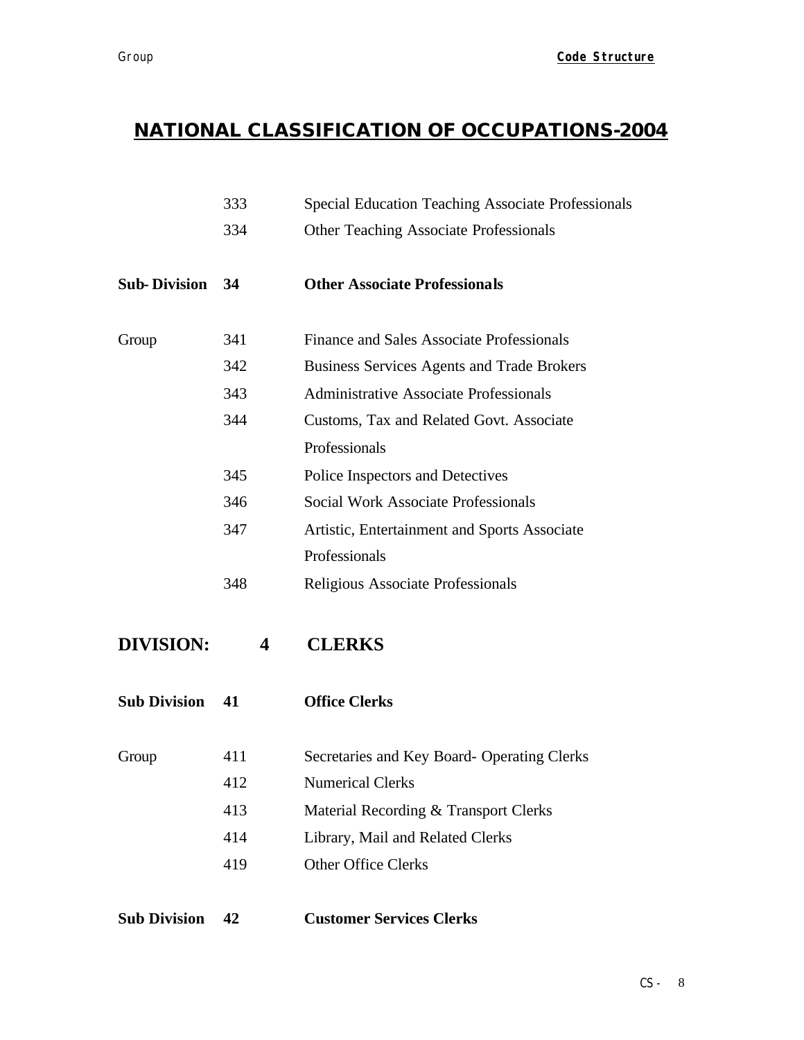|                     | 333 | <b>Special Education Teaching Associate Professionals</b> |
|---------------------|-----|-----------------------------------------------------------|
|                     | 334 | <b>Other Teaching Associate Professionals</b>             |
| <b>Sub-Division</b> | 34  | <b>Other Associate Professionals</b>                      |
| Group               | 341 | Finance and Sales Associate Professionals                 |
|                     | 342 | <b>Business Services Agents and Trade Brokers</b>         |
|                     | 343 | <b>Administrative Associate Professionals</b>             |
|                     | 344 | Customs, Tax and Related Govt. Associate                  |
|                     |     | Professionals                                             |
|                     | 345 | Police Inspectors and Detectives                          |
|                     | 346 | <b>Social Work Associate Professionals</b>                |
|                     | 347 | Artistic, Entertainment and Sports Associate              |
|                     |     | Professionals                                             |
|                     | 348 | Religious Associate Professionals                         |
| <b>DIVISION:</b>    | 4   | <b>CLERKS</b>                                             |
| <b>Sub Division</b> | 41  | <b>Office Clerks</b>                                      |
| Group               | 411 | Secretaries and Key Board- Operating Clerks               |
|                     | 412 | <b>Numerical Clerks</b>                                   |
|                     | 413 | Material Recording & Transport Clerks                     |
|                     | 414 | Library, Mail and Related Clerks                          |
|                     | 419 | <b>Other Office Clerks</b>                                |
|                     |     |                                                           |

**Sub Division 42 Customer Services Clerks**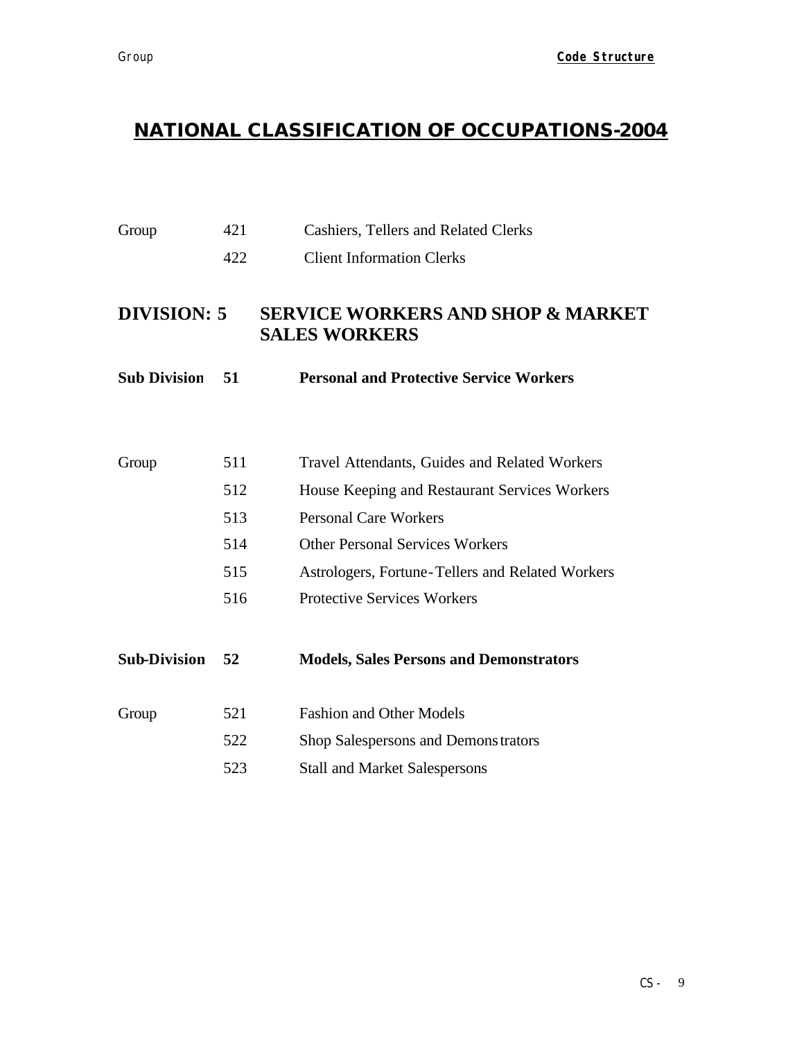# Group 421 Cashiers, Tellers and Related Clerks

422 Client Information Clerks

## **DIVISION: 5 SERVICE WORKERS AND SHOP & MARKET SALES WORKERS**

| <b>Sub Division</b> | - 51 | <b>Personal and Protective Service Workers</b>   |
|---------------------|------|--------------------------------------------------|
|                     |      |                                                  |
| Group               | 511  | Travel Attendants, Guides and Related Workers    |
|                     | 512  | House Keeping and Restaurant Services Workers    |
|                     | 513  | <b>Personal Care Workers</b>                     |
|                     | 514  | <b>Other Personal Services Workers</b>           |
|                     | 515  | Astrologers, Fortune-Tellers and Related Workers |
|                     | 516  | <b>Protective Services Workers</b>               |
| <b>Sub-Division</b> | 52   | <b>Models, Sales Persons and Demonstrators</b>   |
| Group               | 521  | <b>Fashion and Other Models</b>                  |
|                     | 522  | Shop Salespersons and Demonstrators              |
|                     | 523  | <b>Stall and Market Salespersons</b>             |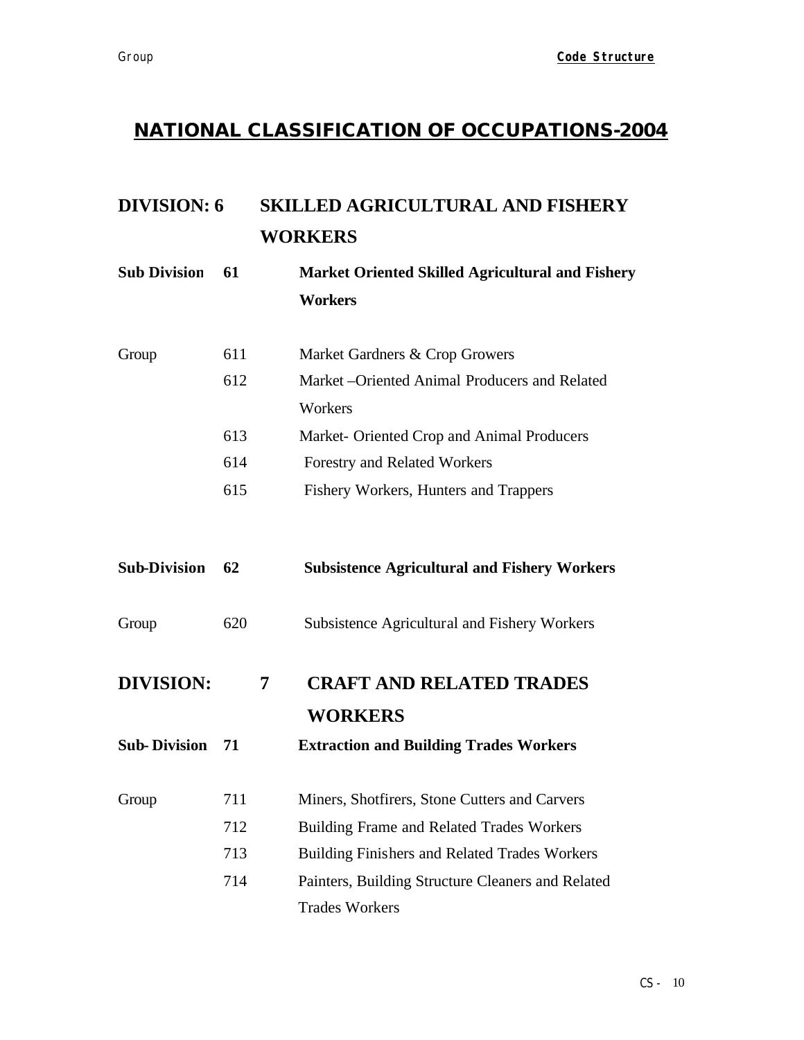# **DIVISION: 6 SKILLED AGRICULTURAL AND FISHERY WORKERS**

**Sub Division 61 Market Oriented Skilled Agricultural and Fishery Workers**

| Group | 611 | Market Gardners & Crop Growers                 |
|-------|-----|------------------------------------------------|
|       | 612 | Market – Oriented Animal Producers and Related |
|       |     | Workers                                        |
|       | 613 | Market- Oriented Crop and Animal Producers     |
|       | 614 | Forestry and Related Workers                   |
|       | 615 | Fishery Workers, Hunters and Trappers          |

**Sub-Division 62 Subsistence Agricultural and Fishery Workers**

Group 620 Subsistence Agricultural and Fishery Workers

- **DIVISION: 7 CRAFT AND RELATED TRADES WORKERS**
- **Sub- Division 71 Extraction and Building Trades Workers**
- Group 711 Miners, Shotfirers, Stone Cutters and Carvers
	- 712 Building Frame and Related Trades Workers
		- 713 Building Finishers and Related Trades Workers
		- 714 Painters, Building Structure Cleaners and Related Trades Workers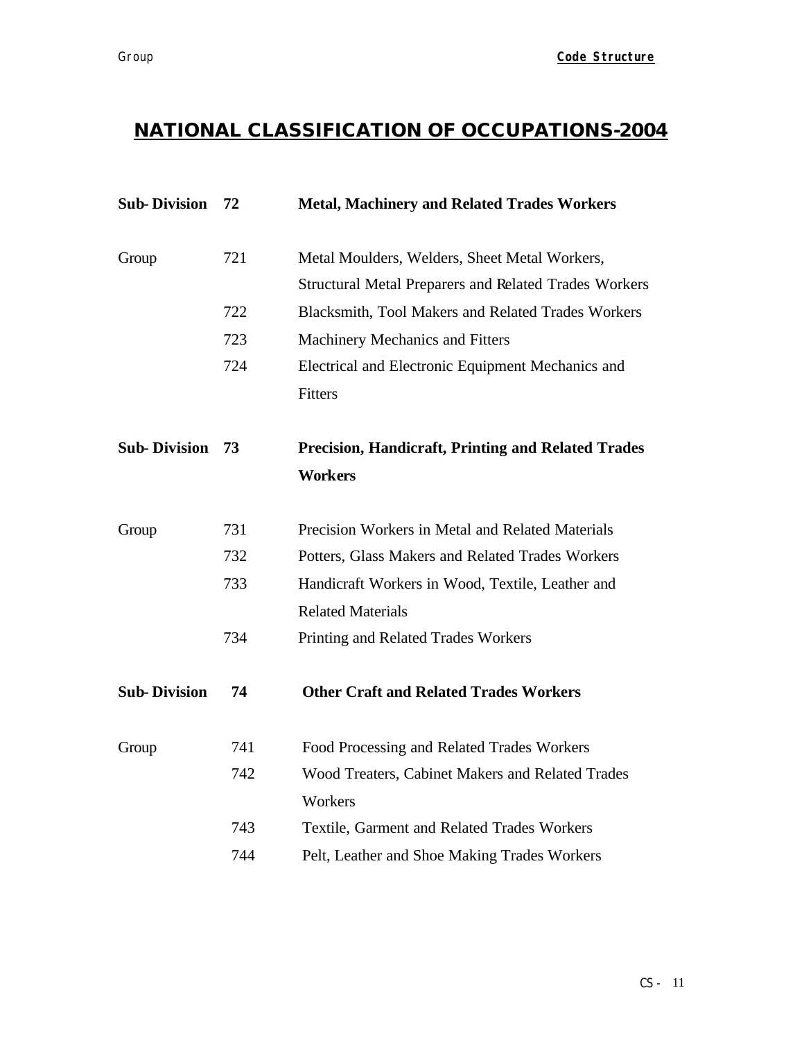| <b>Sub-Division</b> | 72  | <b>Metal, Machinery and Related Trades Workers</b>           |
|---------------------|-----|--------------------------------------------------------------|
| Group               | 721 | Metal Moulders, Welders, Sheet Metal Workers,                |
|                     |     | <b>Structural Metal Preparers and Related Trades Workers</b> |
|                     | 722 | Blacksmith, Tool Makers and Related Trades Workers           |
|                     | 723 | Machinery Mechanics and Fitters                              |
|                     | 724 | Electrical and Electronic Equipment Mechanics and            |
|                     |     | Fitters                                                      |
| <b>Sub-Division</b> | 73  | <b>Precision, Handicraft, Printing and Related Trades</b>    |
|                     |     | <b>Workers</b>                                               |
| Group               | 731 | Precision Workers in Metal and Related Materials             |
|                     | 732 | Potters, Glass Makers and Related Trades Workers             |
|                     | 733 | Handicraft Workers in Wood, Textile, Leather and             |
|                     |     | <b>Related Materials</b>                                     |
|                     | 734 | Printing and Related Trades Workers                          |
| <b>Sub-Division</b> | 74  | <b>Other Craft and Related Trades Workers</b>                |
| Group               | 741 | Food Processing and Related Trades Workers                   |
|                     | 742 | Wood Treaters, Cabinet Makers and Related Trades             |
|                     |     | Workers                                                      |
|                     | 743 | Textile, Garment and Related Trades Workers                  |
|                     | 744 | Pelt, Leather and Shoe Making Trades Workers                 |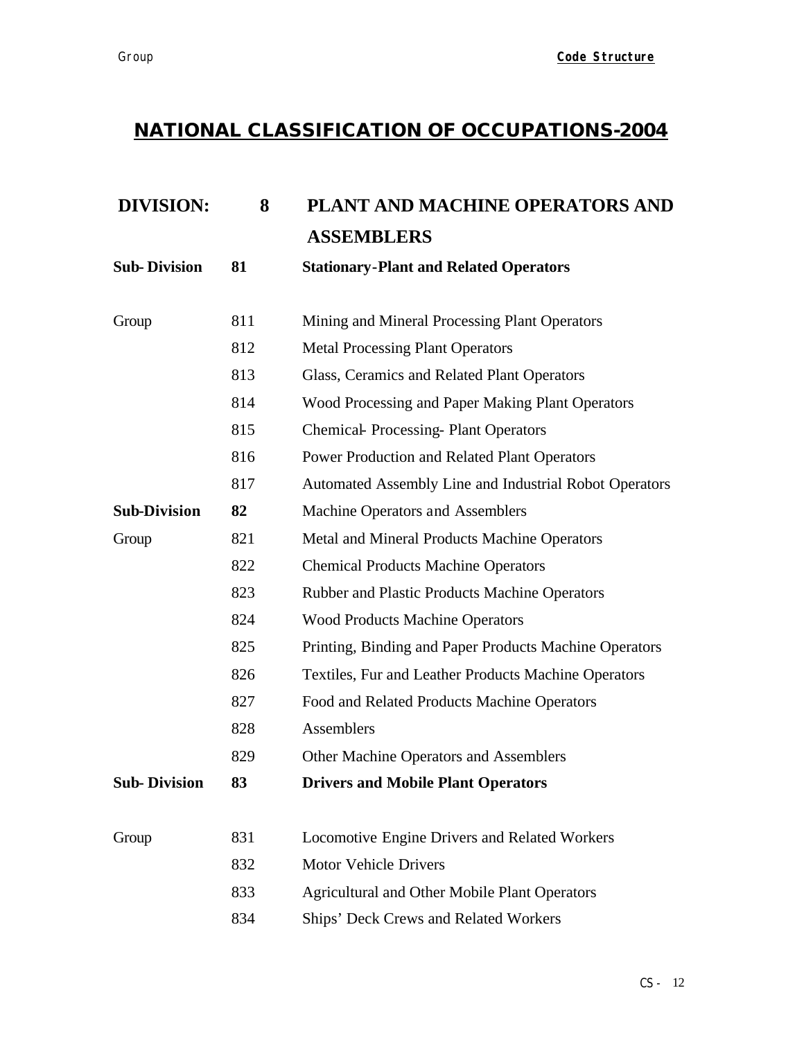| <b>DIVISION:</b>    | 8   | PLANT AND MACHINE OPERATORS AND                        |
|---------------------|-----|--------------------------------------------------------|
|                     |     | <b>ASSEMBLERS</b>                                      |
| <b>Sub-Division</b> | 81  | <b>Stationary-Plant and Related Operators</b>          |
| Group               | 811 | Mining and Mineral Processing Plant Operators          |
|                     | 812 | <b>Metal Processing Plant Operators</b>                |
|                     | 813 | Glass, Ceramics and Related Plant Operators            |
|                     | 814 | Wood Processing and Paper Making Plant Operators       |
|                     | 815 | <b>Chemical-Processing-Plant Operators</b>             |
|                     | 816 | Power Production and Related Plant Operators           |
|                     | 817 | Automated Assembly Line and Industrial Robot Operators |
| <b>Sub-Division</b> | 82  | Machine Operators and Assemblers                       |
| Group               | 821 | Metal and Mineral Products Machine Operators           |
|                     | 822 | <b>Chemical Products Machine Operators</b>             |
|                     | 823 | Rubber and Plastic Products Machine Operators          |
|                     | 824 | <b>Wood Products Machine Operators</b>                 |
|                     | 825 | Printing, Binding and Paper Products Machine Operators |
|                     | 826 | Textiles, Fur and Leather Products Machine Operators   |
|                     | 827 | Food and Related Products Machine Operators            |
|                     | 828 | Assemblers                                             |
|                     | 829 | Other Machine Operators and Assemblers                 |
| <b>Sub-Division</b> | 83  | <b>Drivers and Mobile Plant Operators</b>              |
| Group               | 831 | Locomotive Engine Drivers and Related Workers          |
|                     | 832 | <b>Motor Vehicle Drivers</b>                           |
|                     | 833 | <b>Agricultural and Other Mobile Plant Operators</b>   |
|                     | 834 | Ships' Deck Crews and Related Workers                  |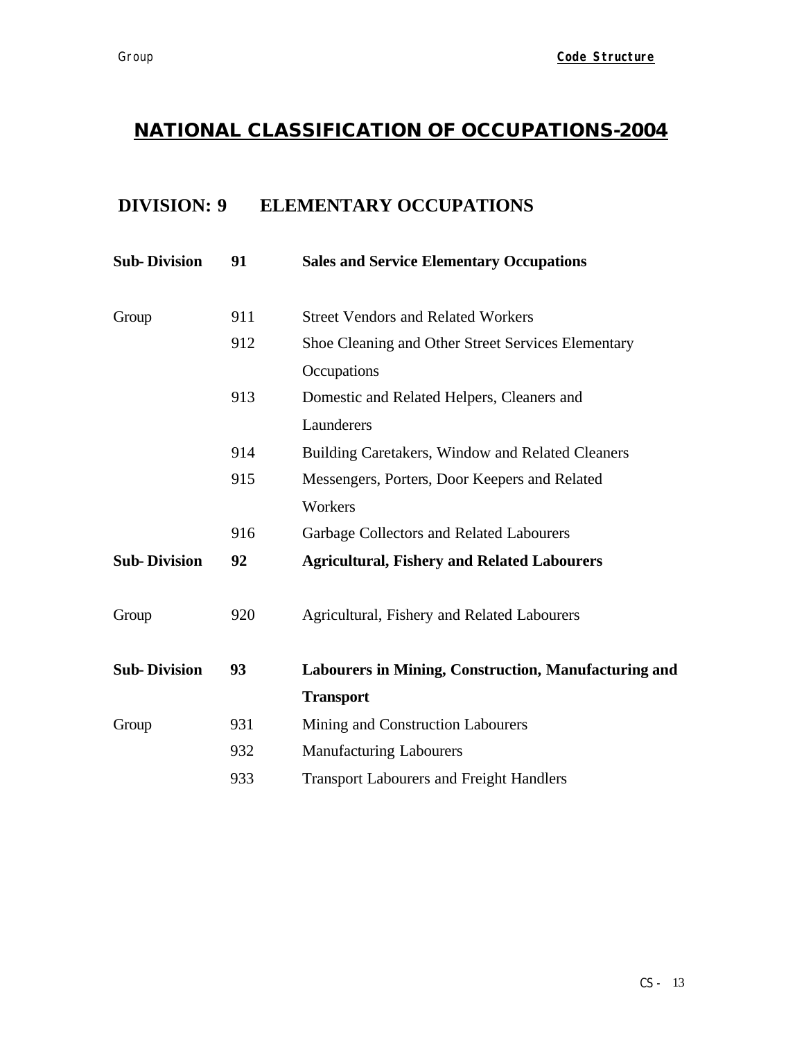# **DIVISION: 9 ELEMENTARY OCCUPATIONS**

| <b>Sub-Division</b> | 91  | <b>Sales and Service Elementary Occupations</b>      |
|---------------------|-----|------------------------------------------------------|
| Group               | 911 | <b>Street Vendors and Related Workers</b>            |
|                     | 912 | Shoe Cleaning and Other Street Services Elementary   |
|                     |     | Occupations                                          |
|                     | 913 | Domestic and Related Helpers, Cleaners and           |
|                     |     | Launderers                                           |
|                     | 914 | Building Caretakers, Window and Related Cleaners     |
|                     | 915 | Messengers, Porters, Door Keepers and Related        |
|                     |     | Workers                                              |
|                     | 916 | Garbage Collectors and Related Labourers             |
| <b>Sub-Division</b> | 92  | <b>Agricultural, Fishery and Related Labourers</b>   |
| Group               | 920 | Agricultural, Fishery and Related Labourers          |
| <b>Sub-Division</b> | 93  | Labourers in Mining, Construction, Manufacturing and |
|                     |     | <b>Transport</b>                                     |
| Group               | 931 | Mining and Construction Labourers                    |
|                     | 932 | <b>Manufacturing Labourers</b>                       |
|                     | 933 | <b>Transport Labourers and Freight Handlers</b>      |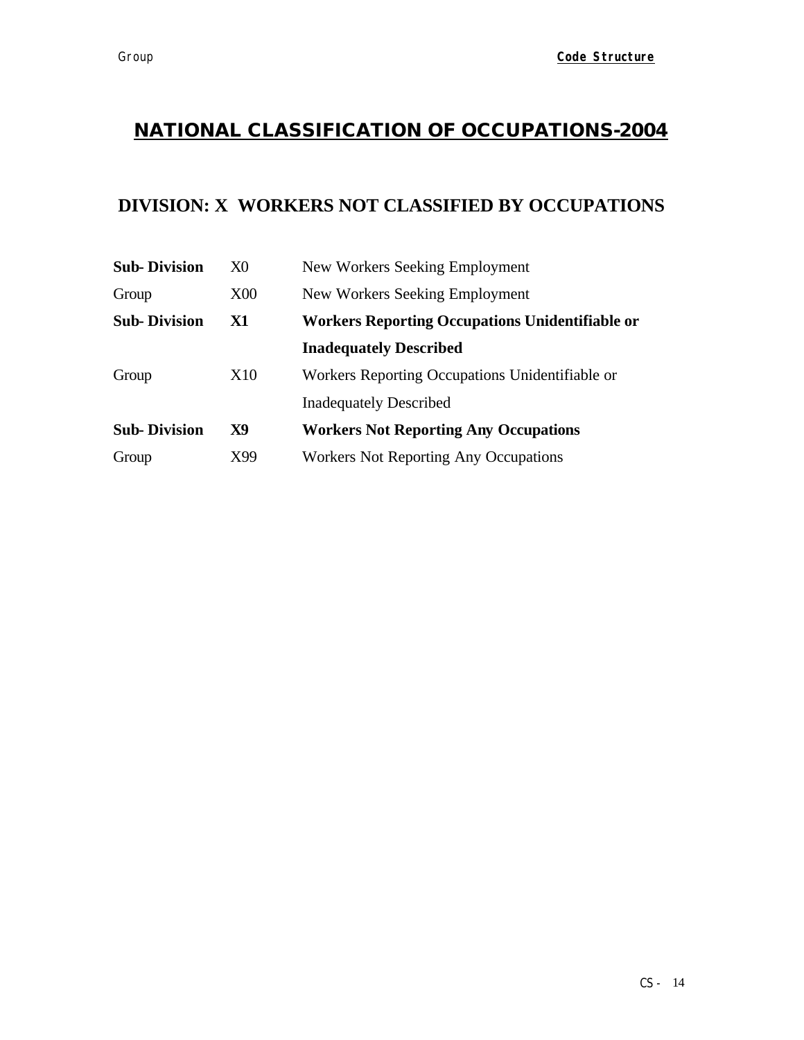## **DIVISION: X WORKERS NOT CLASSIFIED BY OCCUPATIONS**

| <b>Sub-Division</b> | X0         | New Workers Seeking Employment                         |
|---------------------|------------|--------------------------------------------------------|
| Group               | <b>X00</b> | New Workers Seeking Employment                         |
| <b>Sub-Division</b> | X1         | <b>Workers Reporting Occupations Unidentifiable or</b> |
|                     |            | <b>Inadequately Described</b>                          |
| Group               | X10        | Workers Reporting Occupations Unidentifiable or        |
|                     |            | <b>Inadequately Described</b>                          |
| <b>Sub-Division</b> | X9         | <b>Workers Not Reporting Any Occupations</b>           |
| Group               | X99        | <b>Workers Not Reporting Any Occupations</b>           |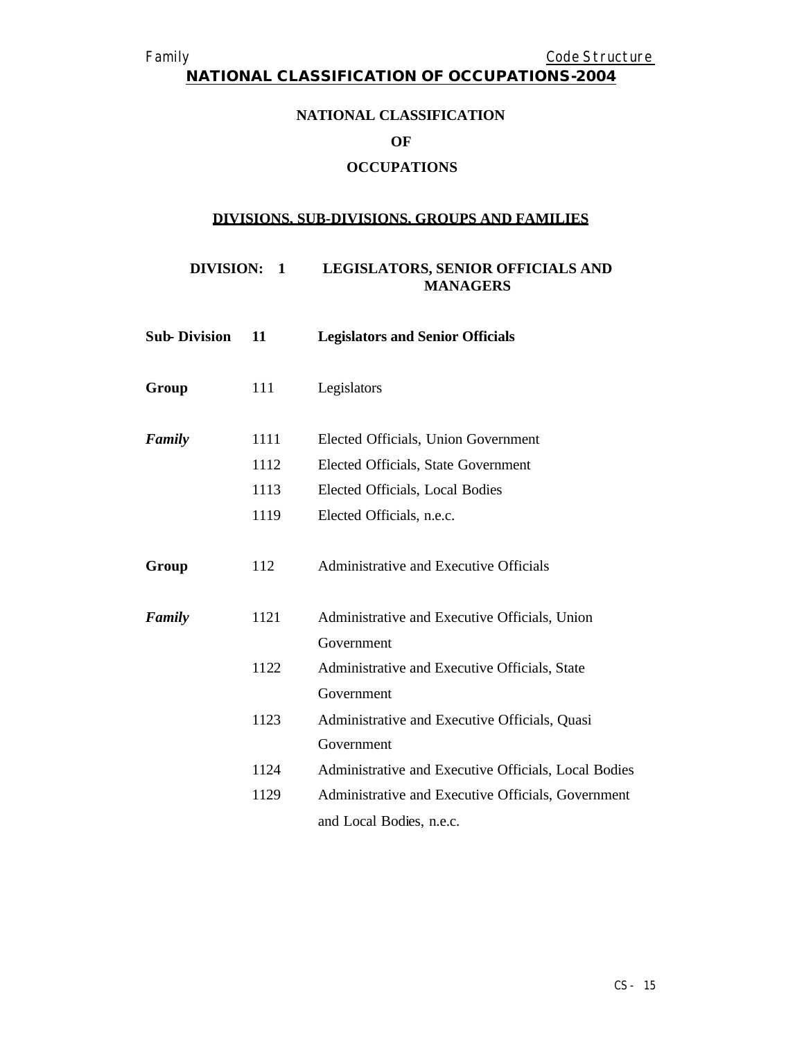**NATIONAL CLASSIFICATION OF OCCUPATIONS-2004**

# **NATIONAL CLASSIFICATION**

#### **OF**

## **OCCUPATIONS**

### **DIVISIONS, SUB-DIVISIONS, GROUPS AND FAMILIES**

#### **DIVISION: 1 LEGISLATORS, SENIOR OFFICIALS AND MANAGERS**

| <b>Sub-Division</b> | 11   | <b>Legislators and Senior Officials</b>              |
|---------------------|------|------------------------------------------------------|
| Group               | 111  | Legislators                                          |
| Family              | 1111 | Elected Officials, Union Government                  |
|                     | 1112 | Elected Officials, State Government                  |
|                     | 1113 | Elected Officials, Local Bodies                      |
|                     | 1119 | Elected Officials, n.e.c.                            |
| Group               | 112  | Administrative and Executive Officials               |
| Family              | 1121 | Administrative and Executive Officials, Union        |
|                     |      | Government                                           |
|                     | 1122 | Administrative and Executive Officials, State        |
|                     |      | Government                                           |
|                     | 1123 | Administrative and Executive Officials, Quasi        |
|                     |      | Government                                           |
|                     | 1124 | Administrative and Executive Officials, Local Bodies |
|                     | 1129 | Administrative and Executive Officials, Government   |
|                     |      | and Local Bodies, n.e.c.                             |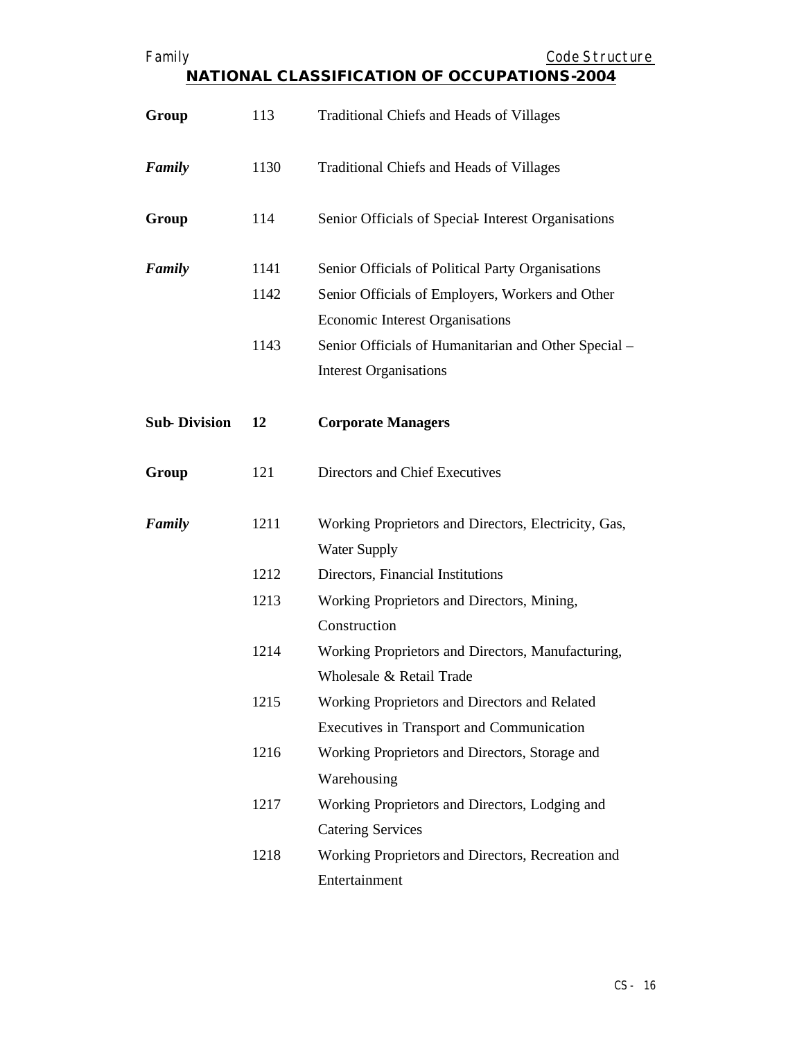| Family                                             |      | Code Structure                                                              |  |
|----------------------------------------------------|------|-----------------------------------------------------------------------------|--|
| <b>NATIONAL CLASSIFICATION OF OCCUPATIONS-2004</b> |      |                                                                             |  |
| Group                                              | 113  | <b>Traditional Chiefs and Heads of Villages</b>                             |  |
| Family                                             | 1130 | <b>Traditional Chiefs and Heads of Villages</b>                             |  |
| Group                                              | 114  | Senior Officials of Special Interest Organisations                          |  |
| Family                                             | 1141 | Senior Officials of Political Party Organisations                           |  |
|                                                    | 1142 | Senior Officials of Employers, Workers and Other                            |  |
|                                                    |      | <b>Economic Interest Organisations</b>                                      |  |
|                                                    | 1143 | Senior Officials of Humanitarian and Other Special -                        |  |
|                                                    |      | <b>Interest Organisations</b>                                               |  |
| <b>Sub-Division</b>                                | 12   | <b>Corporate Managers</b>                                                   |  |
| Group                                              | 121  | Directors and Chief Executives                                              |  |
| Family                                             | 1211 | Working Proprietors and Directors, Electricity, Gas,<br><b>Water Supply</b> |  |
|                                                    | 1212 | Directors, Financial Institutions                                           |  |
|                                                    | 1213 | Working Proprietors and Directors, Mining,                                  |  |
|                                                    |      | Construction                                                                |  |
|                                                    | 1214 | Working Proprietors and Directors, Manufacturing,                           |  |
|                                                    |      | Wholesale & Retail Trade                                                    |  |
|                                                    | 1215 | Working Proprietors and Directors and Related                               |  |
|                                                    |      | <b>Executives in Transport and Communication</b>                            |  |
|                                                    | 1216 | Working Proprietors and Directors, Storage and                              |  |
|                                                    |      | Warehousing                                                                 |  |
|                                                    | 1217 | Working Proprietors and Directors, Lodging and                              |  |
|                                                    |      | <b>Catering Services</b>                                                    |  |
|                                                    | 1218 | Working Proprietors and Directors, Recreation and                           |  |
|                                                    |      | Entertainment                                                               |  |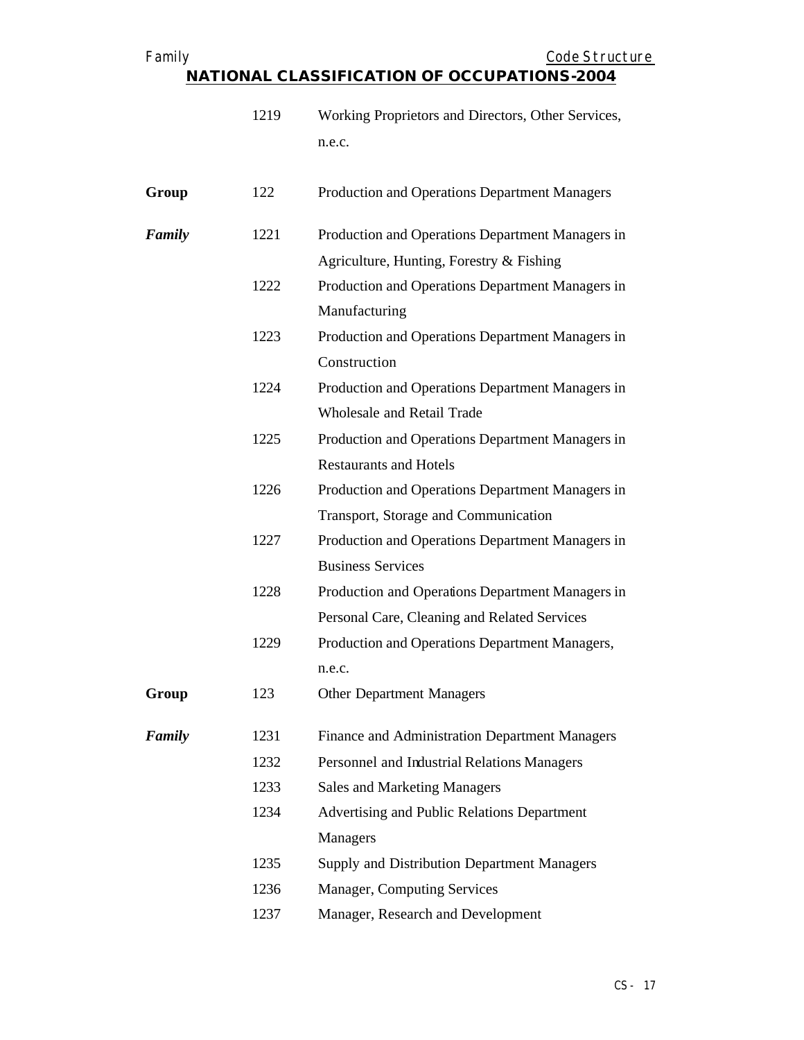| Family                                             | Code Structure |
|----------------------------------------------------|----------------|
| <b>NATIONAL CLASSIFICATION OF OCCUPATIONS-2004</b> |                |

|        | 1219 | Working Proprietors and Directors, Other Services, |
|--------|------|----------------------------------------------------|
|        |      | n.e.c.                                             |
|        |      |                                                    |
| Group  | 122  | Production and Operations Department Managers      |
| Family | 1221 | Production and Operations Department Managers in   |
|        |      | Agriculture, Hunting, Forestry $&$ Fishing         |
|        | 1222 | Production and Operations Department Managers in   |
|        |      | Manufacturing                                      |
|        | 1223 | Production and Operations Department Managers in   |
|        |      | Construction                                       |
|        | 1224 | Production and Operations Department Managers in   |
|        |      | Wholesale and Retail Trade                         |
|        | 1225 | Production and Operations Department Managers in   |
|        |      | <b>Restaurants and Hotels</b>                      |
|        | 1226 | Production and Operations Department Managers in   |
|        |      | Transport, Storage and Communication               |
|        | 1227 | Production and Operations Department Managers in   |
|        |      | <b>Business Services</b>                           |
|        | 1228 | Production and Operations Department Managers in   |
|        |      | Personal Care, Cleaning and Related Services       |
|        | 1229 | Production and Operations Department Managers,     |
|        |      | n.e.c.                                             |
| Group  | 123  | <b>Other Department Managers</b>                   |
|        | 1231 |                                                    |
| Family |      | Finance and Administration Department Managers     |
|        | 1232 | Personnel and Industrial Relations Managers        |
|        | 1233 | <b>Sales and Marketing Managers</b>                |
|        | 1234 | Advertising and Public Relations Department        |
|        |      | Managers                                           |
|        | 1235 | Supply and Distribution Department Managers        |
|        | 1236 | Manager, Computing Services                        |
|        | 1237 | Manager, Research and Development                  |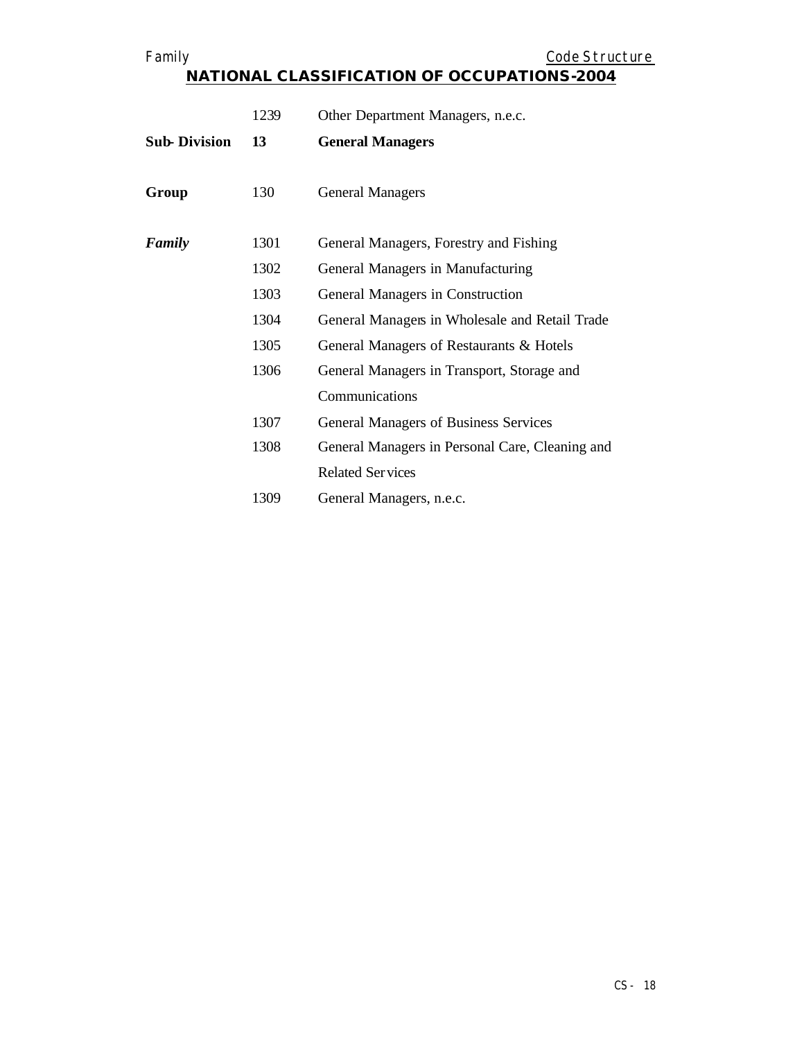|                     | 1239 | Other Department Managers, n.e.c.               |
|---------------------|------|-------------------------------------------------|
| <b>Sub-Division</b> | 13   | <b>General Managers</b>                         |
| Group               | 130  | <b>General Managers</b>                         |
| Family              | 1301 | General Managers, Forestry and Fishing          |
|                     | 1302 | General Managers in Manufacturing               |
|                     | 1303 | General Managers in Construction                |
|                     | 1304 | General Managers in Wholesale and Retail Trade  |
|                     | 1305 | General Managers of Restaurants & Hotels        |
|                     | 1306 | General Managers in Transport, Storage and      |
|                     |      | Communications                                  |
|                     | 1307 | <b>General Managers of Business Services</b>    |
|                     | 1308 | General Managers in Personal Care, Cleaning and |
|                     |      | <b>Related Services</b>                         |
|                     | 1309 | General Managers, n.e.c.                        |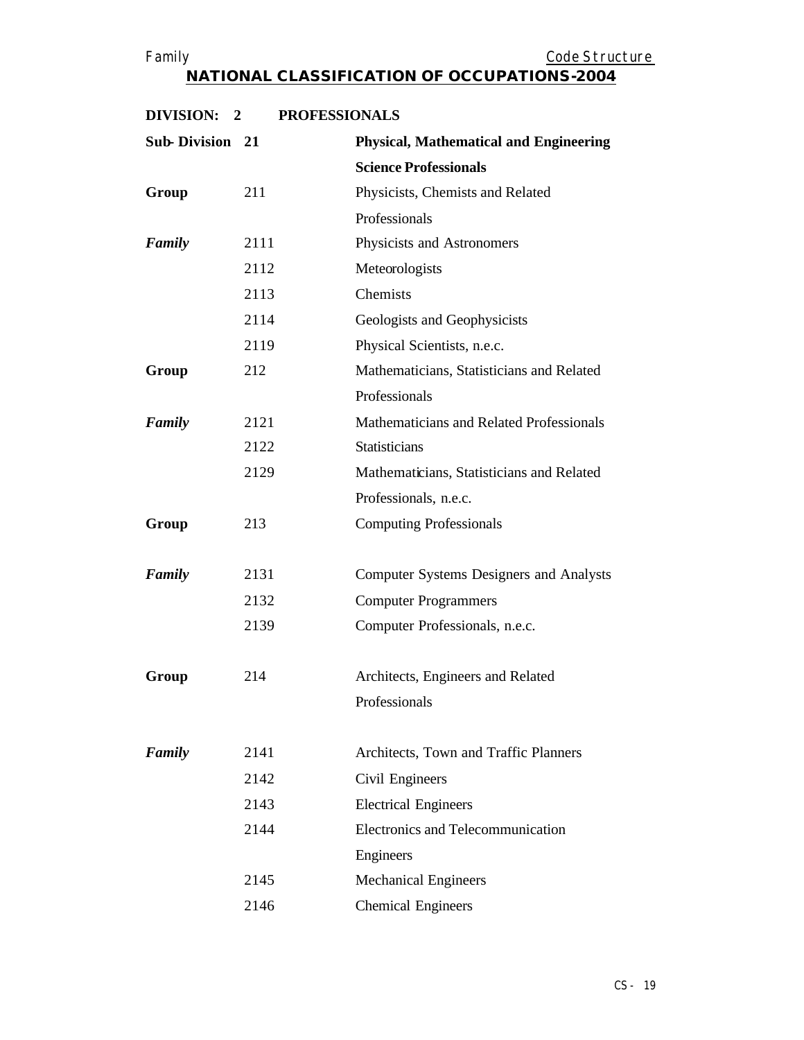| DIVISION:<br>$\overline{2}$ | <b>PROFESSIONALS</b> |                                                |
|-----------------------------|----------------------|------------------------------------------------|
| <b>Sub-Division 21</b>      |                      | <b>Physical, Mathematical and Engineering</b>  |
|                             |                      | <b>Science Professionals</b>                   |
| Group                       | 211                  | Physicists, Chemists and Related               |
|                             |                      | Professionals                                  |
| Family                      | 2111                 | Physicists and Astronomers                     |
|                             | 2112                 | Meteorologists                                 |
|                             | 2113                 | Chemists                                       |
|                             | 2114                 | Geologists and Geophysicists                   |
|                             | 2119                 | Physical Scientists, n.e.c.                    |
| Group                       | 212                  | Mathematicians, Statisticians and Related      |
|                             |                      | Professionals                                  |
| Family                      | 2121                 | Mathematicians and Related Professionals       |
|                             | 2122                 | <b>Statisticians</b>                           |
|                             | 2129                 | Mathematicians, Statisticians and Related      |
|                             |                      | Professionals, n.e.c.                          |
| Group                       | 213                  | <b>Computing Professionals</b>                 |
|                             |                      |                                                |
| Family                      | 2131                 | <b>Computer Systems Designers and Analysts</b> |
|                             | 2132                 | <b>Computer Programmers</b>                    |
|                             | 2139                 | Computer Professionals, n.e.c.                 |
| Group                       | 214                  | Architects, Engineers and Related              |
|                             |                      | Professionals                                  |
|                             |                      |                                                |
| Family                      | 2141                 | Architects, Town and Traffic Planners          |
|                             | 2142                 | Civil Engineers                                |
|                             | 2143                 | <b>Electrical Engineers</b>                    |
|                             | 2144                 | Electronics and Telecommunication              |
|                             |                      | Engineers                                      |
|                             | 2145                 | <b>Mechanical Engineers</b>                    |
|                             | 2146                 | <b>Chemical Engineers</b>                      |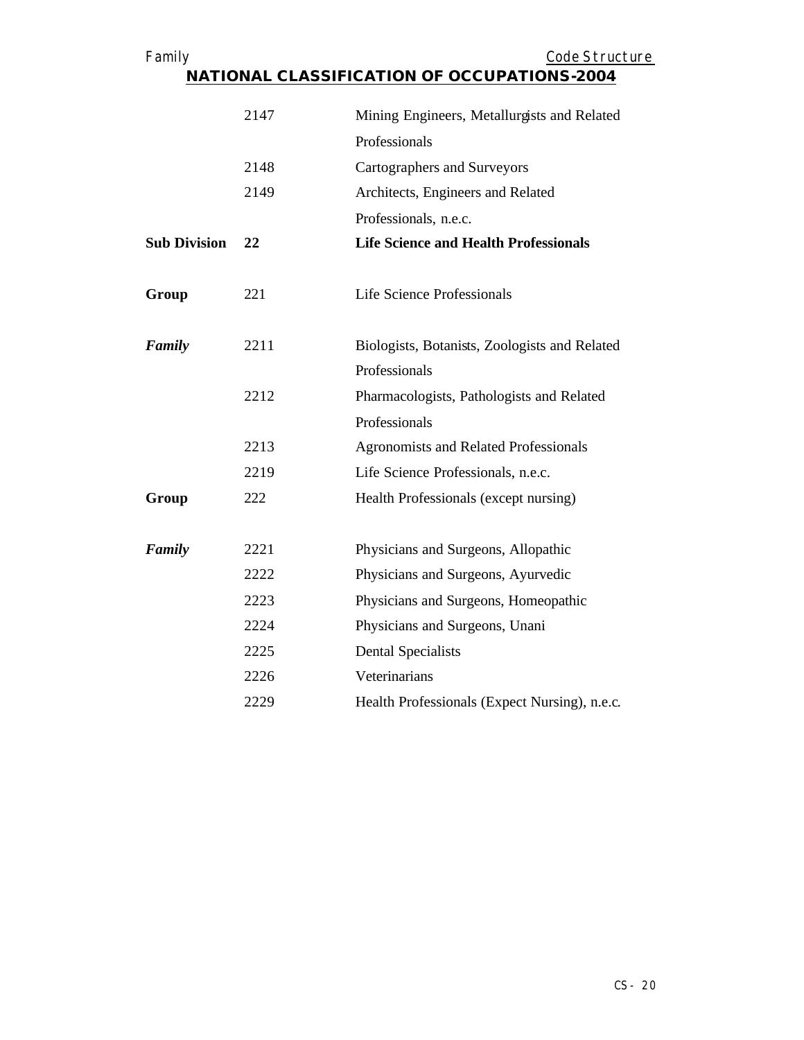| Family              |      | Code Structure<br>NATIONAL CLASSIFICATION OF OCCUPATIONS-2004 |
|---------------------|------|---------------------------------------------------------------|
|                     | 2147 | Mining Engineers, Metallurgists and Related                   |
|                     |      | Professionals                                                 |
|                     | 2148 | <b>Cartographers and Surveyors</b>                            |
|                     | 2149 | Architects, Engineers and Related                             |
|                     |      | Professionals, n.e.c.                                         |
| <b>Sub Division</b> | 22   | <b>Life Science and Health Professionals</b>                  |
| Group               | 221  | Life Science Professionals                                    |
| Family              | 2211 | Biologists, Botanists, Zoologists and Related                 |
|                     |      | Professionals                                                 |
|                     | 2212 | Pharmacologists, Pathologists and Related                     |
|                     |      | Professionals                                                 |
|                     | 2213 | <b>Agronomists and Related Professionals</b>                  |
|                     | 2219 | Life Science Professionals, n.e.c.                            |
| Group               | 222  | Health Professionals (except nursing)                         |
| Family              | 2221 | Physicians and Surgeons, Allopathic                           |
|                     | 2222 | Physicians and Surgeons, Ayurvedic                            |
|                     | 2223 | Physicians and Surgeons, Homeopathic                          |
|                     | 2224 | Physicians and Surgeons, Unani                                |
|                     | 2225 | <b>Dental Specialists</b>                                     |
|                     | 2226 | Veterinarians                                                 |
|                     | 2229 | Health Professionals (Expect Nursing), n.e.c.                 |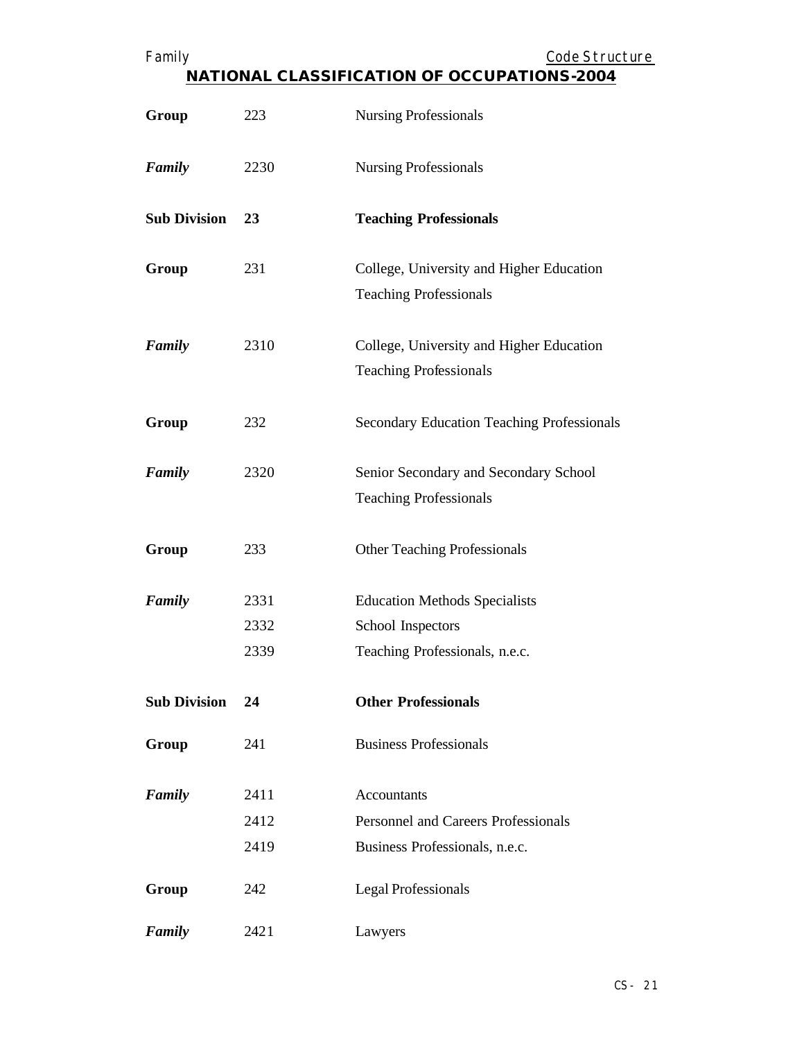| ∶amily |  |
|--------|--|
|        |  |
|        |  |

| Group               | 223  | <b>Nursing Professionals</b>                      |
|---------------------|------|---------------------------------------------------|
| Family              | 2230 | <b>Nursing Professionals</b>                      |
| <b>Sub Division</b> | 23   | <b>Teaching Professionals</b>                     |
| Group               | 231  | College, University and Higher Education          |
|                     |      | <b>Teaching Professionals</b>                     |
| Family              | 2310 | College, University and Higher Education          |
|                     |      | <b>Teaching Professionals</b>                     |
| Group               | 232  | <b>Secondary Education Teaching Professionals</b> |
|                     |      |                                                   |
| Family              | 2320 | Senior Secondary and Secondary School             |
|                     |      | <b>Teaching Professionals</b>                     |
| Group               | 233  | <b>Other Teaching Professionals</b>               |
| Family              | 2331 | <b>Education Methods Specialists</b>              |
|                     | 2332 | School Inspectors                                 |
|                     | 2339 | Teaching Professionals, n.e.c.                    |
| <b>Sub Division</b> | 24   | <b>Other Professionals</b>                        |
| Group               | 241  | <b>Business Professionals</b>                     |
| Family              | 2411 | Accountants                                       |
|                     | 2412 | <b>Personnel and Careers Professionals</b>        |
|                     | 2419 | Business Professionals, n.e.c.                    |
| Group               | 242  | <b>Legal Professionals</b>                        |
| Family              | 2421 | Lawyers                                           |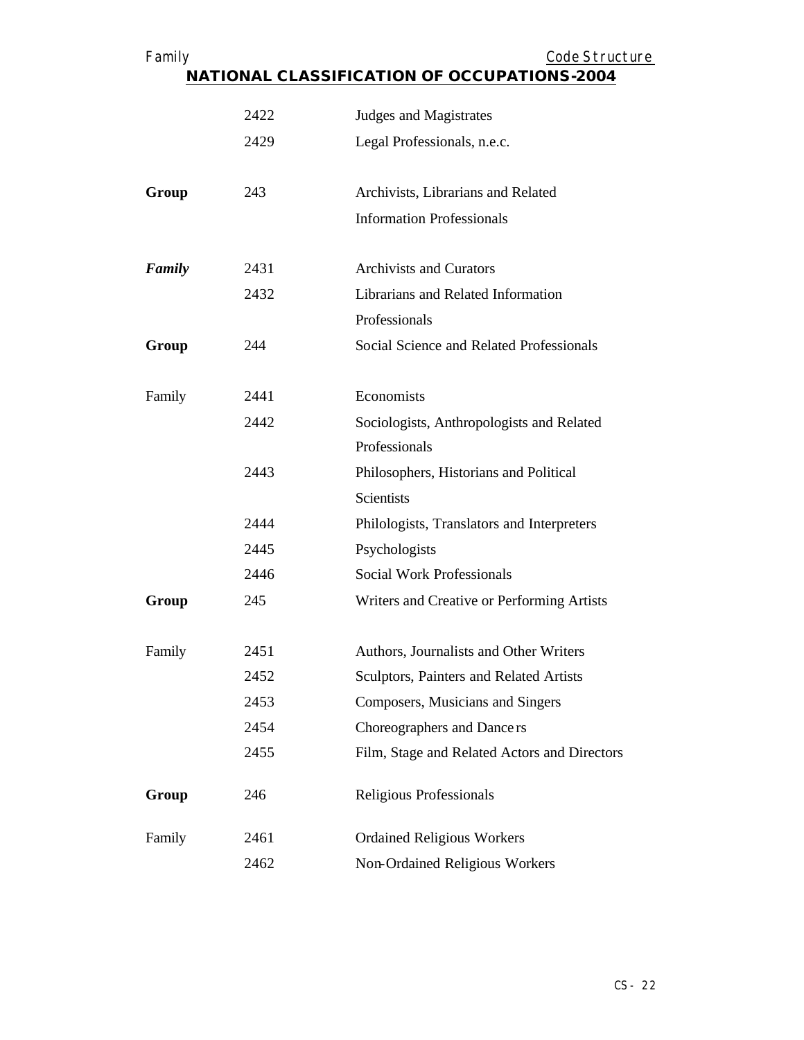| Family                                             |      | Code Structure                               |
|----------------------------------------------------|------|----------------------------------------------|
| <b>NATIONAL CLASSIFICATION OF OCCUPATIONS-2004</b> |      |                                              |
|                                                    | 2422 | Judges and Magistrates                       |
|                                                    | 2429 | Legal Professionals, n.e.c.                  |
| Group                                              | 243  | Archivists, Librarians and Related           |
|                                                    |      | <b>Information Professionals</b>             |
| Family                                             | 2431 | <b>Archivists and Curators</b>               |
|                                                    | 2432 | Librarians and Related Information           |
|                                                    |      | Professionals                                |
| Group                                              | 244  | Social Science and Related Professionals     |
| Family                                             | 2441 | Economists                                   |
|                                                    | 2442 | Sociologists, Anthropologists and Related    |
|                                                    |      | Professionals                                |
|                                                    | 2443 | Philosophers, Historians and Political       |
|                                                    |      | <b>Scientists</b>                            |
|                                                    | 2444 | Philologists, Translators and Interpreters   |
|                                                    | 2445 | Psychologists                                |
|                                                    | 2446 | <b>Social Work Professionals</b>             |
| Group                                              | 245  | Writers and Creative or Performing Artists   |
| Family                                             | 2451 | Authors, Journalists and Other Writers       |
|                                                    | 2452 | Sculptors, Painters and Related Artists      |
|                                                    | 2453 | Composers, Musicians and Singers             |
|                                                    | 2454 | Choreographers and Dance rs                  |
|                                                    | 2455 | Film, Stage and Related Actors and Directors |
| Group                                              | 246  | Religious Professionals                      |
| Family                                             | 2461 | <b>Ordained Religious Workers</b>            |
|                                                    | 2462 | Non-Ordained Religious Workers               |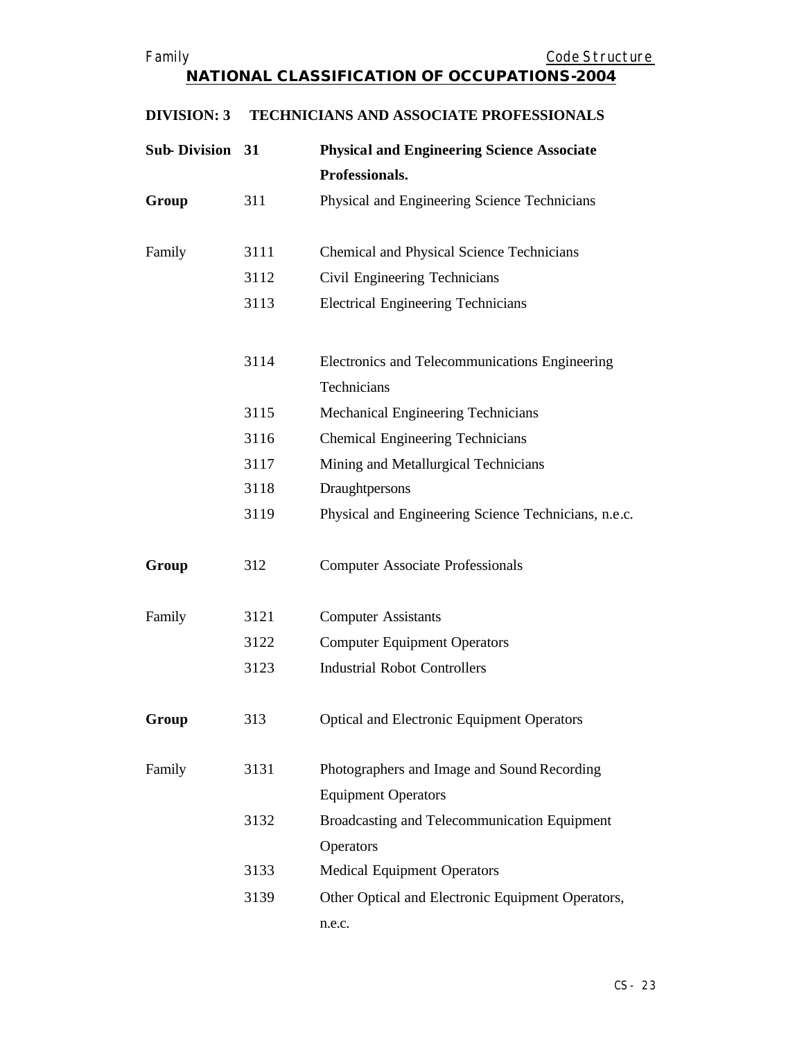| <b>Sub-Division 31</b> |      | <b>Physical and Engineering Science Associate</b>    |
|------------------------|------|------------------------------------------------------|
|                        |      | Professionals.                                       |
| Group                  | 311  | Physical and Engineering Science Technicians         |
|                        |      |                                                      |
| Family                 | 3111 | Chemical and Physical Science Technicians            |
|                        | 3112 | Civil Engineering Technicians                        |
|                        | 3113 | <b>Electrical Engineering Technicians</b>            |
|                        |      |                                                      |
|                        | 3114 | Electronics and Telecommunications Engineering       |
|                        |      | Technicians                                          |
|                        | 3115 | Mechanical Engineering Technicians                   |
|                        | 3116 | Chemical Engineering Technicians                     |
|                        | 3117 | Mining and Metallurgical Technicians                 |
|                        | 3118 | Draughtpersons                                       |
|                        | 3119 | Physical and Engineering Science Technicians, n.e.c. |
| Group                  | 312  | <b>Computer Associate Professionals</b>              |
| Family                 | 3121 | <b>Computer Assistants</b>                           |
|                        | 3122 | <b>Computer Equipment Operators</b>                  |
|                        | 3123 | <b>Industrial Robot Controllers</b>                  |
| Group                  | 313  | <b>Optical and Electronic Equipment Operators</b>    |
| Family                 | 3131 | Photographers and Image and Sound Recording          |
|                        |      | <b>Equipment Operators</b>                           |
|                        | 3132 | Broadcasting and Telecommunication Equipment         |
|                        |      | Operators                                            |
|                        | 3133 | <b>Medical Equipment Operators</b>                   |
|                        | 3139 | Other Optical and Electronic Equipment Operators,    |
|                        |      | n.e.c.                                               |

## **DIVISION: 3 TECHNICIANS AND ASSOCIATE PROFESSIONALS**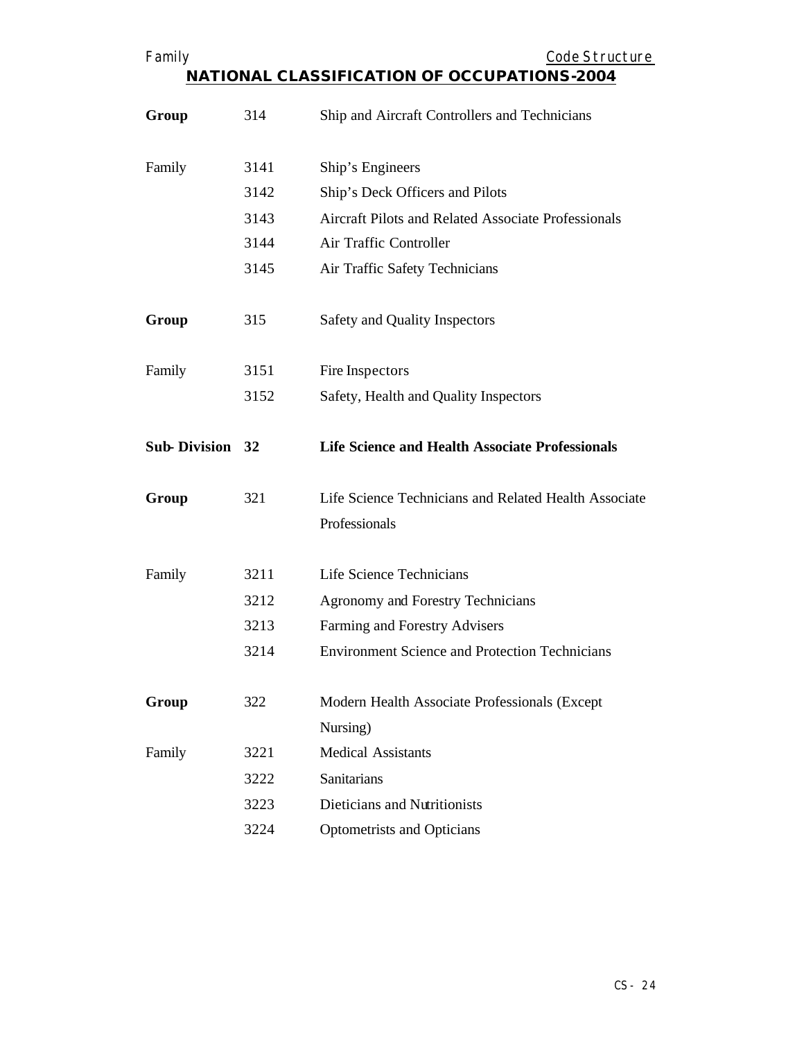| Family                 |      | Code Structure                                                         |
|------------------------|------|------------------------------------------------------------------------|
|                        |      | <b>NATIONAL CLASSIFICATION OF OCCUPATIONS-2004</b>                     |
| Group                  | 314  | Ship and Aircraft Controllers and Technicians                          |
| Family                 | 3141 | Ship's Engineers                                                       |
|                        | 3142 | Ship's Deck Officers and Pilots                                        |
|                        | 3143 | Aircraft Pilots and Related Associate Professionals                    |
|                        | 3144 | Air Traffic Controller                                                 |
|                        | 3145 | Air Traffic Safety Technicians                                         |
| Group                  | 315  | Safety and Quality Inspectors                                          |
| Family                 | 3151 | Fire Inspectors                                                        |
|                        | 3152 | Safety, Health and Quality Inspectors                                  |
| <b>Sub-Division 32</b> |      | <b>Life Science and Health Associate Professionals</b>                 |
| Group                  | 321  | Life Science Technicians and Related Health Associate<br>Professionals |
| Family                 | 3211 | Life Science Technicians                                               |
|                        | 3212 | Agronomy and Forestry Technicians                                      |
|                        | 3213 | Farming and Forestry Advisers                                          |
|                        | 3214 | <b>Environment Science and Protection Technicians</b>                  |
| Group                  | 322  | Modern Health Associate Professionals (Except<br>Nursing)              |
| Family                 | 3221 | <b>Medical Assistants</b>                                              |
|                        | 3222 | <b>Sanitarians</b>                                                     |
|                        | 3223 | Dieticians and Nutritionists                                           |
|                        | 3224 | Optometrists and Opticians                                             |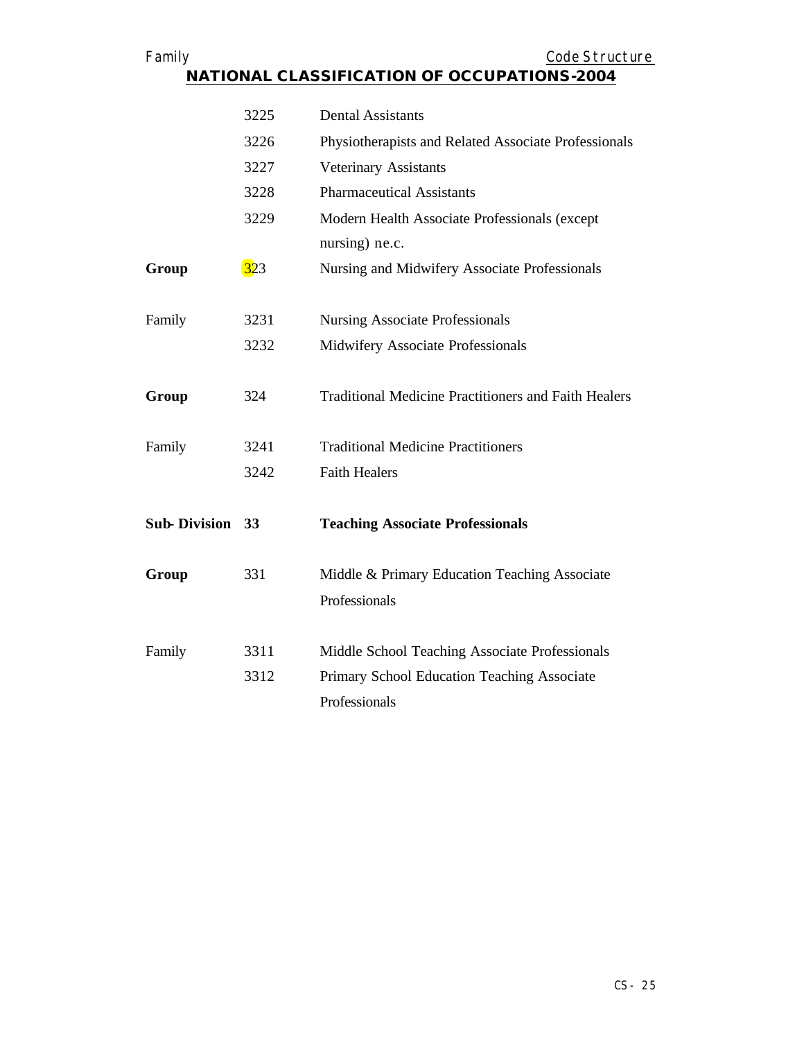| Family                 |      | Code Structure<br><b>NATIONAL CLASSIFICATION OF OCCUPATIONS-2004</b> |
|------------------------|------|----------------------------------------------------------------------|
|                        |      |                                                                      |
|                        | 3225 | <b>Dental Assistants</b>                                             |
|                        | 3226 | Physiotherapists and Related Associate Professionals                 |
|                        | 3227 | Veterinary Assistants                                                |
|                        | 3228 | <b>Pharmaceutical Assistants</b>                                     |
|                        | 3229 | Modern Health Associate Professionals (except                        |
|                        |      | nursing) ne.c.                                                       |
| Group                  | 323  | Nursing and Midwifery Associate Professionals                        |
|                        |      |                                                                      |
| Family                 | 3231 | <b>Nursing Associate Professionals</b>                               |
|                        | 3232 | Midwifery Associate Professionals                                    |
|                        |      |                                                                      |
| Group                  | 324  | <b>Traditional Medicine Practitioners and Faith Healers</b>          |
|                        |      |                                                                      |
| Family                 | 3241 | <b>Traditional Medicine Practitioners</b>                            |
|                        | 3242 | <b>Faith Healers</b>                                                 |
|                        |      |                                                                      |
| <b>Sub-Division 33</b> |      | <b>Teaching Associate Professionals</b>                              |
|                        |      |                                                                      |
| Group                  | 331  | Middle & Primary Education Teaching Associate                        |
|                        |      | Professionals                                                        |
|                        |      |                                                                      |
| Family                 | 3311 | Middle School Teaching Associate Professionals                       |
|                        | 3312 | Primary School Education Teaching Associate                          |
|                        |      | Professionals                                                        |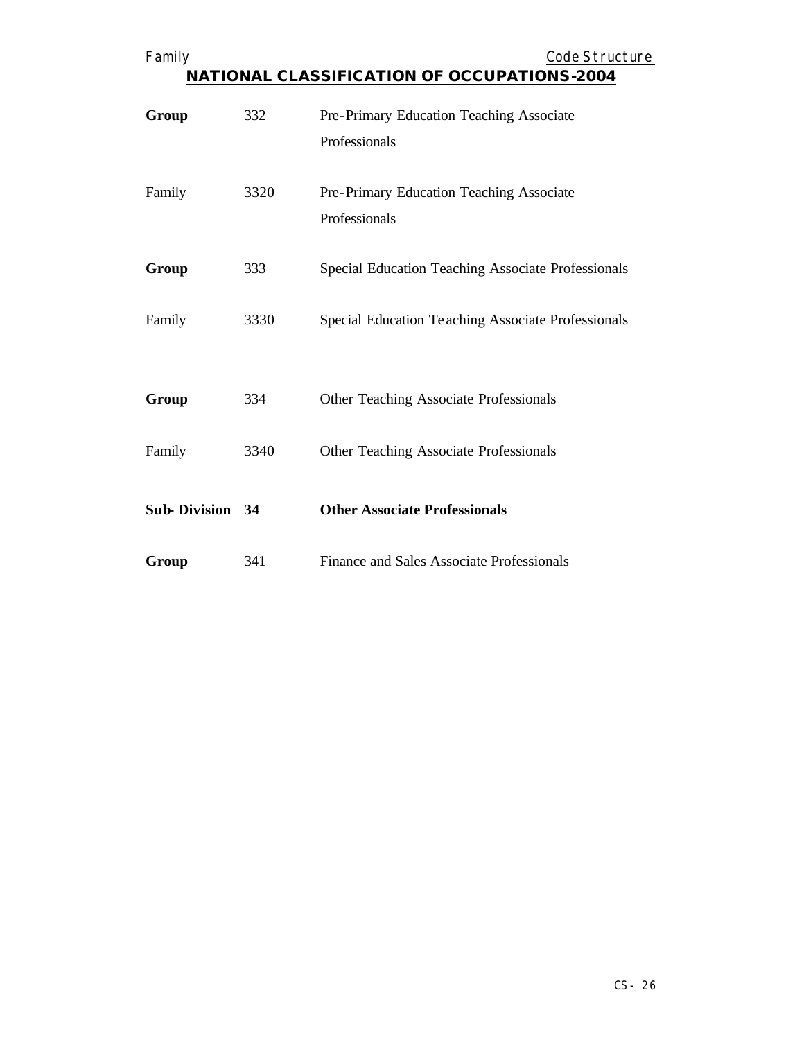| Family                 |      | Code Structure<br><b>NATIONAL CLASSIFICATION OF OCCUPATIONS-2004</b> |
|------------------------|------|----------------------------------------------------------------------|
| Group                  | 332  | Pre-Primary Education Teaching Associate<br>Professionals            |
| Family                 | 3320 | Pre-Primary Education Teaching Associate<br>Professionals            |
| Group                  | 333  | Special Education Teaching Associate Professionals                   |
| Family                 | 3330 | Special Education Teaching Associate Professionals                   |
| Group                  | 334  | Other Teaching Associate Professionals                               |
| Family                 | 3340 | Other Teaching Associate Professionals                               |
| <b>Sub-Division 34</b> |      | <b>Other Associate Professionals</b>                                 |
| Group                  | 341  | Finance and Sales Associate Professionals                            |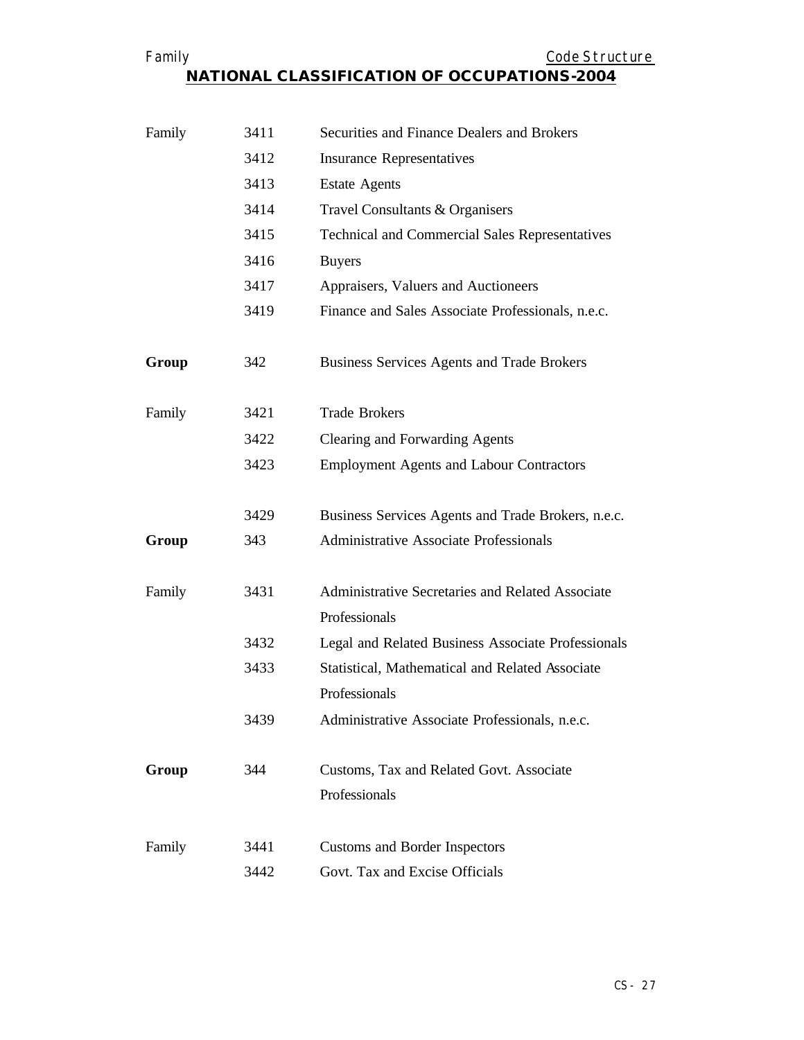| Family                                             | Code Structure |
|----------------------------------------------------|----------------|
| <b>NATIONAL CLASSIFICATION OF OCCUPATIONS-2004</b> |                |

| Family | 3411 | Securities and Finance Dealers and Brokers                        |
|--------|------|-------------------------------------------------------------------|
|        | 3412 | <b>Insurance Representatives</b>                                  |
|        | 3413 | <b>Estate Agents</b>                                              |
|        | 3414 | Travel Consultants & Organisers                                   |
|        | 3415 | <b>Technical and Commercial Sales Representatives</b>             |
|        | 3416 | <b>Buyers</b>                                                     |
|        | 3417 | Appraisers, Valuers and Auctioneers                               |
|        | 3419 | Finance and Sales Associate Professionals, n.e.c.                 |
| Group  | 342  | <b>Business Services Agents and Trade Brokers</b>                 |
| Family | 3421 | <b>Trade Brokers</b>                                              |
|        | 3422 | Clearing and Forwarding Agents                                    |
|        | 3423 | <b>Employment Agents and Labour Contractors</b>                   |
|        | 3429 | Business Services Agents and Trade Brokers, n.e.c.                |
| Group  | 343  | <b>Administrative Associate Professionals</b>                     |
| Family | 3431 | Administrative Secretaries and Related Associate<br>Professionals |
|        | 3432 | Legal and Related Business Associate Professionals                |
|        | 3433 | Statistical, Mathematical and Related Associate                   |
|        |      | Professionals                                                     |
|        | 3439 | Administrative Associate Professionals, n.e.c.                    |
| Group  | 344  | Customs, Tax and Related Govt. Associate<br>Professionals         |
| Family | 3441 | Customs and Border Inspectors                                     |
|        | 3442 | Govt. Tax and Excise Officials                                    |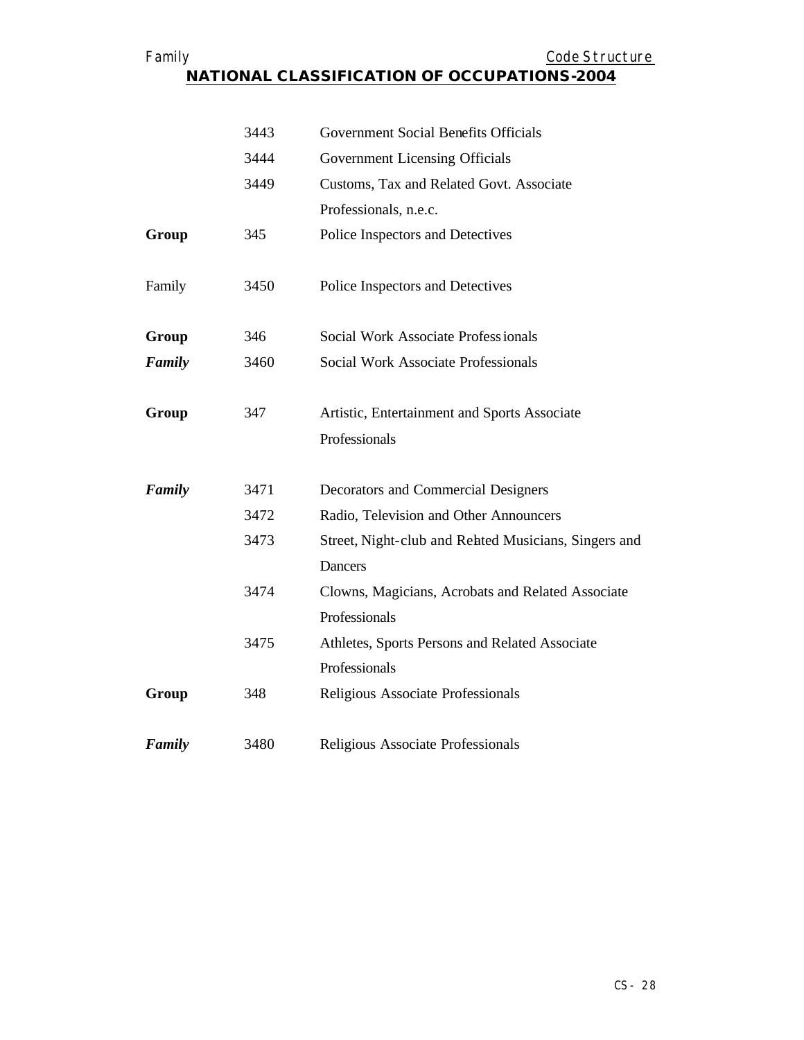## Family **Example 2018** Code Structure **NATIONAL CLASSIFICATION OF OCCUPATIONS-2004**

|        | 3443 | Government Social Benefits Officials                 |
|--------|------|------------------------------------------------------|
|        | 3444 | Government Licensing Officials                       |
|        | 3449 | Customs, Tax and Related Govt. Associate             |
|        |      | Professionals, n.e.c.                                |
| Group  | 345  | Police Inspectors and Detectives                     |
| Family | 3450 | Police Inspectors and Detectives                     |
| Group  | 346  | Social Work Associate Professionals                  |
| Family | 3460 | Social Work Associate Professionals                  |
| Group  | 347  | Artistic, Entertainment and Sports Associate         |
|        |      | Professionals                                        |
| Family | 3471 | Decorators and Commercial Designers                  |
|        | 3472 | Radio, Television and Other Announcers               |
|        | 3473 | Street, Night-club and Rehted Musicians, Singers and |
|        |      | <b>Dancers</b>                                       |
|        | 3474 | Clowns, Magicians, Acrobats and Related Associate    |
|        |      | Professionals                                        |
|        | 3475 | Athletes, Sports Persons and Related Associate       |
|        |      | Professionals                                        |
| Group  | 348  | Religious Associate Professionals                    |
| Family | 3480 | Religious Associate Professionals                    |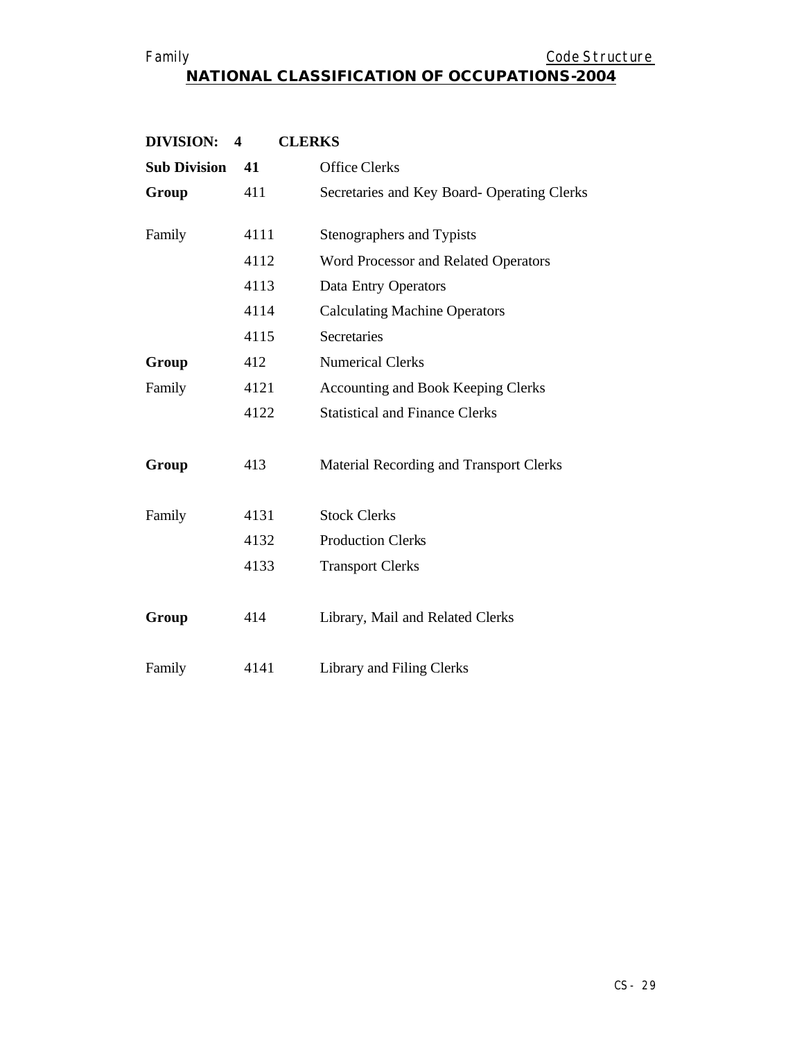## Family **Example 2018** Code Structure **NATIONAL CLASSIFICATION OF OCCUPATIONS-2004**

| <b>DIVISION:</b>    | <b>CLERKS</b><br>$\overline{\mathbf{4}}$ |                                            |
|---------------------|------------------------------------------|--------------------------------------------|
| <b>Sub Division</b> | 41                                       | <b>Office Clerks</b>                       |
| Group               | 411                                      | Secretaries and Key Board-Operating Clerks |
| Family              | 4111                                     | Stenographers and Typists                  |
|                     | 4112                                     | Word Processor and Related Operators       |
|                     | 4113                                     | Data Entry Operators                       |
|                     | 4114                                     | <b>Calculating Machine Operators</b>       |
|                     | 4115                                     | Secretaries                                |
| Group               | 412                                      | <b>Numerical Clerks</b>                    |
| Family              | 4121                                     | <b>Accounting and Book Keeping Clerks</b>  |
|                     | 4122                                     | <b>Statistical and Finance Clerks</b>      |
| Group               | 413                                      | Material Recording and Transport Clerks    |
| Family              | 4131                                     | <b>Stock Clerks</b>                        |
|                     | 4132                                     | <b>Production Clerks</b>                   |
|                     | 4133                                     | <b>Transport Clerks</b>                    |
| Group               | 414                                      | Library, Mail and Related Clerks           |
| Family              | 4141                                     | Library and Filing Clerks                  |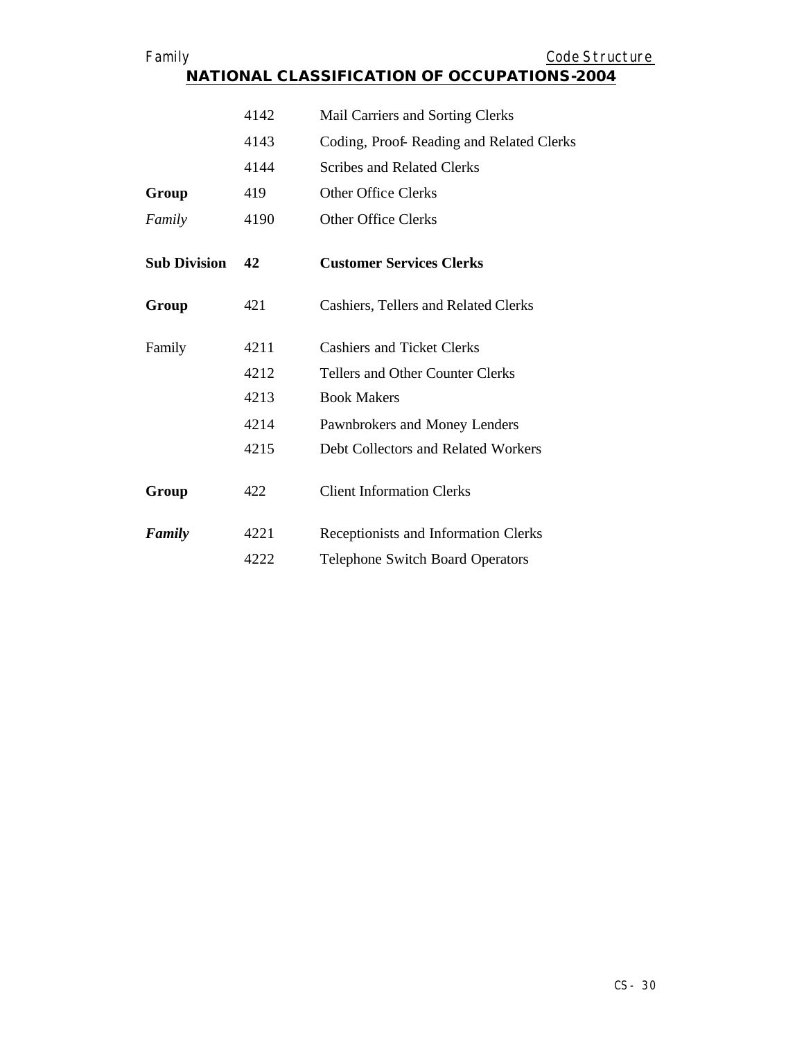| Family              |      | Code Structure                              |
|---------------------|------|---------------------------------------------|
|                     |      | NATIONAL CLASSIFICATION OF OCCUPATIONS-2004 |
|                     |      |                                             |
|                     | 4142 | Mail Carriers and Sorting Clerks            |
|                     | 4143 | Coding, Proof-Reading and Related Clerks    |
|                     | 4144 | <b>Scribes and Related Clerks</b>           |
| Group               | 419  | <b>Other Office Clerks</b>                  |
| Family              | 4190 | <b>Other Office Clerks</b>                  |
|                     |      |                                             |
| <b>Sub Division</b> | 42   | <b>Customer Services Clerks</b>             |
| Group               | 421  | Cashiers, Tellers and Related Clerks        |
| Family              | 4211 | <b>Cashiers and Ticket Clerks</b>           |
|                     | 4212 | Tellers and Other Counter Clerks            |
|                     | 4213 | <b>Book Makers</b>                          |
|                     | 4214 | Pawnbrokers and Money Lenders               |
|                     | 4215 | Debt Collectors and Related Workers         |
| Group               | 422  | <b>Client Information Clerks</b>            |
| Family              | 4221 | Receptionists and Information Clerks        |
|                     | 4222 | <b>Telephone Switch Board Operators</b>     |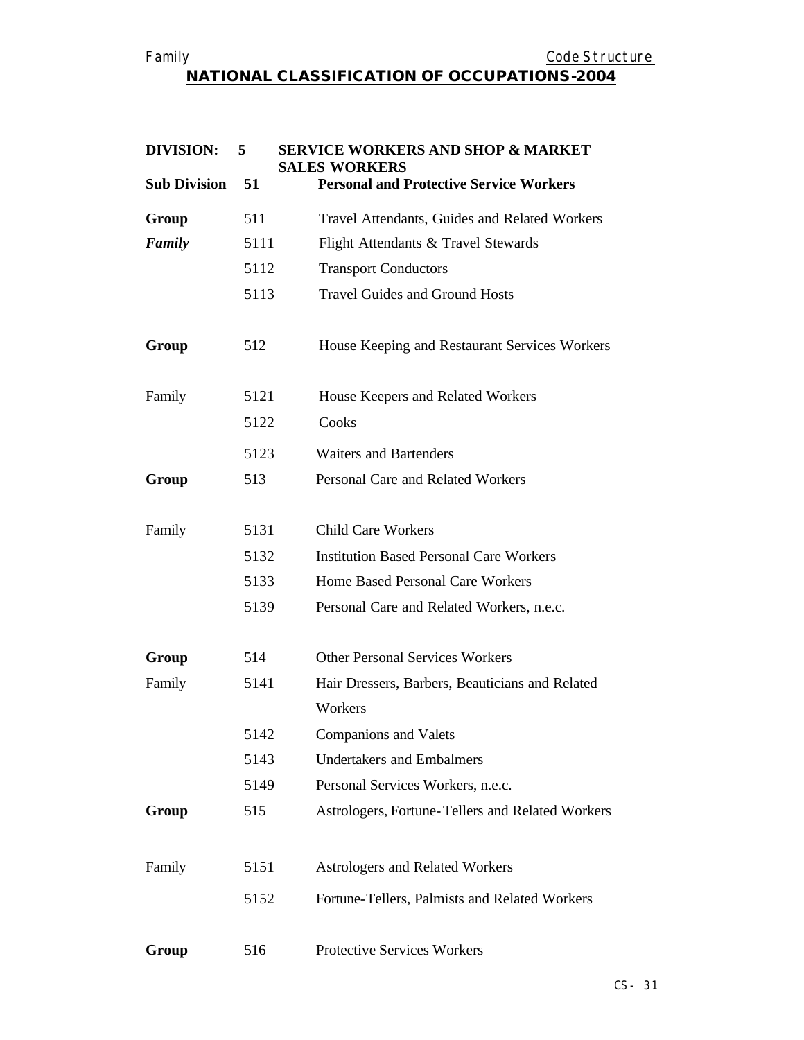## Family **Example 2018** Code Structure **NATIONAL CLASSIFICATION OF OCCUPATIONS-2004**

| <b>DIVISION:</b>    | 5    | <b>SERVICE WORKERS AND SHOP &amp; MARKET</b><br><b>SALES WORKERS</b> |
|---------------------|------|----------------------------------------------------------------------|
| <b>Sub Division</b> | 51   | <b>Personal and Protective Service Workers</b>                       |
| Group               | 511  | Travel Attendants, Guides and Related Workers                        |
| Family              | 5111 | Flight Attendants & Travel Stewards                                  |
|                     | 5112 | <b>Transport Conductors</b>                                          |
|                     | 5113 | <b>Travel Guides and Ground Hosts</b>                                |
| Group               | 512  | House Keeping and Restaurant Services Workers                        |
| Family              | 5121 | House Keepers and Related Workers                                    |
|                     | 5122 | Cooks                                                                |
|                     | 5123 | <b>Waiters and Bartenders</b>                                        |
| Group               | 513  | Personal Care and Related Workers                                    |
| Family              | 5131 | <b>Child Care Workers</b>                                            |
|                     | 5132 | <b>Institution Based Personal Care Workers</b>                       |
|                     | 5133 | Home Based Personal Care Workers                                     |
|                     | 5139 | Personal Care and Related Workers, n.e.c.                            |
| Group               | 514  | <b>Other Personal Services Workers</b>                               |
| Family              | 5141 | Hair Dressers, Barbers, Beauticians and Related                      |
|                     |      | Workers                                                              |
|                     | 5142 | <b>Companions and Valets</b>                                         |
|                     | 5143 | <b>Undertakers and Embalmers</b>                                     |
|                     | 5149 | Personal Services Workers, n.e.c.                                    |
| Group               | 515  | Astrologers, Fortune-Tellers and Related Workers                     |
| Family              | 5151 | Astrologers and Related Workers                                      |
|                     | 5152 | Fortune-Tellers, Palmists and Related Workers                        |
| Group               | 516  | <b>Protective Services Workers</b>                                   |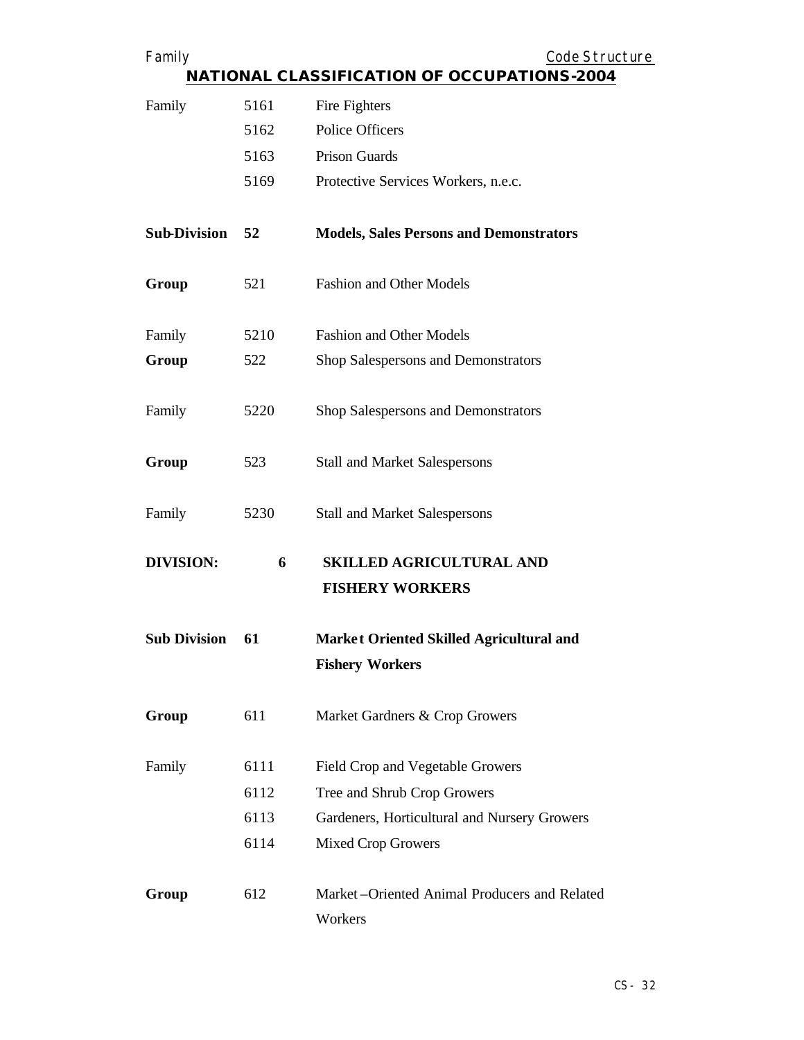| Family                                             |      | Code Structure                                                     |
|----------------------------------------------------|------|--------------------------------------------------------------------|
| <b>NATIONAL CLASSIFICATION OF OCCUPATIONS-2004</b> |      |                                                                    |
| Family                                             | 5161 | Fire Fighters                                                      |
|                                                    | 5162 | <b>Police Officers</b>                                             |
|                                                    | 5163 | <b>Prison Guards</b>                                               |
|                                                    | 5169 | Protective Services Workers, n.e.c.                                |
| <b>Sub-Division</b>                                | 52   | <b>Models, Sales Persons and Demonstrators</b>                     |
| Group                                              | 521  | <b>Fashion and Other Models</b>                                    |
| Family                                             | 5210 | <b>Fashion and Other Models</b>                                    |
| Group                                              | 522  | Shop Salespersons and Demonstrators                                |
| Family                                             | 5220 | Shop Salespersons and Demonstrators                                |
| Group                                              | 523  | <b>Stall and Market Salespersons</b>                               |
| Family                                             | 5230 | <b>Stall and Market Salespersons</b>                               |
| <b>DIVISION:</b>                                   | 6    | <b>SKILLED AGRICULTURAL AND</b><br><b>FISHERY WORKERS</b>          |
| <b>Sub Division</b>                                | 61   | Market Oriented Skilled Agricultural and<br><b>Fishery Workers</b> |
| Group                                              | 611  | Market Gardners & Crop Growers                                     |
| Family                                             | 6111 | Field Crop and Vegetable Growers                                   |
|                                                    | 6112 | Tree and Shrub Crop Growers                                        |
|                                                    | 6113 | Gardeners, Horticultural and Nursery Growers                       |
|                                                    | 6114 | <b>Mixed Crop Growers</b>                                          |
| Group                                              | 612  | Market-Oriented Animal Producers and Related<br>Workers            |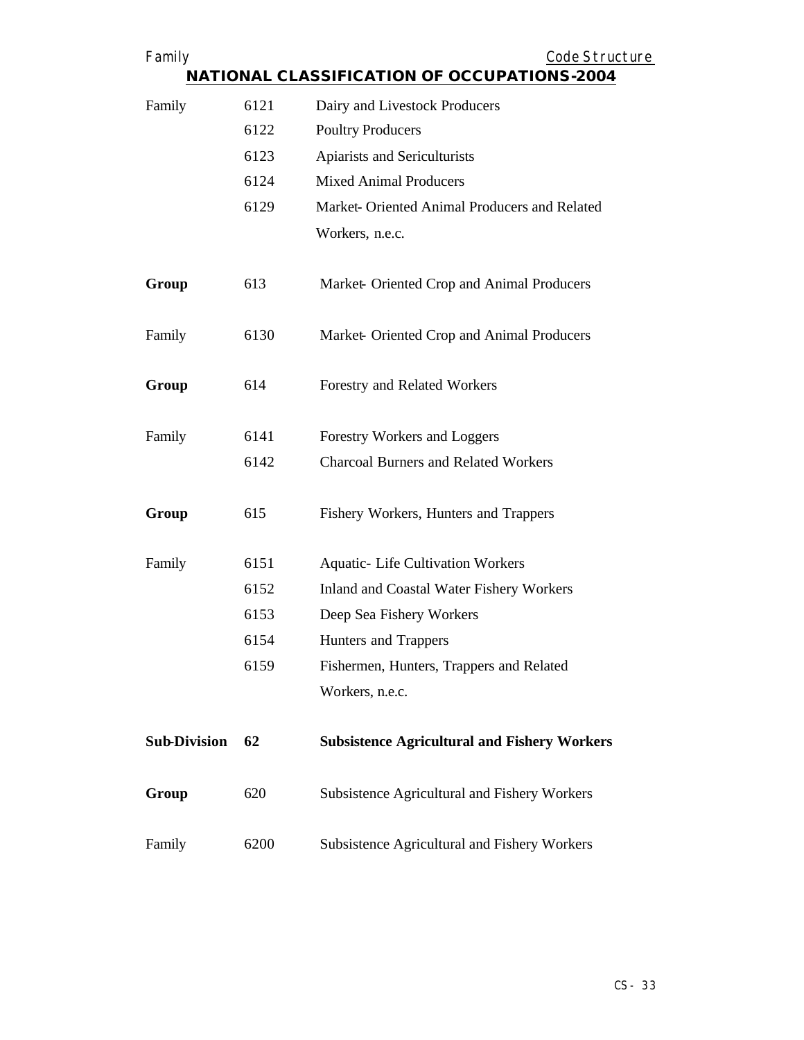| Family              |      | Code Structure                                      |
|---------------------|------|-----------------------------------------------------|
|                     |      | <b>NATIONAL CLASSIFICATION OF OCCUPATIONS-2004</b>  |
| Family              | 6121 | Dairy and Livestock Producers                       |
|                     | 6122 | <b>Poultry Producers</b>                            |
|                     | 6123 | Apiarists and Sericulturists                        |
|                     | 6124 | <b>Mixed Animal Producers</b>                       |
|                     | 6129 | Market- Oriented Animal Producers and Related       |
|                     |      | Workers, n.e.c.                                     |
| Group               | 613  | Market-Oriented Crop and Animal Producers           |
| Family              | 6130 | Market-Oriented Crop and Animal Producers           |
| Group               | 614  | Forestry and Related Workers                        |
| Family              | 6141 | Forestry Workers and Loggers                        |
|                     | 6142 | <b>Charcoal Burners and Related Workers</b>         |
| Group               | 615  | Fishery Workers, Hunters and Trappers               |
| Family              | 6151 | <b>Aquatic- Life Cultivation Workers</b>            |
|                     | 6152 | Inland and Coastal Water Fishery Workers            |
|                     | 6153 | Deep Sea Fishery Workers                            |
|                     | 6154 | Hunters and Trappers                                |
|                     | 6159 | Fishermen, Hunters, Trappers and Related            |
|                     |      | Workers, n.e.c.                                     |
| <b>Sub-Division</b> | 62   | <b>Subsistence Agricultural and Fishery Workers</b> |
| Group               | 620  | Subsistence Agricultural and Fishery Workers        |
| Family              | 6200 | Subsistence Agricultural and Fishery Workers        |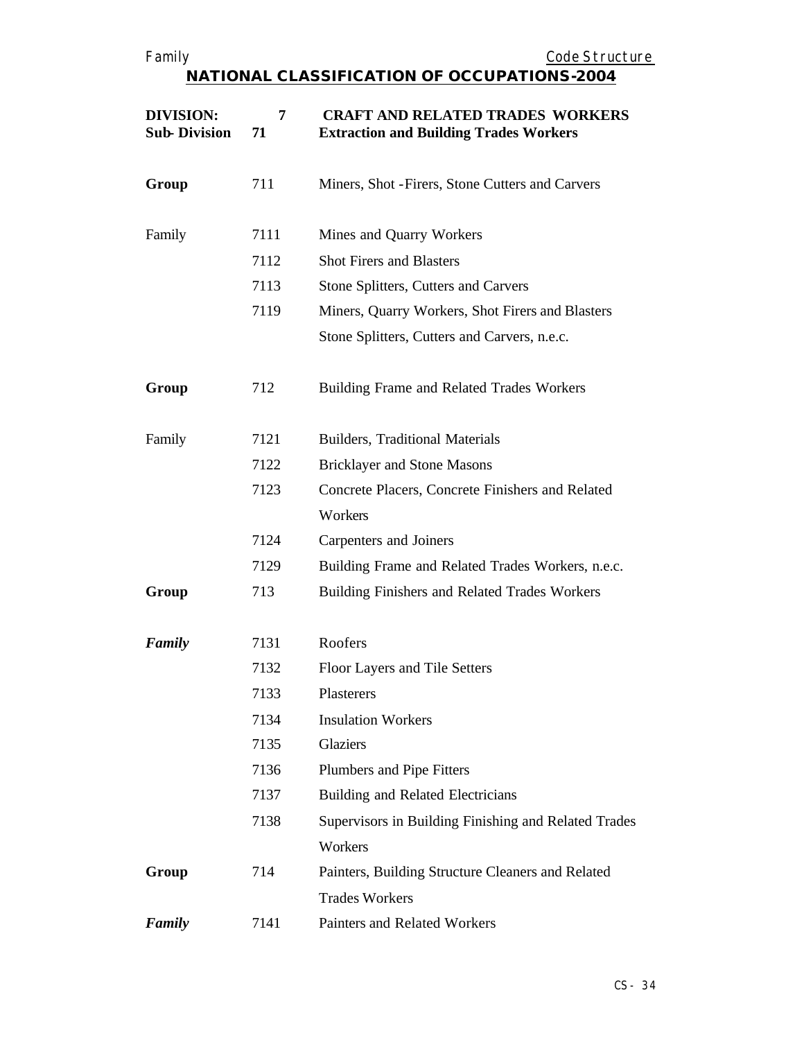| <b>DIVISION:</b><br><b>Sub-Division</b> | 7<br>71 | <b>CRAFT AND RELATED TRADES WORKERS</b><br><b>Extraction and Building Trades Workers</b> |
|-----------------------------------------|---------|------------------------------------------------------------------------------------------|
| Group                                   | 711     | Miners, Shot - Firers, Stone Cutters and Carvers                                         |
| Family                                  | 7111    | Mines and Quarry Workers                                                                 |
|                                         | 7112    | <b>Shot Firers and Blasters</b>                                                          |
|                                         | 7113    | Stone Splitters, Cutters and Carvers                                                     |
|                                         | 7119    | Miners, Quarry Workers, Shot Firers and Blasters                                         |
|                                         |         | Stone Splitters, Cutters and Carvers, n.e.c.                                             |
| Group                                   | 712     | Building Frame and Related Trades Workers                                                |
| Family                                  | 7121    | <b>Builders, Traditional Materials</b>                                                   |
|                                         | 7122    | <b>Bricklayer and Stone Masons</b>                                                       |
|                                         | 7123    | Concrete Placers, Concrete Finishers and Related                                         |
|                                         |         | Workers                                                                                  |
|                                         | 7124    | Carpenters and Joiners                                                                   |
|                                         | 7129    | Building Frame and Related Trades Workers, n.e.c.                                        |
| Group                                   | 713     | Building Finishers and Related Trades Workers                                            |
| Family                                  | 7131    | Roofers                                                                                  |
|                                         | 7132    | Floor Layers and Tile Setters                                                            |
|                                         | 7133    | Plasterers                                                                               |
|                                         | 7134    | <b>Insulation Workers</b>                                                                |
|                                         | 7135    | Glaziers                                                                                 |
|                                         | 7136    | Plumbers and Pipe Fitters                                                                |
|                                         | 7137    | Building and Related Electricians                                                        |
|                                         | 7138    | Supervisors in Building Finishing and Related Trades                                     |
|                                         |         | Workers                                                                                  |
| Group                                   | 714     | Painters, Building Structure Cleaners and Related                                        |
|                                         |         | <b>Trades Workers</b>                                                                    |
| Family                                  | 7141    | Painters and Related Workers                                                             |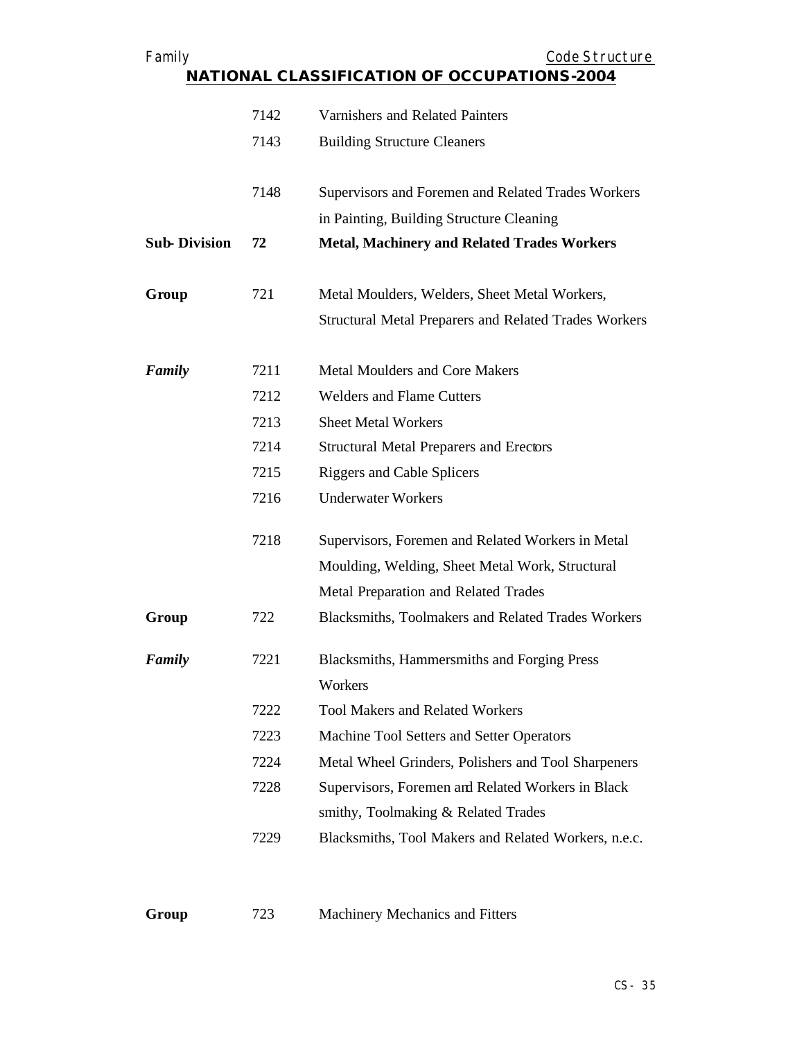| Family                                             |      | Code Structure                                               |  |
|----------------------------------------------------|------|--------------------------------------------------------------|--|
| <b>NATIONAL CLASSIFICATION OF OCCUPATIONS-2004</b> |      |                                                              |  |
|                                                    | 7142 | Varnishers and Related Painters                              |  |
|                                                    | 7143 | <b>Building Structure Cleaners</b>                           |  |
|                                                    |      |                                                              |  |
|                                                    | 7148 | Supervisors and Foremen and Related Trades Workers           |  |
|                                                    |      | in Painting, Building Structure Cleaning                     |  |
| <b>Sub-Division</b>                                | 72   | <b>Metal, Machinery and Related Trades Workers</b>           |  |
|                                                    |      |                                                              |  |
| Group                                              | 721  | Metal Moulders, Welders, Sheet Metal Workers,                |  |
|                                                    |      | <b>Structural Metal Preparers and Related Trades Workers</b> |  |
| Family                                             | 7211 | <b>Metal Moulders and Core Makers</b>                        |  |
|                                                    | 7212 | <b>Welders and Flame Cutters</b>                             |  |
|                                                    | 7213 | <b>Sheet Metal Workers</b>                                   |  |
|                                                    | 7214 | <b>Structural Metal Preparers and Erectors</b>               |  |
|                                                    | 7215 | <b>Riggers and Cable Splicers</b>                            |  |
|                                                    | 7216 | <b>Underwater Workers</b>                                    |  |
|                                                    | 7218 | Supervisors, Foremen and Related Workers in Metal            |  |
|                                                    |      | Moulding, Welding, Sheet Metal Work, Structural              |  |
|                                                    |      | Metal Preparation and Related Trades                         |  |
| Group                                              | 722  | Blacksmiths, Toolmakers and Related Trades Workers           |  |
| Family                                             | 7221 | Blacksmiths, Hammersmiths and Forging Press                  |  |
|                                                    |      | Workers                                                      |  |
|                                                    | 7222 | <b>Tool Makers and Related Workers</b>                       |  |
|                                                    | 7223 | Machine Tool Setters and Setter Operators                    |  |
|                                                    | 7224 | Metal Wheel Grinders, Polishers and Tool Sharpeners          |  |
|                                                    | 7228 | Supervisors, Foremen and Related Workers in Black            |  |
|                                                    |      | smithy, Toolmaking & Related Trades                          |  |
|                                                    | 7229 | Blacksmiths, Tool Makers and Related Workers, n.e.c.         |  |
|                                                    |      |                                                              |  |
|                                                    |      |                                                              |  |

**Group** 723 Machinery Mechanics and Fitters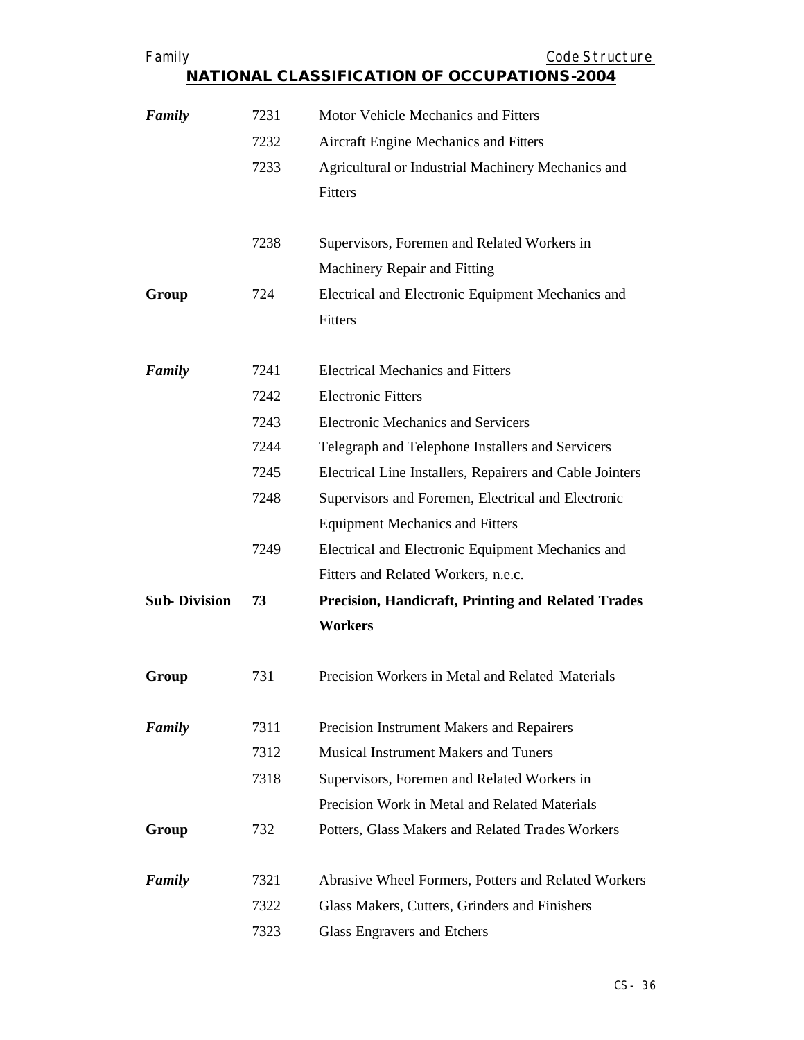| Family              |      | Code Structure                                            |
|---------------------|------|-----------------------------------------------------------|
|                     |      | <b>NATIONAL CLASSIFICATION OF OCCUPATIONS-2004</b>        |
| Family              | 7231 | Motor Vehicle Mechanics and Fitters                       |
|                     | 7232 | <b>Aircraft Engine Mechanics and Fitters</b>              |
|                     | 7233 | Agricultural or Industrial Machinery Mechanics and        |
|                     |      | Fitters                                                   |
|                     | 7238 | Supervisors, Foremen and Related Workers in               |
|                     |      | Machinery Repair and Fitting                              |
| Group               | 724  | Electrical and Electronic Equipment Mechanics and         |
|                     |      | Fitters                                                   |
|                     |      |                                                           |
| Family              | 7241 | <b>Electrical Mechanics and Fitters</b>                   |
|                     | 7242 | <b>Electronic Fitters</b>                                 |
|                     | 7243 | <b>Electronic Mechanics and Servicers</b>                 |
|                     | 7244 | Telegraph and Telephone Installers and Servicers          |
|                     | 7245 | Electrical Line Installers, Repairers and Cable Jointers  |
|                     | 7248 | Supervisors and Foremen, Electrical and Electronic        |
|                     |      | <b>Equipment Mechanics and Fitters</b>                    |
|                     | 7249 | Electrical and Electronic Equipment Mechanics and         |
|                     |      | Fitters and Related Workers, n.e.c.                       |
| <b>Sub-Division</b> | 73   | <b>Precision, Handicraft, Printing and Related Trades</b> |
|                     |      | <b>Workers</b>                                            |
| Group               | 731  | Precision Workers in Metal and Related Materials          |
| Family              | 7311 | Precision Instrument Makers and Repairers                 |
|                     | 7312 | <b>Musical Instrument Makers and Tuners</b>               |
|                     | 7318 | Supervisors, Foremen and Related Workers in               |
|                     |      | Precision Work in Metal and Related Materials             |
| Group               | 732  | Potters, Glass Makers and Related Trades Workers          |
| Family              | 7321 | Abrasive Wheel Formers, Potters and Related Workers       |
|                     | 7322 | Glass Makers, Cutters, Grinders and Finishers             |
|                     |      |                                                           |
|                     | 7323 | Glass Engravers and Etchers                               |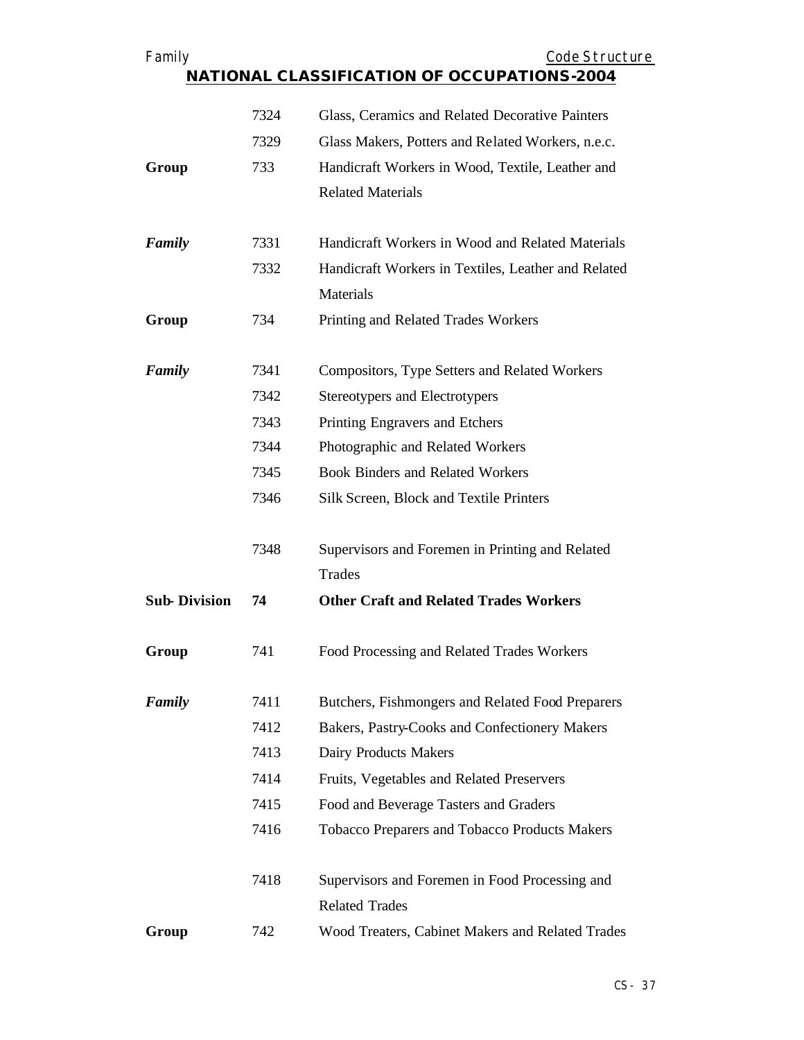| Family              |      | Code Structure                                      |
|---------------------|------|-----------------------------------------------------|
|                     |      | <b>NATIONAL CLASSIFICATION OF OCCUPATIONS-2004</b>  |
|                     | 7324 | Glass, Ceramics and Related Decorative Painters     |
|                     | 7329 | Glass Makers, Potters and Related Workers, n.e.c.   |
|                     |      |                                                     |
| Group               | 733  | Handicraft Workers in Wood, Textile, Leather and    |
|                     |      | <b>Related Materials</b>                            |
| Family              | 7331 | Handicraft Workers in Wood and Related Materials    |
|                     | 7332 | Handicraft Workers in Textiles, Leather and Related |
|                     |      | Materials                                           |
| Group               | 734  | Printing and Related Trades Workers                 |
|                     |      |                                                     |
| Family              | 7341 | Compositors, Type Setters and Related Workers       |
|                     | 7342 | Stereotypers and Electrotypers                      |
|                     | 7343 | Printing Engravers and Etchers                      |
|                     | 7344 | Photographic and Related Workers                    |
|                     | 7345 | <b>Book Binders and Related Workers</b>             |
|                     | 7346 | Silk Screen, Block and Textile Printers             |
|                     | 7348 | Supervisors and Foremen in Printing and Related     |
|                     |      | Trades                                              |
| <b>Sub-Division</b> | 74   | <b>Other Craft and Related Trades Workers</b>       |
| Group               | 741  | Food Processing and Related Trades Workers          |
| Family              | 7411 | Butchers, Fishmongers and Related Food Preparers    |
|                     | 7412 | Bakers, Pastry-Cooks and Confectionery Makers       |
|                     | 7413 | Dairy Products Makers                               |
|                     | 7414 | Fruits, Vegetables and Related Preservers           |
|                     | 7415 | Food and Beverage Tasters and Graders               |
|                     | 7416 | Tobacco Preparers and Tobacco Products Makers       |
|                     | 7418 | Supervisors and Foremen in Food Processing and      |
|                     |      | <b>Related Trades</b>                               |
| Group               | 742  | Wood Treaters, Cabinet Makers and Related Trades    |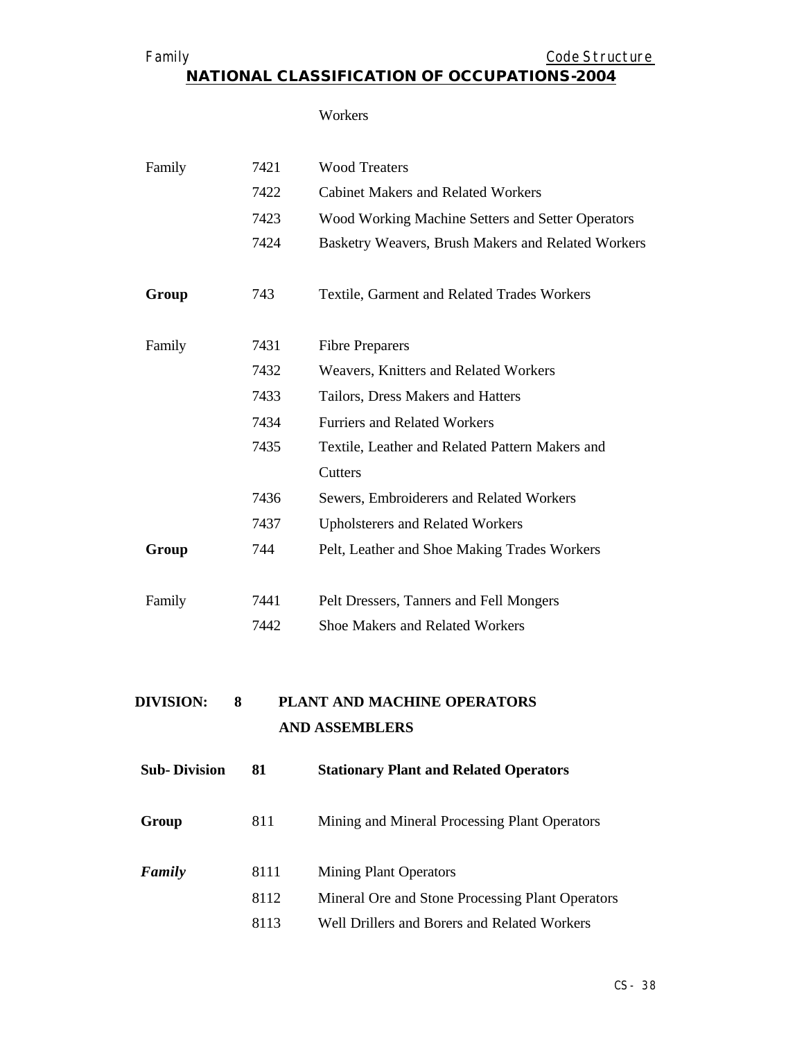Family **Example 2018** Code Structure

#### **NATIONAL CLASSIFICATION OF OCCUPATIONS-2004**

#### Workers

| Family | 7421 | <b>Wood Treaters</b>                               |
|--------|------|----------------------------------------------------|
|        | 7422 | <b>Cabinet Makers and Related Workers</b>          |
|        | 7423 | Wood Working Machine Setters and Setter Operators  |
|        | 7424 | Basketry Weavers, Brush Makers and Related Workers |
|        |      |                                                    |
| Group  | 743  | Textile, Garment and Related Trades Workers        |
|        |      |                                                    |
| Family | 7431 | <b>Fibre Preparers</b>                             |
|        | 7432 | Weavers, Knitters and Related Workers              |
|        | 7433 | Tailors, Dress Makers and Hatters                  |
|        | 7434 | <b>Furriers and Related Workers</b>                |
|        | 7435 | Textile, Leather and Related Pattern Makers and    |
|        |      | Cutters                                            |
|        | 7436 | Sewers, Embroiderers and Related Workers           |
|        | 7437 | <b>Upholsterers and Related Workers</b>            |
| Group  | 744  | Pelt, Leather and Shoe Making Trades Workers       |
|        |      |                                                    |
| Family | 7441 | Pelt Dressers, Tanners and Fell Mongers            |
|        | 7442 | Shoe Makers and Related Workers                    |
|        |      |                                                    |

## **DIVISION: 8 PLANT AND MACHINE OPERATORS AND ASSEMBLERS**

| <b>Sub-Division</b> | 81   | <b>Stationary Plant and Related Operators</b>    |
|---------------------|------|--------------------------------------------------|
| Group               | 811  | Mining and Mineral Processing Plant Operators    |
| Family              | 8111 | <b>Mining Plant Operators</b>                    |
|                     | 8112 | Mineral Ore and Stone Processing Plant Operators |
|                     | 8113 | Well Drillers and Borers and Related Workers     |
|                     |      |                                                  |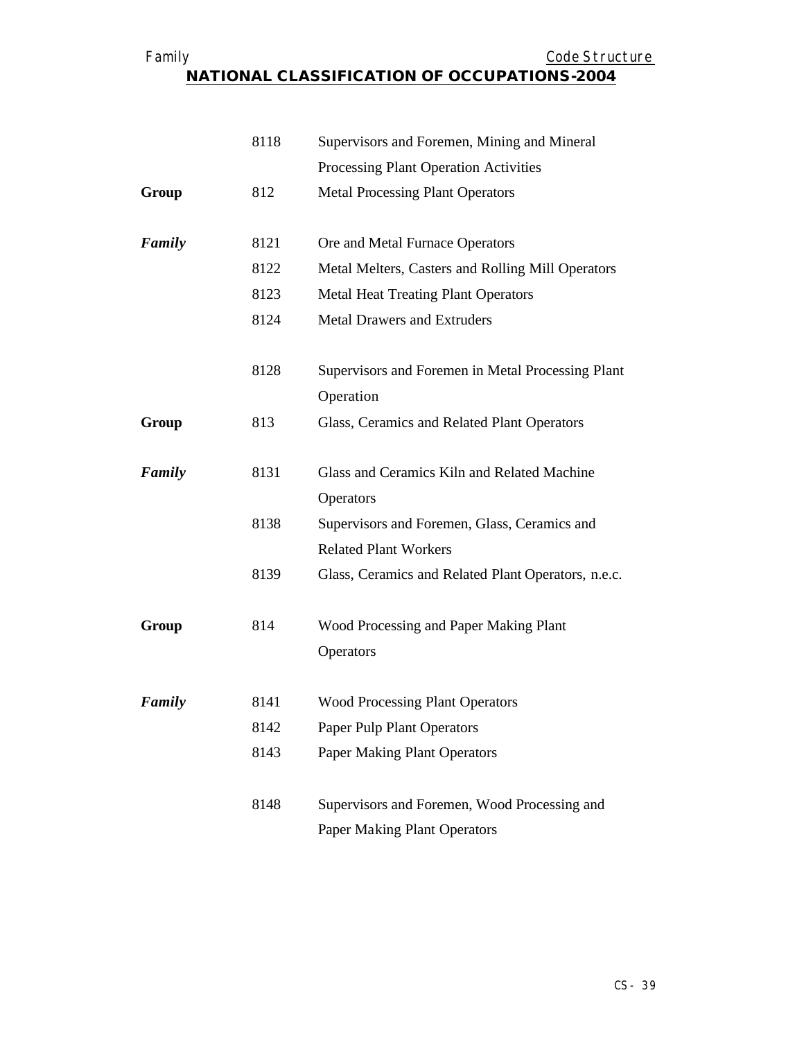#### Family **Example 2018** Code Structure **NATIONAL CLASSIFICATION OF OCCUPATIONS-2004**

|        | 8118 | Supervisors and Foremen, Mining and Mineral                                         |
|--------|------|-------------------------------------------------------------------------------------|
|        |      | Processing Plant Operation Activities                                               |
| Group  | 812  | <b>Metal Processing Plant Operators</b>                                             |
|        |      |                                                                                     |
| Family | 8121 | Ore and Metal Furnace Operators                                                     |
|        | 8122 | Metal Melters, Casters and Rolling Mill Operators                                   |
|        | 8123 | <b>Metal Heat Treating Plant Operators</b>                                          |
|        | 8124 | <b>Metal Drawers and Extruders</b>                                                  |
|        | 8128 | Supervisors and Foremen in Metal Processing Plant<br>Operation                      |
| Group  | 813  | Glass, Ceramics and Related Plant Operators                                         |
| Family | 8131 | Glass and Ceramics Kiln and Related Machine<br>Operators                            |
|        | 8138 | Supervisors and Foremen, Glass, Ceramics and                                        |
|        |      | <b>Related Plant Workers</b>                                                        |
|        | 8139 | Glass, Ceramics and Related Plant Operators, n.e.c.                                 |
| Group  | 814  | Wood Processing and Paper Making Plant<br>Operators                                 |
| Family | 8141 | <b>Wood Processing Plant Operators</b>                                              |
|        | 8142 | <b>Paper Pulp Plant Operators</b>                                                   |
|        | 8143 | <b>Paper Making Plant Operators</b>                                                 |
|        | 8148 | Supervisors and Foremen, Wood Processing and<br><b>Paper Making Plant Operators</b> |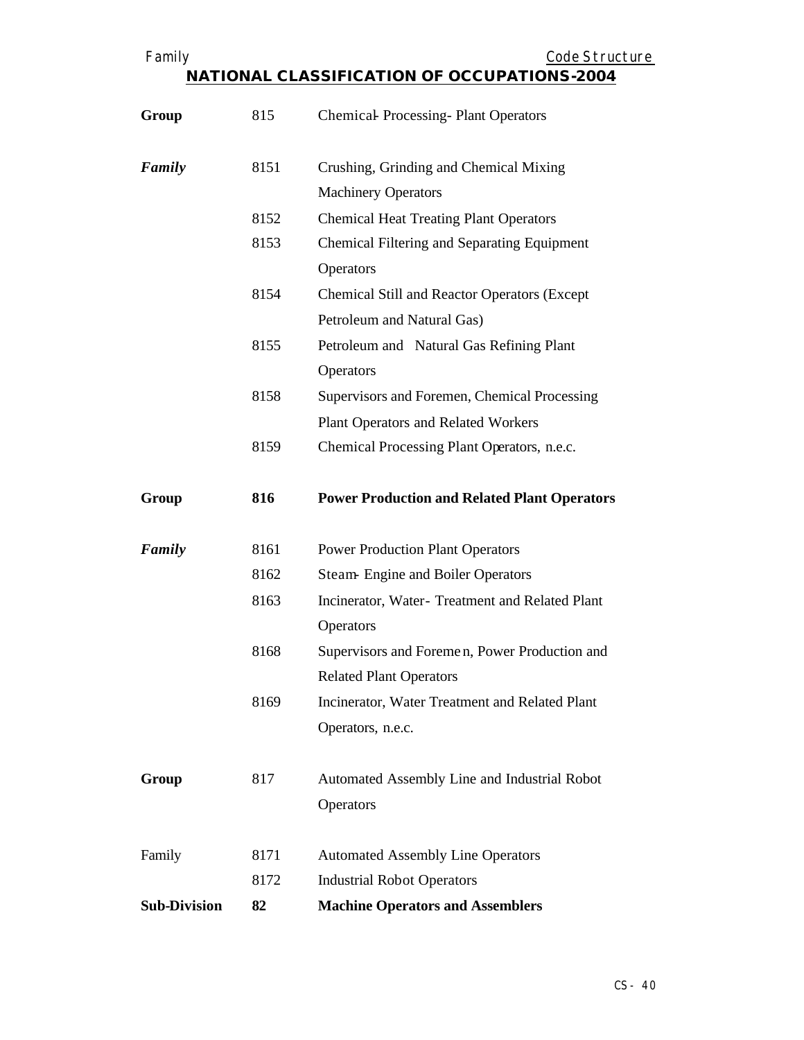| л. | ı |  |
|----|---|--|

Code Structure

| Group               | 815  | <b>Chemical Processing-Plant Operators</b>          |
|---------------------|------|-----------------------------------------------------|
| Family              | 8151 | Crushing, Grinding and Chemical Mixing              |
|                     |      | <b>Machinery Operators</b>                          |
|                     | 8152 | <b>Chemical Heat Treating Plant Operators</b>       |
|                     | 8153 | Chemical Filtering and Separating Equipment         |
|                     |      | Operators                                           |
|                     | 8154 | <b>Chemical Still and Reactor Operators (Except</b> |
|                     |      | Petroleum and Natural Gas)                          |
|                     | 8155 | Petroleum and Natural Gas Refining Plant            |
|                     |      | Operators                                           |
|                     | 8158 | Supervisors and Foremen, Chemical Processing        |
|                     |      | Plant Operators and Related Workers                 |
|                     | 8159 | Chemical Processing Plant Operators, n.e.c.         |
| Group               | 816  | <b>Power Production and Related Plant Operators</b> |
| Family              | 8161 | <b>Power Production Plant Operators</b>             |
|                     | 8162 | <b>Steam-Engine and Boiler Operators</b>            |
|                     | 8163 | Incinerator, Water- Treatment and Related Plant     |
|                     |      | Operators                                           |
|                     | 8168 | Supervisors and Foremen, Power Production and       |
|                     |      | <b>Related Plant Operators</b>                      |
|                     | 8169 | Incinerator, Water Treatment and Related Plant      |
|                     |      | Operators, n.e.c.                                   |
| Group               | 817  | Automated Assembly Line and Industrial Robot        |
|                     |      | Operators                                           |
| Family              | 8171 | <b>Automated Assembly Line Operators</b>            |
|                     | 8172 | <b>Industrial Robot Operators</b>                   |
| <b>Sub-Division</b> | 82   | <b>Machine Operators and Assemblers</b>             |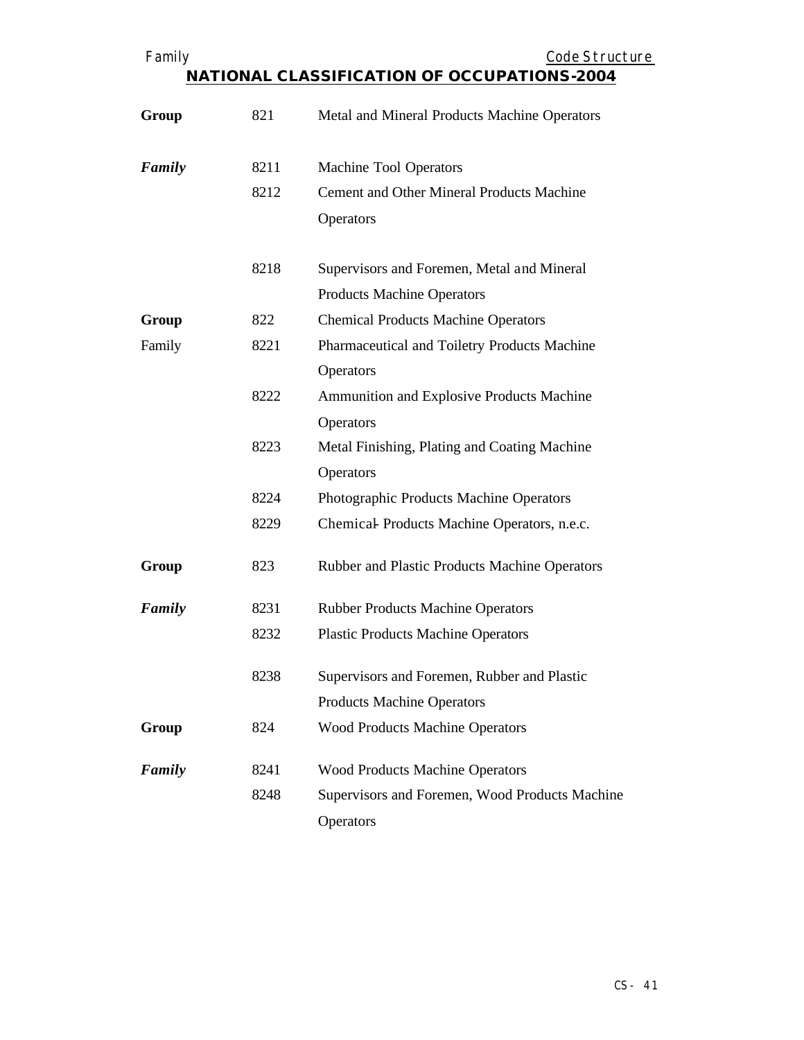| Family |  |
|--------|--|
|--------|--|

Family **Example 2018** Code Structure

| Group  | 821  | Metal and Mineral Products Machine Operators     |
|--------|------|--------------------------------------------------|
| Family | 8211 | Machine Tool Operators                           |
|        | 8212 | <b>Cement and Other Mineral Products Machine</b> |
|        |      | Operators                                        |
|        | 8218 | Supervisors and Foremen, Metal and Mineral       |
|        |      | <b>Products Machine Operators</b>                |
| Group  | 822  | <b>Chemical Products Machine Operators</b>       |
| Family | 8221 | Pharmaceutical and Toiletry Products Machine     |
|        |      | Operators                                        |
|        | 8222 | Ammunition and Explosive Products Machine        |
|        |      | Operators                                        |
|        | 8223 | Metal Finishing, Plating and Coating Machine     |
|        |      | Operators                                        |
|        | 8224 | Photographic Products Machine Operators          |
|        | 8229 | Chemical Products Machine Operators, n.e.c.      |
| Group  | 823  | Rubber and Plastic Products Machine Operators    |
| Family | 8231 | <b>Rubber Products Machine Operators</b>         |
|        | 8232 | <b>Plastic Products Machine Operators</b>        |
|        | 8238 | Supervisors and Foremen, Rubber and Plastic      |
|        |      | <b>Products Machine Operators</b>                |
| Group  | 824  | <b>Wood Products Machine Operators</b>           |
| Family | 8241 | <b>Wood Products Machine Operators</b>           |
|        | 8248 | Supervisors and Foremen, Wood Products Machine   |
|        |      | Operators                                        |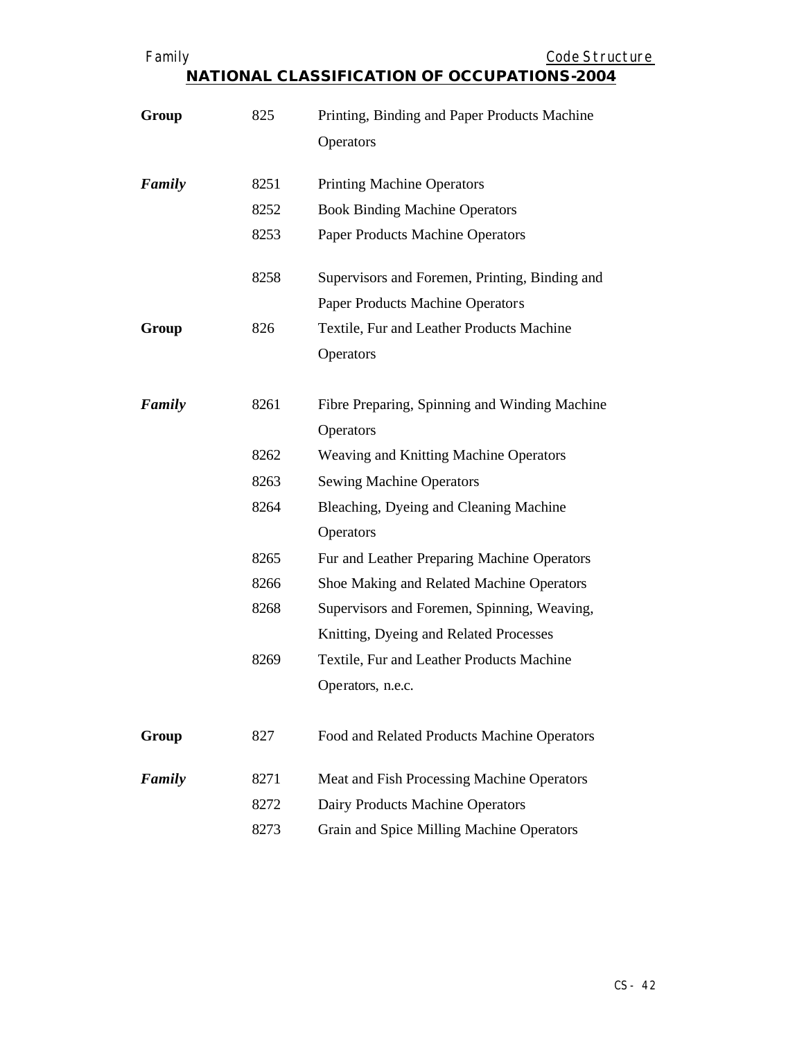Code Structure

| Group  | 825  | Printing, Binding and Paper Products Machine   |
|--------|------|------------------------------------------------|
|        |      | Operators                                      |
| Family | 8251 | <b>Printing Machine Operators</b>              |
|        | 8252 | <b>Book Binding Machine Operators</b>          |
|        | 8253 | Paper Products Machine Operators               |
|        | 8258 | Supervisors and Foremen, Printing, Binding and |
|        |      | Paper Products Machine Operators               |
| Group  | 826  | Textile, Fur and Leather Products Machine      |
|        |      | Operators                                      |
| Family | 8261 | Fibre Preparing, Spinning and Winding Machine  |
|        |      | Operators                                      |
|        | 8262 | Weaving and Knitting Machine Operators         |
|        | 8263 | <b>Sewing Machine Operators</b>                |
|        | 8264 | Bleaching, Dyeing and Cleaning Machine         |
|        |      | Operators                                      |
|        | 8265 | Fur and Leather Preparing Machine Operators    |
|        | 8266 | Shoe Making and Related Machine Operators      |
|        | 8268 | Supervisors and Foremen, Spinning, Weaving,    |
|        |      | Knitting, Dyeing and Related Processes         |
|        | 8269 | Textile, Fur and Leather Products Machine      |
|        |      | Operators, n.e.c.                              |
| Group  | 827  | Food and Related Products Machine Operators    |
| Family | 8271 | Meat and Fish Processing Machine Operators     |
|        | 8272 | Dairy Products Machine Operators               |
|        | 8273 | Grain and Spice Milling Machine Operators      |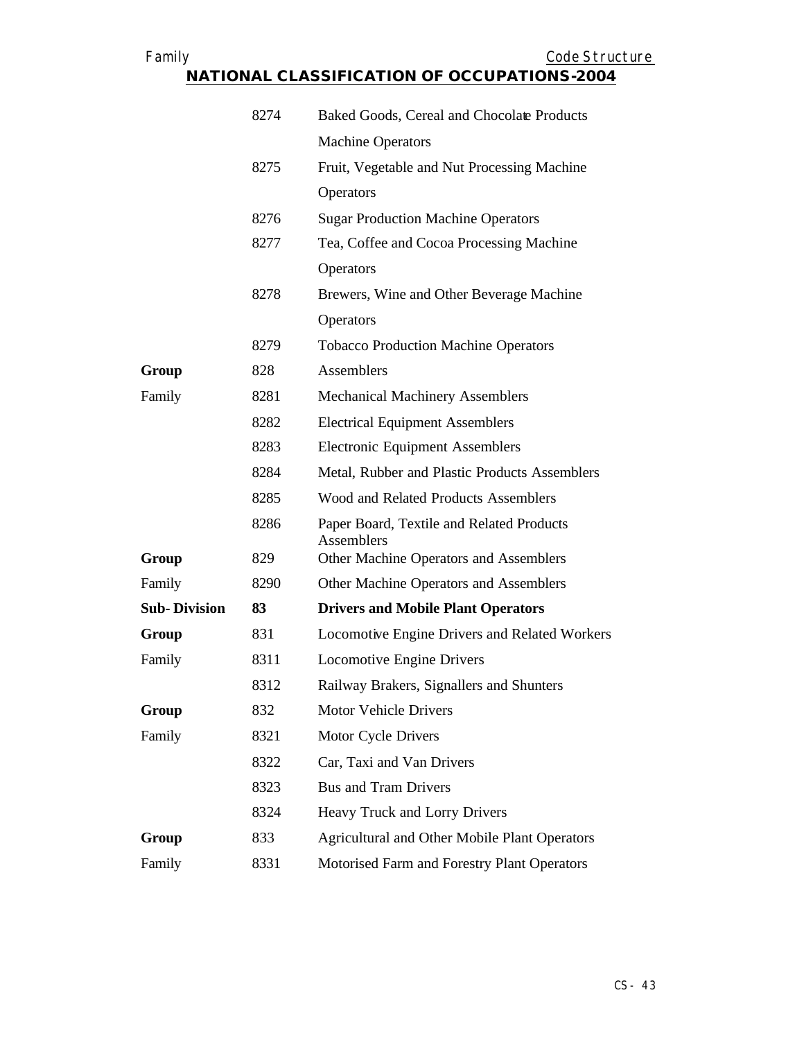| Family                                             | Code Structure |
|----------------------------------------------------|----------------|
| <b>NATIONAL CLASSIFICATION OF OCCUPATIONS-2004</b> |                |

|                     | 8274 | Baked Goods, Cereal and Chocolate Products              |
|---------------------|------|---------------------------------------------------------|
|                     |      | <b>Machine Operators</b>                                |
|                     | 8275 | Fruit, Vegetable and Nut Processing Machine             |
|                     |      | Operators                                               |
|                     | 8276 | <b>Sugar Production Machine Operators</b>               |
|                     | 8277 | Tea, Coffee and Cocoa Processing Machine                |
|                     |      | Operators                                               |
|                     | 8278 | Brewers, Wine and Other Beverage Machine                |
|                     |      | Operators                                               |
|                     | 8279 | <b>Tobacco Production Machine Operators</b>             |
| Group               | 828  | Assemblers                                              |
| Family              | 8281 | <b>Mechanical Machinery Assemblers</b>                  |
|                     | 8282 | <b>Electrical Equipment Assemblers</b>                  |
|                     | 8283 | <b>Electronic Equipment Assemblers</b>                  |
|                     | 8284 | Metal, Rubber and Plastic Products Assemblers           |
|                     | 8285 | Wood and Related Products Assemblers                    |
|                     | 8286 | Paper Board, Textile and Related Products<br>Assemblers |
| Group               | 829  | Other Machine Operators and Assemblers                  |
| Family              | 8290 | Other Machine Operators and Assemblers                  |
| <b>Sub-Division</b> | 83   | <b>Drivers and Mobile Plant Operators</b>               |
| Group               | 831  | <b>Locomotive Engine Drivers and Related Workers</b>    |
| Family              | 8311 | <b>Locomotive Engine Drivers</b>                        |
|                     | 8312 | Railway Brakers, Signallers and Shunters                |
| Group               | 832  | <b>Motor Vehicle Drivers</b>                            |
| Family              | 8321 | Motor Cycle Drivers                                     |
|                     | 8322 | Car, Taxi and Van Drivers                               |
|                     | 8323 | <b>Bus and Tram Drivers</b>                             |
|                     | 8324 | Heavy Truck and Lorry Drivers                           |
| Group               | 833  | <b>Agricultural and Other Mobile Plant Operators</b>    |
| Family              | 8331 | Motorised Farm and Forestry Plant Operators             |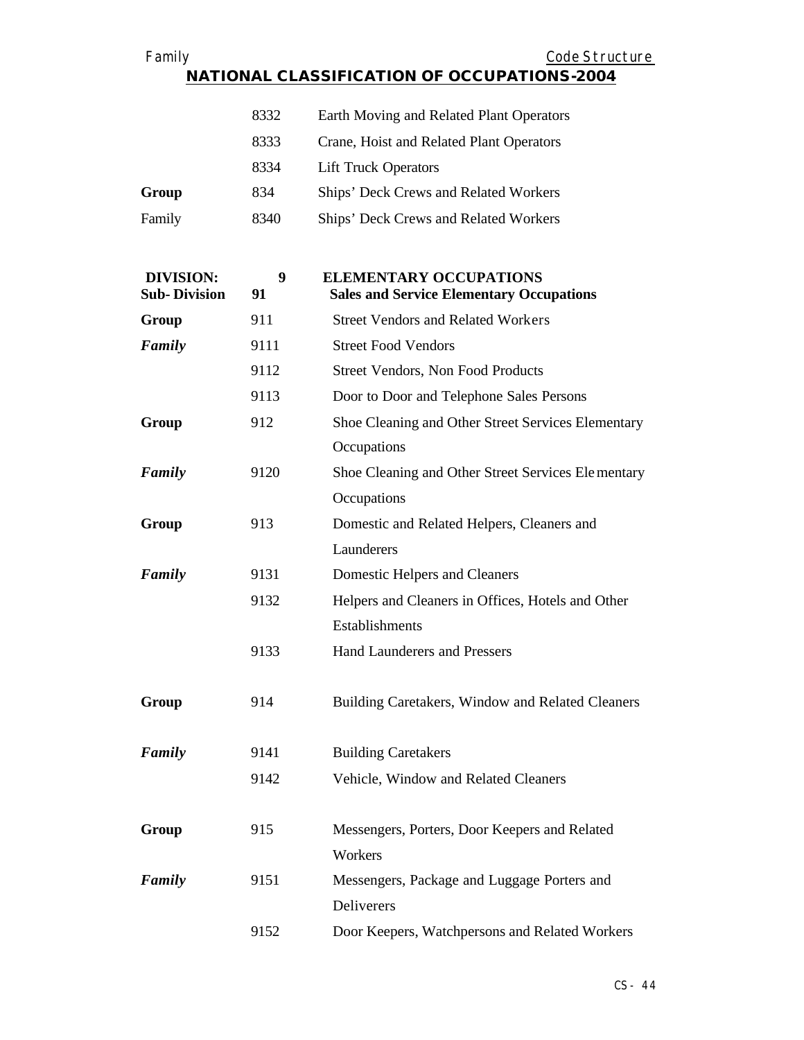Family **Example 2018** Code Structure **NATIONAL CLASSIFICATION OF OCCUPATIONS-2004**

|        | 8332 | Earth Moving and Related Plant Operators |
|--------|------|------------------------------------------|
|        | 8333 | Crane, Hoist and Related Plant Operators |
|        | 8334 | <b>Lift Truck Operators</b>              |
| Group  | 834  | Ships' Deck Crews and Related Workers    |
| Family | 8340 | Ships' Deck Crews and Related Workers    |

| <b>DIVISION:</b><br><b>Sub-Division</b> | 9<br>91 | <b>ELEMENTARY OCCUPATIONS</b><br><b>Sales and Service Elementary Occupations</b> |
|-----------------------------------------|---------|----------------------------------------------------------------------------------|
| Group                                   | 911     | <b>Street Vendors and Related Workers</b>                                        |
| Family                                  | 9111    | <b>Street Food Vendors</b>                                                       |
|                                         | 9112    | Street Vendors, Non Food Products                                                |
|                                         | 9113    | Door to Door and Telephone Sales Persons                                         |
| Group                                   | 912     | Shoe Cleaning and Other Street Services Elementary                               |
|                                         |         | Occupations                                                                      |
| Family                                  | 9120    | Shoe Cleaning and Other Street Services Elementary                               |
|                                         |         | Occupations                                                                      |
| Group                                   | 913     | Domestic and Related Helpers, Cleaners and                                       |
|                                         |         | Launderers                                                                       |
| Family                                  | 9131    | Domestic Helpers and Cleaners                                                    |
|                                         | 9132    | Helpers and Cleaners in Offices, Hotels and Other                                |
|                                         |         | Establishments                                                                   |
|                                         | 9133    | <b>Hand Launderers and Pressers</b>                                              |
| Group                                   | 914     | Building Caretakers, Window and Related Cleaners                                 |
| Family                                  | 9141    | <b>Building Caretakers</b>                                                       |
|                                         | 9142    | Vehicle, Window and Related Cleaners                                             |
| Group                                   | 915     | Messengers, Porters, Door Keepers and Related                                    |
|                                         |         | Workers                                                                          |
| Family                                  | 9151    | Messengers, Package and Luggage Porters and                                      |
|                                         |         | Deliverers                                                                       |
|                                         | 9152    | Door Keepers, Watchpersons and Related Workers                                   |

CS- 44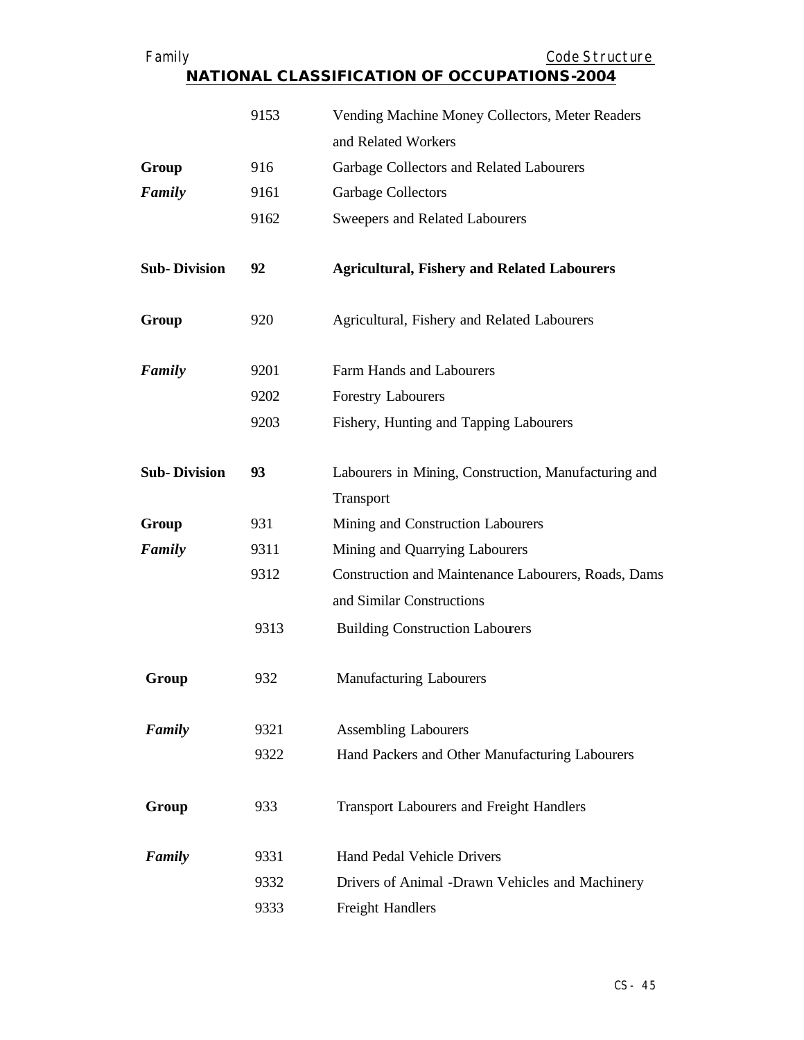| Family              |      | Code Structure                                                         |
|---------------------|------|------------------------------------------------------------------------|
|                     |      | NATIONAL CLASSIFICATION OF OCCUPATIONS-2004                            |
|                     | 9153 | Vending Machine Money Collectors, Meter Readers<br>and Related Workers |
|                     | 916  |                                                                        |
| Group<br>Family     | 9161 | Garbage Collectors and Related Labourers<br>Garbage Collectors         |
|                     | 9162 |                                                                        |
|                     |      | Sweepers and Related Labourers                                         |
| <b>Sub-Division</b> | 92   | <b>Agricultural, Fishery and Related Labourers</b>                     |
| Group               | 920  | Agricultural, Fishery and Related Labourers                            |
| Family              | 9201 | Farm Hands and Labourers                                               |
|                     | 9202 | <b>Forestry Labourers</b>                                              |
|                     | 9203 | Fishery, Hunting and Tapping Labourers                                 |
| <b>Sub-Division</b> | 93   | Labourers in Mining, Construction, Manufacturing and<br>Transport      |
| Group               | 931  | Mining and Construction Labourers                                      |
| Family              | 9311 | Mining and Quarrying Labourers                                         |
|                     | 9312 | Construction and Maintenance Labourers, Roads, Dams                    |
|                     |      | and Similar Constructions                                              |
|                     | 9313 | <b>Building Construction Labourers</b>                                 |
| Group               | 932  | <b>Manufacturing Labourers</b>                                         |
| Family              | 9321 | <b>Assembling Labourers</b>                                            |
|                     | 9322 | Hand Packers and Other Manufacturing Labourers                         |
| Group               | 933  | <b>Transport Labourers and Freight Handlers</b>                        |
| Family              | 9331 | Hand Pedal Vehicle Drivers                                             |
|                     | 9332 | Drivers of Animal -Drawn Vehicles and Machinery                        |
|                     | 9333 | Freight Handlers                                                       |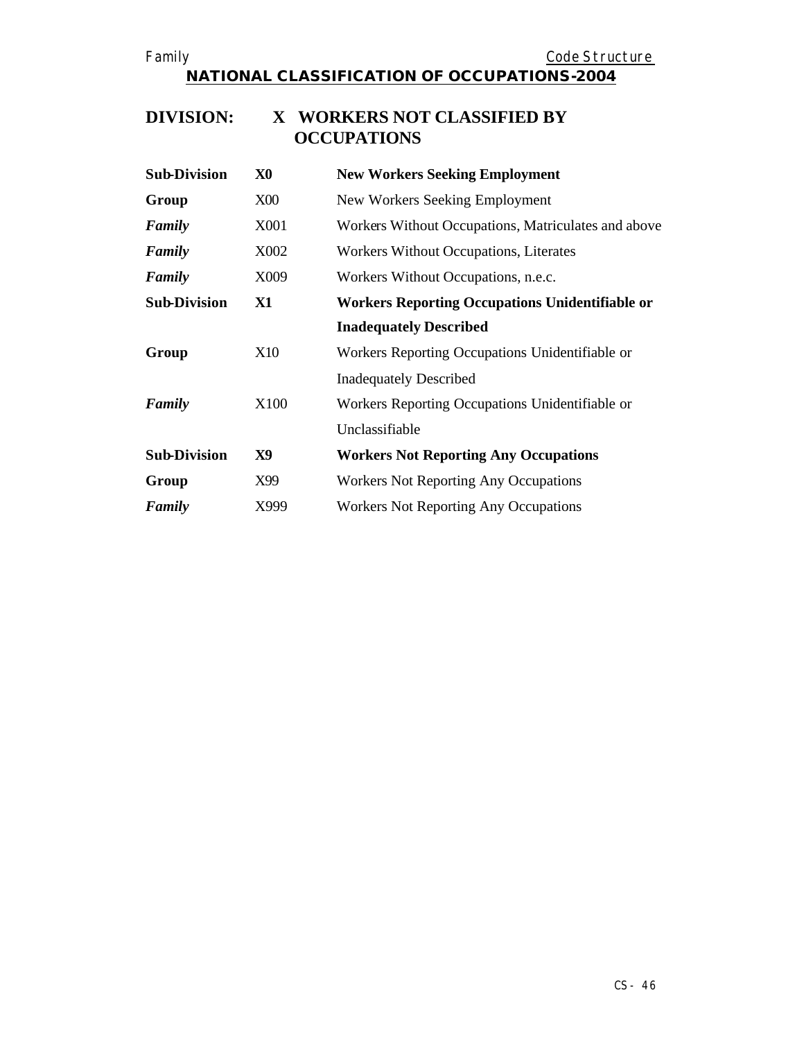#### **DIVISION: X WORKERS NOT CLASSIFIED BY OCCUPATIONS**

| <b>Sub-Division</b> | X <sub>0</sub> | <b>New Workers Seeking Employment</b>                  |
|---------------------|----------------|--------------------------------------------------------|
| Group               | <b>X00</b>     | New Workers Seeking Employment                         |
| Family              | X001           | Workers Without Occupations, Matriculates and above    |
| Family              | X002           | Workers Without Occupations, Literates                 |
| Family              | X009           | Workers Without Occupations, n.e.c.                    |
| <b>Sub-Division</b> | <b>X1</b>      | <b>Workers Reporting Occupations Unidentifiable or</b> |
|                     |                | <b>Inadequately Described</b>                          |
| Group               | X10            | Workers Reporting Occupations Unidentifiable or        |
|                     |                | <b>Inadequately Described</b>                          |
| Family              | X100           | Workers Reporting Occupations Unidentifiable or        |
|                     |                | Unclassifiable                                         |
| <b>Sub-Division</b> | X9             | <b>Workers Not Reporting Any Occupations</b>           |
| Group               | X99            | <b>Workers Not Reporting Any Occupations</b>           |
| Family              | X999           | <b>Workers Not Reporting Any Occupations</b>           |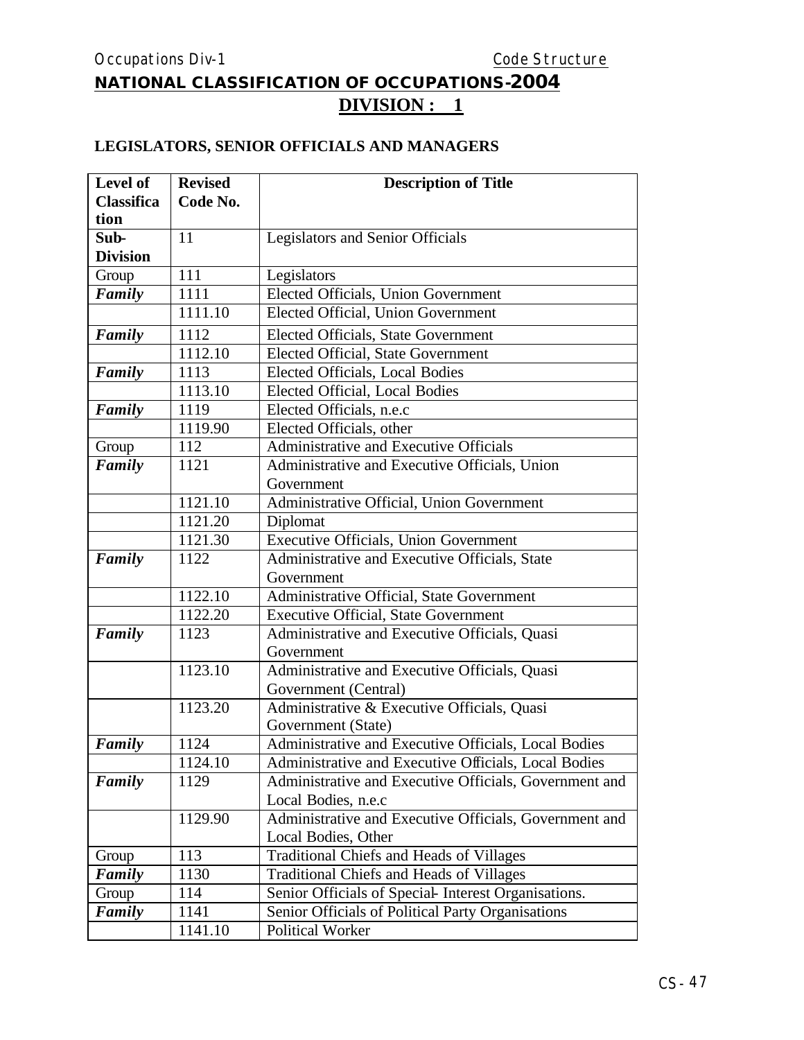# **NATIONAL CLASSIFICATION OF OCCUPATIONS-2004 DIVISION : 1**

#### **LEGISLATORS, SENIOR OFFICIALS AND MANAGERS**

| Level of          | <b>Revised</b> | <b>Description of Title</b>                            |
|-------------------|----------------|--------------------------------------------------------|
| <b>Classifica</b> | Code No.       |                                                        |
| tion              |                |                                                        |
| Sub-              | 11             | Legislators and Senior Officials                       |
| <b>Division</b>   |                |                                                        |
| Group             | 111            | Legislators                                            |
| Family            | 1111           | Elected Officials, Union Government                    |
|                   | 1111.10        | Elected Official, Union Government                     |
| Family            | 1112           | Elected Officials, State Government                    |
|                   | 1112.10        | <b>Elected Official, State Government</b>              |
| Family            | 1113           | <b>Elected Officials, Local Bodies</b>                 |
|                   | 1113.10        | Elected Official, Local Bodies                         |
| Family            | 1119           | Elected Officials, n.e.c                               |
|                   | 1119.90        | Elected Officials, other                               |
| Group             | 112            | Administrative and Executive Officials                 |
| Family            | 1121           | Administrative and Executive Officials, Union          |
|                   |                | Government                                             |
|                   | 1121.10        | Administrative Official, Union Government              |
|                   | 1121.20        | Diplomat                                               |
|                   | 1121.30        | Executive Officials, Union Government                  |
| Family            | 1122           | Administrative and Executive Officials, State          |
|                   |                | Government                                             |
|                   | 1122.10        | Administrative Official, State Government              |
|                   | 1122.20        | <b>Executive Official, State Government</b>            |
| Family            | 1123           | Administrative and Executive Officials, Quasi          |
|                   |                | Government                                             |
|                   | 1123.10        | Administrative and Executive Officials, Quasi          |
|                   |                | Government (Central)                                   |
|                   | 1123.20        | Administrative & Executive Officials, Quasi            |
|                   |                | Government (State)                                     |
| Family            | 1124           | Administrative and Executive Officials, Local Bodies   |
|                   | 1124.10        | Administrative and Executive Officials, Local Bodies   |
| Family            | 1129           | Administrative and Executive Officials, Government and |
|                   |                | Local Bodies, n.e.c                                    |
|                   | 1129.90        | Administrative and Executive Officials, Government and |
|                   |                | Local Bodies, Other                                    |
| Group             | 113            | Traditional Chiefs and Heads of Villages               |
| Family            | 1130           | <b>Traditional Chiefs and Heads of Villages</b>        |
| Group             | 114            | Senior Officials of Special-Interest Organisations.    |
| Family            | 1141           | Senior Officials of Political Party Organisations      |
|                   | 1141.10        | <b>Political Worker</b>                                |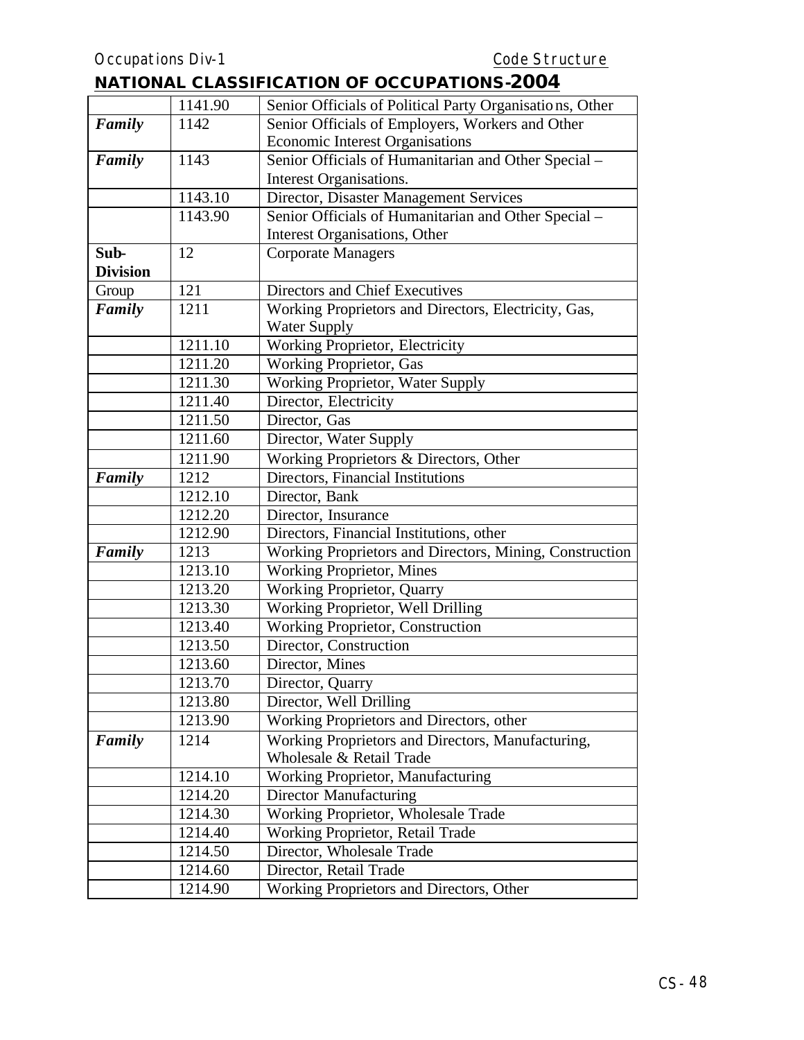|                 | 1141.90 | Senior Officials of Political Party Organisations, Other |  |
|-----------------|---------|----------------------------------------------------------|--|
| Family          | 1142    | Senior Officials of Employers, Workers and Other         |  |
|                 |         | <b>Economic Interest Organisations</b>                   |  |
| Family          | 1143    | Senior Officials of Humanitarian and Other Special -     |  |
|                 |         | Interest Organisations.                                  |  |
|                 | 1143.10 | Director, Disaster Management Services                   |  |
|                 | 1143.90 | Senior Officials of Humanitarian and Other Special -     |  |
|                 |         | Interest Organisations, Other                            |  |
| Sub-            | 12      | <b>Corporate Managers</b>                                |  |
| <b>Division</b> |         |                                                          |  |
| Group           | 121     | Directors and Chief Executives                           |  |
| Family          | 1211    | Working Proprietors and Directors, Electricity, Gas,     |  |
|                 |         | <b>Water Supply</b>                                      |  |
|                 | 1211.10 | Working Proprietor, Electricity                          |  |
|                 | 1211.20 | <b>Working Proprietor, Gas</b>                           |  |
|                 | 1211.30 | Working Proprietor, Water Supply                         |  |
|                 | 1211.40 | Director, Electricity                                    |  |
|                 | 1211.50 | Director, Gas                                            |  |
|                 | 1211.60 | Director, Water Supply                                   |  |
|                 | 1211.90 | Working Proprietors & Directors, Other                   |  |
| Family          | 1212    | Directors, Financial Institutions                        |  |
|                 | 1212.10 | Director, Bank                                           |  |
|                 | 1212.20 | Director, Insurance                                      |  |
|                 | 1212.90 | Directors, Financial Institutions, other                 |  |
| Family          | 1213    | Working Proprietors and Directors, Mining, Construction  |  |
|                 | 1213.10 | <b>Working Proprietor, Mines</b>                         |  |
|                 | 1213.20 | <b>Working Proprietor, Quarry</b>                        |  |
|                 | 1213.30 | Working Proprietor, Well Drilling                        |  |
|                 | 1213.40 | Working Proprietor, Construction                         |  |
|                 | 1213.50 | Director, Construction                                   |  |
|                 | 1213.60 | Director, Mines                                          |  |
|                 | 1213.70 | Director, Quarry                                         |  |
|                 | 1213.80 | Director, Well Drilling                                  |  |
|                 | 1213.90 | Working Proprietors and Directors, other                 |  |
| Family          | 1214    | Working Proprietors and Directors, Manufacturing,        |  |
|                 |         | Wholesale & Retail Trade                                 |  |
|                 | 1214.10 | Working Proprietor, Manufacturing                        |  |
|                 | 1214.20 | <b>Director Manufacturing</b>                            |  |
|                 | 1214.30 | Working Proprietor, Wholesale Trade                      |  |
|                 | 1214.40 | Working Proprietor, Retail Trade                         |  |
|                 | 1214.50 | Director, Wholesale Trade                                |  |
|                 | 1214.60 | Director, Retail Trade                                   |  |
|                 | 1214.90 | Working Proprietors and Directors, Other                 |  |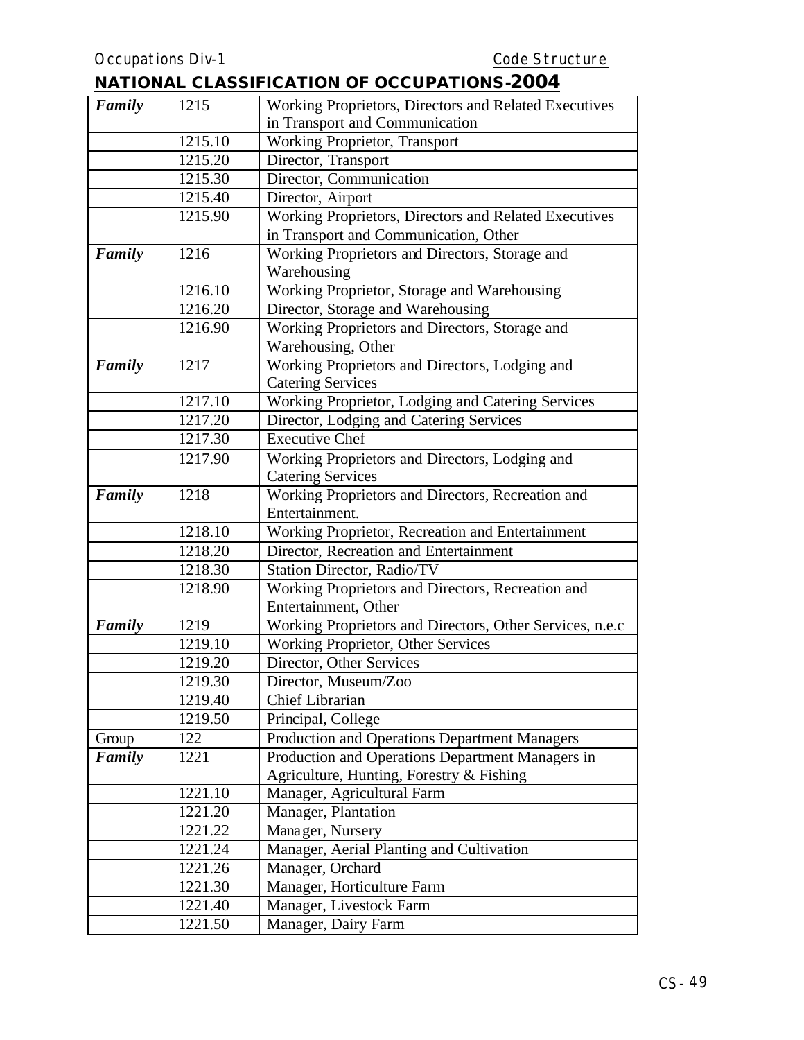| Working Proprietors, Directors and Related Executives<br>1215<br>in Transport and Communication<br>Working Proprietor, Transport<br>1215.10<br>1215.20<br>Director, Transport<br>Director, Communication<br>1215.30<br>1215.40<br>Director, Airport<br>Working Proprietors, Directors and Related Executives<br>1215.90<br>in Transport and Communication, Other<br>Working Proprietors and Directors, Storage and<br>Family<br>1216<br>Warehousing<br>1216.10<br>Working Proprietor, Storage and Warehousing<br>Director, Storage and Warehousing<br>1216.20<br>1216.90<br>Working Proprietors and Directors, Storage and<br>Warehousing, Other<br>Working Proprietors and Directors, Lodging and<br>Family<br>1217<br><b>Catering Services</b><br>Working Proprietor, Lodging and Catering Services<br>1217.10<br>1217.20<br>Director, Lodging and Catering Services<br>1217.30<br><b>Executive Chef</b><br>1217.90<br>Working Proprietors and Directors, Lodging and<br><b>Catering Services</b><br>Working Proprietors and Directors, Recreation and<br>Family<br>1218<br>Entertainment.<br>1218.10<br>Working Proprietor, Recreation and Entertainment<br>Director, Recreation and Entertainment<br>1218.20<br>1218.30<br>Station Director, Radio/TV<br>Working Proprietors and Directors, Recreation and<br>1218.90<br>Entertainment, Other<br>Family<br>1219<br>Working Proprietors and Directors, Other Services, n.e.c<br>1219.10<br>Working Proprietor, Other Services<br>1219.20<br>Director, Other Services<br>1219.30<br>Director, Museum/Zoo<br><b>Chief Librarian</b><br>1219.40<br>1219.50<br>Principal, College<br>122<br>Production and Operations Department Managers<br>Group<br>Production and Operations Department Managers in<br>Family<br>1221<br>Agriculture, Hunting, Forestry & Fishing<br>1221.10<br>Manager, Agricultural Farm<br>Manager, Plantation<br>1221.20<br>1221.22<br>Manager, Nursery<br>1221.24<br>Manager, Aerial Planting and Cultivation<br>1221.26<br>Manager, Orchard<br>1221.30<br>Manager, Horticulture Farm<br>Manager, Livestock Farm<br>1221.40 |        |         |                     |
|----------------------------------------------------------------------------------------------------------------------------------------------------------------------------------------------------------------------------------------------------------------------------------------------------------------------------------------------------------------------------------------------------------------------------------------------------------------------------------------------------------------------------------------------------------------------------------------------------------------------------------------------------------------------------------------------------------------------------------------------------------------------------------------------------------------------------------------------------------------------------------------------------------------------------------------------------------------------------------------------------------------------------------------------------------------------------------------------------------------------------------------------------------------------------------------------------------------------------------------------------------------------------------------------------------------------------------------------------------------------------------------------------------------------------------------------------------------------------------------------------------------------------------------------------------------------------------------------------------------------------------------------------------------------------------------------------------------------------------------------------------------------------------------------------------------------------------------------------------------------------------------------------------------------------------------------------------------------------------------------------------------------------------------------------------------------------------------------------|--------|---------|---------------------|
|                                                                                                                                                                                                                                                                                                                                                                                                                                                                                                                                                                                                                                                                                                                                                                                                                                                                                                                                                                                                                                                                                                                                                                                                                                                                                                                                                                                                                                                                                                                                                                                                                                                                                                                                                                                                                                                                                                                                                                                                                                                                                                    | Family |         |                     |
|                                                                                                                                                                                                                                                                                                                                                                                                                                                                                                                                                                                                                                                                                                                                                                                                                                                                                                                                                                                                                                                                                                                                                                                                                                                                                                                                                                                                                                                                                                                                                                                                                                                                                                                                                                                                                                                                                                                                                                                                                                                                                                    |        |         |                     |
|                                                                                                                                                                                                                                                                                                                                                                                                                                                                                                                                                                                                                                                                                                                                                                                                                                                                                                                                                                                                                                                                                                                                                                                                                                                                                                                                                                                                                                                                                                                                                                                                                                                                                                                                                                                                                                                                                                                                                                                                                                                                                                    |        |         |                     |
|                                                                                                                                                                                                                                                                                                                                                                                                                                                                                                                                                                                                                                                                                                                                                                                                                                                                                                                                                                                                                                                                                                                                                                                                                                                                                                                                                                                                                                                                                                                                                                                                                                                                                                                                                                                                                                                                                                                                                                                                                                                                                                    |        |         |                     |
|                                                                                                                                                                                                                                                                                                                                                                                                                                                                                                                                                                                                                                                                                                                                                                                                                                                                                                                                                                                                                                                                                                                                                                                                                                                                                                                                                                                                                                                                                                                                                                                                                                                                                                                                                                                                                                                                                                                                                                                                                                                                                                    |        |         |                     |
|                                                                                                                                                                                                                                                                                                                                                                                                                                                                                                                                                                                                                                                                                                                                                                                                                                                                                                                                                                                                                                                                                                                                                                                                                                                                                                                                                                                                                                                                                                                                                                                                                                                                                                                                                                                                                                                                                                                                                                                                                                                                                                    |        |         |                     |
|                                                                                                                                                                                                                                                                                                                                                                                                                                                                                                                                                                                                                                                                                                                                                                                                                                                                                                                                                                                                                                                                                                                                                                                                                                                                                                                                                                                                                                                                                                                                                                                                                                                                                                                                                                                                                                                                                                                                                                                                                                                                                                    |        |         |                     |
|                                                                                                                                                                                                                                                                                                                                                                                                                                                                                                                                                                                                                                                                                                                                                                                                                                                                                                                                                                                                                                                                                                                                                                                                                                                                                                                                                                                                                                                                                                                                                                                                                                                                                                                                                                                                                                                                                                                                                                                                                                                                                                    |        |         |                     |
|                                                                                                                                                                                                                                                                                                                                                                                                                                                                                                                                                                                                                                                                                                                                                                                                                                                                                                                                                                                                                                                                                                                                                                                                                                                                                                                                                                                                                                                                                                                                                                                                                                                                                                                                                                                                                                                                                                                                                                                                                                                                                                    |        |         |                     |
|                                                                                                                                                                                                                                                                                                                                                                                                                                                                                                                                                                                                                                                                                                                                                                                                                                                                                                                                                                                                                                                                                                                                                                                                                                                                                                                                                                                                                                                                                                                                                                                                                                                                                                                                                                                                                                                                                                                                                                                                                                                                                                    |        |         |                     |
|                                                                                                                                                                                                                                                                                                                                                                                                                                                                                                                                                                                                                                                                                                                                                                                                                                                                                                                                                                                                                                                                                                                                                                                                                                                                                                                                                                                                                                                                                                                                                                                                                                                                                                                                                                                                                                                                                                                                                                                                                                                                                                    |        |         |                     |
|                                                                                                                                                                                                                                                                                                                                                                                                                                                                                                                                                                                                                                                                                                                                                                                                                                                                                                                                                                                                                                                                                                                                                                                                                                                                                                                                                                                                                                                                                                                                                                                                                                                                                                                                                                                                                                                                                                                                                                                                                                                                                                    |        |         |                     |
|                                                                                                                                                                                                                                                                                                                                                                                                                                                                                                                                                                                                                                                                                                                                                                                                                                                                                                                                                                                                                                                                                                                                                                                                                                                                                                                                                                                                                                                                                                                                                                                                                                                                                                                                                                                                                                                                                                                                                                                                                                                                                                    |        |         |                     |
|                                                                                                                                                                                                                                                                                                                                                                                                                                                                                                                                                                                                                                                                                                                                                                                                                                                                                                                                                                                                                                                                                                                                                                                                                                                                                                                                                                                                                                                                                                                                                                                                                                                                                                                                                                                                                                                                                                                                                                                                                                                                                                    |        |         |                     |
|                                                                                                                                                                                                                                                                                                                                                                                                                                                                                                                                                                                                                                                                                                                                                                                                                                                                                                                                                                                                                                                                                                                                                                                                                                                                                                                                                                                                                                                                                                                                                                                                                                                                                                                                                                                                                                                                                                                                                                                                                                                                                                    |        |         |                     |
|                                                                                                                                                                                                                                                                                                                                                                                                                                                                                                                                                                                                                                                                                                                                                                                                                                                                                                                                                                                                                                                                                                                                                                                                                                                                                                                                                                                                                                                                                                                                                                                                                                                                                                                                                                                                                                                                                                                                                                                                                                                                                                    |        |         |                     |
|                                                                                                                                                                                                                                                                                                                                                                                                                                                                                                                                                                                                                                                                                                                                                                                                                                                                                                                                                                                                                                                                                                                                                                                                                                                                                                                                                                                                                                                                                                                                                                                                                                                                                                                                                                                                                                                                                                                                                                                                                                                                                                    |        |         |                     |
|                                                                                                                                                                                                                                                                                                                                                                                                                                                                                                                                                                                                                                                                                                                                                                                                                                                                                                                                                                                                                                                                                                                                                                                                                                                                                                                                                                                                                                                                                                                                                                                                                                                                                                                                                                                                                                                                                                                                                                                                                                                                                                    |        |         |                     |
|                                                                                                                                                                                                                                                                                                                                                                                                                                                                                                                                                                                                                                                                                                                                                                                                                                                                                                                                                                                                                                                                                                                                                                                                                                                                                                                                                                                                                                                                                                                                                                                                                                                                                                                                                                                                                                                                                                                                                                                                                                                                                                    |        |         |                     |
|                                                                                                                                                                                                                                                                                                                                                                                                                                                                                                                                                                                                                                                                                                                                                                                                                                                                                                                                                                                                                                                                                                                                                                                                                                                                                                                                                                                                                                                                                                                                                                                                                                                                                                                                                                                                                                                                                                                                                                                                                                                                                                    |        |         |                     |
|                                                                                                                                                                                                                                                                                                                                                                                                                                                                                                                                                                                                                                                                                                                                                                                                                                                                                                                                                                                                                                                                                                                                                                                                                                                                                                                                                                                                                                                                                                                                                                                                                                                                                                                                                                                                                                                                                                                                                                                                                                                                                                    |        |         |                     |
|                                                                                                                                                                                                                                                                                                                                                                                                                                                                                                                                                                                                                                                                                                                                                                                                                                                                                                                                                                                                                                                                                                                                                                                                                                                                                                                                                                                                                                                                                                                                                                                                                                                                                                                                                                                                                                                                                                                                                                                                                                                                                                    |        |         |                     |
|                                                                                                                                                                                                                                                                                                                                                                                                                                                                                                                                                                                                                                                                                                                                                                                                                                                                                                                                                                                                                                                                                                                                                                                                                                                                                                                                                                                                                                                                                                                                                                                                                                                                                                                                                                                                                                                                                                                                                                                                                                                                                                    |        |         |                     |
|                                                                                                                                                                                                                                                                                                                                                                                                                                                                                                                                                                                                                                                                                                                                                                                                                                                                                                                                                                                                                                                                                                                                                                                                                                                                                                                                                                                                                                                                                                                                                                                                                                                                                                                                                                                                                                                                                                                                                                                                                                                                                                    |        |         |                     |
|                                                                                                                                                                                                                                                                                                                                                                                                                                                                                                                                                                                                                                                                                                                                                                                                                                                                                                                                                                                                                                                                                                                                                                                                                                                                                                                                                                                                                                                                                                                                                                                                                                                                                                                                                                                                                                                                                                                                                                                                                                                                                                    |        |         |                     |
|                                                                                                                                                                                                                                                                                                                                                                                                                                                                                                                                                                                                                                                                                                                                                                                                                                                                                                                                                                                                                                                                                                                                                                                                                                                                                                                                                                                                                                                                                                                                                                                                                                                                                                                                                                                                                                                                                                                                                                                                                                                                                                    |        |         |                     |
|                                                                                                                                                                                                                                                                                                                                                                                                                                                                                                                                                                                                                                                                                                                                                                                                                                                                                                                                                                                                                                                                                                                                                                                                                                                                                                                                                                                                                                                                                                                                                                                                                                                                                                                                                                                                                                                                                                                                                                                                                                                                                                    |        |         |                     |
|                                                                                                                                                                                                                                                                                                                                                                                                                                                                                                                                                                                                                                                                                                                                                                                                                                                                                                                                                                                                                                                                                                                                                                                                                                                                                                                                                                                                                                                                                                                                                                                                                                                                                                                                                                                                                                                                                                                                                                                                                                                                                                    |        |         |                     |
|                                                                                                                                                                                                                                                                                                                                                                                                                                                                                                                                                                                                                                                                                                                                                                                                                                                                                                                                                                                                                                                                                                                                                                                                                                                                                                                                                                                                                                                                                                                                                                                                                                                                                                                                                                                                                                                                                                                                                                                                                                                                                                    |        |         |                     |
|                                                                                                                                                                                                                                                                                                                                                                                                                                                                                                                                                                                                                                                                                                                                                                                                                                                                                                                                                                                                                                                                                                                                                                                                                                                                                                                                                                                                                                                                                                                                                                                                                                                                                                                                                                                                                                                                                                                                                                                                                                                                                                    |        |         |                     |
|                                                                                                                                                                                                                                                                                                                                                                                                                                                                                                                                                                                                                                                                                                                                                                                                                                                                                                                                                                                                                                                                                                                                                                                                                                                                                                                                                                                                                                                                                                                                                                                                                                                                                                                                                                                                                                                                                                                                                                                                                                                                                                    |        |         |                     |
|                                                                                                                                                                                                                                                                                                                                                                                                                                                                                                                                                                                                                                                                                                                                                                                                                                                                                                                                                                                                                                                                                                                                                                                                                                                                                                                                                                                                                                                                                                                                                                                                                                                                                                                                                                                                                                                                                                                                                                                                                                                                                                    |        |         |                     |
|                                                                                                                                                                                                                                                                                                                                                                                                                                                                                                                                                                                                                                                                                                                                                                                                                                                                                                                                                                                                                                                                                                                                                                                                                                                                                                                                                                                                                                                                                                                                                                                                                                                                                                                                                                                                                                                                                                                                                                                                                                                                                                    |        |         |                     |
|                                                                                                                                                                                                                                                                                                                                                                                                                                                                                                                                                                                                                                                                                                                                                                                                                                                                                                                                                                                                                                                                                                                                                                                                                                                                                                                                                                                                                                                                                                                                                                                                                                                                                                                                                                                                                                                                                                                                                                                                                                                                                                    |        |         |                     |
|                                                                                                                                                                                                                                                                                                                                                                                                                                                                                                                                                                                                                                                                                                                                                                                                                                                                                                                                                                                                                                                                                                                                                                                                                                                                                                                                                                                                                                                                                                                                                                                                                                                                                                                                                                                                                                                                                                                                                                                                                                                                                                    |        |         |                     |
|                                                                                                                                                                                                                                                                                                                                                                                                                                                                                                                                                                                                                                                                                                                                                                                                                                                                                                                                                                                                                                                                                                                                                                                                                                                                                                                                                                                                                                                                                                                                                                                                                                                                                                                                                                                                                                                                                                                                                                                                                                                                                                    |        |         |                     |
|                                                                                                                                                                                                                                                                                                                                                                                                                                                                                                                                                                                                                                                                                                                                                                                                                                                                                                                                                                                                                                                                                                                                                                                                                                                                                                                                                                                                                                                                                                                                                                                                                                                                                                                                                                                                                                                                                                                                                                                                                                                                                                    |        |         |                     |
|                                                                                                                                                                                                                                                                                                                                                                                                                                                                                                                                                                                                                                                                                                                                                                                                                                                                                                                                                                                                                                                                                                                                                                                                                                                                                                                                                                                                                                                                                                                                                                                                                                                                                                                                                                                                                                                                                                                                                                                                                                                                                                    |        |         |                     |
|                                                                                                                                                                                                                                                                                                                                                                                                                                                                                                                                                                                                                                                                                                                                                                                                                                                                                                                                                                                                                                                                                                                                                                                                                                                                                                                                                                                                                                                                                                                                                                                                                                                                                                                                                                                                                                                                                                                                                                                                                                                                                                    |        |         |                     |
|                                                                                                                                                                                                                                                                                                                                                                                                                                                                                                                                                                                                                                                                                                                                                                                                                                                                                                                                                                                                                                                                                                                                                                                                                                                                                                                                                                                                                                                                                                                                                                                                                                                                                                                                                                                                                                                                                                                                                                                                                                                                                                    |        |         |                     |
|                                                                                                                                                                                                                                                                                                                                                                                                                                                                                                                                                                                                                                                                                                                                                                                                                                                                                                                                                                                                                                                                                                                                                                                                                                                                                                                                                                                                                                                                                                                                                                                                                                                                                                                                                                                                                                                                                                                                                                                                                                                                                                    |        |         |                     |
|                                                                                                                                                                                                                                                                                                                                                                                                                                                                                                                                                                                                                                                                                                                                                                                                                                                                                                                                                                                                                                                                                                                                                                                                                                                                                                                                                                                                                                                                                                                                                                                                                                                                                                                                                                                                                                                                                                                                                                                                                                                                                                    |        |         |                     |
|                                                                                                                                                                                                                                                                                                                                                                                                                                                                                                                                                                                                                                                                                                                                                                                                                                                                                                                                                                                                                                                                                                                                                                                                                                                                                                                                                                                                                                                                                                                                                                                                                                                                                                                                                                                                                                                                                                                                                                                                                                                                                                    |        |         |                     |
|                                                                                                                                                                                                                                                                                                                                                                                                                                                                                                                                                                                                                                                                                                                                                                                                                                                                                                                                                                                                                                                                                                                                                                                                                                                                                                                                                                                                                                                                                                                                                                                                                                                                                                                                                                                                                                                                                                                                                                                                                                                                                                    |        |         |                     |
|                                                                                                                                                                                                                                                                                                                                                                                                                                                                                                                                                                                                                                                                                                                                                                                                                                                                                                                                                                                                                                                                                                                                                                                                                                                                                                                                                                                                                                                                                                                                                                                                                                                                                                                                                                                                                                                                                                                                                                                                                                                                                                    |        | 1221.50 | Manager, Dairy Farm |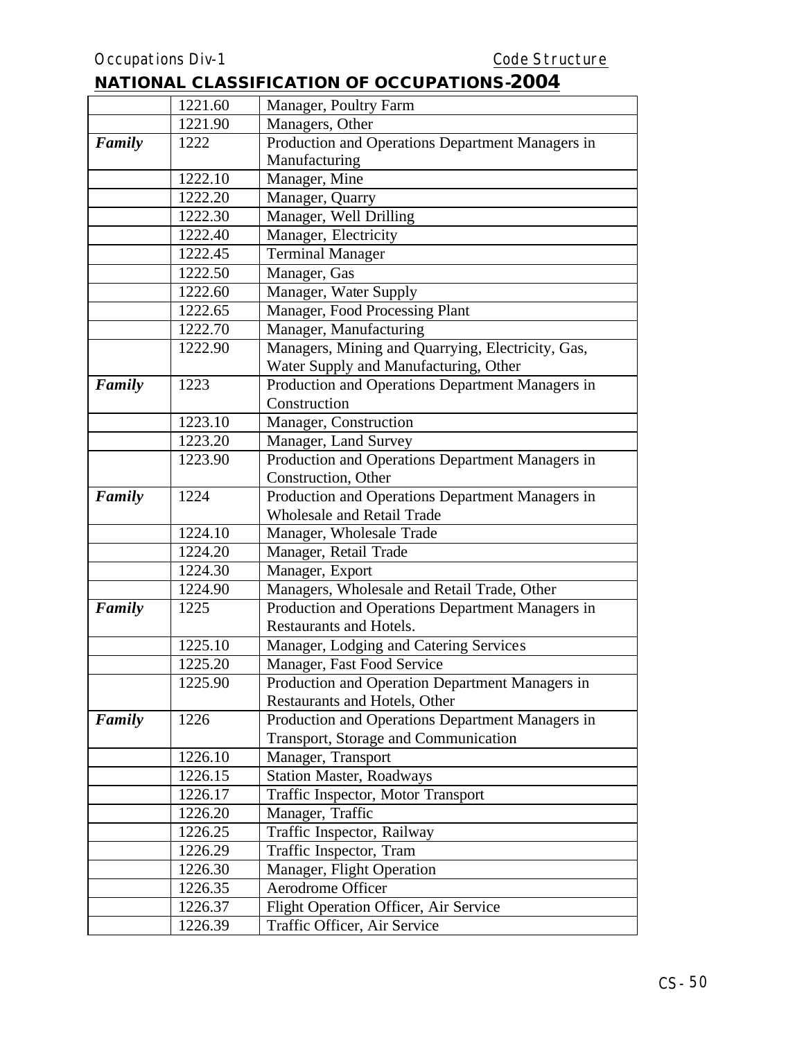|        | 1221.60 | Manager, Poultry Farm                             |
|--------|---------|---------------------------------------------------|
|        | 1221.90 | Managers, Other                                   |
| Family | 1222    | Production and Operations Department Managers in  |
|        |         | Manufacturing                                     |
|        | 1222.10 | Manager, Mine                                     |
|        | 1222.20 | Manager, Quarry                                   |
|        | 1222.30 | Manager, Well Drilling                            |
|        | 1222.40 | Manager, Electricity                              |
|        | 1222.45 | <b>Terminal Manager</b>                           |
|        | 1222.50 | Manager, Gas                                      |
|        | 1222.60 | Manager, Water Supply                             |
|        | 1222.65 | Manager, Food Processing Plant                    |
|        | 1222.70 | Manager, Manufacturing                            |
|        | 1222.90 | Managers, Mining and Quarrying, Electricity, Gas, |
|        |         | Water Supply and Manufacturing, Other             |
| Family | 1223    | Production and Operations Department Managers in  |
|        |         | Construction                                      |
|        | 1223.10 | Manager, Construction                             |
|        | 1223.20 | Manager, Land Survey                              |
|        | 1223.90 | Production and Operations Department Managers in  |
|        |         | Construction, Other                               |
| Family | 1224    | Production and Operations Department Managers in  |
|        |         | <b>Wholesale and Retail Trade</b>                 |
|        | 1224.10 | Manager, Wholesale Trade                          |
|        | 1224.20 | Manager, Retail Trade                             |
|        | 1224.30 | Manager, Export                                   |
|        | 1224.90 | Managers, Wholesale and Retail Trade, Other       |
| Family | 1225    | Production and Operations Department Managers in  |
|        |         | <b>Restaurants and Hotels.</b>                    |
|        | 1225.10 | Manager, Lodging and Catering Services            |
|        | 1225.20 | Manager, Fast Food Service                        |
|        | 1225.90 | Production and Operation Department Managers in   |
|        |         | Restaurants and Hotels, Other                     |
| Family | 1226    | Production and Operations Department Managers in  |
|        |         | Transport, Storage and Communication              |
|        | 1226.10 | Manager, Transport                                |
|        | 1226.15 | <b>Station Master, Roadways</b>                   |
|        | 1226.17 | Traffic Inspector, Motor Transport                |
|        | 1226.20 | Manager, Traffic                                  |
|        | 1226.25 | Traffic Inspector, Railway                        |
|        | 1226.29 | Traffic Inspector, Tram                           |
|        | 1226.30 | Manager, Flight Operation                         |
|        | 1226.35 | Aerodrome Officer                                 |
|        | 1226.37 | Flight Operation Officer, Air Service             |
|        | 1226.39 | Traffic Officer, Air Service                      |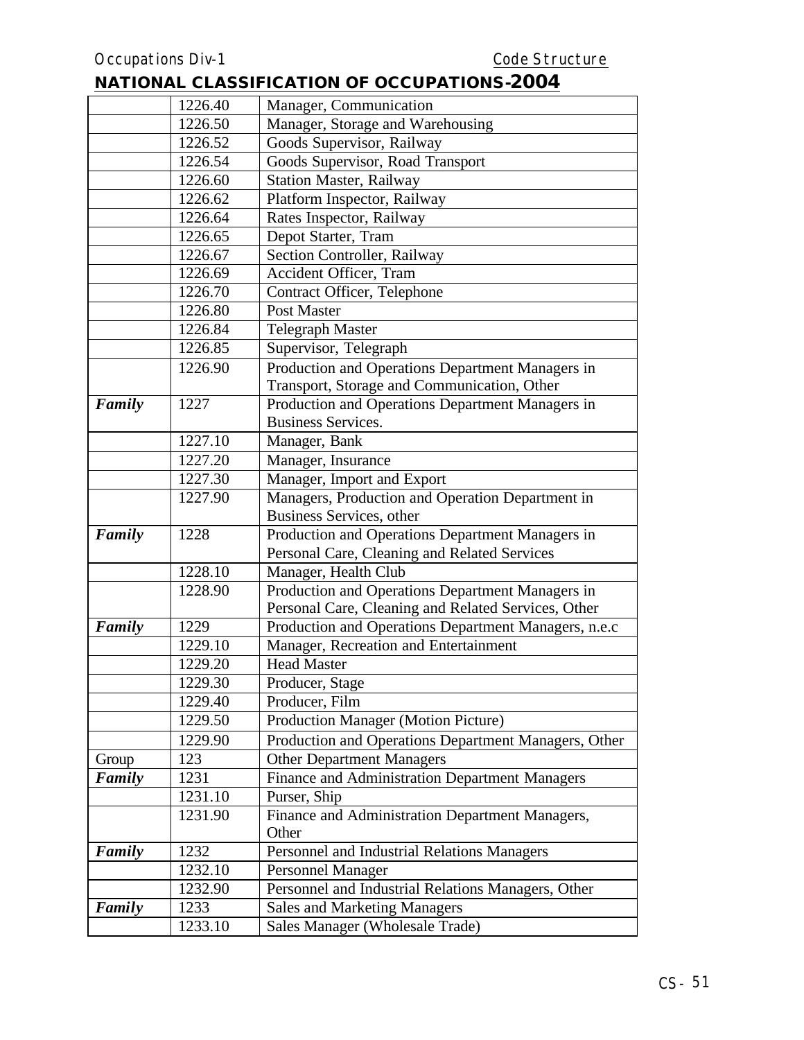|        | 1226.40 | Manager, Communication                               |
|--------|---------|------------------------------------------------------|
|        | 1226.50 | Manager, Storage and Warehousing                     |
|        | 1226.52 | Goods Supervisor, Railway                            |
|        | 1226.54 | Goods Supervisor, Road Transport                     |
|        | 1226.60 | <b>Station Master, Railway</b>                       |
|        | 1226.62 | Platform Inspector, Railway                          |
|        | 1226.64 | Rates Inspector, Railway                             |
|        | 1226.65 | Depot Starter, Tram                                  |
|        | 1226.67 | Section Controller, Railway                          |
|        | 1226.69 | Accident Officer, Tram                               |
|        | 1226.70 | Contract Officer, Telephone                          |
|        | 1226.80 | Post Master                                          |
|        | 1226.84 | <b>Telegraph Master</b>                              |
|        | 1226.85 | Supervisor, Telegraph                                |
|        | 1226.90 | Production and Operations Department Managers in     |
|        |         | Transport, Storage and Communication, Other          |
| Family | 1227    | Production and Operations Department Managers in     |
|        |         | <b>Business Services.</b>                            |
|        | 1227.10 | Manager, Bank                                        |
|        | 1227.20 | Manager, Insurance                                   |
|        | 1227.30 | Manager, Import and Export                           |
|        | 1227.90 | Managers, Production and Operation Department in     |
|        |         | Business Services, other                             |
| Family | 1228    | Production and Operations Department Managers in     |
|        |         | Personal Care, Cleaning and Related Services         |
|        | 1228.10 | Manager, Health Club                                 |
|        | 1228.90 | Production and Operations Department Managers in     |
|        |         | Personal Care, Cleaning and Related Services, Other  |
| Family | 1229    | Production and Operations Department Managers, n.e.c |
|        | 1229.10 | Manager, Recreation and Entertainment                |
|        | 1229.20 | <b>Head Master</b>                                   |
|        | 1229.30 | Producer, Stage                                      |
|        | 1229.40 | Producer, Film                                       |
|        | 1229.50 | <b>Production Manager (Motion Picture)</b>           |
|        | 1229.90 | Production and Operations Department Managers, Other |
| Group  | 123     | <b>Other Department Managers</b>                     |
| Family | 1231    | Finance and Administration Department Managers       |
|        | 1231.10 | Purser, Ship                                         |
|        | 1231.90 | Finance and Administration Department Managers,      |
|        |         | Other                                                |
| Family | 1232    | Personnel and Industrial Relations Managers          |
|        | 1232.10 | <b>Personnel Manager</b>                             |
|        | 1232.90 | Personnel and Industrial Relations Managers, Other   |
| Family | 1233    | <b>Sales and Marketing Managers</b>                  |
|        | 1233.10 | Sales Manager (Wholesale Trade)                      |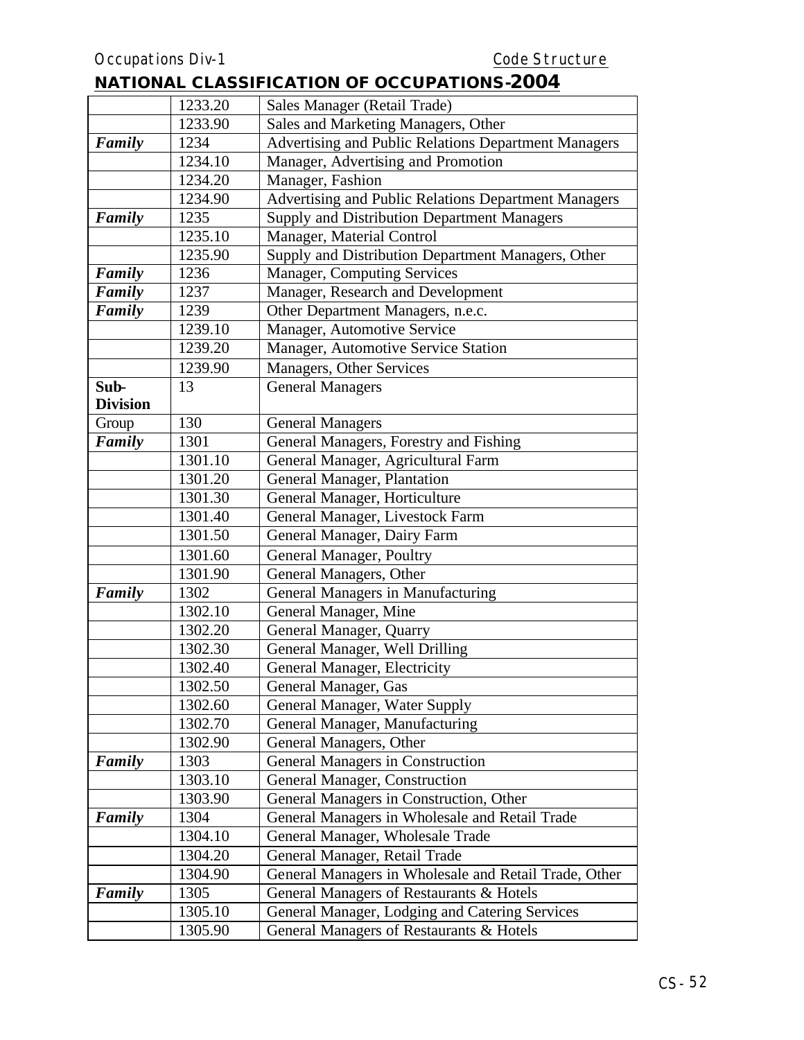|                 | 1233.20 | Sales Manager (Retail Trade)                          |
|-----------------|---------|-------------------------------------------------------|
|                 | 1233.90 | Sales and Marketing Managers, Other                   |
| Family          | 1234    | Advertising and Public Relations Department Managers  |
|                 | 1234.10 | Manager, Advertising and Promotion                    |
|                 | 1234.20 | Manager, Fashion                                      |
|                 | 1234.90 | Advertising and Public Relations Department Managers  |
| Family          | 1235    | Supply and Distribution Department Managers           |
|                 | 1235.10 | Manager, Material Control                             |
|                 | 1235.90 | Supply and Distribution Department Managers, Other    |
| Family          | 1236    | Manager, Computing Services                           |
| Family          | 1237    | Manager, Research and Development                     |
| Family          | 1239    | Other Department Managers, n.e.c.                     |
|                 | 1239.10 | Manager, Automotive Service                           |
|                 | 1239.20 | Manager, Automotive Service Station                   |
|                 | 1239.90 | Managers, Other Services                              |
| Sub-            | 13      | <b>General Managers</b>                               |
| <b>Division</b> |         |                                                       |
| Group           | 130     | <b>General Managers</b>                               |
| Family          | 1301    | General Managers, Forestry and Fishing                |
|                 | 1301.10 | General Manager, Agricultural Farm                    |
|                 | 1301.20 | General Manager, Plantation                           |
|                 | 1301.30 | General Manager, Horticulture                         |
|                 | 1301.40 | General Manager, Livestock Farm                       |
|                 | 1301.50 | General Manager, Dairy Farm                           |
|                 | 1301.60 | General Manager, Poultry                              |
|                 | 1301.90 | General Managers, Other                               |
| Family          | 1302    | General Managers in Manufacturing                     |
|                 | 1302.10 | General Manager, Mine                                 |
|                 | 1302.20 | General Manager, Quarry                               |
|                 | 1302.30 | General Manager, Well Drilling                        |
|                 | 1302.40 | General Manager, Electricity                          |
|                 | 1302.50 | General Manager, Gas                                  |
|                 | 1302.60 | General Manager, Water Supply                         |
|                 | 1302.70 | General Manager, Manufacturing                        |
|                 | 1302.90 | General Managers, Other                               |
| Family          | 1303    | General Managers in Construction                      |
|                 | 1303.10 | General Manager, Construction                         |
|                 | 1303.90 | General Managers in Construction, Other               |
| Family          | 1304    | General Managers in Wholesale and Retail Trade        |
|                 | 1304.10 | General Manager, Wholesale Trade                      |
|                 | 1304.20 | General Manager, Retail Trade                         |
|                 | 1304.90 | General Managers in Wholesale and Retail Trade, Other |
| Family          | 1305    | General Managers of Restaurants & Hotels              |
|                 | 1305.10 | General Manager, Lodging and Catering Services        |
|                 | 1305.90 | General Managers of Restaurants & Hotels              |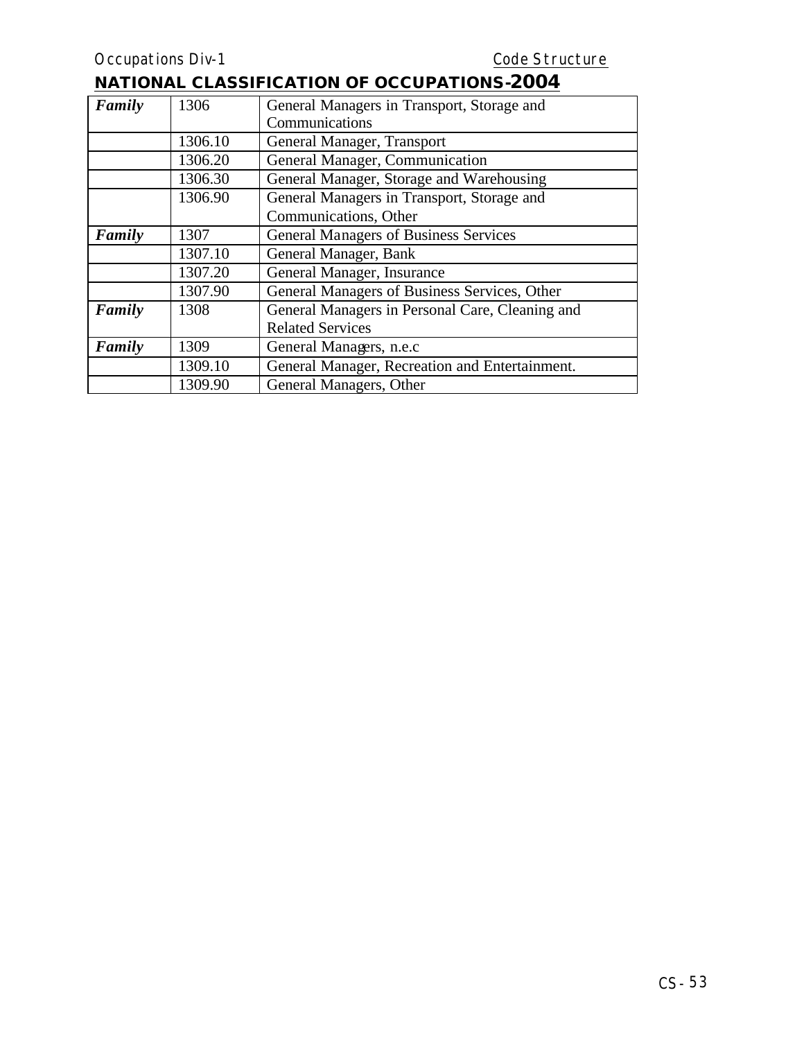| Family | 1306    | General Managers in Transport, Storage and      |  |
|--------|---------|-------------------------------------------------|--|
|        |         | Communications                                  |  |
|        | 1306.10 | General Manager, Transport                      |  |
|        | 1306.20 | General Manager, Communication                  |  |
|        | 1306.30 | General Manager, Storage and Warehousing        |  |
|        | 1306.90 | General Managers in Transport, Storage and      |  |
|        |         | Communications, Other                           |  |
| Family | 1307    | <b>General Managers of Business Services</b>    |  |
|        | 1307.10 | General Manager, Bank                           |  |
|        | 1307.20 | General Manager, Insurance                      |  |
|        | 1307.90 | General Managers of Business Services, Other    |  |
| Family | 1308    | General Managers in Personal Care, Cleaning and |  |
|        |         | <b>Related Services</b>                         |  |
| Family | 1309    | General Managers, n.e.c                         |  |
|        | 1309.10 | General Manager, Recreation and Entertainment.  |  |
|        | 1309.90 | General Managers, Other                         |  |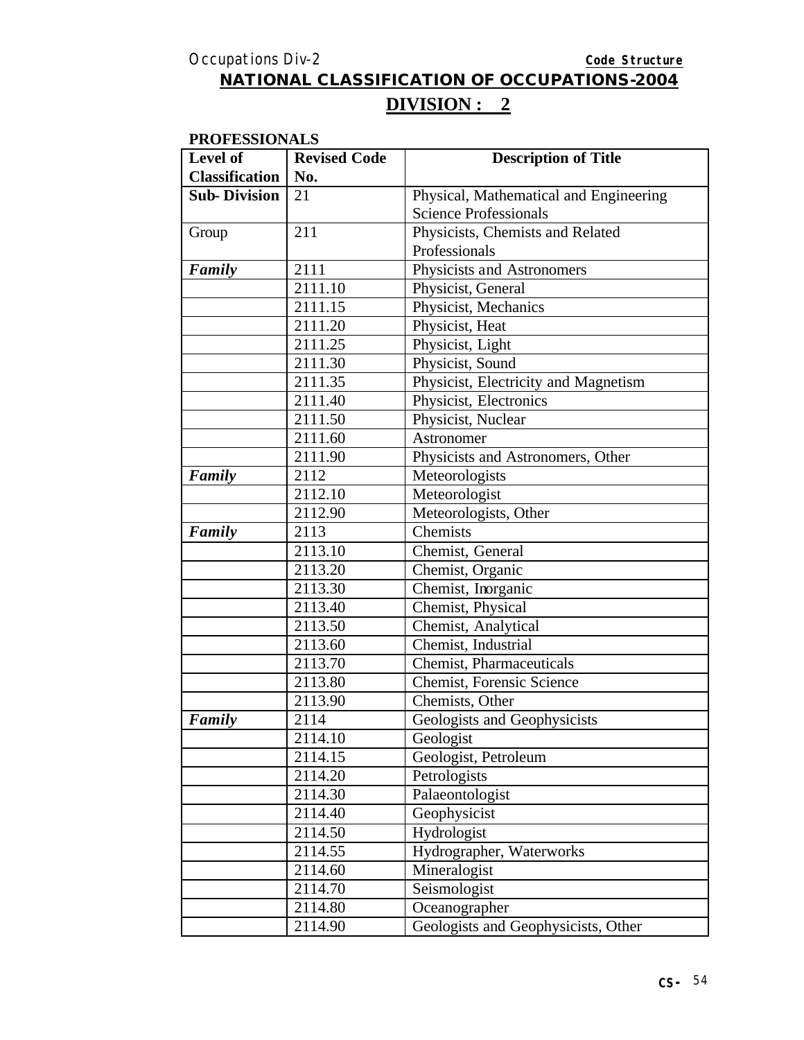# **DIVISION : 2**

#### **PROFESSIONALS**

| Level of              | <b>Revised Code</b> | <b>Description of Title</b>            |
|-----------------------|---------------------|----------------------------------------|
| <b>Classification</b> | No.                 |                                        |
| <b>Sub-Division</b>   | 21                  | Physical, Mathematical and Engineering |
|                       |                     | <b>Science Professionals</b>           |
| Group                 | 211                 | Physicists, Chemists and Related       |
|                       |                     | Professionals                          |
| Family                | 2111                | Physicists and Astronomers             |
|                       | 2111.10             | Physicist, General                     |
|                       | 2111.15             | Physicist, Mechanics                   |
|                       | 2111.20             | Physicist, Heat                        |
|                       | 2111.25             | Physicist, Light                       |
|                       | 2111.30             | Physicist, Sound                       |
|                       | 2111.35             | Physicist, Electricity and Magnetism   |
|                       | 2111.40             | Physicist, Electronics                 |
|                       | 2111.50             | Physicist, Nuclear                     |
|                       | 2111.60             | Astronomer                             |
|                       | 2111.90             | Physicists and Astronomers, Other      |
| Family                | 2112                | Meteorologists                         |
|                       | 2112.10             | Meteorologist                          |
|                       | 2112.90             | Meteorologists, Other                  |
| Family                | 2113                | Chemists                               |
|                       | 2113.10             | Chemist, General                       |
|                       | 2113.20             | Chemist, Organic                       |
|                       | 2113.30             | Chemist, Inorganic                     |
|                       | 2113.40             | Chemist, Physical                      |
|                       | 2113.50             | Chemist, Analytical                    |
|                       | 2113.60             | Chemist, Industrial                    |
|                       | 2113.70             | Chemist, Pharmaceuticals               |
|                       | 2113.80             | <b>Chemist, Forensic Science</b>       |
|                       | 2113.90             | Chemists, Other                        |
| Family                | 2114                | Geologists and Geophysicists           |
|                       | 2114.10             | Geologist                              |
|                       | 2114.15             | Geologist, Petroleum                   |
|                       | 2114.20             | Petrologists                           |
|                       | 2114.30             | Palaeontologist                        |
|                       | 2114.40             | Geophysicist                           |
|                       | 2114.50             | Hydrologist                            |
|                       | 2114.55             | Hydrographer, Waterworks               |
|                       | 2114.60             | Mineralogist                           |
|                       | 2114.70             | Seismologist                           |
|                       | 2114.80             | Oceanographer                          |
|                       | 2114.90             | Geologists and Geophysicists, Other    |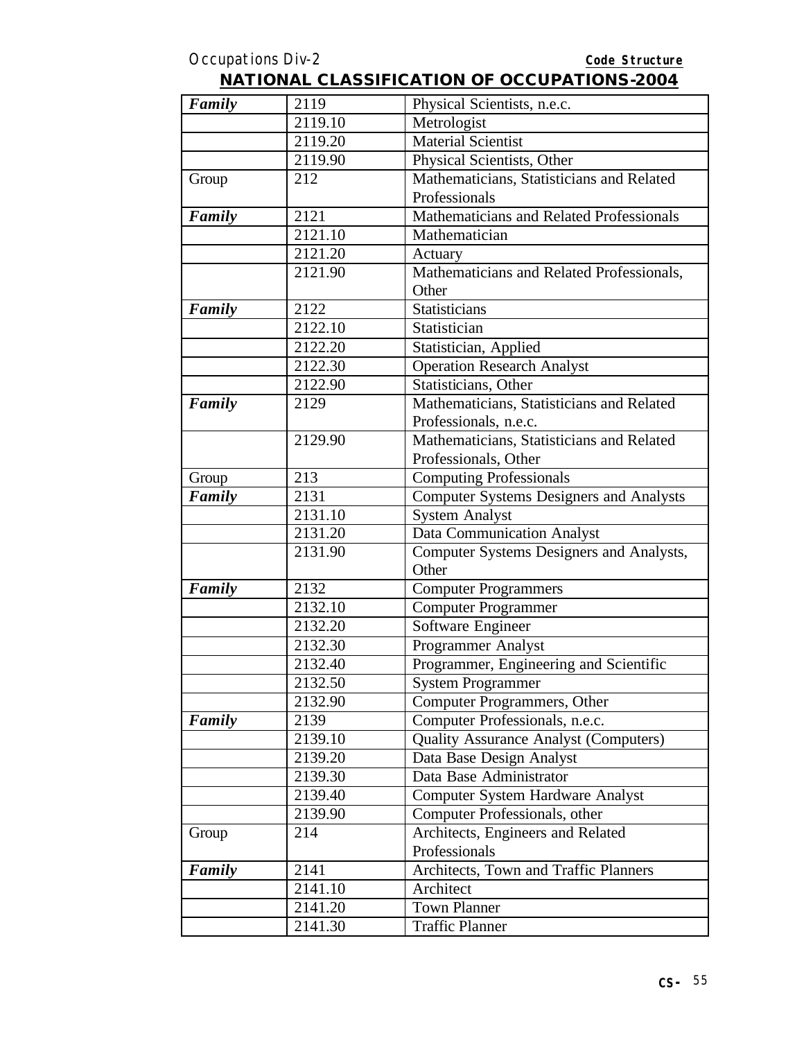| Family | 2119                 | Physical Scientists, n.e.c.                    |
|--------|----------------------|------------------------------------------------|
|        | 2119.10              | Metrologist                                    |
|        | 2119.20              | <b>Material Scientist</b>                      |
|        | 2119.90              | Physical Scientists, Other                     |
| Group  | 212                  | Mathematicians, Statisticians and Related      |
|        |                      | Professionals                                  |
| Family | 2121                 | Mathematicians and Related Professionals       |
|        | 2121.10              | Mathematician                                  |
|        | 2121.20              | Actuary                                        |
|        | 2121.90              | Mathematicians and Related Professionals,      |
|        |                      | Other                                          |
| Family | 2122                 | Statisticians                                  |
|        | 2122.10              | Statistician                                   |
|        | 2122.20              | Statistician, Applied                          |
|        | 2122.30              | <b>Operation Research Analyst</b>              |
|        | 2122.90              | Statisticians, Other                           |
| Family | 2129                 | Mathematicians, Statisticians and Related      |
|        |                      | Professionals, n.e.c.                          |
|        | 2129.90              | Mathematicians, Statisticians and Related      |
|        |                      | Professionals, Other                           |
| Group  | 213                  | <b>Computing Professionals</b>                 |
| Family | 2131                 | <b>Computer Systems Designers and Analysts</b> |
|        | 2131.10              | <b>System Analyst</b>                          |
|        | $\overline{2131.20}$ | <b>Data Communication Analyst</b>              |
|        | 2131.90              | Computer Systems Designers and Analysts,       |
|        |                      | Other                                          |
| Family | 2132                 | <b>Computer Programmers</b>                    |
|        | 2132.10              | <b>Computer Programmer</b>                     |
|        | 2132.20              | Software Engineer                              |
|        | 2132.30              | Programmer Analyst                             |
|        | 2132.40              | Programmer, Engineering and Scientific         |
|        | 2132.50              | System Programmer                              |
|        | 2132.90              | Computer Programmers, Other                    |
| Family | 2139                 | Computer Professionals, n.e.c.                 |
|        | 2139.10              | <b>Quality Assurance Analyst (Computers)</b>   |
|        | 2139.20              | Data Base Design Analyst                       |
|        | 2139.30              | Data Base Administrator                        |
|        | 2139.40              | <b>Computer System Hardware Analyst</b>        |
|        | 2139.90              | Computer Professionals, other                  |
| Group  | 214                  | Architects, Engineers and Related              |
|        |                      | Professionals                                  |
| Family | 2141                 | Architects, Town and Traffic Planners          |
|        | 2141.10              | Architect                                      |
|        | 2141.20              | <b>Town Planner</b>                            |
|        | 2141.30              | <b>Traffic Planner</b>                         |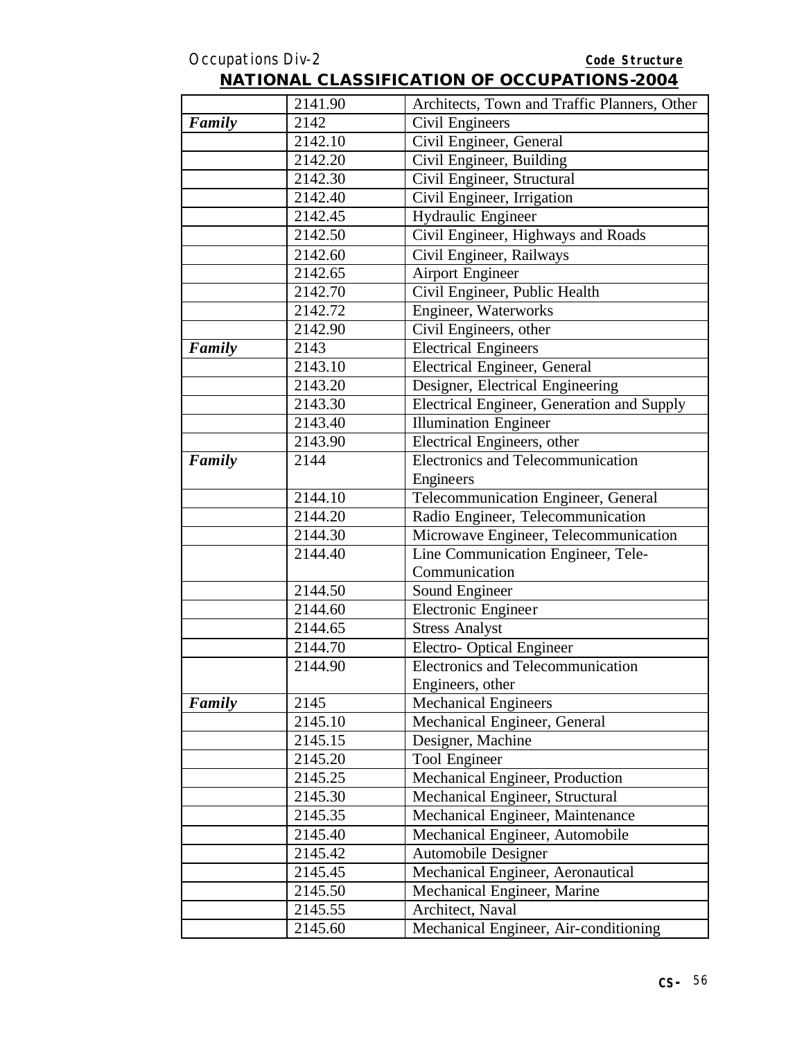|        | 2141.90 | Architects, Town and Traffic Planners, Other |
|--------|---------|----------------------------------------------|
| Family | 2142    | Civil Engineers                              |
|        | 2142.10 | Civil Engineer, General                      |
|        | 2142.20 | Civil Engineer, Building                     |
|        | 2142.30 | Civil Engineer, Structural                   |
|        | 2142.40 | Civil Engineer, Irrigation                   |
|        | 2142.45 | Hydraulic Engineer                           |
|        | 2142.50 | Civil Engineer, Highways and Roads           |
|        | 2142.60 | Civil Engineer, Railways                     |
|        | 2142.65 | <b>Airport Engineer</b>                      |
|        | 2142.70 | Civil Engineer, Public Health                |
|        | 2142.72 | Engineer, Waterworks                         |
|        | 2142.90 | Civil Engineers, other                       |
| Family | 2143    | <b>Electrical Engineers</b>                  |
|        | 2143.10 | Electrical Engineer, General                 |
|        | 2143.20 | Designer, Electrical Engineering             |
|        | 2143.30 | Electrical Engineer, Generation and Supply   |
|        | 2143.40 | <b>Illumination Engineer</b>                 |
|        | 2143.90 | Electrical Engineers, other                  |
| Family | 2144    | Electronics and Telecommunication            |
|        |         | Engineers                                    |
|        | 2144.10 | Telecommunication Engineer, General          |
|        | 2144.20 | Radio Engineer, Telecommunication            |
|        | 2144.30 | Microwave Engineer, Telecommunication        |
|        | 2144.40 | Line Communication Engineer, Tele-           |
|        |         | Communication                                |
|        | 2144.50 | Sound Engineer                               |
|        | 2144.60 | Electronic Engineer                          |
|        | 2144.65 | <b>Stress Analyst</b>                        |
|        | 2144.70 | Electro-Optical Engineer                     |
|        | 2144.90 | Electronics and Telecommunication            |
|        |         | Engineers, other                             |
| Family | 2145    | <b>Mechanical Engineers</b>                  |
|        | 2145.10 | Mechanical Engineer, General                 |
|        | 2145.15 | Designer, Machine                            |
|        | 2145.20 | Tool Engineer                                |
|        | 2145.25 | Mechanical Engineer, Production              |
|        | 2145.30 | Mechanical Engineer, Structural              |
|        | 2145.35 | Mechanical Engineer, Maintenance             |
|        | 2145.40 | Mechanical Engineer, Automobile              |
|        | 2145.42 | Automobile Designer                          |
|        | 2145.45 | Mechanical Engineer, Aeronautical            |
|        | 2145.50 | Mechanical Engineer, Marine                  |
|        | 2145.55 | Architect, Naval                             |
|        | 2145.60 | Mechanical Engineer, Air-conditioning        |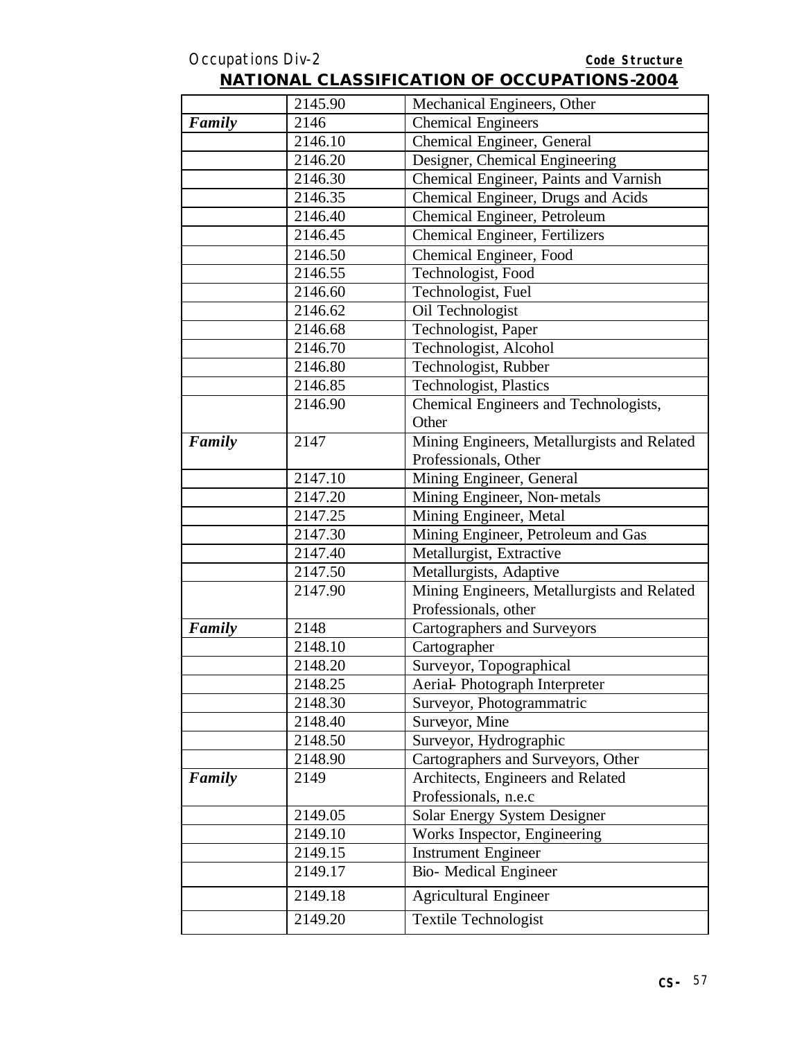|        | 2145.90 | Mechanical Engineers, Other                 |
|--------|---------|---------------------------------------------|
| Family | 2146    | <b>Chemical Engineers</b>                   |
|        | 2146.10 | Chemical Engineer, General                  |
|        | 2146.20 | Designer, Chemical Engineering              |
|        | 2146.30 | Chemical Engineer, Paints and Varnish       |
|        | 2146.35 | Chemical Engineer, Drugs and Acids          |
|        | 2146.40 | Chemical Engineer, Petroleum                |
|        | 2146.45 | <b>Chemical Engineer, Fertilizers</b>       |
|        | 2146.50 | Chemical Engineer, Food                     |
|        | 2146.55 | Technologist, Food                          |
|        | 2146.60 | Technologist, Fuel                          |
|        | 2146.62 | Oil Technologist                            |
|        | 2146.68 | Technologist, Paper                         |
|        | 2146.70 | Technologist, Alcohol                       |
|        | 2146.80 | Technologist, Rubber                        |
|        | 2146.85 | Technologist, Plastics                      |
|        | 2146.90 | Chemical Engineers and Technologists,       |
|        |         | Other                                       |
| Family | 2147    | Mining Engineers, Metallurgists and Related |
|        |         | Professionals, Other                        |
|        | 2147.10 | Mining Engineer, General                    |
|        | 2147.20 | Mining Engineer, Non-metals                 |
|        | 2147.25 | Mining Engineer, Metal                      |
|        | 2147.30 | Mining Engineer, Petroleum and Gas          |
|        | 2147.40 | Metallurgist, Extractive                    |
|        | 2147.50 | Metallurgists, Adaptive                     |
|        | 2147.90 | Mining Engineers, Metallurgists and Related |
|        |         | Professionals, other                        |
| Family | 2148    | <b>Cartographers and Surveyors</b>          |
|        | 2148.10 | Cartographer                                |
|        | 2148.20 | Surveyor, Topographical                     |
|        | 2148.25 | Aerial-Photograph Interpreter               |
|        | 2148.30 | Surveyor, Photogrammatric                   |
|        | 2148.40 | Surveyor, Mine                              |
|        | 2148.50 | Surveyor, Hydrographic                      |
|        | 2148.90 | Cartographers and Surveyors, Other          |
| Family | 2149    | Architects, Engineers and Related           |
|        |         | Professionals, n.e.c                        |
|        | 2149.05 | Solar Energy System Designer                |
|        | 2149.10 | Works Inspector, Engineering                |
|        | 2149.15 | <b>Instrument Engineer</b>                  |
|        | 2149.17 | Bio- Medical Engineer                       |
|        | 2149.18 | <b>Agricultural Engineer</b>                |
|        |         |                                             |
|        | 2149.20 | Textile Technologist                        |
|        |         |                                             |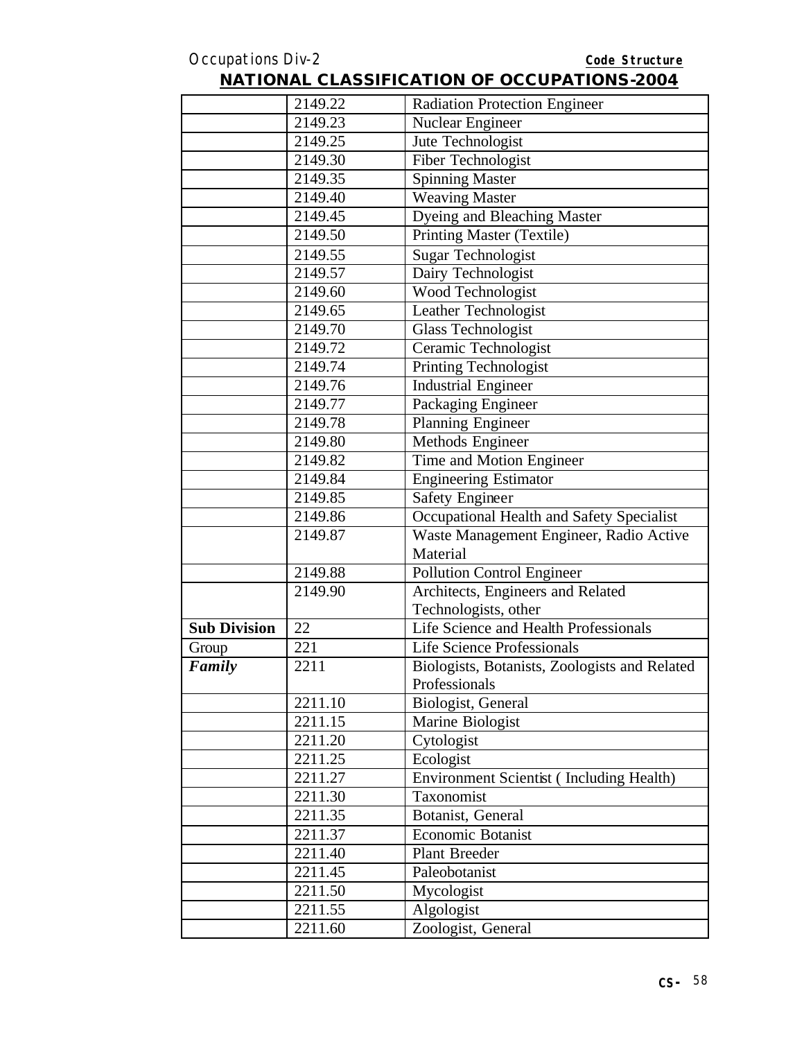|                     | 2149.22 | <b>Radiation Protection Engineer</b>            |
|---------------------|---------|-------------------------------------------------|
|                     | 2149.23 | Nuclear Engineer                                |
|                     | 2149.25 | Jute Technologist                               |
|                     | 2149.30 | Fiber Technologist                              |
|                     | 2149.35 | <b>Spinning Master</b>                          |
|                     | 2149.40 | <b>Weaving Master</b>                           |
|                     | 2149.45 | Dyeing and Bleaching Master                     |
|                     | 2149.50 | Printing Master (Textile)                       |
|                     | 2149.55 | <b>Sugar Technologist</b>                       |
|                     | 2149.57 | Dairy Technologist                              |
|                     | 2149.60 | Wood Technologist                               |
|                     | 2149.65 | Leather Technologist                            |
|                     | 2149.70 | Glass Technologist                              |
|                     | 2149.72 | Ceramic Technologist                            |
|                     | 2149.74 | <b>Printing Technologist</b>                    |
|                     | 2149.76 | <b>Industrial Engineer</b>                      |
|                     | 2149.77 | Packaging Engineer                              |
|                     | 2149.78 | <b>Planning Engineer</b>                        |
|                     | 2149.80 | Methods Engineer                                |
|                     | 2149.82 | Time and Motion Engineer                        |
|                     | 2149.84 | <b>Engineering Estimator</b>                    |
|                     | 2149.85 | <b>Safety Engineer</b>                          |
|                     | 2149.86 | Occupational Health and Safety Specialist       |
|                     | 2149.87 | Waste Management Engineer, Radio Active         |
|                     |         | Material                                        |
|                     | 2149.88 | <b>Pollution Control Engineer</b>               |
|                     | 2149.90 | Architects, Engineers and Related               |
|                     |         | Technologists, other                            |
| <b>Sub Division</b> | 22      | Life Science and Health Professionals           |
| Group               | 221     | <b>Life Science Professionals</b>               |
| Family              | 2211    | Biologists, Botanists, Zoologists and Related   |
|                     |         | Professionals                                   |
|                     | 2211.10 | Biologist, General                              |
|                     | 2211.15 | Marine Biologist                                |
|                     | 2211.20 | Cytologist                                      |
|                     | 2211.25 | Ecologist                                       |
|                     | 2211.27 | <b>Environment Scientist (Including Health)</b> |
|                     | 2211.30 | Taxonomist                                      |
|                     | 2211.35 | Botanist, General                               |
|                     | 2211.37 | Economic Botanist                               |
|                     | 2211.40 | Plant Breeder                                   |
|                     | 2211.45 | Paleobotanist                                   |
|                     | 2211.50 | Mycologist                                      |
|                     | 2211.55 | Algologist                                      |
|                     | 2211.60 | Zoologist, General                              |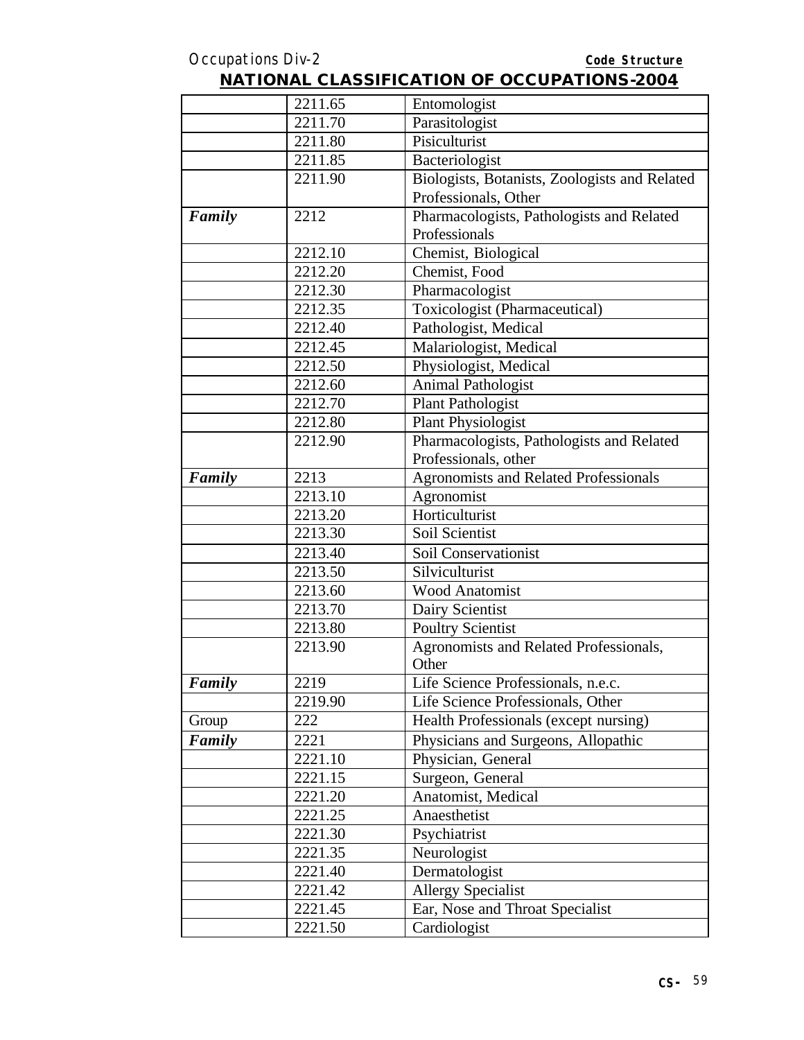|        | 2211.65 | Entomologist                                  |
|--------|---------|-----------------------------------------------|
|        | 2211.70 | Parasitologist                                |
|        | 2211.80 | Pisiculturist                                 |
|        | 2211.85 | Bacteriologist                                |
|        | 2211.90 | Biologists, Botanists, Zoologists and Related |
|        |         | Professionals, Other                          |
| Family | 2212    | Pharmacologists, Pathologists and Related     |
|        |         | Professionals                                 |
|        | 2212.10 | Chemist, Biological                           |
|        | 2212.20 | Chemist, Food                                 |
|        | 2212.30 | Pharmacologist                                |
|        | 2212.35 | Toxicologist (Pharmaceutical)                 |
|        | 2212.40 | Pathologist, Medical                          |
|        | 2212.45 | Malariologist, Medical                        |
|        | 2212.50 | Physiologist, Medical                         |
|        | 2212.60 | <b>Animal Pathologist</b>                     |
|        | 2212.70 | <b>Plant Pathologist</b>                      |
|        | 2212.80 | Plant Physiologist                            |
|        | 2212.90 | Pharmacologists, Pathologists and Related     |
|        |         | Professionals, other                          |
| Family | 2213    | <b>Agronomists and Related Professionals</b>  |
|        | 2213.10 | Agronomist                                    |
|        | 2213.20 | Horticulturist                                |
|        | 2213.30 | Soil Scientist                                |
|        | 2213.40 | Soil Conservationist                          |
|        | 2213.50 | Silviculturist                                |
|        | 2213.60 | <b>Wood Anatomist</b>                         |
|        | 2213.70 | Dairy Scientist                               |
|        | 2213.80 | <b>Poultry Scientist</b>                      |
|        | 2213.90 | Agronomists and Related Professionals,        |
|        |         | Other                                         |
| Family | 2219    | Life Science Professionals, n.e.c.            |
|        | 2219.90 | Life Science Professionals, Other             |
| Group  | 222     | Health Professionals (except nursing)         |
| Family | 2221    | Physicians and Surgeons, Allopathic           |
|        | 2221.10 | Physician, General                            |
|        | 2221.15 | Surgeon, General                              |
|        | 2221.20 | Anatomist, Medical                            |
|        | 2221.25 | Anaesthetist                                  |
|        | 2221.30 | Psychiatrist                                  |
|        | 2221.35 | Neurologist                                   |
|        | 2221.40 | Dermatologist                                 |
|        | 2221.42 | <b>Allergy Specialist</b>                     |
|        | 2221.45 | Ear, Nose and Throat Specialist               |
|        | 2221.50 | Cardiologist                                  |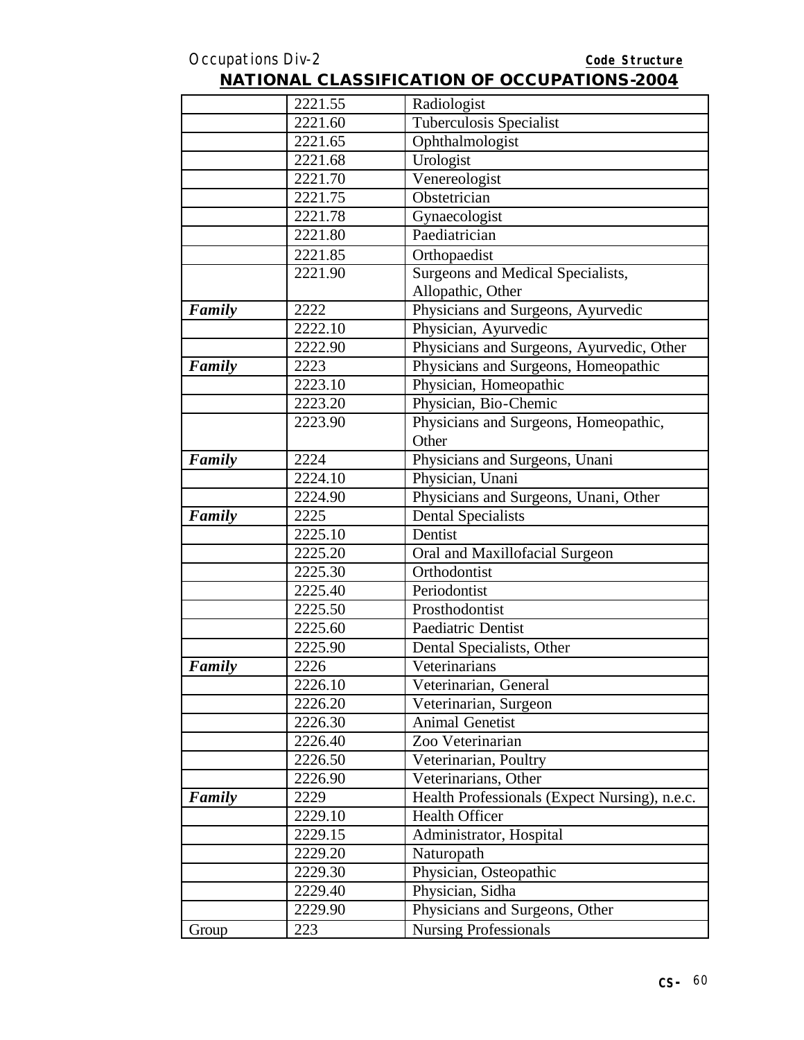|        | 2221.55 | Radiologist                                   |
|--------|---------|-----------------------------------------------|
|        | 2221.60 | Tuberculosis Specialist                       |
|        | 2221.65 | Ophthalmologist                               |
|        | 2221.68 | Urologist                                     |
|        | 2221.70 | Venereologist                                 |
|        | 2221.75 | Obstetrician                                  |
|        | 2221.78 | Gynaecologist                                 |
|        | 2221.80 | Paediatrician                                 |
|        | 2221.85 | Orthopaedist                                  |
|        | 2221.90 | Surgeons and Medical Specialists,             |
|        |         | Allopathic, Other                             |
| Family | 2222    | Physicians and Surgeons, Ayurvedic            |
|        | 2222.10 | Physician, Ayurvedic                          |
|        | 2222.90 | Physicians and Surgeons, Ayurvedic, Other     |
| Family | 2223    | Physicians and Surgeons, Homeopathic          |
|        | 2223.10 | Physician, Homeopathic                        |
|        | 2223.20 | Physician, Bio-Chemic                         |
|        | 2223.90 | Physicians and Surgeons, Homeopathic,         |
|        |         | Other                                         |
| Family | 2224    | Physicians and Surgeons, Unani                |
|        | 2224.10 | Physician, Unani                              |
|        | 2224.90 | Physicians and Surgeons, Unani, Other         |
| Family | 2225    | <b>Dental Specialists</b>                     |
|        | 2225.10 | Dentist                                       |
|        | 2225.20 | Oral and Maxillofacial Surgeon                |
|        | 2225.30 | Orthodontist                                  |
|        | 2225.40 | Periodontist                                  |
|        | 2225.50 | Prosthodontist                                |
|        | 2225.60 | Paediatric Dentist                            |
|        | 2225.90 | Dental Specialists, Other                     |
| Family | 2226    | Veterinarians                                 |
|        | 2226.10 | Veterinarian, General                         |
|        | 2226.20 | Veterinarian, Surgeon                         |
|        | 2226.30 | Animal Genetist                               |
|        | 2226.40 | Zoo Veterinarian                              |
|        | 2226.50 | Veterinarian, Poultry                         |
|        | 2226.90 | Veterinarians, Other                          |
| Family | 2229    | Health Professionals (Expect Nursing), n.e.c. |
|        | 2229.10 | Health Officer                                |
|        | 2229.15 | Administrator, Hospital                       |
|        | 2229.20 | Naturopath                                    |
|        | 2229.30 | Physician, Osteopathic                        |
|        | 2229.40 | Physician, Sidha                              |
|        | 2229.90 | Physicians and Surgeons, Other                |
| Group  | 223     | <b>Nursing Professionals</b>                  |
|        |         |                                               |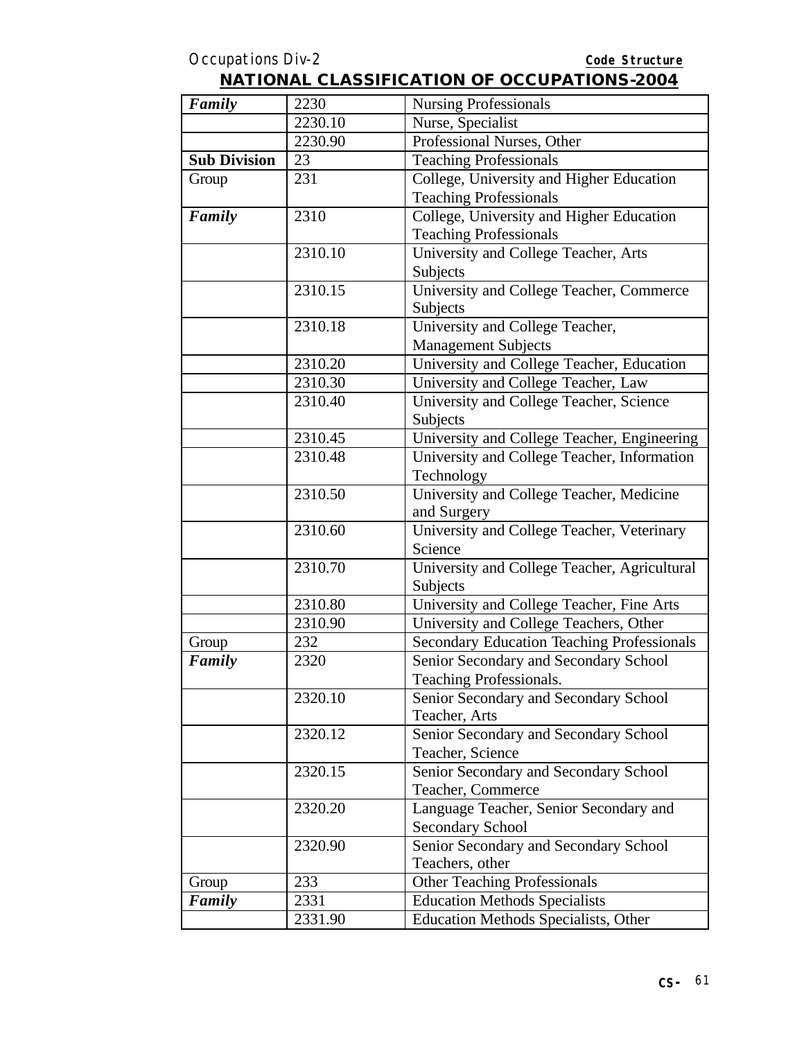| Family              | 2230    | <b>Nursing Professionals</b>                      |
|---------------------|---------|---------------------------------------------------|
|                     | 2230.10 | Nurse, Specialist                                 |
|                     | 2230.90 | Professional Nurses, Other                        |
| <b>Sub Division</b> | 23      | <b>Teaching Professionals</b>                     |
| Group               | 231     | College, University and Higher Education          |
|                     |         | <b>Teaching Professionals</b>                     |
| Family              | 2310    | College, University and Higher Education          |
|                     |         | <b>Teaching Professionals</b>                     |
|                     | 2310.10 | University and College Teacher, Arts              |
|                     |         | Subjects                                          |
|                     | 2310.15 | University and College Teacher, Commerce          |
|                     |         | Subjects                                          |
|                     | 2310.18 | University and College Teacher,                   |
|                     |         | <b>Management Subjects</b>                        |
|                     | 2310.20 | University and College Teacher, Education         |
|                     | 2310.30 | University and College Teacher, Law               |
|                     | 2310.40 | University and College Teacher, Science           |
|                     |         | Subjects                                          |
|                     | 2310.45 | University and College Teacher, Engineering       |
|                     | 2310.48 | University and College Teacher, Information       |
|                     |         | Technology                                        |
|                     | 2310.50 | University and College Teacher, Medicine          |
|                     |         | and Surgery                                       |
|                     | 2310.60 | University and College Teacher, Veterinary        |
|                     |         | Science                                           |
|                     | 2310.70 | University and College Teacher, Agricultural      |
|                     |         | Subjects                                          |
|                     | 2310.80 | University and College Teacher, Fine Arts         |
|                     | 2310.90 | University and College Teachers, Other            |
| Group               | 232     | <b>Secondary Education Teaching Professionals</b> |
| Family              | 2320    | Senior Secondary and Secondary School             |
|                     |         | <b>Teaching Professionals.</b>                    |
|                     | 2320.10 | Senior Secondary and Secondary School             |
|                     |         | Teacher, Arts                                     |
|                     | 2320.12 | Senior Secondary and Secondary School             |
|                     |         | Teacher, Science                                  |
|                     | 2320.15 | Senior Secondary and Secondary School             |
|                     |         | Teacher, Commerce                                 |
|                     | 2320.20 | Language Teacher, Senior Secondary and            |
|                     |         | <b>Secondary School</b>                           |
|                     | 2320.90 | Senior Secondary and Secondary School             |
|                     |         | Teachers, other                                   |
| Group               | 233     | <b>Other Teaching Professionals</b>               |
| Family              | 2331    | <b>Education Methods Specialists</b>              |
|                     | 2331.90 | <b>Education Methods Specialists, Other</b>       |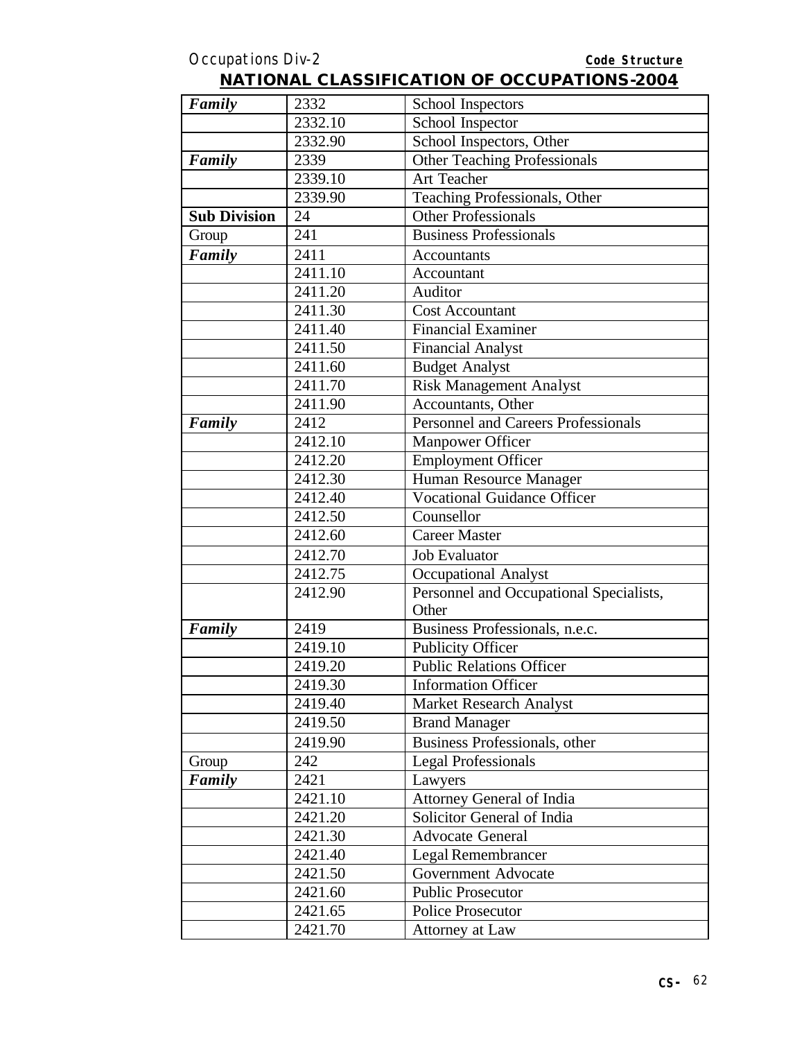| <b>NATIONAL CLASSIFICATION OF OCCUPATIONS-2004</b> |  |
|----------------------------------------------------|--|
|----------------------------------------------------|--|

| Family              | 2332    | School Inspectors                          |
|---------------------|---------|--------------------------------------------|
|                     | 2332.10 | School Inspector                           |
|                     | 2332.90 | School Inspectors, Other                   |
| Family              | 2339    | <b>Other Teaching Professionals</b>        |
|                     | 2339.10 | <b>Art Teacher</b>                         |
|                     | 2339.90 | Teaching Professionals, Other              |
| <b>Sub Division</b> | 24      | <b>Other Professionals</b>                 |
| Group               | 241     | <b>Business Professionals</b>              |
| Family              | 2411    | Accountants                                |
|                     | 2411.10 | Accountant                                 |
|                     | 2411.20 | Auditor                                    |
|                     | 2411.30 | <b>Cost Accountant</b>                     |
|                     | 2411.40 | <b>Financial Examiner</b>                  |
|                     | 2411.50 | <b>Financial Analyst</b>                   |
|                     | 2411.60 | <b>Budget Analyst</b>                      |
|                     | 2411.70 | <b>Risk Management Analyst</b>             |
|                     | 2411.90 | Accountants, Other                         |
| Family              | 2412    | <b>Personnel and Careers Professionals</b> |
|                     | 2412.10 | <b>Manpower Officer</b>                    |
|                     | 2412.20 | <b>Employment Officer</b>                  |
|                     | 2412.30 | Human Resource Manager                     |
|                     | 2412.40 | <b>Vocational Guidance Officer</b>         |
|                     | 2412.50 | Counsellor                                 |
|                     | 2412.60 | <b>Career Master</b>                       |
|                     | 2412.70 | <b>Job Evaluator</b>                       |
|                     | 2412.75 | Occupational Analyst                       |
|                     | 2412.90 | Personnel and Occupational Specialists,    |
|                     |         | Other                                      |
| Family              | 2419    | Business Professionals, n.e.c.             |
|                     | 2419.10 | <b>Publicity Officer</b>                   |
|                     | 2419.20 | <b>Public Relations Officer</b>            |
|                     | 2419.30 | <b>Information Officer</b>                 |
|                     | 2419.40 | <b>Market Research Analyst</b>             |
|                     | 2419.50 | <b>Brand Manager</b>                       |
|                     | 2419.90 | Business Professionals, other              |
| Group               | 242     | <b>Legal Professionals</b>                 |
| Family              | 2421    | Lawyers                                    |
|                     | 2421.10 | Attorney General of India                  |
|                     | 2421.20 | Solicitor General of India                 |
|                     | 2421.30 | <b>Advocate General</b>                    |
|                     | 2421.40 | Legal Remembrancer                         |
|                     | 2421.50 | <b>Government Advocate</b>                 |
|                     | 2421.60 | <b>Public Prosecutor</b>                   |
|                     | 2421.65 | <b>Police Prosecutor</b>                   |
|                     | 2421.70 | Attorney at Law                            |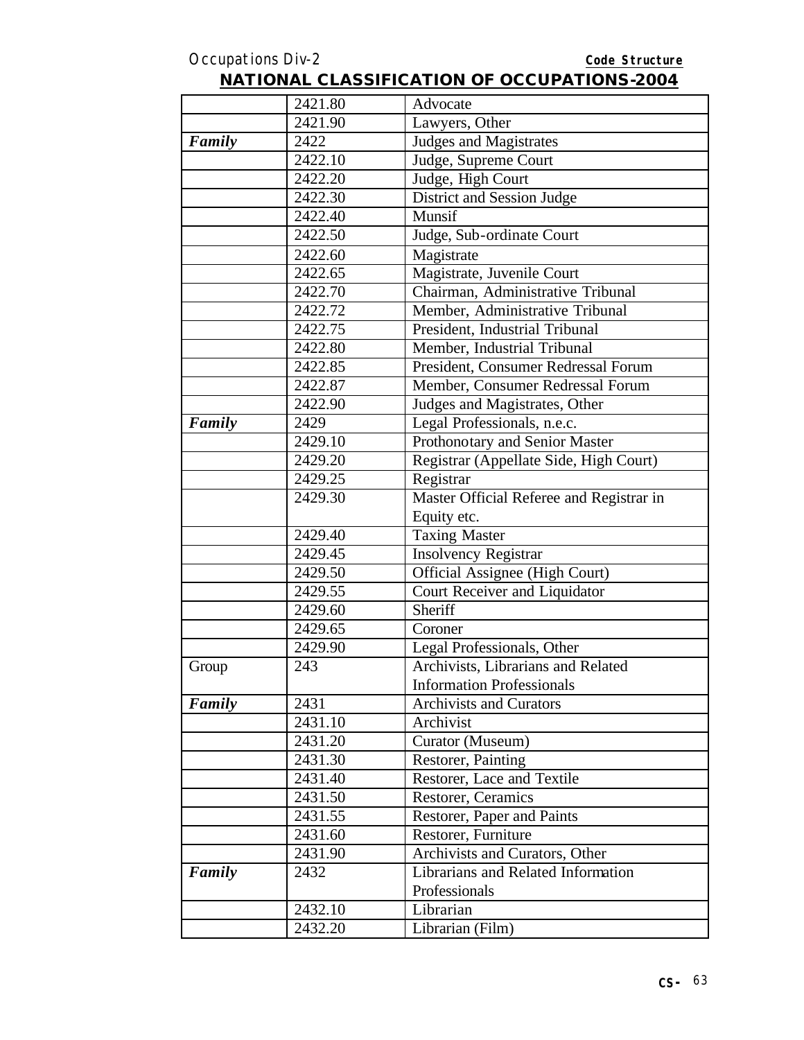|        | 2421.80 | Advocate                                 |
|--------|---------|------------------------------------------|
|        | 2421.90 | Lawyers, Other                           |
| Family | 2422    | <b>Judges and Magistrates</b>            |
|        | 2422.10 | Judge, Supreme Court                     |
|        | 2422.20 | Judge, High Court                        |
|        | 2422.30 | District and Session Judge               |
|        | 2422.40 | Munsif                                   |
|        | 2422.50 | Judge, Sub-ordinate Court                |
|        | 2422.60 | Magistrate                               |
|        | 2422.65 | Magistrate, Juvenile Court               |
|        | 2422.70 | Chairman, Administrative Tribunal        |
|        | 2422.72 | Member, Administrative Tribunal          |
|        | 2422.75 | President, Industrial Tribunal           |
|        | 2422.80 | Member, Industrial Tribunal              |
|        | 2422.85 | President, Consumer Redressal Forum      |
|        | 2422.87 | Member, Consumer Redressal Forum         |
|        | 2422.90 | Judges and Magistrates, Other            |
| Family | 2429    | Legal Professionals, n.e.c.              |
|        | 2429.10 | Prothonotary and Senior Master           |
|        | 2429.20 | Registrar (Appellate Side, High Court)   |
|        | 2429.25 | Registrar                                |
|        | 2429.30 | Master Official Referee and Registrar in |
|        |         | Equity etc.                              |
|        | 2429.40 | <b>Taxing Master</b>                     |
|        | 2429.45 | <b>Insolvency Registrar</b>              |
|        | 2429.50 | Official Assignee (High Court)           |
|        | 2429.55 | Court Receiver and Liquidator            |
|        | 2429.60 | Sheriff                                  |
|        | 2429.65 | Coroner                                  |
|        | 2429.90 | Legal Professionals, Other               |
| Group  | 243     | Archivists, Librarians and Related       |
|        |         | <b>Information Professionals</b>         |
| Family | 2431    | Archivists and Curators                  |
|        | 2431.10 | Archivist                                |
|        | 2431.20 | Curator (Museum)                         |
|        | 2431.30 | Restorer, Painting                       |
|        | 2431.40 | Restorer, Lace and Textile               |
|        | 2431.50 | Restorer, Ceramics                       |
|        | 2431.55 | Restorer, Paper and Paints               |
|        | 2431.60 | Restorer, Furniture                      |
|        | 2431.90 | Archivists and Curators, Other           |
| Family | 2432    | Librarians and Related Information       |
|        |         | Professionals                            |
|        | 2432.10 | Librarian                                |
|        | 2432.20 | Librarian (Film)                         |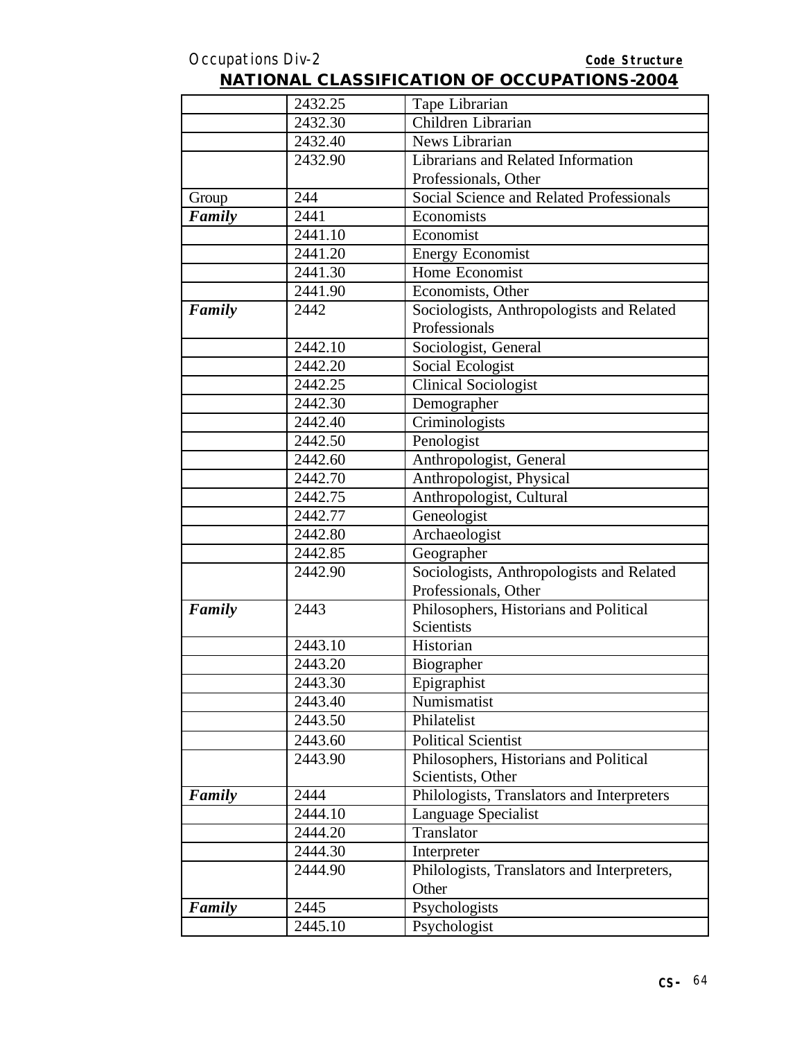|        | 2432.25 | Tape Librarian                              |
|--------|---------|---------------------------------------------|
|        | 2432.30 | Children Librarian                          |
|        | 2432.40 | News Librarian                              |
|        | 2432.90 | Librarians and Related Information          |
|        |         | Professionals, Other                        |
| Group  | 244     | Social Science and Related Professionals    |
| Family | 2441    | Economists                                  |
|        | 2441.10 | Economist                                   |
|        | 2441.20 | Energy Economist                            |
|        | 2441.30 | Home Economist                              |
|        | 2441.90 | Economists, Other                           |
| Family | 2442    | Sociologists, Anthropologists and Related   |
|        |         | Professionals                               |
|        | 2442.10 | Sociologist, General                        |
|        | 2442.20 | Social Ecologist                            |
|        | 2442.25 | <b>Clinical Sociologist</b>                 |
|        | 2442.30 | Demographer                                 |
|        | 2442.40 | Criminologists                              |
|        | 2442.50 | Penologist                                  |
|        | 2442.60 | Anthropologist, General                     |
|        | 2442.70 | Anthropologist, Physical                    |
|        | 2442.75 | Anthropologist, Cultural                    |
|        | 2442.77 | Geneologist                                 |
|        | 2442.80 | Archaeologist                               |
|        | 2442.85 | Geographer                                  |
|        | 2442.90 | Sociologists, Anthropologists and Related   |
|        |         | Professionals, Other                        |
| Family | 2443    | Philosophers, Historians and Political      |
|        |         | <b>Scientists</b>                           |
|        | 2443.10 | Historian                                   |
|        | 2443.20 | Biographer                                  |
|        | 2443.30 | Epigraphist                                 |
|        | 2443.40 | Numismatist                                 |
|        | 2443.50 | Philatelist                                 |
|        | 2443.60 | <b>Political Scientist</b>                  |
|        | 2443.90 | Philosophers, Historians and Political      |
|        |         | Scientists, Other                           |
| Family | 2444    | Philologists, Translators and Interpreters  |
|        | 2444.10 | Language Specialist                         |
|        | 2444.20 | Translator                                  |
|        | 2444.30 | Interpreter                                 |
|        | 2444.90 | Philologists, Translators and Interpreters, |
|        |         | Other                                       |
| Family | 2445    | Psychologists                               |
|        | 2445.10 | Psychologist                                |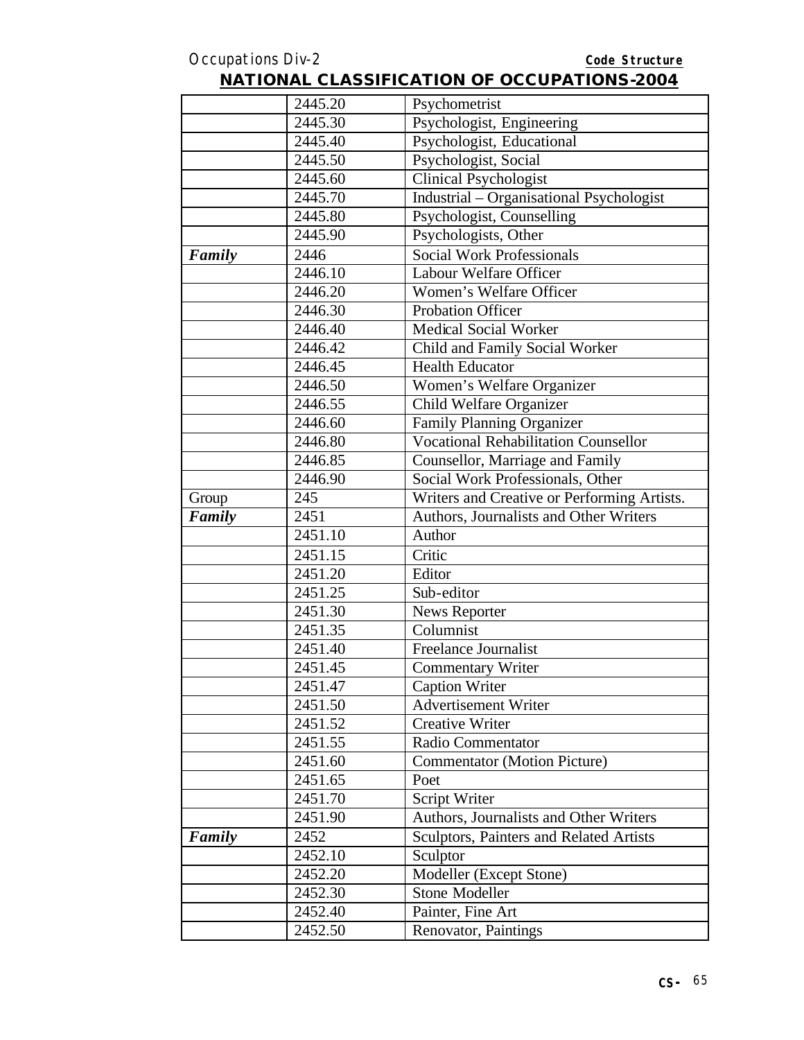|        | 2445.20 | Psychometrist                               |
|--------|---------|---------------------------------------------|
|        | 2445.30 | Psychologist, Engineering                   |
|        | 2445.40 | Psychologist, Educational                   |
|        | 2445.50 | Psychologist, Social                        |
|        | 2445.60 | <b>Clinical Psychologist</b>                |
|        | 2445.70 | Industrial – Organisational Psychologist    |
|        | 2445.80 | Psychologist, Counselling                   |
|        | 2445.90 | Psychologists, Other                        |
| Family | 2446    | <b>Social Work Professionals</b>            |
|        | 2446.10 | Labour Welfare Officer                      |
|        | 2446.20 | Women's Welfare Officer                     |
|        | 2446.30 | <b>Probation Officer</b>                    |
|        | 2446.40 | <b>Medical Social Worker</b>                |
|        | 2446.42 | Child and Family Social Worker              |
|        | 2446.45 | <b>Health Educator</b>                      |
|        | 2446.50 | Women's Welfare Organizer                   |
|        | 2446.55 | Child Welfare Organizer                     |
|        | 2446.60 | <b>Family Planning Organizer</b>            |
|        | 2446.80 | <b>Vocational Rehabilitation Counsellor</b> |
|        | 2446.85 | Counsellor, Marriage and Family             |
|        | 2446.90 | Social Work Professionals, Other            |
| Group  | 245     | Writers and Creative or Performing Artists. |
| Family | 2451    | Authors, Journalists and Other Writers      |
|        | 2451.10 | Author                                      |
|        | 2451.15 | Critic                                      |
|        | 2451.20 | Editor                                      |
|        | 2451.25 | Sub-editor                                  |
|        | 2451.30 | <b>News Reporter</b>                        |
|        | 2451.35 | Columnist                                   |
|        | 2451.40 | Freelance Journalist                        |
|        | 2451.45 | <b>Commentary Writer</b>                    |
|        | 2451.47 | <b>Caption Writer</b>                       |
|        | 2451.50 | <b>Advertisement Writer</b>                 |
|        | 2451.52 | <b>Creative Writer</b>                      |
|        | 2451.55 | Radio Commentator                           |
|        | 2451.60 | <b>Commentator</b> (Motion Picture)         |
|        | 2451.65 | Poet                                        |
|        | 2451.70 | Script Writer                               |
|        | 2451.90 | Authors, Journalists and Other Writers      |
| Family | 2452    | Sculptors, Painters and Related Artists     |
|        | 2452.10 | Sculptor                                    |
|        | 2452.20 | Modeller (Except Stone)                     |
|        | 2452.30 | Stone Modeller                              |
|        | 2452.40 | Painter, Fine Art                           |
|        | 2452.50 | Renovator, Paintings                        |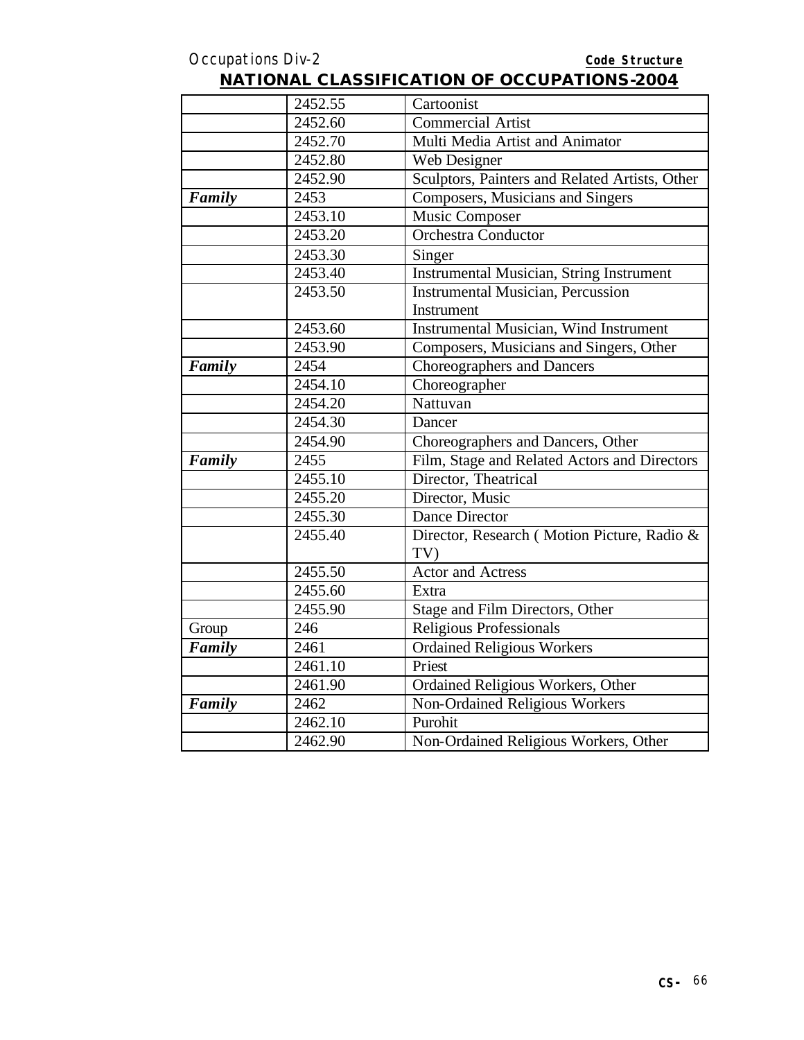| <b>NATIONAL CLASSIFICATION OF OCCUPATIONS-2004</b> |
|----------------------------------------------------|
|----------------------------------------------------|

|        | 2452.55 | Cartoonist                                         |
|--------|---------|----------------------------------------------------|
|        | 2452.60 | <b>Commercial Artist</b>                           |
|        | 2452.70 | Multi Media Artist and Animator                    |
|        | 2452.80 | Web Designer                                       |
|        | 2452.90 | Sculptors, Painters and Related Artists, Other     |
| Family | 2453    | Composers, Musicians and Singers                   |
|        | 2453.10 | Music Composer                                     |
|        | 2453.20 | <b>Orchestra Conductor</b>                         |
|        | 2453.30 | Singer                                             |
|        | 2453.40 | <b>Instrumental Musician, String Instrument</b>    |
|        | 2453.50 | <b>Instrumental Musician, Percussion</b>           |
|        |         | Instrument                                         |
|        | 2453.60 | <b>Instrumental Musician, Wind Instrument</b>      |
|        | 2453.90 | Composers, Musicians and Singers, Other            |
| Family | 2454    | <b>Choreographers and Dancers</b>                  |
|        | 2454.10 | Choreographer                                      |
|        | 2454.20 | Nattuvan                                           |
|        | 2454.30 | Dancer                                             |
|        | 2454.90 | Choreographers and Dancers, Other                  |
| Family | 2455    | Film, Stage and Related Actors and Directors       |
|        | 2455.10 | Director, Theatrical                               |
|        | 2455.20 | Director, Music                                    |
|        | 2455.30 | <b>Dance Director</b>                              |
|        | 2455.40 | Director, Research (Motion Picture, Radio &<br>TV) |
|        | 2455.50 | <b>Actor and Actress</b>                           |
|        | 2455.60 | Extra                                              |
|        | 2455.90 | Stage and Film Directors, Other                    |
| Group  | 246     | <b>Religious Professionals</b>                     |
| Family | 2461    | <b>Ordained Religious Workers</b>                  |
|        | 2461.10 | Priest                                             |
|        | 2461.90 | Ordained Religious Workers, Other                  |
| Family | 2462    | Non-Ordained Religious Workers                     |
|        | 2462.10 | Purohit                                            |
|        | 2462.90 | Non-Ordained Religious Workers, Other              |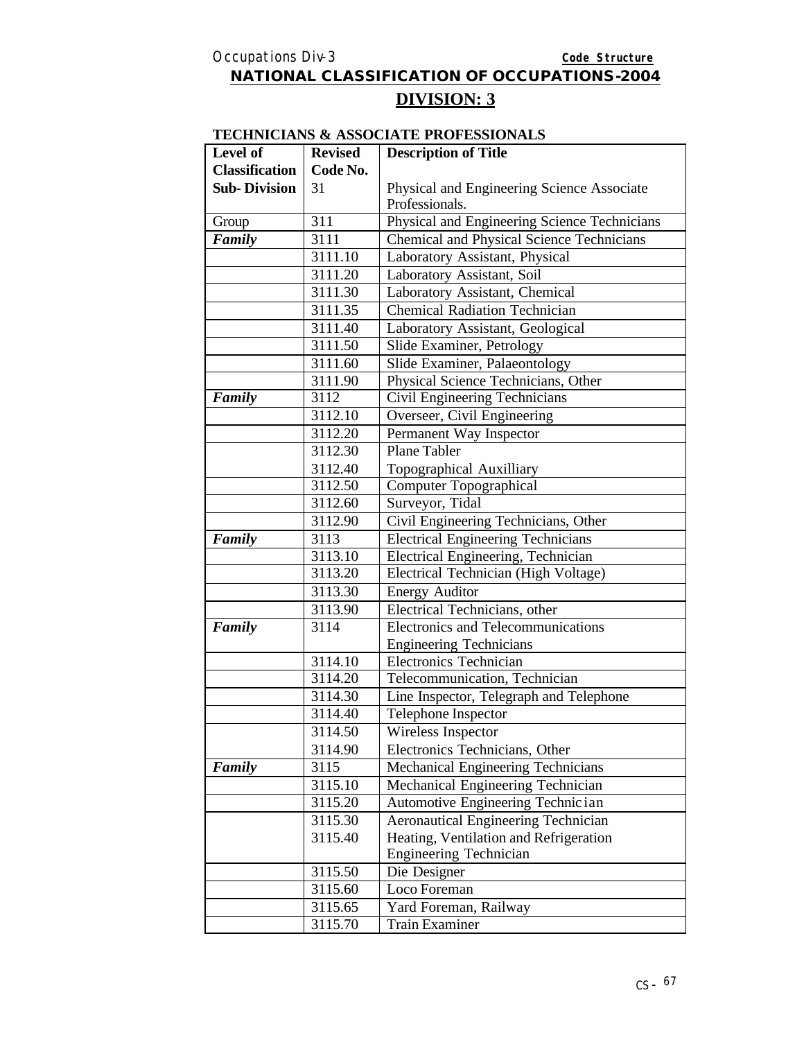#### **DIVISION: 3**

#### **TECHNICIANS & ASSOCIATE PROFESSIONALS**

| Level of              | <b>Revised</b> | <b>Description of Title</b>                  |
|-----------------------|----------------|----------------------------------------------|
| <b>Classification</b> | Code No.       |                                              |
| <b>Sub-Division</b>   | 31             | Physical and Engineering Science Associate   |
|                       |                | Professionals.                               |
| Group                 | 311            | Physical and Engineering Science Technicians |
| Family                | 3111           | Chemical and Physical Science Technicians    |
|                       | 3111.10        | Laboratory Assistant, Physical               |
|                       | 3111.20        | Laboratory Assistant, Soil                   |
|                       | 3111.30        | Laboratory Assistant, Chemical               |
|                       | 3111.35        | <b>Chemical Radiation Technician</b>         |
|                       | 3111.40        | Laboratory Assistant, Geological             |
|                       | 3111.50        | Slide Examiner, Petrology                    |
|                       | 3111.60        | Slide Examiner, Palaeontology                |
|                       | 3111.90        | Physical Science Technicians, Other          |
| Family                | 3112           | Civil Engineering Technicians                |
|                       | 3112.10        | Overseer, Civil Engineering                  |
|                       | 3112.20        | Permanent Way Inspector                      |
|                       | 3112.30        | Plane Tabler                                 |
|                       | 3112.40        | Topographical Auxilliary                     |
|                       | 3112.50        | Computer Topographical                       |
|                       | 3112.60        | Surveyor, Tidal                              |
|                       | 3112.90        | Civil Engineering Technicians, Other         |
| Family                | 3113           | <b>Electrical Engineering Technicians</b>    |
|                       | 3113.10        | Electrical Engineering, Technician           |
|                       | 3113.20        | Electrical Technician (High Voltage)         |
|                       | 3113.30        | <b>Energy Auditor</b>                        |
|                       | 3113.90        | Electrical Technicians, other                |
| Family                | 3114           | Electronics and Telecommunications           |
|                       |                | <b>Engineering Technicians</b>               |
|                       | 3114.10        | <b>Electronics Technician</b>                |
|                       | 3114.20        | Telecommunication, Technician                |
|                       | 3114.30        | Line Inspector, Telegraph and Telephone      |
|                       | 3114.40        | Telephone Inspector                          |
|                       | 3114.50        | Wireless Inspector                           |
|                       | 3114.90        | Electronics Technicians, Other               |
| Family                | 3115           | Mechanical Engineering Technicians           |
|                       | 3115.10        | Mechanical Engineering Technician            |
|                       | 3115.20        | Automotive Engineering Technic ian           |
|                       | 3115.30        | <b>Aeronautical Engineering Technician</b>   |
|                       | 3115.40        | Heating, Ventilation and Refrigeration       |
|                       |                | <b>Engineering Technician</b>                |
|                       | 3115.50        | Die Designer                                 |
|                       | 3115.60        | Loco Foreman                                 |
|                       | 3115.65        | Yard Foreman, Railway                        |
|                       | 3115.70        | <b>Train Examiner</b>                        |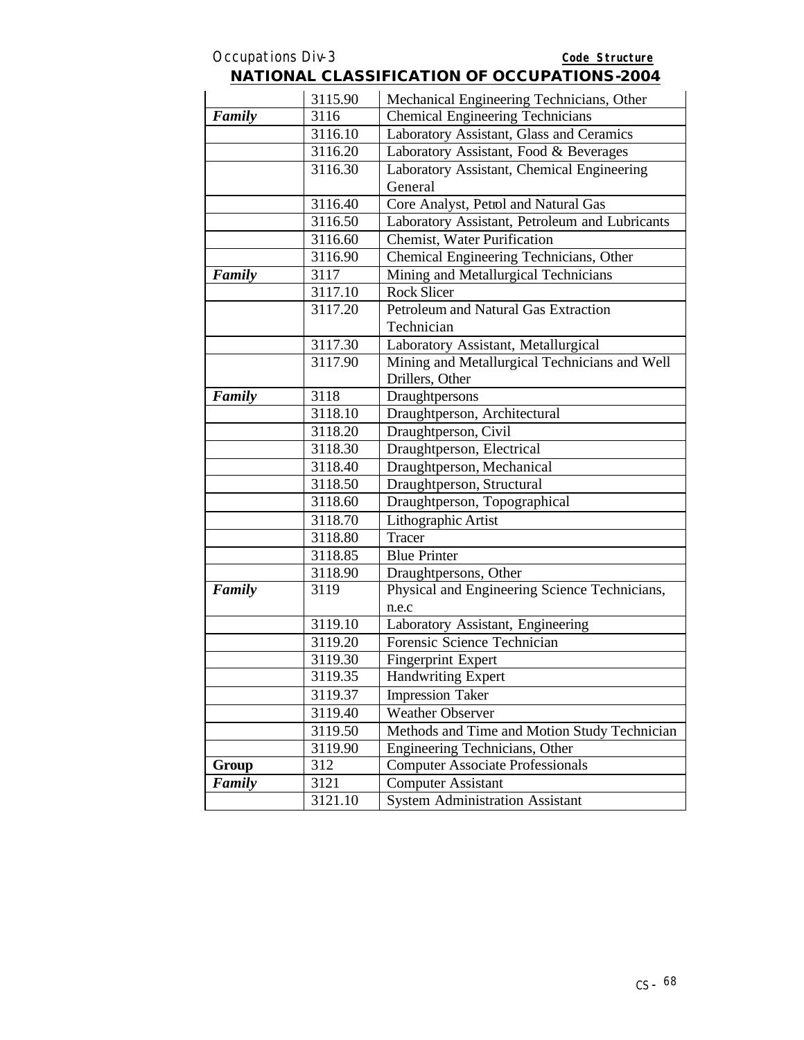#### Occupations Div-3 **Code Structure NATIONAL CLASSIFICATION OF OCCUPATIONS-2004**

|        | 3115.90 | Mechanical Engineering Technicians, Other      |
|--------|---------|------------------------------------------------|
| Family | 3116    | <b>Chemical Engineering Technicians</b>        |
|        | 3116.10 | Laboratory Assistant, Glass and Ceramics       |
|        | 3116.20 | Laboratory Assistant, Food & Beverages         |
|        | 3116.30 | Laboratory Assistant, Chemical Engineering     |
|        |         | General                                        |
|        | 3116.40 | Core Analyst, Petrol and Natural Gas           |
|        | 3116.50 | Laboratory Assistant, Petroleum and Lubricants |
|        | 3116.60 | <b>Chemist, Water Purification</b>             |
|        | 3116.90 | Chemical Engineering Technicians, Other        |
| Family | 3117    | Mining and Metallurgical Technicians           |
|        | 3117.10 | <b>Rock Slicer</b>                             |
|        | 3117.20 | Petroleum and Natural Gas Extraction           |
|        |         | Technician                                     |
|        | 3117.30 | Laboratory Assistant, Metallurgical            |
|        | 3117.90 | Mining and Metallurgical Technicians and Well  |
|        |         | Drillers, Other                                |
| Family | 3118    | Draughtpersons                                 |
|        | 3118.10 | Draughtperson, Architectural                   |
|        | 3118.20 | Draughtperson, Civil                           |
|        | 3118.30 | Draughtperson, Electrical                      |
|        | 3118.40 | Draughtperson, Mechanical                      |
|        | 3118.50 | Draughtperson, Structural                      |
|        | 3118.60 | Draughtperson, Topographical                   |
|        | 3118.70 | Lithographic Artist                            |
|        | 3118.80 | Tracer                                         |
|        | 3118.85 | <b>Blue Printer</b>                            |
|        | 3118.90 | Draughtpersons, Other                          |
| Family | 3119    | Physical and Engineering Science Technicians,  |
|        |         | n.e.c                                          |
|        | 3119.10 | Laboratory Assistant, Engineering              |
|        | 3119.20 | Forensic Science Technician                    |
|        | 3119.30 | <b>Fingerprint Expert</b>                      |
|        | 3119.35 | <b>Handwriting Expert</b>                      |
|        | 3119.37 | <b>Impression Taker</b>                        |
|        | 3119.40 | <b>Weather Observer</b>                        |
|        | 3119.50 | Methods and Time and Motion Study Technician   |
|        | 3119.90 | Engineering Technicians, Other                 |
| Group  | 312     | <b>Computer Associate Professionals</b>        |
| Family | 3121    | <b>Computer Assistant</b>                      |
|        | 3121.10 | <b>System Administration Assistant</b>         |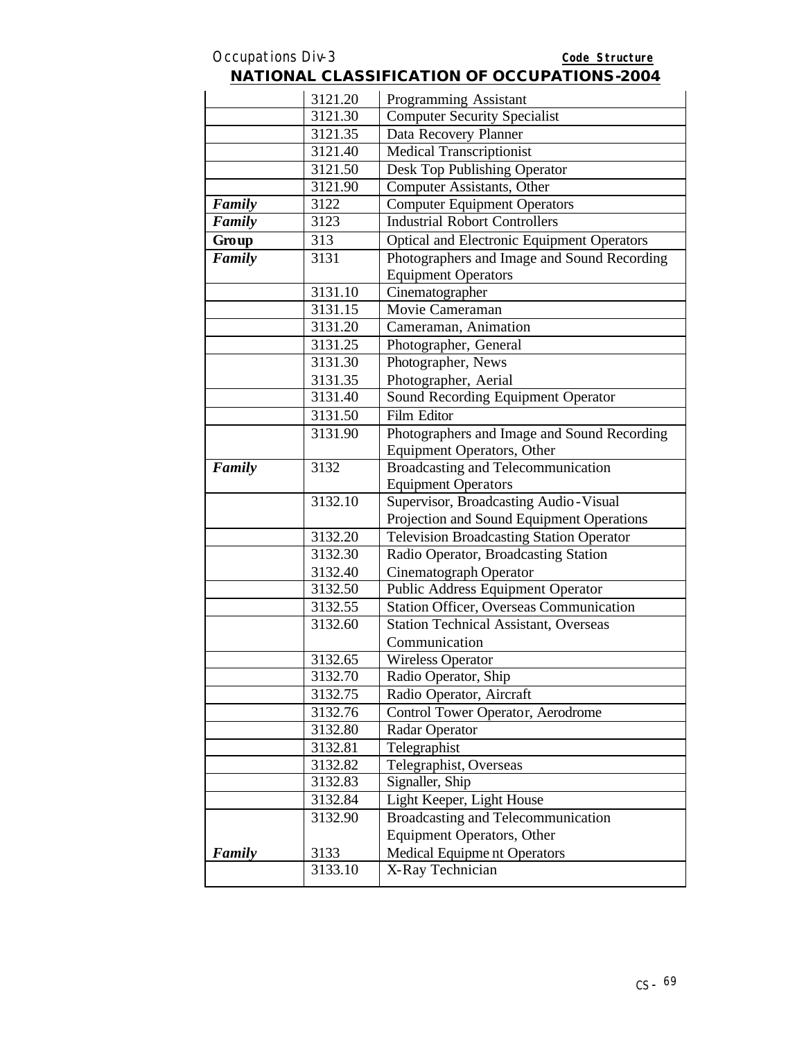|        | 3121.20 | <b>NATIONAL CLASSIFICATION OF OCCUPATIONS-2004</b><br>Programming Assistant |
|--------|---------|-----------------------------------------------------------------------------|
|        | 3121.30 | <b>Computer Security Specialist</b>                                         |
|        | 3121.35 |                                                                             |
|        |         | Data Recovery Planner                                                       |
|        | 3121.40 | <b>Medical Transcriptionist</b>                                             |
|        | 3121.50 | Desk Top Publishing Operator                                                |
|        | 3121.90 | Computer Assistants, Other                                                  |
| Family | 3122    | <b>Computer Equipment Operators</b>                                         |
| Family | 3123    | <b>Industrial Robort Controllers</b>                                        |
| Group  | 313     | <b>Optical and Electronic Equipment Operators</b>                           |
| Family | 3131    | Photographers and Image and Sound Recording<br><b>Equipment Operators</b>   |
|        | 3131.10 | Cinematographer                                                             |
|        | 3131.15 | Movie Cameraman                                                             |
|        | 3131.20 | Cameraman, Animation                                                        |
|        | 3131.25 | Photographer, General                                                       |
|        | 3131.30 | Photographer, News                                                          |
|        | 3131.35 | Photographer, Aerial                                                        |
|        | 3131.40 | Sound Recording Equipment Operator                                          |
|        | 3131.50 | Film Editor                                                                 |
|        | 3131.90 | Photographers and Image and Sound Recording                                 |
|        |         | <b>Equipment Operators, Other</b>                                           |
| Family | 3132    | Broadcasting and Telecommunication                                          |
|        |         | <b>Equipment Operators</b>                                                  |
|        | 3132.10 | Supervisor, Broadcasting Audio-Visual                                       |
|        |         | Projection and Sound Equipment Operations                                   |
|        | 3132.20 | <b>Television Broadcasting Station Operator</b>                             |
|        | 3132.30 | Radio Operator, Broadcasting Station                                        |
|        | 3132.40 | Cinematograph Operator                                                      |
|        | 3132.50 | Public Address Equipment Operator                                           |
|        | 3132.55 | <b>Station Officer, Overseas Communication</b>                              |
|        | 3132.60 | Station Technical Assistant, Overseas                                       |
|        |         | Communication                                                               |
|        | 3132.65 | <b>Wireless Operator</b>                                                    |
|        | 3132.70 | Radio Operator, Ship                                                        |
|        | 3132.75 | Radio Operator, Aircraft                                                    |
|        | 3132.76 | Control Tower Operator, Aerodrome                                           |
|        | 3132.80 | Radar Operator                                                              |
|        | 3132.81 | Telegraphist                                                                |
|        |         |                                                                             |
|        | 3132.82 | Telegraphist, Overseas<br>Signaller, Ship                                   |
|        | 3132.83 |                                                                             |
|        | 3132.84 | Light Keeper, Light House                                                   |
|        | 3132.90 | Broadcasting and Telecommunication                                          |
|        |         | <b>Equipment Operators, Other</b>                                           |
| Family | 3133    | <b>Medical Equipment Operators</b>                                          |
|        | 3133.10 | X-Ray Technician                                                            |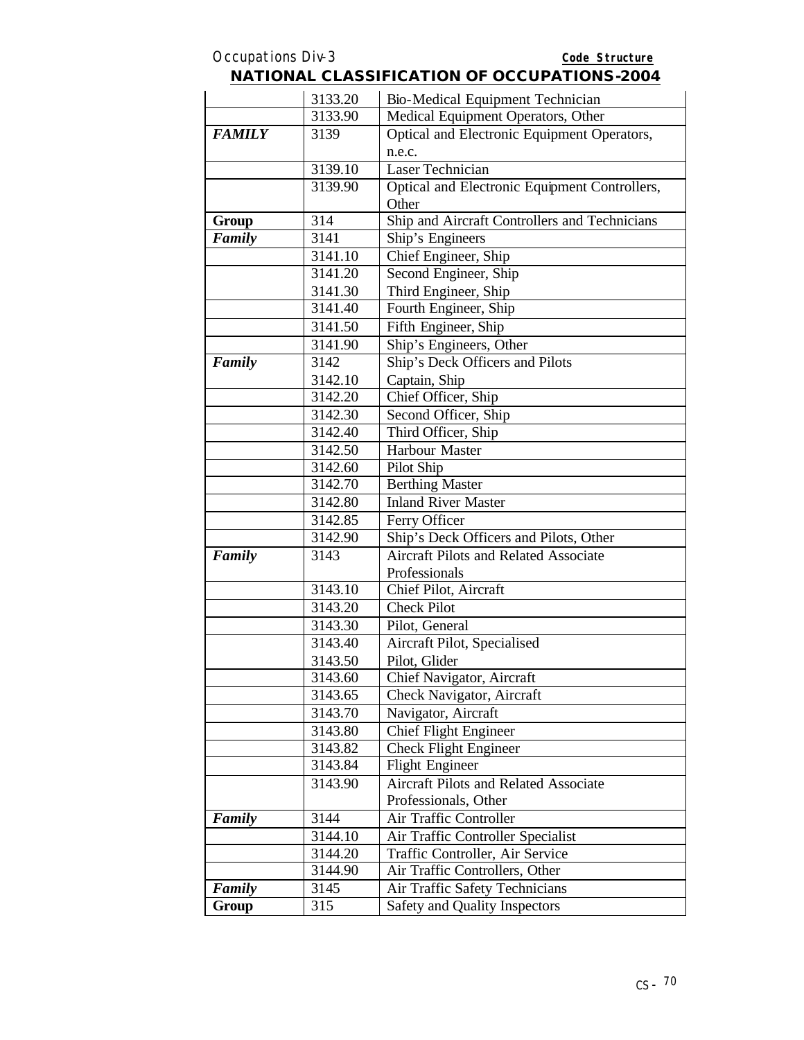|               | 3133.20 | Bio-Medical Equipment Technician              |
|---------------|---------|-----------------------------------------------|
|               | 3133.90 | Medical Equipment Operators, Other            |
| <b>FAMILY</b> | 3139    | Optical and Electronic Equipment Operators,   |
|               |         | n.e.c.                                        |
|               | 3139.10 | Laser Technician                              |
|               | 3139.90 | Optical and Electronic Equipment Controllers, |
|               |         | Other                                         |
| Group         | 314     | Ship and Aircraft Controllers and Technicians |
| Family        | 3141    | Ship's Engineers                              |
|               | 3141.10 | Chief Engineer, Ship                          |
|               | 3141.20 | Second Engineer, Ship                         |
|               | 3141.30 | Third Engineer, Ship                          |
|               | 3141.40 | Fourth Engineer, Ship                         |
|               | 3141.50 | Fifth Engineer, Ship                          |
|               | 3141.90 | Ship's Engineers, Other                       |
| Family        | 3142    | Ship's Deck Officers and Pilots               |
|               | 3142.10 | Captain, Ship                                 |
|               | 3142.20 | Chief Officer, Ship                           |
|               | 3142.30 | Second Officer, Ship                          |
|               | 3142.40 | Third Officer, Ship                           |
|               | 3142.50 | <b>Harbour Master</b>                         |
|               | 3142.60 | Pilot Ship                                    |
|               | 3142.70 | <b>Berthing Master</b>                        |
|               | 3142.80 | <b>Inland River Master</b>                    |
|               | 3142.85 | Ferry Officer                                 |
|               | 3142.90 | Ship's Deck Officers and Pilots, Other        |
| Family        | 3143    | <b>Aircraft Pilots and Related Associate</b>  |
|               |         | Professionals                                 |
|               | 3143.10 | Chief Pilot, Aircraft                         |
|               | 3143.20 | <b>Check Pilot</b>                            |
|               | 3143.30 | Pilot, General                                |
|               | 3143.40 | Aircraft Pilot, Specialised                   |
|               | 3143.50 | Pilot, Glider                                 |
|               | 3143.60 | Chief Navigator, Aircraft                     |
|               | 3143.65 | Check Navigator, Aircraft                     |
|               | 3143.70 | Navigator, Aircraft                           |
|               | 3143.80 | <b>Chief Flight Engineer</b>                  |
|               | 3143.82 | <b>Check Flight Engineer</b>                  |
|               | 3143.84 | <b>Flight Engineer</b>                        |
|               | 3143.90 | <b>Aircraft Pilots and Related Associate</b>  |
|               |         | Professionals, Other                          |
| Family        | 3144    | Air Traffic Controller                        |
|               | 3144.10 | Air Traffic Controller Specialist             |
|               | 3144.20 | Traffic Controller, Air Service               |
|               | 3144.90 | Air Traffic Controllers, Other                |
| Family        | 3145    | Air Traffic Safety Technicians                |
| Group         | 315     | Safety and Quality Inspectors                 |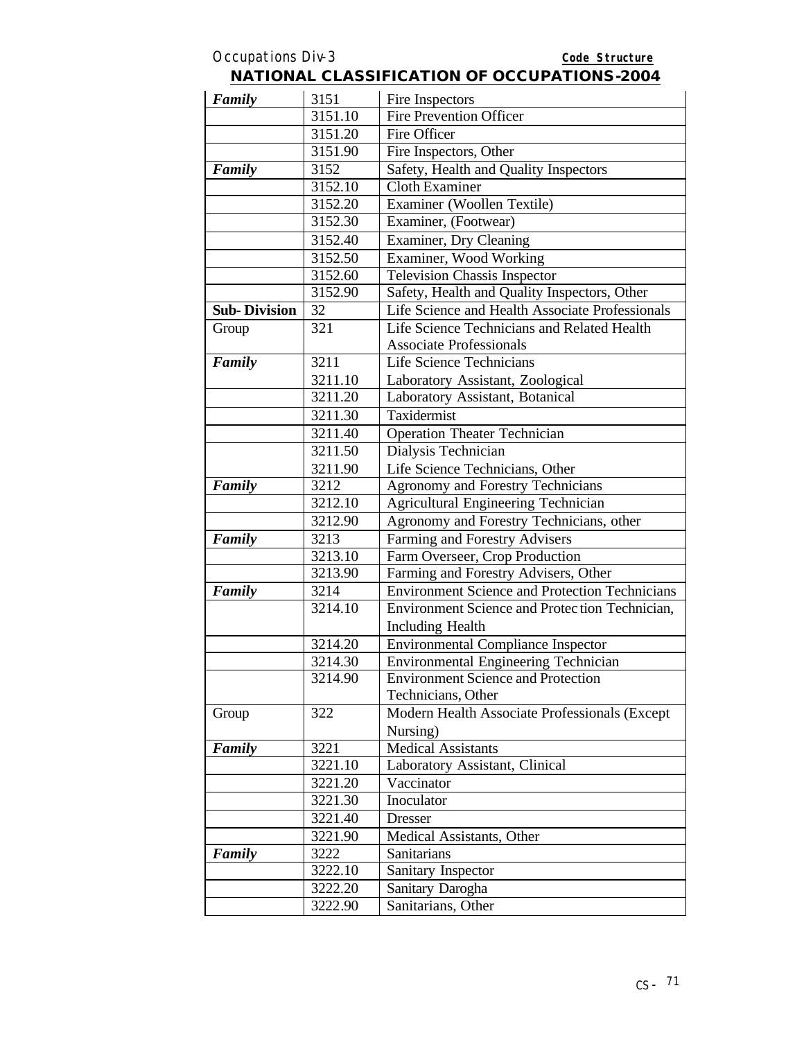| Family              | 3151    | Fire Inspectors                                       |
|---------------------|---------|-------------------------------------------------------|
|                     | 3151.10 | Fire Prevention Officer                               |
|                     | 3151.20 | Fire Officer                                          |
|                     | 3151.90 | Fire Inspectors, Other                                |
| Family              | 3152    | Safety, Health and Quality Inspectors                 |
|                     | 3152.10 | <b>Cloth Examiner</b>                                 |
|                     | 3152.20 | Examiner (Woollen Textile)                            |
|                     | 3152.30 | Examiner, (Footwear)                                  |
|                     | 3152.40 | Examiner, Dry Cleaning                                |
|                     | 3152.50 | Examiner, Wood Working                                |
|                     | 3152.60 | <b>Television Chassis Inspector</b>                   |
|                     | 3152.90 | Safety, Health and Quality Inspectors, Other          |
| <b>Sub-Division</b> | 32      | Life Science and Health Associate Professionals       |
| Group               | 321     | Life Science Technicians and Related Health           |
|                     |         | <b>Associate Professionals</b>                        |
| Family              | 3211    | Life Science Technicians                              |
|                     | 3211.10 | Laboratory Assistant, Zoological                      |
|                     | 3211.20 | Laboratory Assistant, Botanical                       |
|                     | 3211.30 | Taxidermist                                           |
|                     | 3211.40 | <b>Operation Theater Technician</b>                   |
|                     | 3211.50 | Dialysis Technician                                   |
|                     | 3211.90 | Life Science Technicians, Other                       |
| Family              | 3212    | <b>Agronomy and Forestry Technicians</b>              |
|                     | 3212.10 | <b>Agricultural Engineering Technician</b>            |
|                     | 3212.90 | Agronomy and Forestry Technicians, other              |
| Family              | 3213    | Farming and Forestry Advisers                         |
|                     | 3213.10 | Farm Overseer, Crop Production                        |
|                     | 3213.90 | Farming and Forestry Advisers, Other                  |
| Family              | 3214    | <b>Environment Science and Protection Technicians</b> |
|                     | 3214.10 | Environment Science and Protection Technician,        |
|                     |         | <b>Including Health</b>                               |
|                     | 3214.20 | <b>Environmental Compliance Inspector</b>             |
|                     | 3214.30 | Environmental Engineering Technician                  |
|                     | 3214.90 | <b>Environment Science and Protection</b>             |
|                     |         | Technicians, Other                                    |
| Group               | 322     | Modern Health Associate Professionals (Except         |
|                     |         | Nursing)                                              |
| Family              | 3221    | <b>Medical Assistants</b>                             |
|                     | 3221.10 | Laboratory Assistant, Clinical                        |
|                     | 3221.20 | Vaccinator                                            |
|                     | 3221.30 | Inoculator                                            |
|                     | 3221.40 | Dresser                                               |
|                     | 3221.90 | Medical Assistants, Other                             |
| Family              | 3222    | <b>Sanitarians</b>                                    |
|                     | 3222.10 | Sanitary Inspector                                    |
|                     | 3222.20 | Sanitary Darogha                                      |
|                     | 3222.90 | Sanitarians, Other                                    |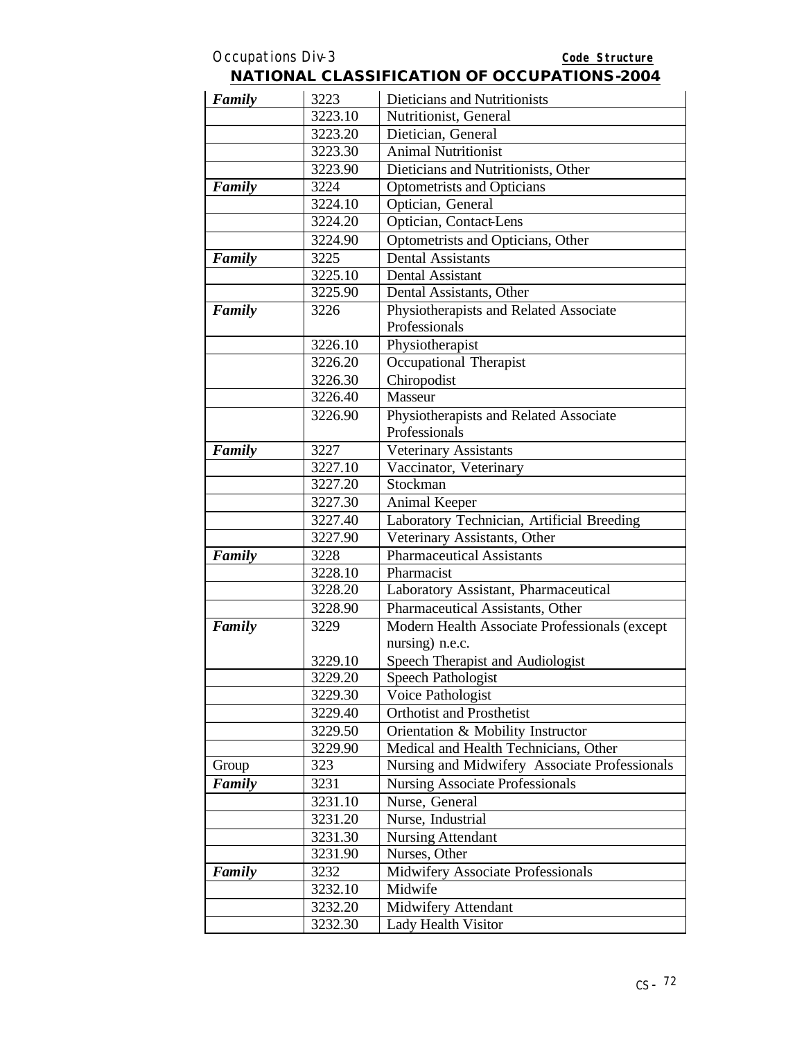#### Occupations Div-3 **Code Structure NATIONAL CLASSIFICATION OF OCCUPATIONS-2004** *Family* 3223 Dieticians and Nutritionists 3223.10 Nutritionist, General 3223.20 Dietician, General 3223.30 Animal Nutritionist 3223.90 Dieticians and Nutritionists, Other **Family** 3224 Optometrists and Opticians 3224.10 Optician, General 3224.20 Optician, Contact-Lens 3224.90 Optometrists and Opticians, Other **Family** 3225 Dental Assistants 3225.10 Dental Assistant 3225.90 Dental Assistants, Other **Family** 3226 Physiotherapists and Related Associate Professionals 3226.10 Physiotherapist 3226.20 Occupational Therapist 3226.30 Chiropodist 3226.40 Masseur 3226.90 Physiotherapists and Related Associate

| Family | 3226    | Physiotherapists and Related Associate        |
|--------|---------|-----------------------------------------------|
|        |         | Professionals                                 |
|        | 3226.10 | Physiotherapist                               |
|        | 3226.20 | Occupational Therapist                        |
|        | 3226.30 | Chiropodist                                   |
|        | 3226.40 | Masseur                                       |
|        | 3226.90 | Physiotherapists and Related Associate        |
|        |         | Professionals                                 |
| Family | 3227    | Veterinary Assistants                         |
|        | 3227.10 | Vaccinator, Veterinary                        |
|        | 3227.20 | Stockman                                      |
|        | 3227.30 | Animal Keeper                                 |
|        | 3227.40 | Laboratory Technician, Artificial Breeding    |
|        | 3227.90 | Veterinary Assistants, Other                  |
| Family | 3228    | <b>Pharmaceutical Assistants</b>              |
|        | 3228.10 | Pharmacist                                    |
|        | 3228.20 | Laboratory Assistant, Pharmaceutical          |
|        | 3228.90 | Pharmaceutical Assistants, Other              |
| Family | 3229    | Modern Health Associate Professionals (except |
|        |         | nursing) n.e.c.                               |
|        | 3229.10 | Speech Therapist and Audiologist              |
|        | 3229.20 | <b>Speech Pathologist</b>                     |
|        | 3229.30 | Voice Pathologist                             |
|        | 3229.40 | <b>Orthotist and Prosthetist</b>              |
|        | 3229.50 | Orientation & Mobility Instructor             |
|        | 3229.90 | Medical and Health Technicians, Other         |
| Group  | 323     | Nursing and Midwifery Associate Professionals |
| Family | 3231    | <b>Nursing Associate Professionals</b>        |
|        | 3231.10 | Nurse, General                                |
|        | 3231.20 | Nurse, Industrial                             |
|        | 3231.30 | <b>Nursing Attendant</b>                      |
|        | 3231.90 | Nurses, Other                                 |
| Family | 3232    | <b>Midwifery Associate Professionals</b>      |
|        | 3232.10 | Midwife                                       |
|        | 3232.20 | Midwifery Attendant                           |
|        | 3232.30 | Lady Health Visitor                           |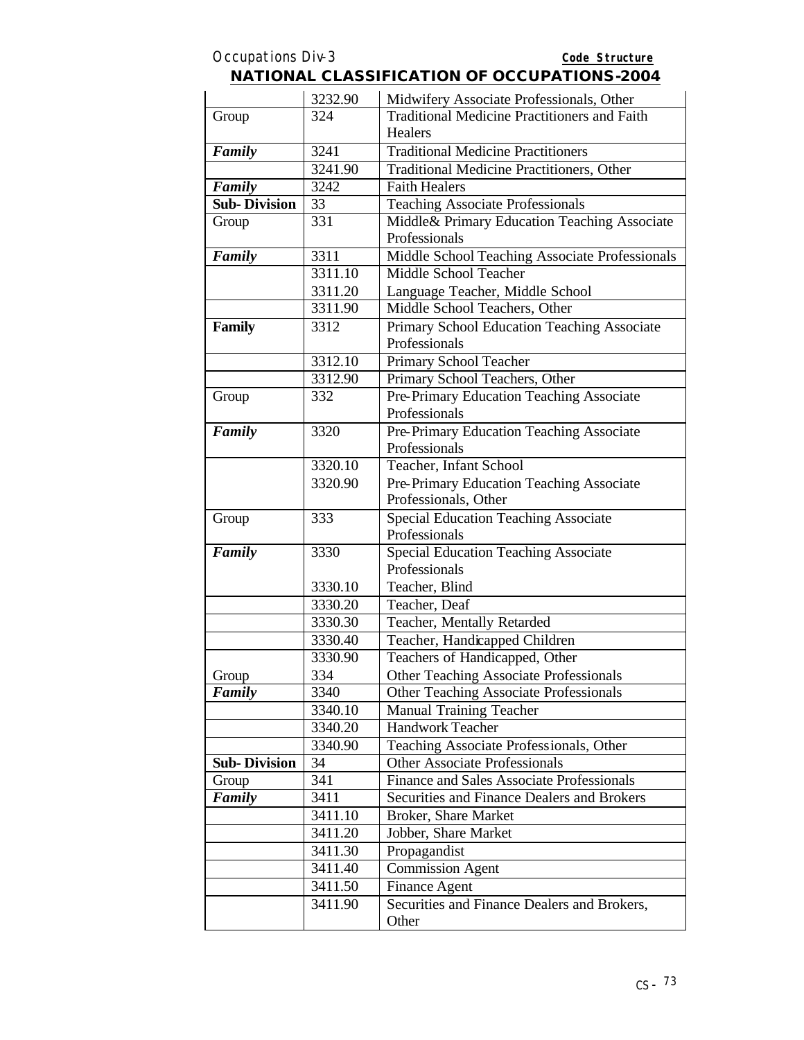|                     | 3232.90 | Midwifery Associate Professionals, Other            |
|---------------------|---------|-----------------------------------------------------|
| Group               | 324     | <b>Traditional Medicine Practitioners and Faith</b> |
|                     |         | Healers                                             |
| Family              | 3241    | <b>Traditional Medicine Practitioners</b>           |
|                     | 3241.90 | Traditional Medicine Practitioners, Other           |
| Family              | 3242    | <b>Faith Healers</b>                                |
| <b>Sub-Division</b> | 33      | <b>Teaching Associate Professionals</b>             |
| Group               | 331     | Middle& Primary Education Teaching Associate        |
|                     |         | Professionals                                       |
| Family              | 3311    | Middle School Teaching Associate Professionals      |
|                     | 3311.10 | Middle School Teacher                               |
|                     | 3311.20 | Language Teacher, Middle School                     |
|                     | 3311.90 | Middle School Teachers, Other                       |
| <b>Family</b>       | 3312    | Primary School Education Teaching Associate         |
|                     |         | Professionals                                       |
|                     | 3312.10 | Primary School Teacher                              |
|                     | 3312.90 | Primary School Teachers, Other                      |
| Group               | 332     | Pre-Primary Education Teaching Associate            |
|                     |         | Professionals                                       |
| Family              | 3320    | Pre-Primary Education Teaching Associate            |
|                     |         | Professionals                                       |
|                     | 3320.10 | Teacher, Infant School                              |
|                     | 3320.90 | Pre-Primary Education Teaching Associate            |
|                     |         | Professionals, Other                                |
| Group               | 333     | <b>Special Education Teaching Associate</b>         |
|                     |         | Professionals                                       |
| Family              | 3330    | Special Education Teaching Associate                |
|                     |         | Professionals                                       |
|                     | 3330.10 | Teacher, Blind                                      |
|                     | 3330.20 | Teacher, Deaf                                       |
|                     | 3330.30 | Teacher, Mentally Retarded                          |
|                     | 3330.40 | Teacher, Handicapped Children                       |
|                     | 3330.90 | Teachers of Handicapped, Other                      |
| Group               | 334     | <b>Other Teaching Associate Professionals</b>       |
| Family              | 3340    | <b>Other Teaching Associate Professionals</b>       |
|                     | 3340.10 | <b>Manual Training Teacher</b>                      |
|                     | 3340.20 | <b>Handwork Teacher</b>                             |
|                     | 3340.90 | Teaching Associate Professionals, Other             |
| <b>Sub-Division</b> | 34      | <b>Other Associate Professionals</b>                |
| Group               | 341     | Finance and Sales Associate Professionals           |
| Family              | 3411    | Securities and Finance Dealers and Brokers          |
|                     | 3411.10 | Broker, Share Market                                |
|                     | 3411.20 | Jobber, Share Market                                |
|                     | 3411.30 | Propagandist                                        |
|                     | 3411.40 | <b>Commission Agent</b>                             |
|                     | 3411.50 | Finance Agent                                       |
|                     | 3411.90 | Securities and Finance Dealers and Brokers,         |
|                     |         | Other                                               |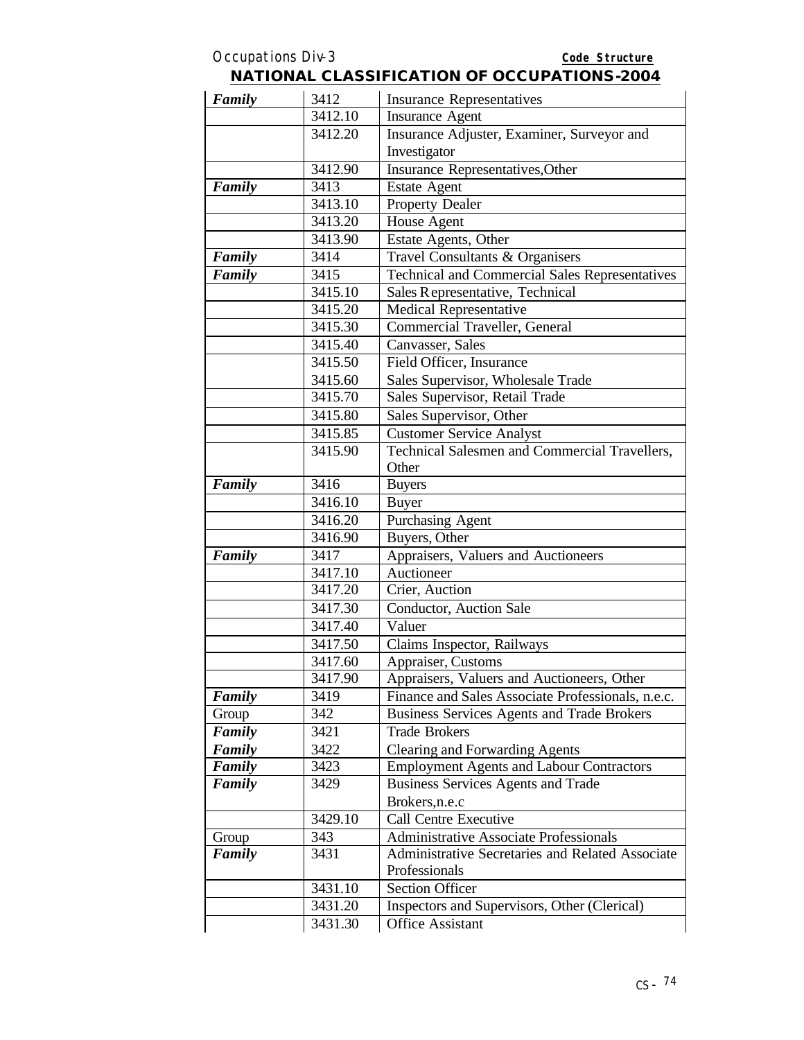| Family | 3412    | <b>Insurance Representatives</b>                      |
|--------|---------|-------------------------------------------------------|
|        | 3412.10 | <b>Insurance Agent</b>                                |
|        | 3412.20 | Insurance Adjuster, Examiner, Surveyor and            |
|        |         | Investigator                                          |
|        | 3412.90 | <b>Insurance Representatives, Other</b>               |
| Family | 3413    | <b>Estate Agent</b>                                   |
|        | 3413.10 | Property Dealer                                       |
|        | 3413.20 | House Agent                                           |
|        | 3413.90 | Estate Agents, Other                                  |
| Family | 3414    | Travel Consultants & Organisers                       |
| Family | 3415    | <b>Technical and Commercial Sales Representatives</b> |
|        | 3415.10 | Sales Representative, Technical                       |
|        | 3415.20 | Medical Representative                                |
|        | 3415.30 | Commercial Traveller, General                         |
|        | 3415.40 | Canvasser, Sales                                      |
|        | 3415.50 | Field Officer, Insurance                              |
|        | 3415.60 | Sales Supervisor, Wholesale Trade                     |
|        | 3415.70 | Sales Supervisor, Retail Trade                        |
|        | 3415.80 | Sales Supervisor, Other                               |
|        | 3415.85 | <b>Customer Service Analyst</b>                       |
|        | 3415.90 | Technical Salesmen and Commercial Travellers,         |
|        |         | Other                                                 |
| Family | 3416    | <b>Buyers</b>                                         |
|        | 3416.10 | <b>Buyer</b>                                          |
|        | 3416.20 | Purchasing Agent                                      |
|        | 3416.90 | Buyers, Other                                         |
| Family | 3417    | Appraisers, Valuers and Auctioneers                   |
|        | 3417.10 | Auctioneer                                            |
|        | 3417.20 | Crier, Auction                                        |
|        | 3417.30 | Conductor, Auction Sale                               |
|        | 3417.40 | Valuer                                                |
|        | 3417.50 | Claims Inspector, Railways                            |
|        | 3417.60 | Appraiser, Customs                                    |
|        | 3417.90 | Appraisers, Valuers and Auctioneers, Other            |
| Family | 3419    | Finance and Sales Associate Professionals, n.e.c.     |
| Group  | 342     | <b>Business Services Agents and Trade Brokers</b>     |
| Family | 3421    | <b>Trade Brokers</b>                                  |
| Family | 3422    | <b>Clearing and Forwarding Agents</b>                 |
| Family | 3423    | <b>Employment Agents and Labour Contractors</b>       |
| Family | 3429    | <b>Business Services Agents and Trade</b>             |
|        |         | Brokers, n.e.c                                        |
|        | 3429.10 | Call Centre Executive                                 |
| Group  | 343     | <b>Administrative Associate Professionals</b>         |
| Family | 3431    | Administrative Secretaries and Related Associate      |
|        |         | Professionals                                         |
|        | 3431.10 | <b>Section Officer</b>                                |
|        | 3431.20 | Inspectors and Supervisors, Other (Clerical)          |
|        | 3431.30 | Office Assistant                                      |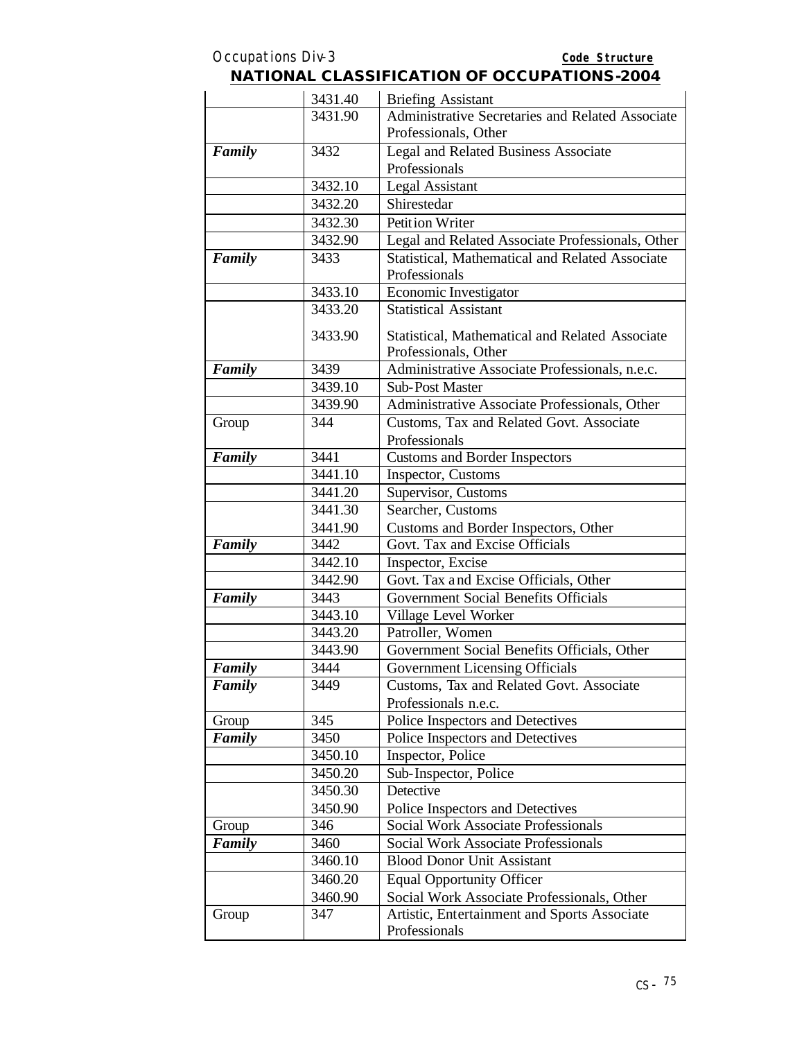| <b>NATIONAL CLASSIFICATION OF OCCUPATIONS-2004</b> |
|----------------------------------------------------|
|----------------------------------------------------|

|        | 3431.40 | <b>Briefing Assistant</b>                                               |
|--------|---------|-------------------------------------------------------------------------|
|        | 3431.90 | Administrative Secretaries and Related Associate                        |
|        |         | Professionals, Other                                                    |
| Family | 3432    | Legal and Related Business Associate                                    |
|        |         | Professionals                                                           |
|        | 3432.10 | <b>Legal Assistant</b>                                                  |
|        | 3432.20 | Shirestedar                                                             |
|        | 3432.30 | Petition Writer                                                         |
|        | 3432.90 | Legal and Related Associate Professionals, Other                        |
| Family | 3433    | Statistical, Mathematical and Related Associate                         |
|        |         | Professionals                                                           |
|        | 3433.10 | <b>Economic Investigator</b>                                            |
|        | 3433.20 | <b>Statistical Assistant</b>                                            |
|        | 3433.90 | Statistical, Mathematical and Related Associate                         |
|        |         | Professionals, Other                                                    |
| Family | 3439    | Administrative Associate Professionals, n.e.c.                          |
|        | 3439.10 | <b>Sub-Post Master</b>                                                  |
|        | 3439.90 | Administrative Associate Professionals, Other                           |
| Group  | 344     | Customs, Tax and Related Govt. Associate                                |
|        |         | Professionals                                                           |
| Family | 3441    | <b>Customs and Border Inspectors</b>                                    |
|        | 3441.10 | Inspector, Customs                                                      |
|        | 3441.20 | Supervisor, Customs                                                     |
|        | 3441.30 | Searcher, Customs                                                       |
|        | 3441.90 | Customs and Border Inspectors, Other                                    |
| Family | 3442    | Govt. Tax and Excise Officials                                          |
|        | 3442.10 | Inspector, Excise                                                       |
|        | 3442.90 | Govt. Tax and Excise Officials, Other                                   |
| Family | 3443    | Government Social Benefits Officials                                    |
|        | 3443.10 | Village Level Worker                                                    |
|        | 3443.20 | Patroller, Women                                                        |
|        | 3443.90 | Government Social Benefits Officials, Other                             |
| Family | 3444    | <b>Government Licensing Officials</b>                                   |
| Family | 3449    | Customs, Tax and Related Govt. Associate                                |
|        |         | Professionals n.e.c.                                                    |
| Group  | 345     | Police Inspectors and Detectives                                        |
| Family | 3450    | Police Inspectors and Detectives                                        |
|        | 3450.10 | Inspector, Police                                                       |
|        | 3450.20 | Sub-Inspector, Police                                                   |
|        | 3450.30 | Detective                                                               |
|        | 3450.90 | Police Inspectors and Detectives<br>Social Work Associate Professionals |
| Group  | 346     |                                                                         |
| Family | 3460    | Social Work Associate Professionals                                     |
|        | 3460.10 | <b>Blood Donor Unit Assistant</b>                                       |
|        | 3460.20 | <b>Equal Opportunity Officer</b>                                        |
|        | 3460.90 | Social Work Associate Professionals, Other                              |
| Group  | 347     | Artistic, Entertainment and Sports Associate<br>Professionals           |
|        |         |                                                                         |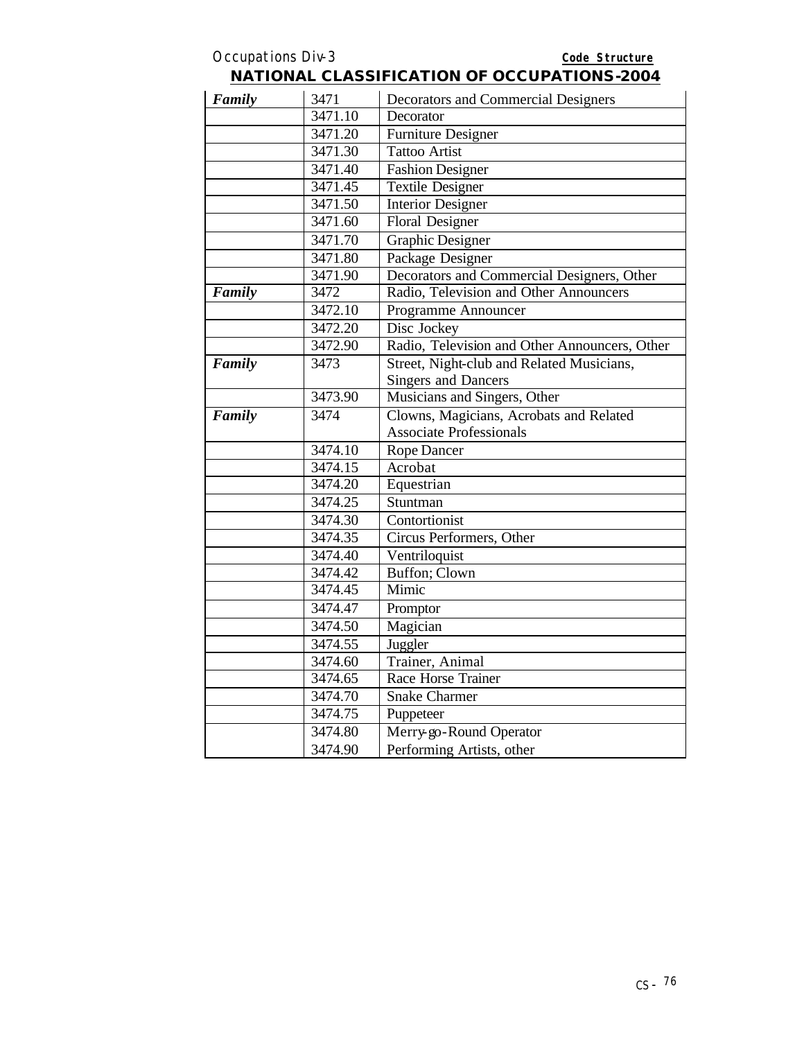| Family | 3471    | Decorators and Commercial Designers           |
|--------|---------|-----------------------------------------------|
|        | 3471.10 | Decorator                                     |
|        | 3471.20 | <b>Furniture Designer</b>                     |
|        | 3471.30 | <b>Tattoo Artist</b>                          |
|        | 3471.40 | <b>Fashion Designer</b>                       |
|        | 3471.45 | <b>Textile Designer</b>                       |
|        | 3471.50 | <b>Interior Designer</b>                      |
|        | 3471.60 | <b>Floral Designer</b>                        |
|        | 3471.70 | <b>Graphic Designer</b>                       |
|        | 3471.80 | Package Designer                              |
|        | 3471.90 | Decorators and Commercial Designers, Other    |
| Family | 3472    | Radio, Television and Other Announcers        |
|        | 3472.10 | Programme Announcer                           |
|        | 3472.20 | Disc Jockey                                   |
|        | 3472.90 | Radio, Television and Other Announcers, Other |
| Family | 3473    | Street, Night-club and Related Musicians,     |
|        |         | <b>Singers and Dancers</b>                    |
|        | 3473.90 | Musicians and Singers, Other                  |
| Family | 3474    | Clowns, Magicians, Acrobats and Related       |
|        |         | <b>Associate Professionals</b>                |
|        | 3474.10 | <b>Rope Dancer</b>                            |
|        | 3474.15 | Acrobat                                       |
|        | 3474.20 | Equestrian                                    |
|        | 3474.25 | Stuntman                                      |
|        | 3474.30 | Contortionist                                 |
|        | 3474.35 | Circus Performers, Other                      |
|        | 3474.40 | Ventriloquist                                 |
|        | 3474.42 | Buffon; Clown                                 |
|        | 3474.45 | Mimic                                         |
|        | 3474.47 | Promptor                                      |
|        | 3474.50 | Magician                                      |
|        | 3474.55 | Juggler                                       |
|        | 3474.60 | Trainer, Animal                               |
|        | 3474.65 | Race Horse Trainer                            |
|        | 3474.70 | <b>Snake Charmer</b>                          |
|        | 3474.75 | Puppeteer                                     |
|        | 3474.80 | Merry go-Round Operator                       |
|        | 3474.90 | Performing Artists, other                     |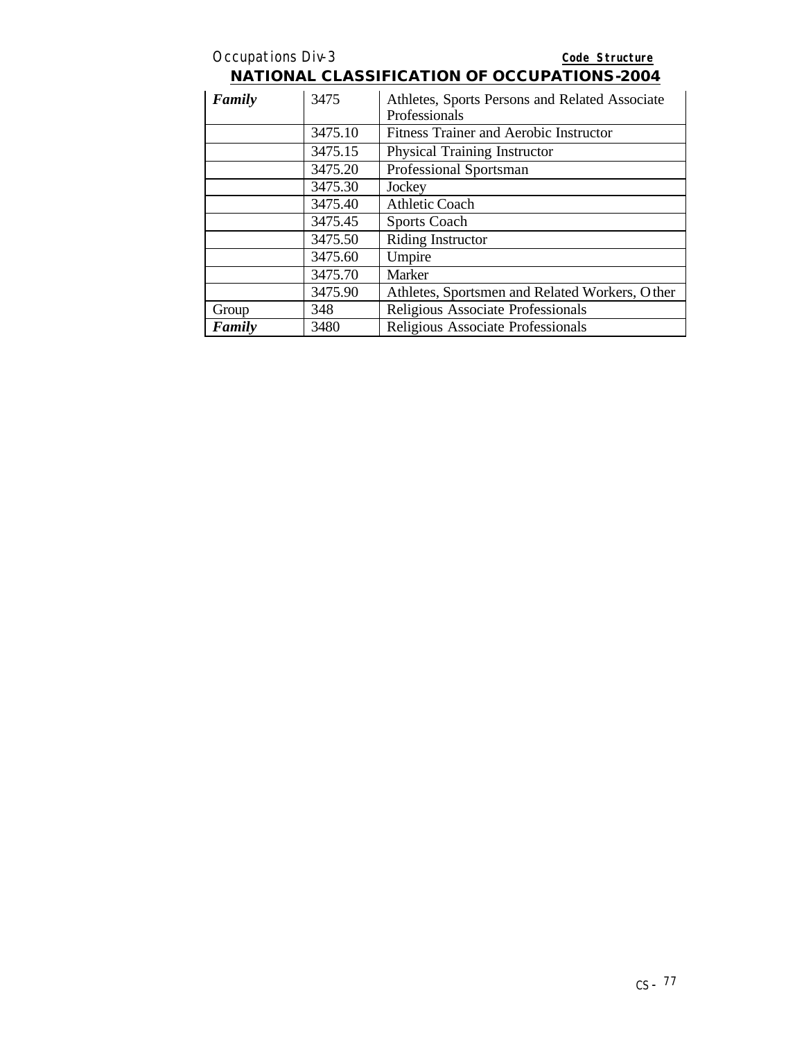| <b>Occupations Div-3</b> |         | Code Structure                                                  |
|--------------------------|---------|-----------------------------------------------------------------|
|                          |         | <b>NATIONAL CLASSIFICATION OF OCCUPATIONS-2004</b>              |
| Family                   | 3475    | Athletes, Sports Persons and Related Associate<br>Professionals |
|                          | 3475.10 | Fitness Trainer and Aerobic Instructor                          |
|                          | 3475.15 | Physical Training Instructor                                    |
|                          | 3475.20 | Professional Sportsman                                          |
|                          | 3475.30 | Jockey                                                          |
|                          | 3475.40 | <b>Athletic Coach</b>                                           |
|                          | 3475.45 | Sports Coach                                                    |
|                          | 3475.50 | Riding Instructor                                               |
|                          | 3475.60 | Umpire                                                          |
|                          | 3475.70 | Marker                                                          |
|                          | 3475.90 | Athletes, Sportsmen and Related Workers, Other                  |
| Group                    | 348     | Religious Associate Professionals                               |
| Family                   | 3480    | Religious Associate Professionals                               |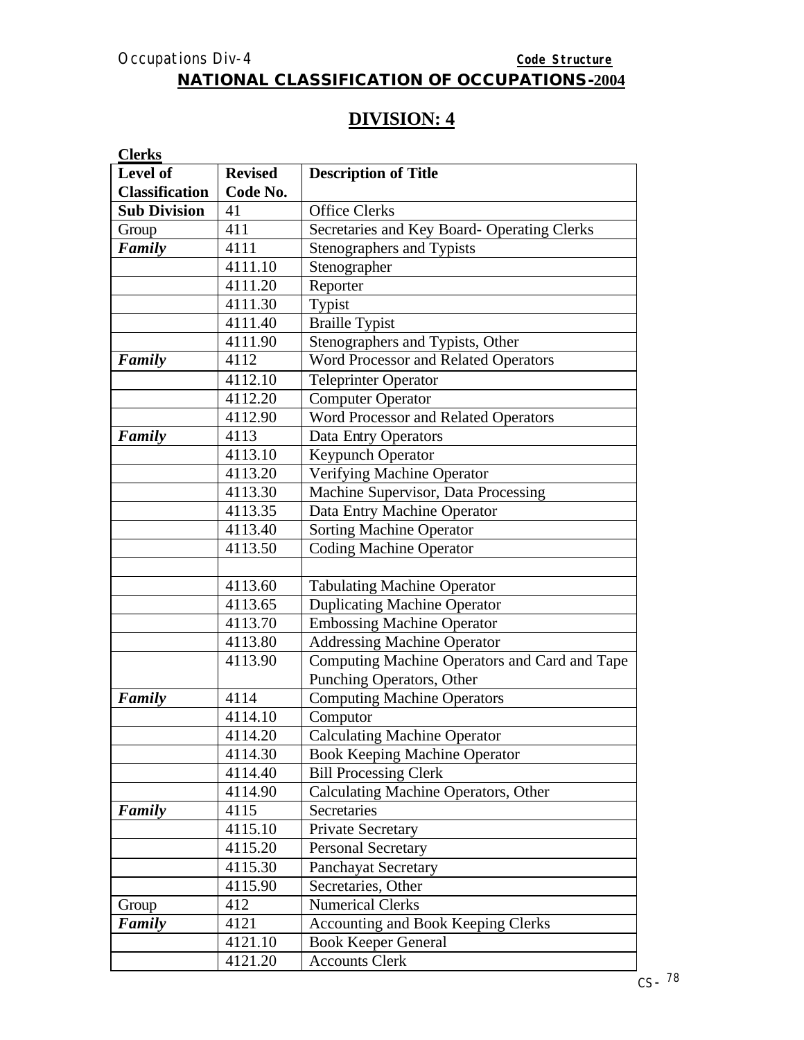# **DIVISION: 4**

| <b>Clerks</b>         |                |                                               |
|-----------------------|----------------|-----------------------------------------------|
| Level of              | <b>Revised</b> | <b>Description of Title</b>                   |
| <b>Classification</b> | Code No.       |                                               |
| <b>Sub Division</b>   | 41             | <b>Office Clerks</b>                          |
| Group                 | 411            | Secretaries and Key Board- Operating Clerks   |
| Family                | 4111           | Stenographers and Typists                     |
|                       | 4111.10        | Stenographer                                  |
|                       | 4111.20        | Reporter                                      |
|                       | 4111.30        | Typist                                        |
|                       | 4111.40        | <b>Braille Typist</b>                         |
|                       | 4111.90        | Stenographers and Typists, Other              |
| Family                | 4112           | Word Processor and Related Operators          |
|                       | 4112.10        | <b>Teleprinter Operator</b>                   |
|                       | 4112.20        | <b>Computer Operator</b>                      |
|                       | 4112.90        | Word Processor and Related Operators          |
| Family                | 4113           | Data Entry Operators                          |
|                       | 4113.10        | <b>Keypunch Operator</b>                      |
|                       | 4113.20        | Verifying Machine Operator                    |
|                       | 4113.30        | Machine Supervisor, Data Processing           |
|                       | 4113.35        | Data Entry Machine Operator                   |
|                       | 4113.40        | <b>Sorting Machine Operator</b>               |
|                       | 4113.50        | <b>Coding Machine Operator</b>                |
|                       |                |                                               |
|                       | 4113.60        | <b>Tabulating Machine Operator</b>            |
|                       | 4113.65        | <b>Duplicating Machine Operator</b>           |
|                       | 4113.70        | <b>Embossing Machine Operator</b>             |
|                       | 4113.80        | <b>Addressing Machine Operator</b>            |
|                       | 4113.90        | Computing Machine Operators and Card and Tape |
|                       |                | Punching Operators, Other                     |
| Family                | 4114           | <b>Computing Machine Operators</b>            |
|                       | 4114.10        | Computor                                      |
|                       | 4114.20        | Calculating Machine Operator                  |
|                       | 4114.30        | <b>Book Keeping Machine Operator</b>          |
|                       | 4114.40        | <b>Bill Processing Clerk</b>                  |
|                       | 4114.90        | Calculating Machine Operators, Other          |
| Family                | 4115           | Secretaries                                   |
|                       | 4115.10        | Private Secretary                             |
|                       | 4115.20        | <b>Personal Secretary</b>                     |
|                       | 4115.30        | Panchayat Secretary                           |
|                       | 4115.90        | Secretaries, Other                            |
| Group                 | 412            | <b>Numerical Clerks</b>                       |
| Family                | 4121           | <b>Accounting and Book Keeping Clerks</b>     |
|                       | 4121.10        | <b>Book Keeper General</b>                    |
|                       | 4121.20        | <b>Accounts Clerk</b>                         |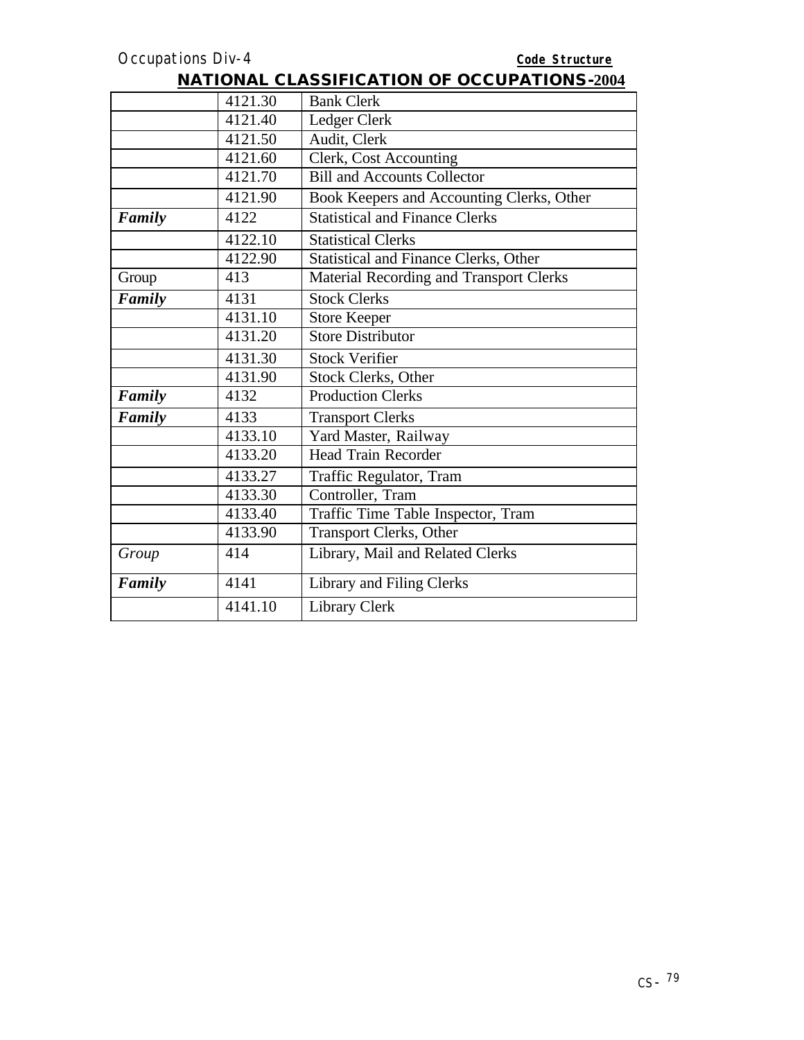|        | 4121.30 | <b>Bank Clerk</b>                            |
|--------|---------|----------------------------------------------|
|        | 4121.40 | Ledger Clerk                                 |
|        | 4121.50 | Audit, Clerk                                 |
|        | 4121.60 | Clerk, Cost Accounting                       |
|        | 4121.70 | <b>Bill and Accounts Collector</b>           |
|        | 4121.90 | Book Keepers and Accounting Clerks, Other    |
| Family | 4122    | <b>Statistical and Finance Clerks</b>        |
|        | 4122.10 | <b>Statistical Clerks</b>                    |
|        | 4122.90 | <b>Statistical and Finance Clerks, Other</b> |
| Group  | 413     | Material Recording and Transport Clerks      |
| Family | 4131    | <b>Stock Clerks</b>                          |
|        | 4131.10 | <b>Store Keeper</b>                          |
|        | 4131.20 | <b>Store Distributor</b>                     |
|        | 4131.30 | <b>Stock Verifier</b>                        |
|        | 4131.90 | <b>Stock Clerks, Other</b>                   |
| Family | 4132    | <b>Production Clerks</b>                     |
| Family | 4133    | <b>Transport Clerks</b>                      |
|        | 4133.10 | Yard Master, Railway                         |
|        | 4133.20 | <b>Head Train Recorder</b>                   |
|        | 4133.27 | Traffic Regulator, Tram                      |
|        | 4133.30 | Controller, Tram                             |
|        | 4133.40 | Traffic Time Table Inspector, Tram           |
|        | 4133.90 | <b>Transport Clerks, Other</b>               |
| Group  | 414     | Library, Mail and Related Clerks             |
| Family | 4141    | Library and Filing Clerks                    |
|        | 4141.10 | <b>Library Clerk</b>                         |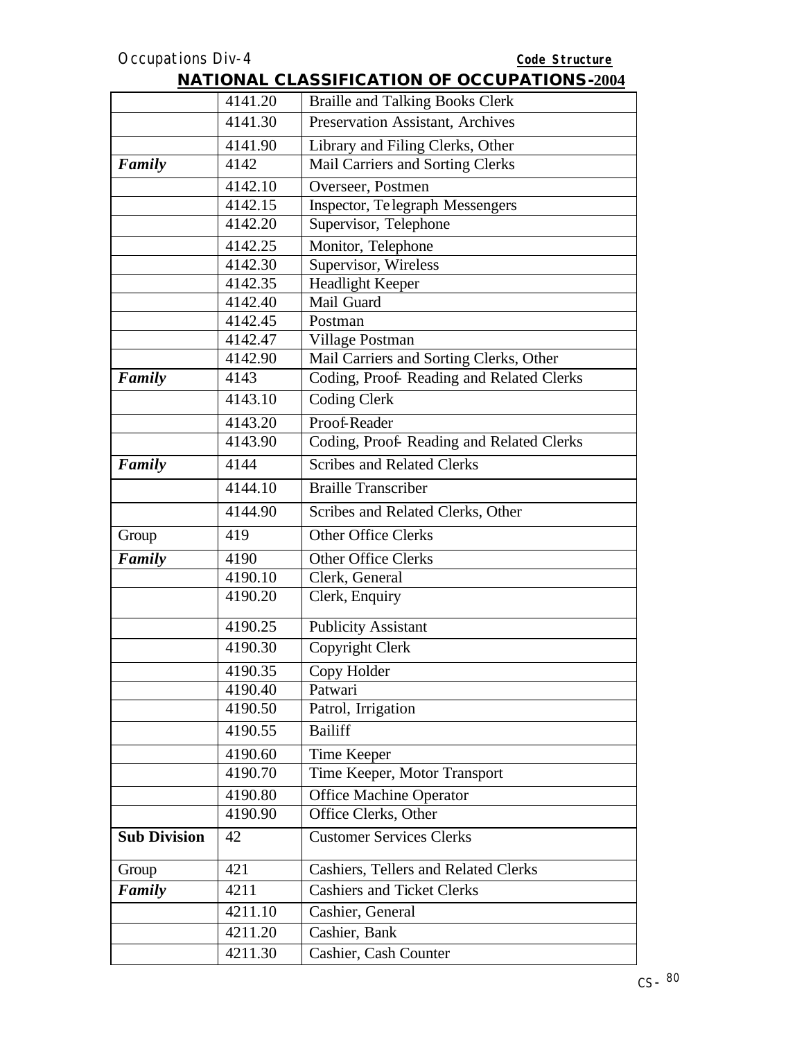|                     |         | <b>INATIONAL CLASSIFICATION OF OCCUPATIONS-2004</b> |
|---------------------|---------|-----------------------------------------------------|
|                     | 4141.20 | <b>Braille and Talking Books Clerk</b>              |
|                     | 4141.30 | Preservation Assistant, Archives                    |
|                     | 4141.90 | Library and Filing Clerks, Other                    |
| Family              | 4142    | Mail Carriers and Sorting Clerks                    |
|                     | 4142.10 | Overseer, Postmen                                   |
|                     | 4142.15 | Inspector, Te legraph Messengers                    |
|                     | 4142.20 | Supervisor, Telephone                               |
|                     | 4142.25 | Monitor, Telephone                                  |
|                     | 4142.30 | Supervisor, Wireless                                |
|                     | 4142.35 | Headlight Keeper                                    |
|                     | 4142.40 | Mail Guard                                          |
|                     | 4142.45 | Postman                                             |
|                     | 4142.47 | Village Postman                                     |
|                     | 4142.90 | Mail Carriers and Sorting Clerks, Other             |
| Family              | 4143    | Coding, Proof-Reading and Related Clerks            |
|                     | 4143.10 | <b>Coding Clerk</b>                                 |
|                     | 4143.20 | Proof-Reader                                        |
|                     | 4143.90 | Coding, Proof-Reading and Related Clerks            |
| Family              | 4144    | <b>Scribes and Related Clerks</b>                   |
|                     | 4144.10 | <b>Braille Transcriber</b>                          |
|                     | 4144.90 | Scribes and Related Clerks, Other                   |
| Group               | 419     | <b>Other Office Clerks</b>                          |
| Family              | 4190    | <b>Other Office Clerks</b>                          |
|                     | 4190.10 | Clerk, General                                      |
|                     | 4190.20 | Clerk, Enquiry                                      |
|                     | 4190.25 | <b>Publicity Assistant</b>                          |
|                     | 4190.30 | Copyright Clerk                                     |
|                     | 4190.35 | Copy Holder                                         |
|                     | 4190.40 | Patwari                                             |
|                     | 4190.50 | Patrol, Irrigation                                  |
|                     | 4190.55 | <b>Bailiff</b>                                      |
|                     | 4190.60 | Time Keeper                                         |
|                     | 4190.70 | Time Keeper, Motor Transport                        |
|                     | 4190.80 | <b>Office Machine Operator</b>                      |
|                     | 4190.90 | Office Clerks, Other                                |
| <b>Sub Division</b> | 42      | <b>Customer Services Clerks</b>                     |
| Group               | 421     | <b>Cashiers, Tellers and Related Clerks</b>         |
| Family              | 4211    | Cashiers and Ticket Clerks                          |
|                     | 4211.10 | Cashier, General                                    |
|                     | 4211.20 | Cashier, Bank                                       |
|                     | 4211.30 | Cashier, Cash Counter                               |
|                     |         |                                                     |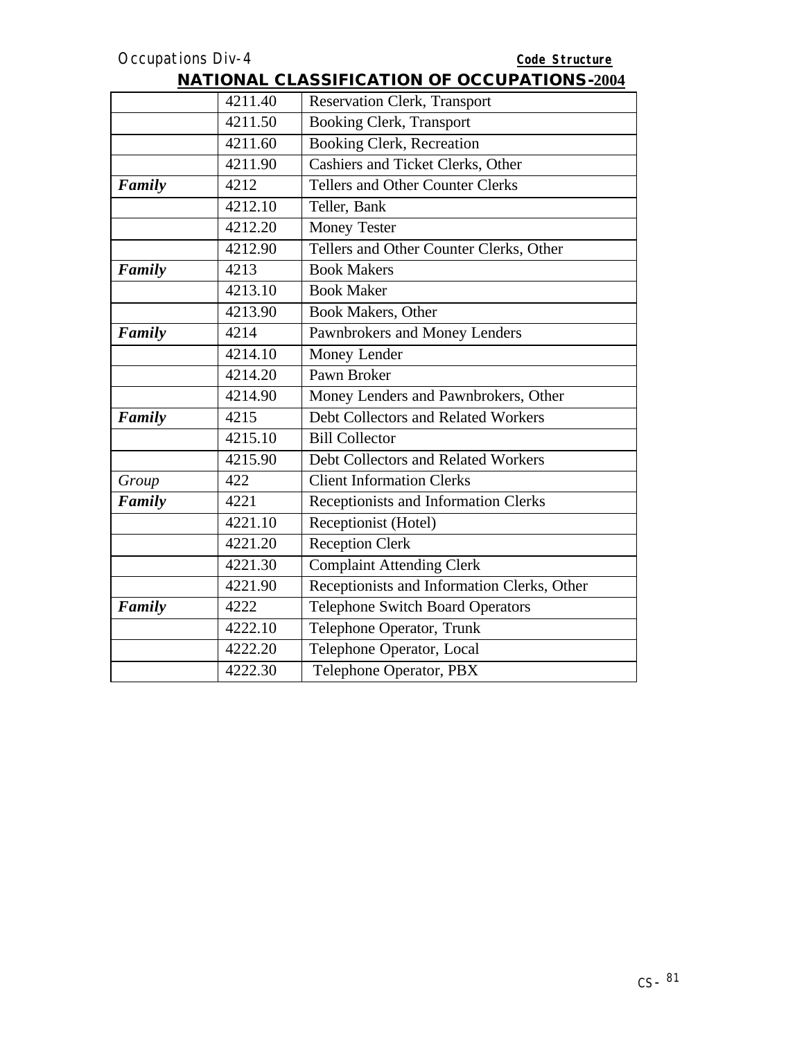|        | 4211.40 | Reservation Clerk, Transport                |
|--------|---------|---------------------------------------------|
|        | 4211.50 | <b>Booking Clerk, Transport</b>             |
|        | 4211.60 | Booking Clerk, Recreation                   |
|        | 4211.90 | Cashiers and Ticket Clerks, Other           |
| Family | 4212    | <b>Tellers and Other Counter Clerks</b>     |
|        | 4212.10 | Teller, Bank                                |
|        | 4212.20 | <b>Money Tester</b>                         |
|        | 4212.90 | Tellers and Other Counter Clerks, Other     |
| Family | 4213    | <b>Book Makers</b>                          |
|        | 4213.10 | <b>Book Maker</b>                           |
|        | 4213.90 | Book Makers, Other                          |
| Family | 4214    | Pawnbrokers and Money Lenders               |
|        | 4214.10 | Money Lender                                |
|        | 4214.20 | Pawn Broker                                 |
|        | 4214.90 | Money Lenders and Pawnbrokers, Other        |
| Family | 4215    | Debt Collectors and Related Workers         |
|        | 4215.10 | <b>Bill Collector</b>                       |
|        | 4215.90 | Debt Collectors and Related Workers         |
| Group  | 422     | <b>Client Information Clerks</b>            |
| Family | 4221    | Receptionists and Information Clerks        |
|        | 4221.10 | Receptionist (Hotel)                        |
|        | 4221.20 | <b>Reception Clerk</b>                      |
|        | 4221.30 | <b>Complaint Attending Clerk</b>            |
|        | 4221.90 | Receptionists and Information Clerks, Other |
| Family | 4222    | <b>Telephone Switch Board Operators</b>     |
|        | 4222.10 | Telephone Operator, Trunk                   |
|        | 4222.20 | Telephone Operator, Local                   |
|        | 4222.30 | Telephone Operator, PBX                     |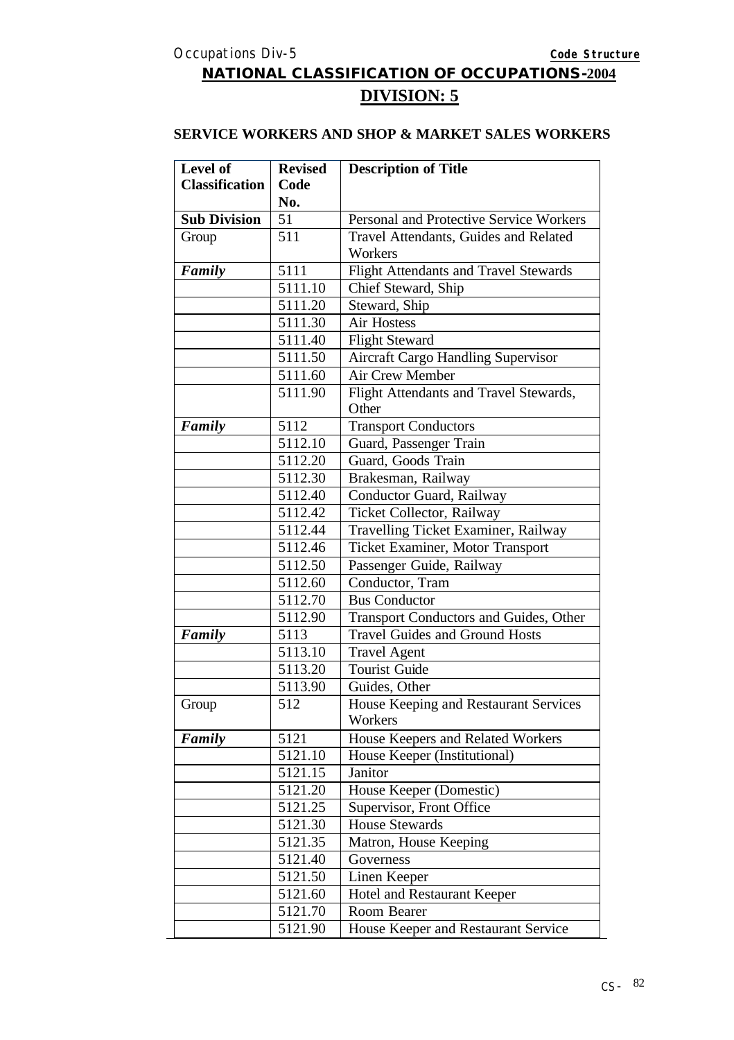# **NATIONAL CLASSIFICATION OF OCCUPATIONS-2004 DIVISION: 5**

#### **SERVICE WORKERS AND SHOP & MARKET SALES WORKERS**

| Level of              | <b>Revised</b> | <b>Description of Title</b>                  |
|-----------------------|----------------|----------------------------------------------|
| <b>Classification</b> | Code           |                                              |
|                       | No.            |                                              |
| <b>Sub Division</b>   | 51             | Personal and Protective Service Workers      |
| Group                 | 511            | Travel Attendants, Guides and Related        |
|                       |                | Workers                                      |
| Family                | 5111           | <b>Flight Attendants and Travel Stewards</b> |
|                       | 5111.10        | Chief Steward, Ship                          |
|                       | 5111.20        | Steward, Ship                                |
|                       | 5111.30        | <b>Air Hostess</b>                           |
|                       | 5111.40        | <b>Flight Steward</b>                        |
|                       | 5111.50        | <b>Aircraft Cargo Handling Supervisor</b>    |
|                       | 5111.60        | <b>Air Crew Member</b>                       |
|                       | 5111.90        | Flight Attendants and Travel Stewards,       |
|                       |                | Other                                        |
| Family                | 5112           | <b>Transport Conductors</b>                  |
|                       | 5112.10        | Guard, Passenger Train                       |
|                       | 5112.20        | Guard, Goods Train                           |
|                       | 5112.30        | Brakesman, Railway                           |
|                       | 5112.40        | Conductor Guard, Railway                     |
|                       | 5112.42        | Ticket Collector, Railway                    |
|                       | 5112.44        | Travelling Ticket Examiner, Railway          |
|                       | 5112.46        | Ticket Examiner, Motor Transport             |
|                       | 5112.50        | Passenger Guide, Railway                     |
|                       | 5112.60        | Conductor, Tram                              |
|                       | 5112.70        | <b>Bus Conductor</b>                         |
|                       | 5112.90        | Transport Conductors and Guides, Other       |
| Family                | 5113           | <b>Travel Guides and Ground Hosts</b>        |
|                       | 5113.10        | <b>Travel Agent</b>                          |
|                       | 5113.20        | <b>Tourist Guide</b>                         |
|                       | 5113.90        | Guides, Other                                |
| Group                 | 512            | House Keeping and Restaurant Services        |
|                       |                | Workers                                      |
| Family                | 5121           | House Keepers and Related Workers            |
|                       | 5121.10        | House Keeper (Institutional)                 |
|                       | 5121.15        | Janitor                                      |
|                       | 5121.20        | House Keeper (Domestic)                      |
|                       | 5121.25        | Supervisor, Front Office                     |
|                       | 5121.30        | <b>House Stewards</b>                        |
|                       | 5121.35        | Matron, House Keeping                        |
|                       | 5121.40        | Governess                                    |
|                       | 5121.50        | Linen Keeper                                 |
|                       | 5121.60        | <b>Hotel and Restaurant Keeper</b>           |
|                       | 5121.70        | Room Bearer                                  |
|                       | 5121.90        | House Keeper and Restaurant Service          |
|                       |                |                                              |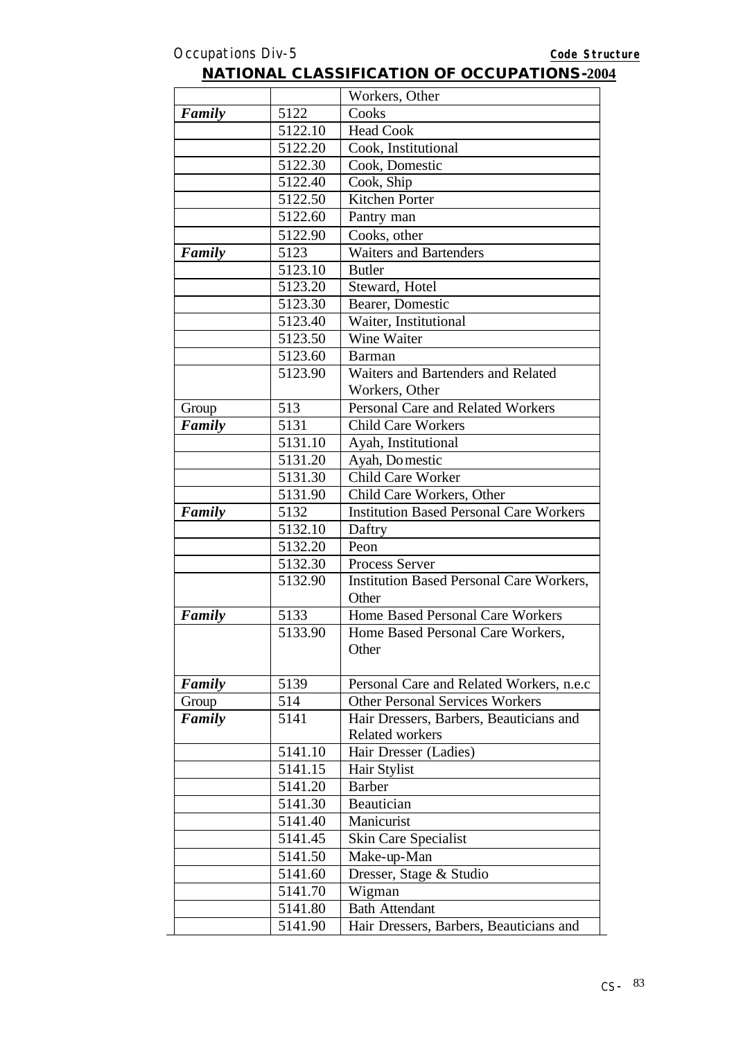|        |         | Workers, Other                                  |
|--------|---------|-------------------------------------------------|
| Family | 5122    | Cooks                                           |
|        | 5122.10 | <b>Head Cook</b>                                |
|        | 5122.20 | Cook, Institutional                             |
|        | 5122.30 | Cook, Domestic                                  |
|        | 5122.40 | Cook, Ship                                      |
|        | 5122.50 | Kitchen Porter                                  |
|        | 5122.60 | Pantry man                                      |
|        | 5122.90 | Cooks, other                                    |
| Family | 5123    | <b>Waiters and Bartenders</b>                   |
|        | 5123.10 | <b>Butler</b>                                   |
|        | 5123.20 | Steward, Hotel                                  |
|        | 5123.30 | Bearer, Domestic                                |
|        | 5123.40 | Waiter, Institutional                           |
|        | 5123.50 | Wine Waiter                                     |
|        | 5123.60 | Barman                                          |
|        | 5123.90 | Waiters and Bartenders and Related              |
|        |         | Workers, Other                                  |
| Group  | 513     | Personal Care and Related Workers               |
| Family | 5131    | <b>Child Care Workers</b>                       |
|        | 5131.10 | Ayah, Institutional                             |
|        | 5131.20 | Ayah, Do mestic                                 |
|        | 5131.30 | <b>Child Care Worker</b>                        |
|        | 5131.90 | Child Care Workers, Other                       |
| Family | 5132    | <b>Institution Based Personal Care Workers</b>  |
|        | 5132.10 | Daftry                                          |
|        | 5132.20 | Peon                                            |
|        | 5132.30 | <b>Process Server</b>                           |
|        | 5132.90 | <b>Institution Based Personal Care Workers,</b> |
|        |         | Other                                           |
| Family | 5133    | Home Based Personal Care Workers                |
|        | 5133.90 | Home Based Personal Care Workers,<br>Other      |
|        |         |                                                 |
| Family | 5139    | Personal Care and Related Workers, n.e.c        |
| Group  | 514     | <b>Other Personal Services Workers</b>          |
| Family | 5141    | Hair Dressers, Barbers, Beauticians and         |
|        |         | <b>Related workers</b>                          |
|        | 5141.10 | Hair Dresser (Ladies)                           |
|        | 5141.15 | Hair Stylist                                    |
|        | 5141.20 | <b>Barber</b>                                   |
|        | 5141.30 | Beautician                                      |
|        | 5141.40 | Manicurist                                      |
|        | 5141.45 | <b>Skin Care Specialist</b>                     |
|        | 5141.50 | Make-up-Man                                     |
|        | 5141.60 | Dresser, Stage & Studio                         |
|        | 5141.70 | Wigman                                          |
|        | 5141.80 | <b>Bath Attendant</b>                           |
|        | 5141.90 | Hair Dressers, Barbers, Beauticians and         |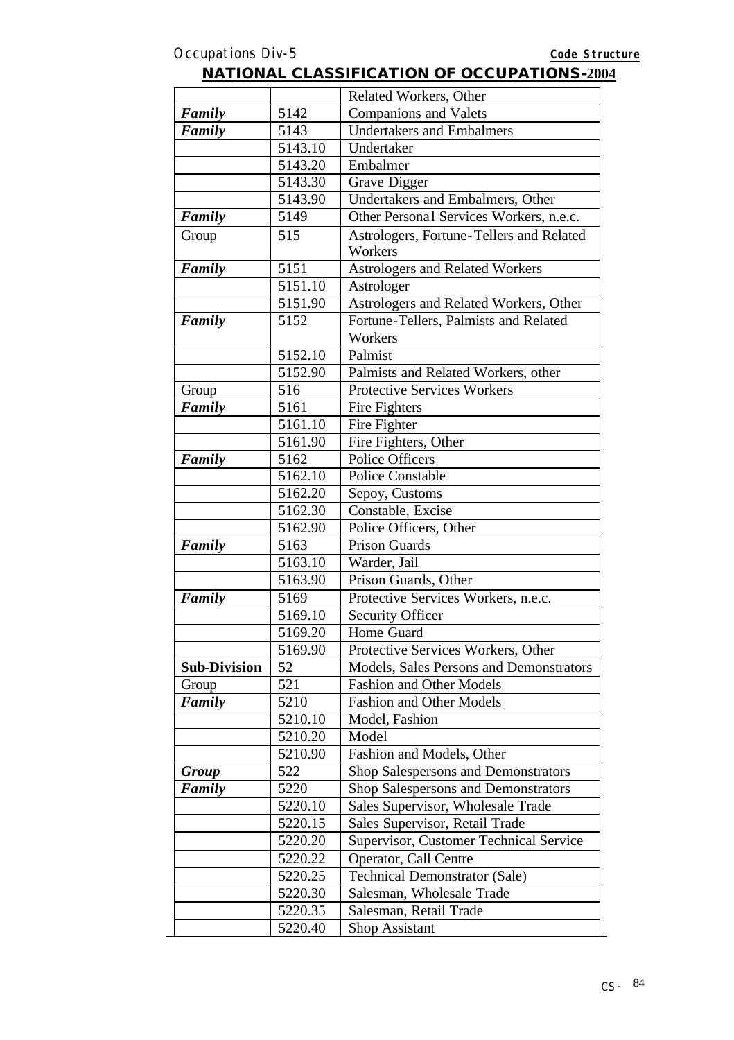|                     |                 | Related Workers, Other                         |
|---------------------|-----------------|------------------------------------------------|
| Family              | 5142            | <b>Companions and Valets</b>                   |
| Family              | 5143            | <b>Undertakers and Embalmers</b>               |
|                     | 5143.10         | Undertaker                                     |
|                     | 5143.20         | Embalmer                                       |
|                     | 5143.30         | Grave Digger                                   |
|                     | 5143.90         | Undertakers and Embalmers, Other               |
| Family              | 5149            | Other Personal Services Workers, n.e.c.        |
| Group               | 515             | Astrologers, Fortune-Tellers and Related       |
|                     |                 | Workers                                        |
| Family              | 5151            | <b>Astrologers and Related Workers</b>         |
|                     | 5151.10         | Astrologer                                     |
|                     | 5151.90         | Astrologers and Related Workers, Other         |
| Family              | 5152            | Fortune-Tellers, Palmists and Related          |
|                     |                 | Workers                                        |
|                     | 5152.10         | Palmist                                        |
|                     | 5152.90         | Palmists and Related Workers, other            |
| Group               | 516             | <b>Protective Services Workers</b>             |
| Family              | 5161            | Fire Fighters                                  |
|                     | 5161.10         | Fire Fighter                                   |
|                     | 5161.90         | Fire Fighters, Other                           |
| Family              | 5162            | <b>Police Officers</b>                         |
|                     | 5162.10         | <b>Police Constable</b>                        |
|                     | 5162.20         | Sepoy, Customs                                 |
|                     | 5162.30         | Constable, Excise                              |
|                     | 5162.90<br>5163 | Police Officers, Other<br><b>Prison Guards</b> |
| Family              | 5163.10         |                                                |
|                     | 5163.90         | Warder, Jail<br>Prison Guards, Other           |
|                     | 5169            |                                                |
| Family              | 5169.10         | Protective Services Workers, n.e.c.            |
|                     | 5169.20         | <b>Security Officer</b><br>Home Guard          |
|                     | 5169.90         | Protective Services Workers, Other             |
| <b>Sub-Division</b> | 52              | Models, Sales Persons and Demonstrators        |
| Group               | 521             | <b>Fashion and Other Models</b>                |
| Family              | 5210            | <b>Fashion and Other Models</b>                |
|                     | 5210.10         | Model, Fashion                                 |
|                     | 5210.20         | Model                                          |
|                     | 5210.90         | Fashion and Models, Other                      |
| <b>Group</b>        | 522             | <b>Shop Salespersons and Demonstrators</b>     |
| Family              | 5220            | Shop Salespersons and Demonstrators            |
|                     | 5220.10         | Sales Supervisor, Wholesale Trade              |
|                     | 5220.15         | Sales Supervisor, Retail Trade                 |
|                     | 5220.20         | Supervisor, Customer Technical Service         |
|                     | 5220.22         | Operator, Call Centre                          |
|                     | 5220.25         | <b>Technical Demonstrator (Sale)</b>           |
|                     | 5220.30         | Salesman, Wholesale Trade                      |
|                     | 5220.35         | Salesman, Retail Trade                         |
|                     | 5220.40         | <b>Shop Assistant</b>                          |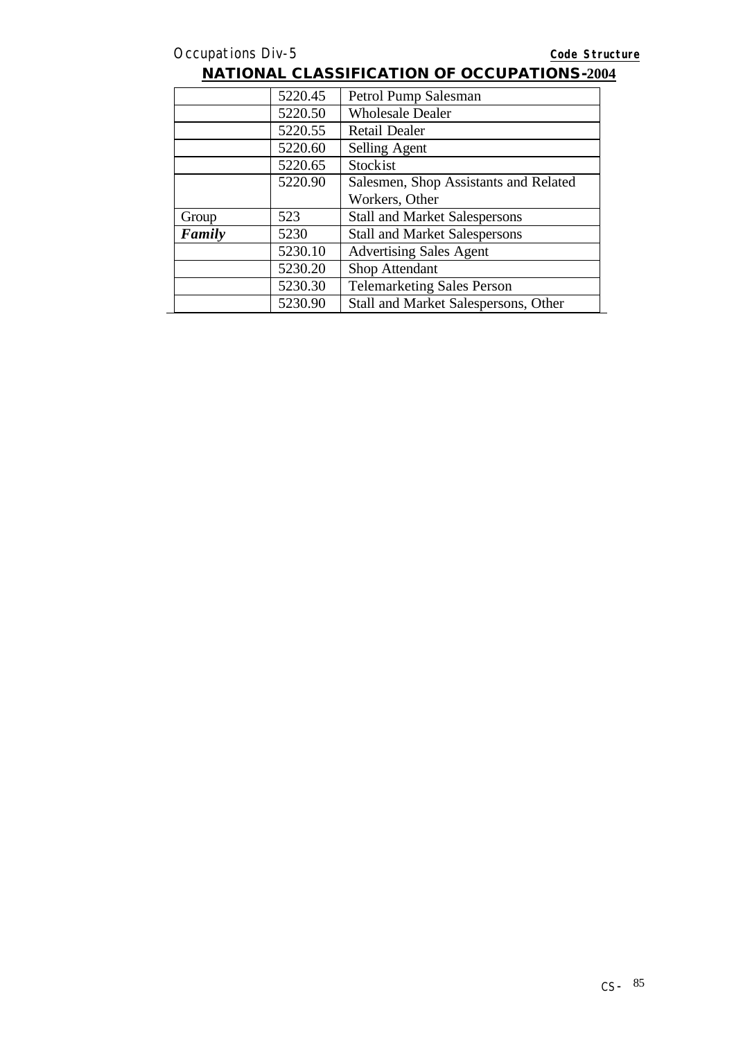|        | 5220.45 | Petrol Pump Salesman                  |
|--------|---------|---------------------------------------|
|        | 5220.50 | <b>Wholesale Dealer</b>               |
|        | 5220.55 | <b>Retail Dealer</b>                  |
|        | 5220.60 | Selling Agent                         |
|        | 5220.65 | Stockist                              |
|        | 5220.90 | Salesmen, Shop Assistants and Related |
|        |         | Workers, Other                        |
| Group  | 523     | <b>Stall and Market Salespersons</b>  |
| Family | 5230    | <b>Stall and Market Salespersons</b>  |
|        | 5230.10 | <b>Advertising Sales Agent</b>        |
|        | 5230.20 | Shop Attendant                        |
|        | 5230.30 | <b>Telemarketing Sales Person</b>     |
|        | 5230.90 | Stall and Market Salespersons, Other  |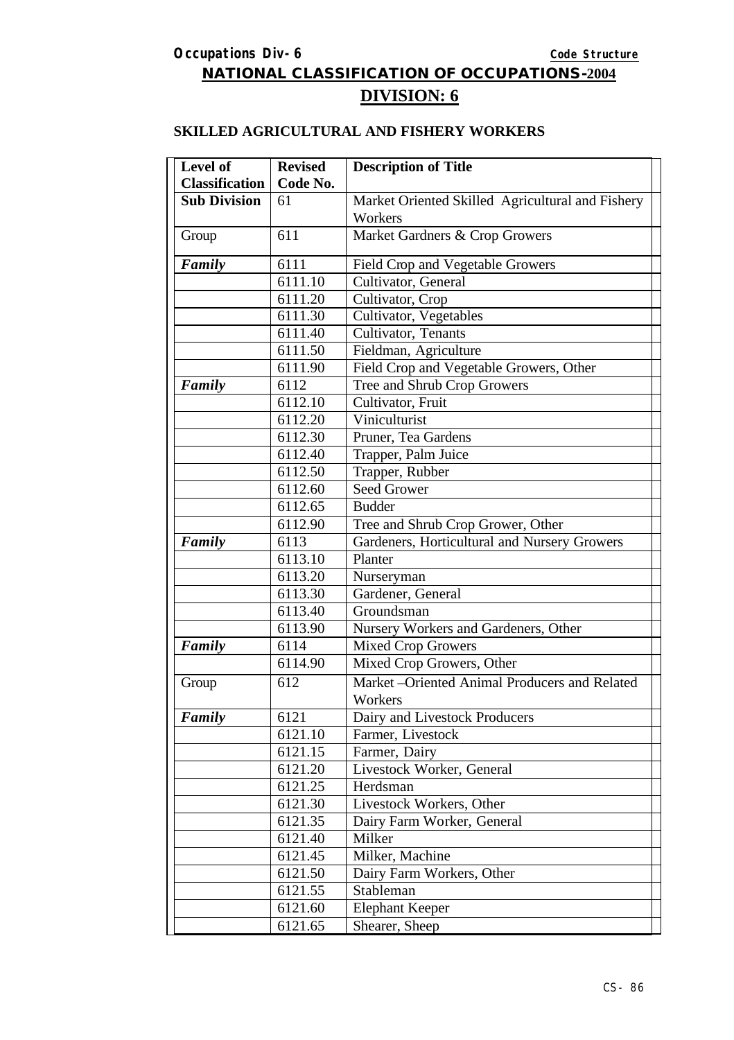# **NATIONAL CLASSIFICATION OF OCCUPATIONS-2004 DIVISION: 6**

### **SKILLED AGRICULTURAL AND FISHERY WORKERS**

| Level of              | <b>Revised</b> | <b>Description of Title</b>                      |
|-----------------------|----------------|--------------------------------------------------|
| <b>Classification</b> | Code No.       |                                                  |
| <b>Sub Division</b>   | 61             | Market Oriented Skilled Agricultural and Fishery |
|                       |                | Workers                                          |
| Group                 | 611            | Market Gardners & Crop Growers                   |
| Family                | 6111           | Field Crop and Vegetable Growers                 |
|                       | 6111.10        | Cultivator, General                              |
|                       | 6111.20        | Cultivator, Crop                                 |
|                       | 6111.30        | Cultivator, Vegetables                           |
|                       | 6111.40        | Cultivator, Tenants                              |
|                       | 6111.50        | Fieldman, Agriculture                            |
|                       | 6111.90        | Field Crop and Vegetable Growers, Other          |
| Family                | 6112           | Tree and Shrub Crop Growers                      |
|                       | 6112.10        | Cultivator, Fruit                                |
|                       | 6112.20        | Viniculturist                                    |
|                       | 6112.30        | Pruner, Tea Gardens                              |
|                       | 6112.40        | Trapper, Palm Juice                              |
|                       | 6112.50        | Trapper, Rubber                                  |
|                       | 6112.60        | <b>Seed Grower</b>                               |
|                       | 6112.65        | <b>Budder</b>                                    |
|                       | 6112.90        | Tree and Shrub Crop Grower, Other                |
| Family                | 6113           | Gardeners, Horticultural and Nursery Growers     |
|                       | 6113.10        | Planter                                          |
|                       | 6113.20        | Nurseryman                                       |
|                       | 6113.30        | Gardener, General                                |
|                       | 6113.40        | Groundsman                                       |
|                       | 6113.90        | Nursery Workers and Gardeners, Other             |
| Family                | 6114           | <b>Mixed Crop Growers</b>                        |
|                       | 6114.90        | Mixed Crop Growers, Other                        |
| Group                 | 612            | Market-Oriented Animal Producers and Related     |
|                       |                | Workers                                          |
| Family                | 6121           | Dairy and Livestock Producers                    |
|                       | 6121.10        | Farmer, Livestock                                |
|                       | 6121.15        | Farmer, Dairy                                    |
|                       | 6121.20        | Livestock Worker, General                        |
|                       | 6121.25        | Herdsman                                         |
|                       | 6121.30        | Livestock Workers, Other                         |
|                       | 6121.35        | Dairy Farm Worker, General                       |
|                       | 6121.40        | Milker                                           |
|                       | 6121.45        | Milker, Machine                                  |
|                       | 6121.50        | Dairy Farm Workers, Other                        |
|                       | 6121.55        | Stableman                                        |
|                       | 6121.60        | <b>Elephant Keeper</b>                           |
|                       | 6121.65        | Shearer, Sheep                                   |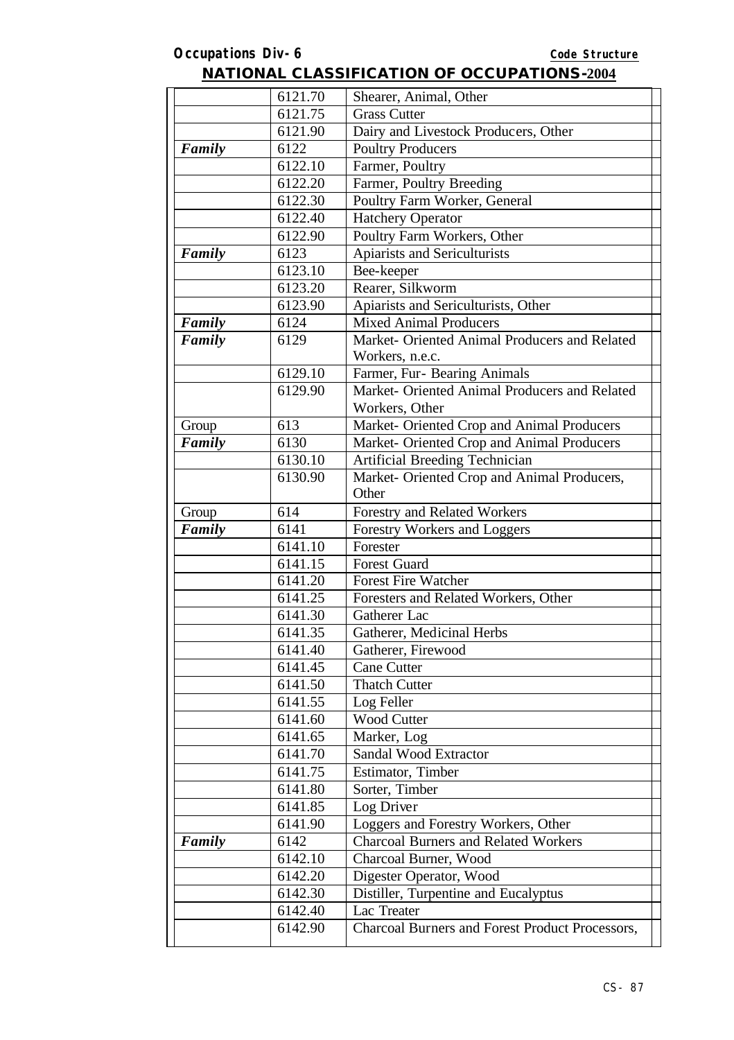|        | 6121.70            | Shearer, Animal, Other                                           |
|--------|--------------------|------------------------------------------------------------------|
|        | 6121.75            | <b>Grass Cutter</b>                                              |
|        | 6121.90            | Dairy and Livestock Producers, Other                             |
| Family | 6122               | <b>Poultry Producers</b>                                         |
|        | 6122.10            | Farmer, Poultry                                                  |
|        | 6122.20            | Farmer, Poultry Breeding                                         |
|        | 6122.30            | Poultry Farm Worker, General                                     |
|        | 6122.40            | <b>Hatchery Operator</b>                                         |
|        | 6122.90            | Poultry Farm Workers, Other                                      |
| Family | 6123               | Apiarists and Sericulturists                                     |
|        | 6123.10            | Bee-keeper                                                       |
|        | 6123.20            | Rearer, Silkworm                                                 |
|        | 6123.90            | Apiarists and Sericulturists, Other                              |
| Family | 6124               | Mixed Animal Producers                                           |
| Family | 6129               | Market- Oriented Animal Producers and Related<br>Workers, n.e.c. |
|        | 6129.10            | Farmer, Fur- Bearing Animals                                     |
|        | 6129.90            | Market- Oriented Animal Producers and Related                    |
|        |                    | Workers, Other                                                   |
| Group  | 613                | Market- Oriented Crop and Animal Producers                       |
| Family | 6130               | Market- Oriented Crop and Animal Producers                       |
|        | 6130.10            | Artificial Breeding Technician                                   |
|        | 6130.90            | Market- Oriented Crop and Animal Producers,                      |
|        |                    | Other                                                            |
| Group  | 614                | Forestry and Related Workers                                     |
| Family | 6141               | Forestry Workers and Loggers                                     |
|        | 6141.10            | Forester                                                         |
|        | 6141.15            | <b>Forest Guard</b>                                              |
|        | 6141.20            | <b>Forest Fire Watcher</b>                                       |
|        | 6141.25            | Foresters and Related Workers, Other<br>Gatherer Lac             |
|        | 6141.30            |                                                                  |
|        | 6141.35<br>6141.40 | Gatherer, Medicinal Herbs                                        |
|        | 6141.45            | Gatherer, Firewood<br><b>Cane Cutter</b>                         |
|        | 6141.50            | <b>Thatch Cutter</b>                                             |
|        | 6141.55            | Log Feller                                                       |
|        | 6141.60            | <b>Wood Cutter</b>                                               |
|        | 6141.65            | Marker, Log                                                      |
|        | 6141.70            | Sandal Wood Extractor                                            |
|        | 6141.75            | Estimator, Timber                                                |
|        | 6141.80            | Sorter, Timber                                                   |
|        | 6141.85            | Log Driver                                                       |
|        | 6141.90            | Loggers and Forestry Workers, Other                              |
| Family | 6142               | <b>Charcoal Burners and Related Workers</b>                      |
|        | 6142.10            | Charcoal Burner, Wood                                            |
|        | 6142.20            | Digester Operator, Wood                                          |
|        | 6142.30            | Distiller, Turpentine and Eucalyptus                             |
|        | 6142.40            | Lac Treater                                                      |
|        | 6142.90            | <b>Charcoal Burners and Forest Product Processors,</b>           |
|        |                    |                                                                  |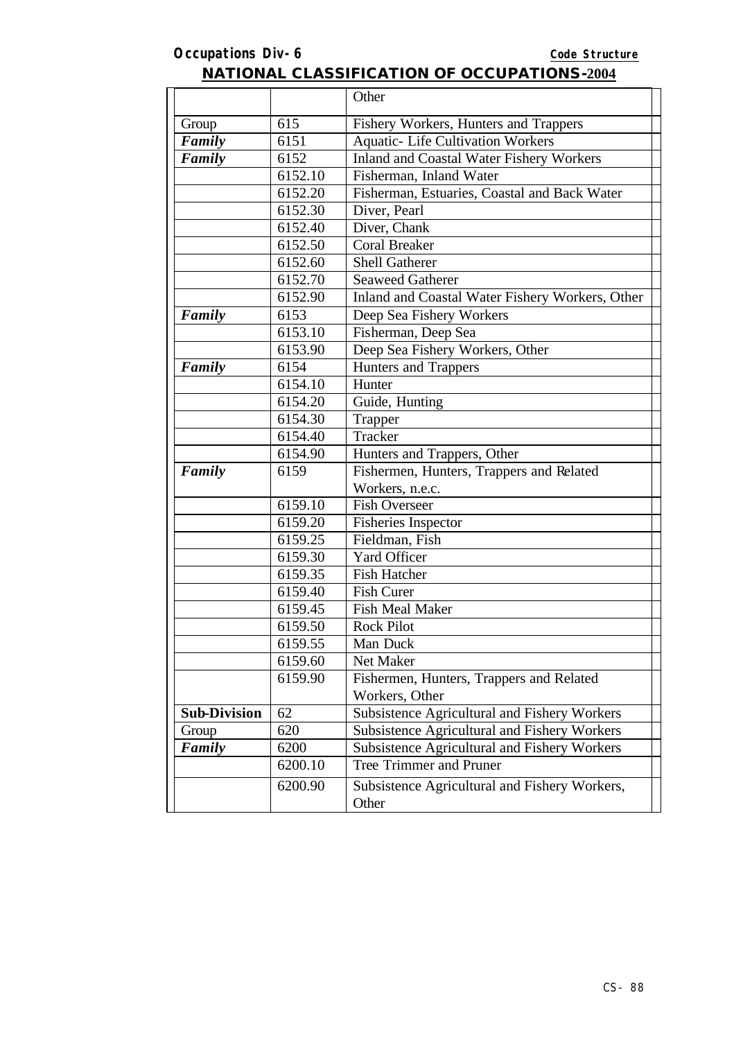|                     |         | Other                                                  |
|---------------------|---------|--------------------------------------------------------|
| Group               | 615     | Fishery Workers, Hunters and Trappers                  |
| Family              | 6151    | <b>Aquatic- Life Cultivation Workers</b>               |
| Family              | 6152    | Inland and Coastal Water Fishery Workers               |
|                     | 6152.10 | Fisherman, Inland Water                                |
|                     | 6152.20 | Fisherman, Estuaries, Coastal and Back Water           |
|                     | 6152.30 | Diver, Pearl                                           |
|                     | 6152.40 | Diver, Chank                                           |
|                     | 6152.50 | <b>Coral Breaker</b>                                   |
|                     | 6152.60 | <b>Shell Gatherer</b>                                  |
|                     | 6152.70 | <b>Seaweed Gatherer</b>                                |
|                     | 6152.90 | Inland and Coastal Water Fishery Workers, Other        |
| Family              | 6153    | Deep Sea Fishery Workers                               |
|                     | 6153.10 | Fisherman, Deep Sea                                    |
|                     | 6153.90 | Deep Sea Fishery Workers, Other                        |
| Family              | 6154    | <b>Hunters and Trappers</b>                            |
|                     | 6154.10 | Hunter                                                 |
|                     | 6154.20 | Guide, Hunting                                         |
|                     | 6154.30 | Trapper                                                |
|                     | 6154.40 | Tracker                                                |
|                     | 6154.90 | Hunters and Trappers, Other                            |
| Family              | 6159    | Fishermen, Hunters, Trappers and Related               |
|                     |         | Workers, n.e.c.                                        |
|                     | 6159.10 | <b>Fish Overseer</b>                                   |
|                     | 6159.20 | <b>Fisheries Inspector</b>                             |
|                     | 6159.25 | Fieldman, Fish                                         |
|                     | 6159.30 | <b>Yard Officer</b>                                    |
|                     | 6159.35 | <b>Fish Hatcher</b>                                    |
|                     | 6159.40 | <b>Fish Curer</b>                                      |
|                     | 6159.45 | <b>Fish Meal Maker</b>                                 |
|                     | 6159.50 | <b>Rock Pilot</b>                                      |
|                     | 6159.55 | Man Duck                                               |
|                     | 6159.60 | Net Maker                                              |
|                     | 6159.90 | Fishermen, Hunters, Trappers and Related               |
|                     |         | Workers, Other                                         |
| <b>Sub-Division</b> | 62      | Subsistence Agricultural and Fishery Workers           |
| Group               | 620     | Subsistence Agricultural and Fishery Workers           |
| Family              | 6200    | Subsistence Agricultural and Fishery Workers           |
|                     | 6200.10 | <b>Tree Trimmer and Pruner</b>                         |
|                     | 6200.90 | Subsistence Agricultural and Fishery Workers,<br>Other |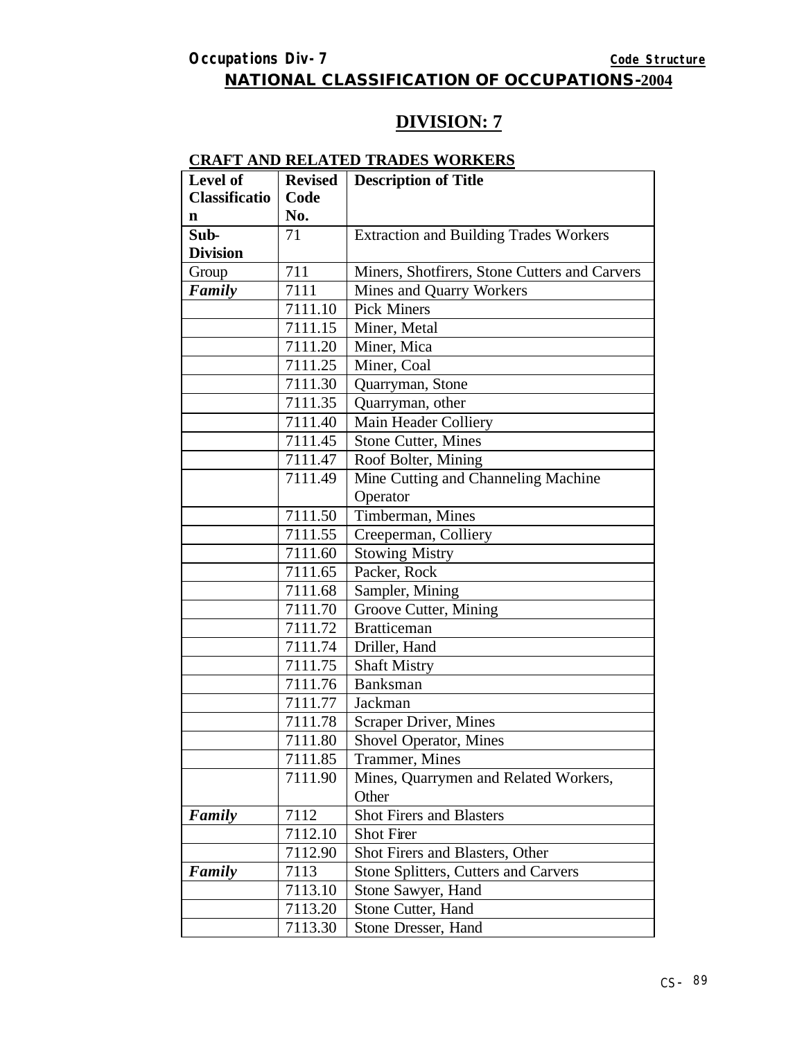### **DIVISION: 7**

#### **CRAFT AND RELATED TRADES WORKERS**

| Level of             | <b>Revised</b> | <b>Description of Title</b>                   |
|----------------------|----------------|-----------------------------------------------|
| <b>Classificatio</b> | Code           |                                               |
| $\mathbf n$          | No.            |                                               |
| Sub-                 | 71             | <b>Extraction and Building Trades Workers</b> |
| <b>Division</b>      |                |                                               |
| Group                | 711            | Miners, Shotfirers, Stone Cutters and Carvers |
| Family               | 7111           | Mines and Quarry Workers                      |
|                      | 7111.10        | <b>Pick Miners</b>                            |
|                      | 7111.15        | Miner, Metal                                  |
|                      | 7111.20        | Miner, Mica                                   |
|                      | 7111.25        | Miner, Coal                                   |
|                      | 7111.30        | Quarryman, Stone                              |
|                      | 7111.35        | Quarryman, other                              |
|                      | 7111.40        | Main Header Colliery                          |
|                      | 7111.45        | <b>Stone Cutter, Mines</b>                    |
|                      | 7111.47        | Roof Bolter, Mining                           |
|                      | 7111.49        | Mine Cutting and Channeling Machine           |
|                      |                | Operator                                      |
|                      | 7111.50        | Timberman, Mines                              |
|                      | 7111.55        | Creeperman, Colliery                          |
|                      | 7111.60        | <b>Stowing Mistry</b>                         |
|                      | 7111.65        | Packer, Rock                                  |
|                      | 7111.68        | Sampler, Mining                               |
|                      | 7111.70        | Groove Cutter, Mining                         |
|                      | 7111.72        | <b>Bratticeman</b>                            |
|                      | 7111.74        | Driller, Hand                                 |
|                      | 7111.75        | <b>Shaft Mistry</b>                           |
|                      | 7111.76        | <b>Banksman</b>                               |
|                      | 7111.77        | Jackman                                       |
|                      | 7111.78        | Scraper Driver, Mines                         |
|                      | 7111.80        | Shovel Operator, Mines                        |
|                      | 7111.85        | Trammer, Mines                                |
|                      | 7111.90        | Mines, Quarrymen and Related Workers,         |
|                      |                | Other                                         |
| Family               | 7112           | <b>Shot Firers and Blasters</b>               |
|                      | 7112.10        | Shot Firer                                    |
|                      | 7112.90        | Shot Firers and Blasters, Other               |
| Family               | 7113           | Stone Splitters, Cutters and Carvers          |
|                      | 7113.10        | Stone Sawyer, Hand                            |
|                      | 7113.20        | Stone Cutter, Hand                            |
|                      | 7113.30        | Stone Dresser, Hand                           |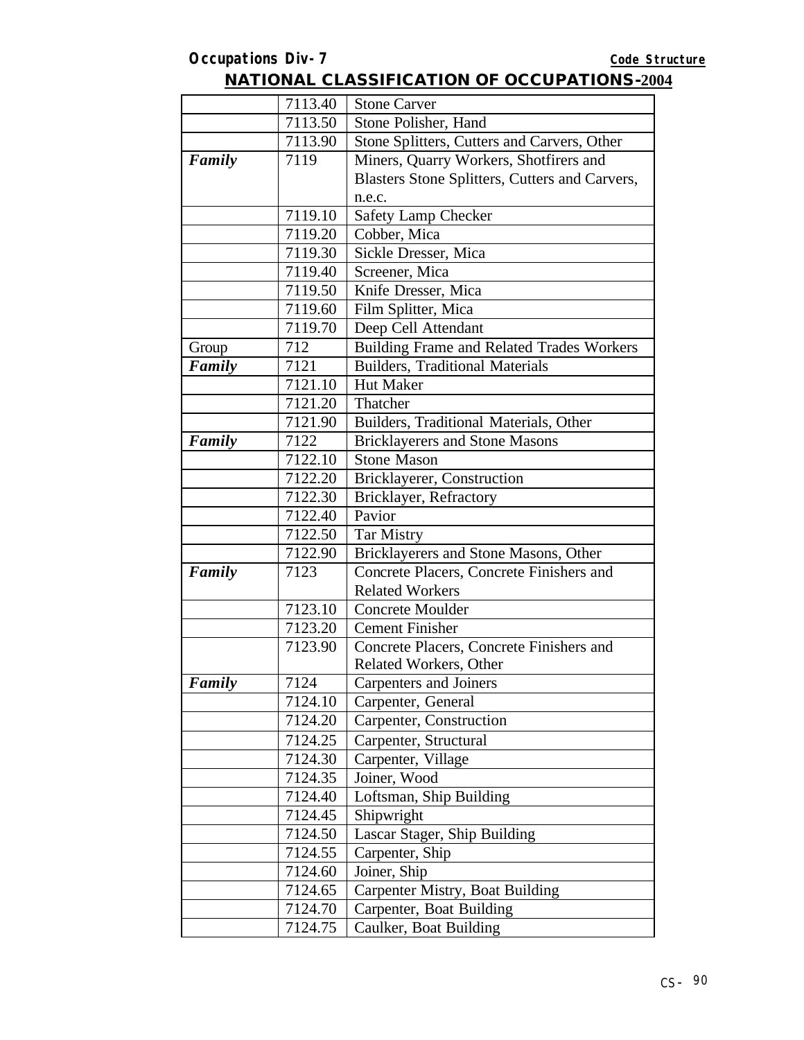|        | 7113.40 | <b>Stone Carver</b>                            |
|--------|---------|------------------------------------------------|
|        | 7113.50 | Stone Polisher, Hand                           |
|        | 7113.90 | Stone Splitters, Cutters and Carvers, Other    |
| Family | 7119    | Miners, Quarry Workers, Shotfirers and         |
|        |         | Blasters Stone Splitters, Cutters and Carvers, |
|        |         | n.e.c.                                         |
|        | 7119.10 | Safety Lamp Checker                            |
|        | 7119.20 | Cobber, Mica                                   |
|        | 7119.30 | Sickle Dresser, Mica                           |
|        | 7119.40 | Screener, Mica                                 |
|        | 7119.50 | Knife Dresser, Mica                            |
|        | 7119.60 | Film Splitter, Mica                            |
|        | 7119.70 | Deep Cell Attendant                            |
| Group  | 712     | Building Frame and Related Trades Workers      |
| Family | 7121    | <b>Builders</b> , Traditional Materials        |
|        | 7121.10 | Hut Maker                                      |
|        | 7121.20 | Thatcher                                       |
|        | 7121.90 | Builders, Traditional Materials, Other         |
| Family | 7122    | <b>Bricklayerers and Stone Masons</b>          |
|        | 7122.10 | <b>Stone Mason</b>                             |
|        | 7122.20 | Bricklayerer, Construction                     |
|        | 7122.30 | Bricklayer, Refractory                         |
|        | 7122.40 | Pavior                                         |
|        | 7122.50 | <b>Tar Mistry</b>                              |
|        | 7122.90 | Bricklayerers and Stone Masons, Other          |
| Family | 7123    | Concrete Placers, Concrete Finishers and       |
|        |         | <b>Related Workers</b>                         |
|        | 7123.10 | <b>Concrete Moulder</b>                        |
|        | 7123.20 | <b>Cement Finisher</b>                         |
|        | 7123.90 | Concrete Placers, Concrete Finishers and       |
|        |         | Related Workers, Other                         |
| Family | 7124    | Carpenters and Joiners                         |
|        | 7124.10 | Carpenter, General                             |
|        | 7124.20 | Carpenter, Construction                        |
|        | 7124.25 | Carpenter, Structural                          |
|        | 7124.30 | Carpenter, Village                             |
|        | 7124.35 | Joiner, Wood                                   |
|        | 7124.40 | Loftsman, Ship Building                        |
|        | 7124.45 | Shipwright                                     |
|        | 7124.50 | Lascar Stager, Ship Building                   |
|        | 7124.55 | Carpenter, Ship                                |
|        | 7124.60 | Joiner, Ship                                   |
|        | 7124.65 | Carpenter Mistry, Boat Building                |
|        | 7124.70 | Carpenter, Boat Building                       |
|        | 7124.75 | Caulker, Boat Building                         |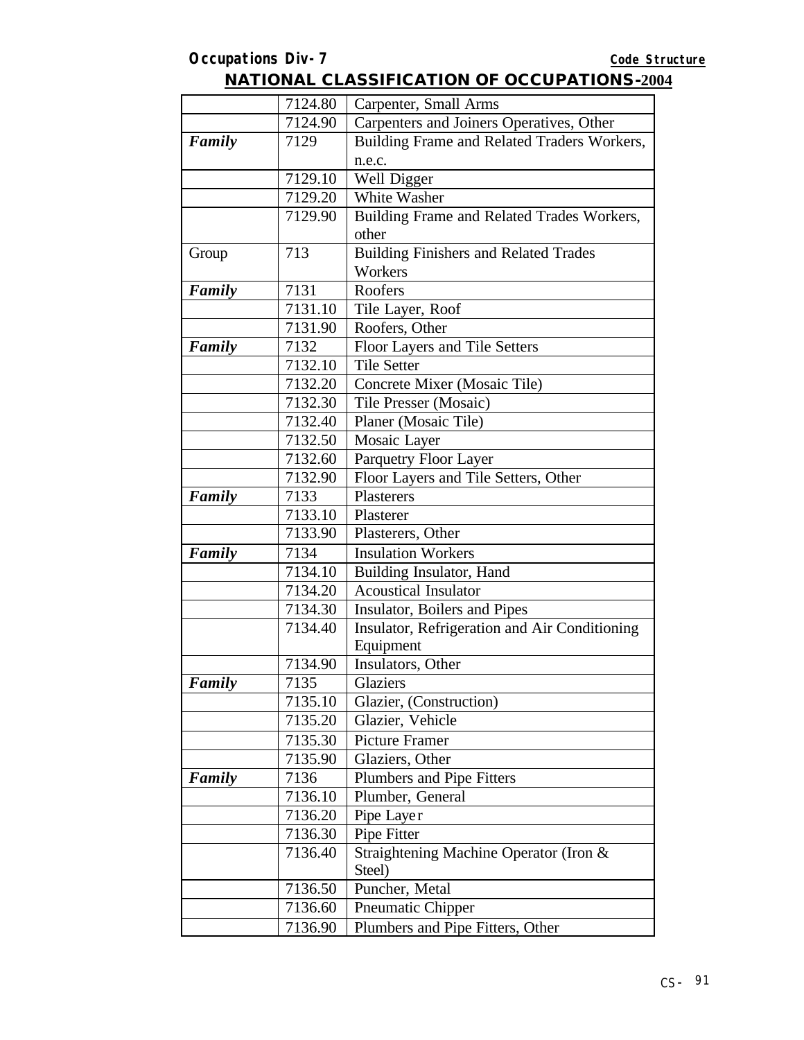|        | 7124.80 | Carpenter, Small Arms                         |
|--------|---------|-----------------------------------------------|
|        | 7124.90 | Carpenters and Joiners Operatives, Other      |
| Family | 7129    | Building Frame and Related Traders Workers,   |
|        |         | n.e.c.                                        |
|        | 7129.10 | Well Digger                                   |
|        | 7129.20 | White Washer                                  |
|        | 7129.90 | Building Frame and Related Trades Workers,    |
|        |         | other                                         |
| Group  | 713     | <b>Building Finishers and Related Trades</b>  |
|        |         | Workers                                       |
| Family | 7131    | Roofers                                       |
|        | 7131.10 | Tile Layer, Roof                              |
|        | 7131.90 | Roofers, Other                                |
| Family | 7132    | Floor Layers and Tile Setters                 |
|        | 7132.10 | <b>Tile Setter</b>                            |
|        | 7132.20 | Concrete Mixer (Mosaic Tile)                  |
|        | 7132.30 | Tile Presser (Mosaic)                         |
|        | 7132.40 | Planer (Mosaic Tile)                          |
|        | 7132.50 | Mosaic Layer                                  |
|        | 7132.60 | Parquetry Floor Layer                         |
|        | 7132.90 | Floor Layers and Tile Setters, Other          |
| Family | 7133    | Plasterers                                    |
|        | 7133.10 | Plasterer                                     |
|        | 7133.90 | Plasterers, Other                             |
| Family | 7134    | <b>Insulation Workers</b>                     |
|        | 7134.10 | Building Insulator, Hand                      |
|        | 7134.20 | <b>Acoustical Insulator</b>                   |
|        | 7134.30 | Insulator, Boilers and Pipes                  |
|        | 7134.40 | Insulator, Refrigeration and Air Conditioning |
|        |         | Equipment                                     |
|        | 7134.90 | Insulators, Other                             |
| Family | 7135    | Glaziers                                      |
|        | 7135.10 | Glazier, (Construction)                       |
|        | 7135.20 | Glazier, Vehicle                              |
|        | 7135.30 | <b>Picture Framer</b>                         |
|        | 7135.90 | Glaziers, Other                               |
| Family | 7136    | Plumbers and Pipe Fitters                     |
|        | 7136.10 | Plumber, General                              |
|        | 7136.20 | Pipe Layer                                    |
|        | 7136.30 | Pipe Fitter                                   |
|        | 7136.40 | Straightening Machine Operator (Iron &        |
|        |         | Steel)                                        |
|        | 7136.50 | Puncher, Metal                                |
|        | 7136.60 | Pneumatic Chipper                             |
|        | 7136.90 | Plumbers and Pipe Fitters, Other              |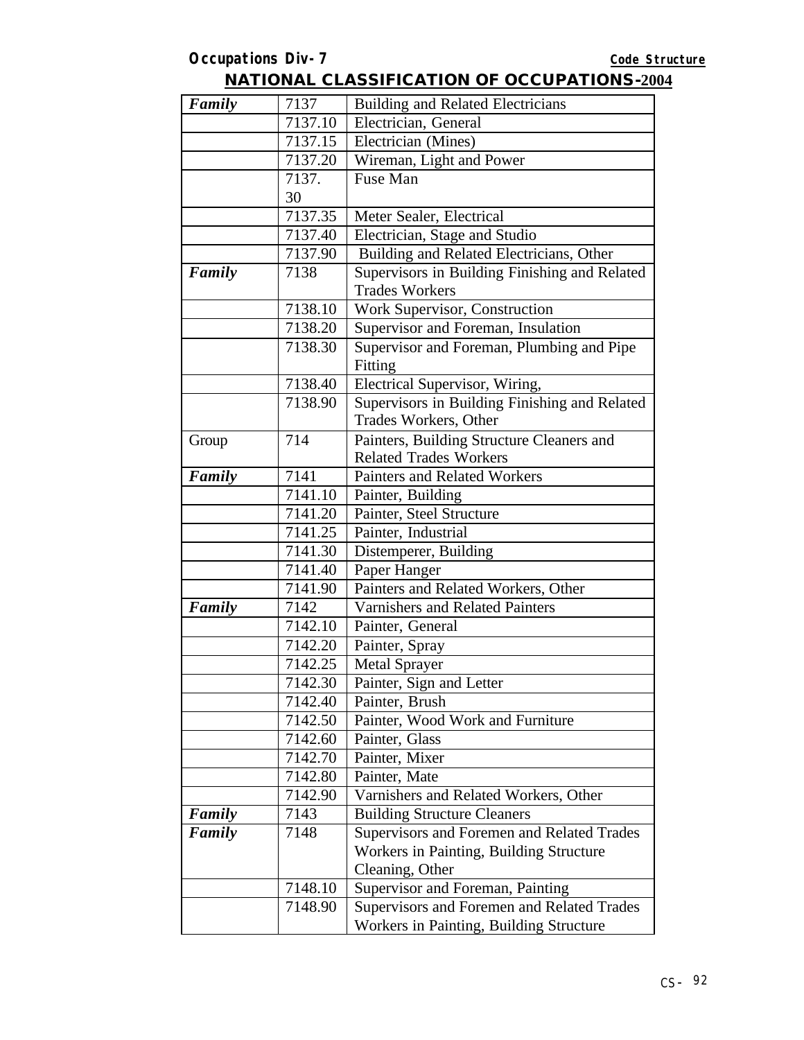| Family | 7137    | <b>Building and Related Electricians</b>      |
|--------|---------|-----------------------------------------------|
|        | 7137.10 | Electrician, General                          |
|        | 7137.15 | Electrician (Mines)                           |
|        | 7137.20 | Wireman, Light and Power                      |
|        | 7137.   | Fuse Man                                      |
|        | 30      |                                               |
|        | 7137.35 | Meter Sealer, Electrical                      |
|        | 7137.40 | Electrician, Stage and Studio                 |
|        | 7137.90 | Building and Related Electricians, Other      |
| Family | 7138    | Supervisors in Building Finishing and Related |
|        |         | <b>Trades Workers</b>                         |
|        | 7138.10 | Work Supervisor, Construction                 |
|        | 7138.20 | Supervisor and Foreman, Insulation            |
|        | 7138.30 | Supervisor and Foreman, Plumbing and Pipe     |
|        |         | Fitting                                       |
|        | 7138.40 | Electrical Supervisor, Wiring,                |
|        | 7138.90 | Supervisors in Building Finishing and Related |
|        |         | Trades Workers, Other                         |
| Group  | 714     | Painters, Building Structure Cleaners and     |
|        |         | <b>Related Trades Workers</b>                 |
| Family | 7141    | Painters and Related Workers                  |
|        | 7141.10 | Painter, Building                             |
|        | 7141.20 | Painter, Steel Structure                      |
|        | 7141.25 | Painter, Industrial                           |
|        | 7141.30 | Distemperer, Building                         |
|        | 7141.40 | Paper Hanger                                  |
|        | 7141.90 | Painters and Related Workers, Other           |
| Family | 7142    | Varnishers and Related Painters               |
|        | 7142.10 | Painter, General                              |
|        | 7142.20 | Painter, Spray                                |
|        | 7142.25 | Metal Sprayer                                 |
|        | 7142.30 | Painter, Sign and Letter                      |
|        | 7142.40 | Painter, Brush                                |
|        | 7142.50 | Painter, Wood Work and Furniture              |
|        | 7142.60 | Painter, Glass                                |
|        | 7142.70 | Painter, Mixer                                |
|        | 7142.80 | Painter, Mate                                 |
|        | 7142.90 | Varnishers and Related Workers, Other         |
| Family | 7143    | <b>Building Structure Cleaners</b>            |
| Family | 7148    | Supervisors and Foremen and Related Trades    |
|        |         | Workers in Painting, Building Structure       |
|        |         | Cleaning, Other                               |
|        | 7148.10 | Supervisor and Foreman, Painting              |
|        | 7148.90 | Supervisors and Foremen and Related Trades    |
|        |         | Workers in Painting, Building Structure       |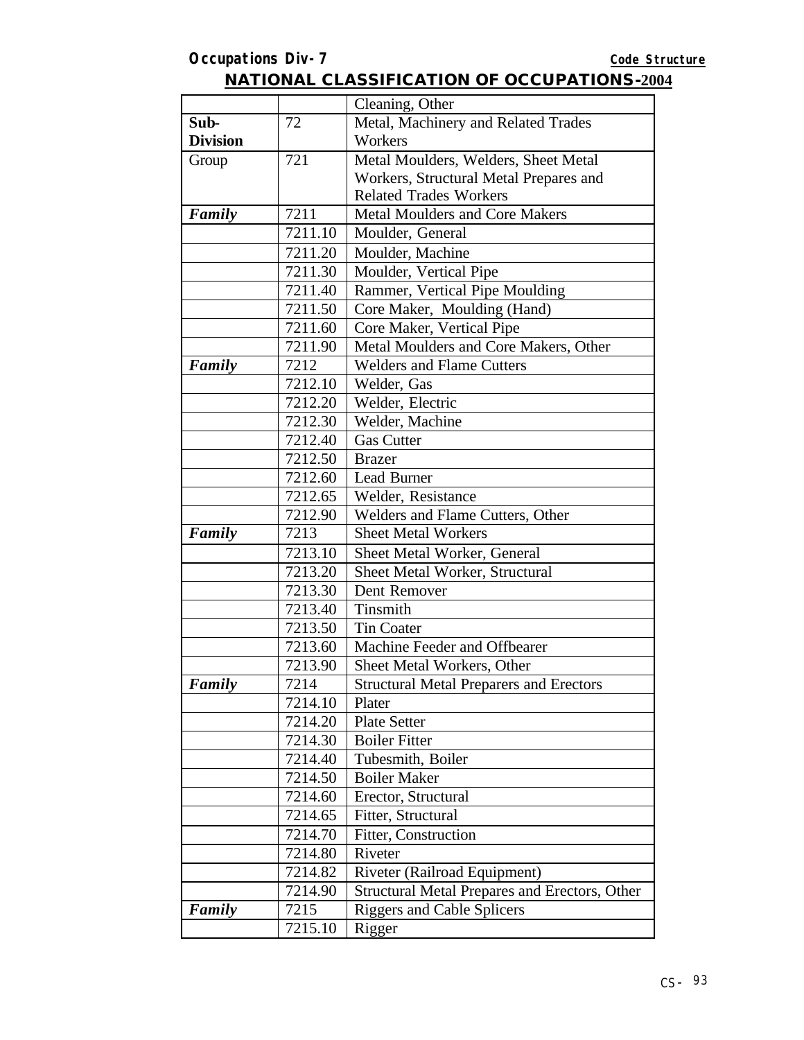|                 |         | Cleaning, Other                                |
|-----------------|---------|------------------------------------------------|
| Sub-            | 72      | Metal, Machinery and Related Trades            |
| <b>Division</b> |         | Workers                                        |
| Group           | 721     | Metal Moulders, Welders, Sheet Metal           |
|                 |         | Workers, Structural Metal Prepares and         |
|                 |         | <b>Related Trades Workers</b>                  |
| Family          | 7211    | <b>Metal Moulders and Core Makers</b>          |
|                 | 7211.10 | Moulder, General                               |
|                 | 7211.20 | Moulder, Machine                               |
|                 | 7211.30 | Moulder, Vertical Pipe                         |
|                 | 7211.40 | Rammer, Vertical Pipe Moulding                 |
|                 | 7211.50 | Core Maker, Moulding (Hand)                    |
|                 | 7211.60 | Core Maker, Vertical Pipe                      |
|                 | 7211.90 | Metal Moulders and Core Makers, Other          |
| Family          | 7212    | <b>Welders and Flame Cutters</b>               |
|                 | 7212.10 | Welder, Gas                                    |
|                 | 7212.20 | Welder, Electric                               |
|                 | 7212.30 | Welder, Machine                                |
|                 | 7212.40 | <b>Gas Cutter</b>                              |
|                 | 7212.50 | <b>Brazer</b>                                  |
|                 | 7212.60 | Lead Burner                                    |
|                 | 7212.65 | Welder, Resistance                             |
|                 | 7212.90 | Welders and Flame Cutters, Other               |
| Family          | 7213    | <b>Sheet Metal Workers</b>                     |
|                 | 7213.10 | Sheet Metal Worker, General                    |
|                 | 7213.20 | Sheet Metal Worker, Structural                 |
|                 | 7213.30 | Dent Remover                                   |
|                 | 7213.40 | Tinsmith                                       |
|                 | 7213.50 | <b>Tin Coater</b>                              |
|                 | 7213.60 | Machine Feeder and Offbearer                   |
|                 | 7213.90 | Sheet Metal Workers, Other                     |
| Family          | 7214    | <b>Structural Metal Preparers and Erectors</b> |
|                 | 7214.10 | Plater                                         |
|                 | 7214.20 | <b>Plate Setter</b>                            |
|                 | 7214.30 | <b>Boiler Fitter</b>                           |
|                 | 7214.40 | Tubesmith, Boiler                              |
|                 | 7214.50 | <b>Boiler Maker</b>                            |
|                 | 7214.60 | Erector, Structural                            |
|                 | 7214.65 | Fitter, Structural                             |
|                 | 7214.70 | Fitter, Construction                           |
|                 | 7214.80 | Riveter                                        |
|                 | 7214.82 | Riveter (Railroad Equipment)                   |
|                 | 7214.90 | Structural Metal Prepares and Erectors, Other  |
| Family          | 7215    | <b>Riggers and Cable Splicers</b>              |
|                 | 7215.10 | Rigger                                         |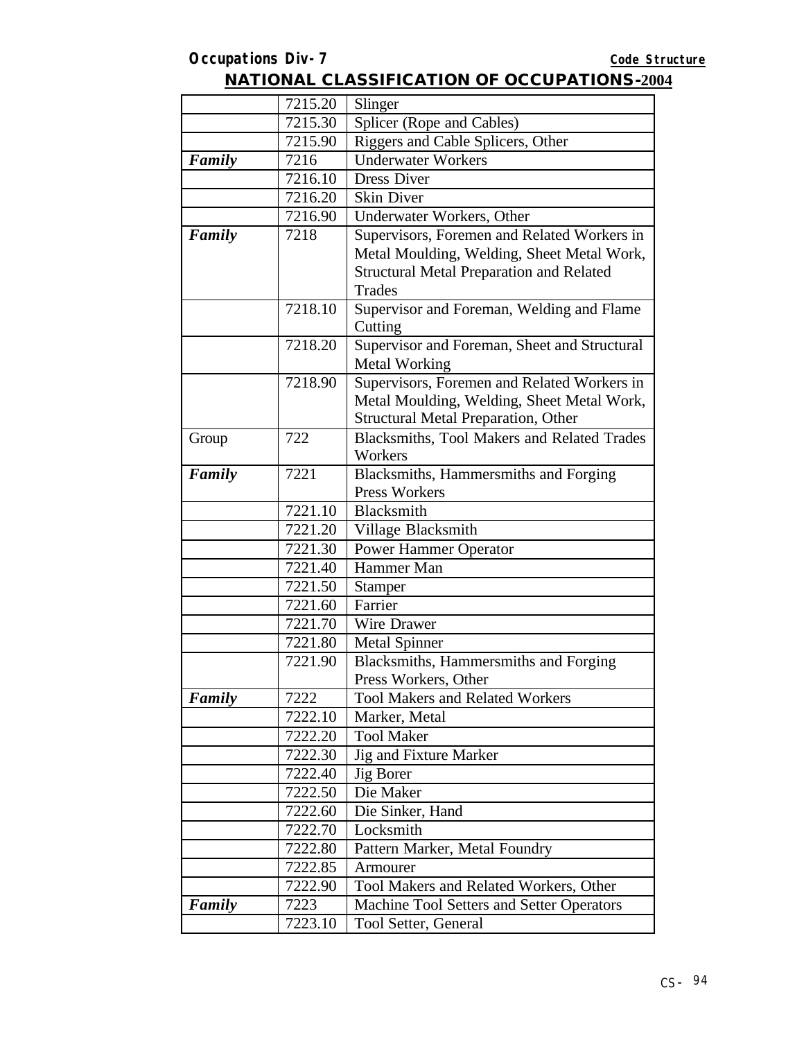#### 7215.20 Slinger  $7215.30$  Splicer (Rope and Cables) 7215.90 Riggers and Cable Splicers, Other *Family* 7216 Underwater Workers  $7216.10$  Dress Diver  $7216.20$  Skin Diver 7216.90 Underwater Workers, Other **Family** 7218 Supervisors, Foremen and Related Workers in Metal Moulding, Welding, Sheet Metal Work, Structural Metal Preparation and Related Trades 7218.10 Supervisor and Foreman, Welding and Flame **Cutting** 7218.20 Supervisor and Foreman, Sheet and Structural Metal Working 7218.90 Supervisors, Foremen and Related Workers in Metal Moulding, Welding, Sheet Metal Work, Structural Metal Preparation, Other Group 722 Blacksmiths, Tool Makers and Related Trades Workers **Family** 7221 Blacksmiths, Hammersmiths and Forging Press Workers 7221.10 Blacksmith 7221.20 Village Blacksmith 7221.30 Power Hammer Operator 7221.40 Hammer Man 7221.50 Stamper 7221.60 Farrier 7221.70 Wire Drawer 7221.80 Metal Spinner 7221.90 Blacksmiths, Hammersmiths and Forging Press Workers, Other **Family** 7222 Tool Makers and Related Workers 7222.10 Marker, Metal 7222.20 Tool Maker  $7222.30$  Jig and Fixture Marker 7222.40 Jig Borer 7222.50 Die Maker 7222.60 Die Sinker, Hand 7222.70 Locksmith 7222.80 Pattern Marker, Metal Foundry 7222.85 Armourer 7222.90 Tool Makers and Related Workers, Other **Family** 7223 | Machine Tool Setters and Setter Operators 7223.10 Tool Setter, General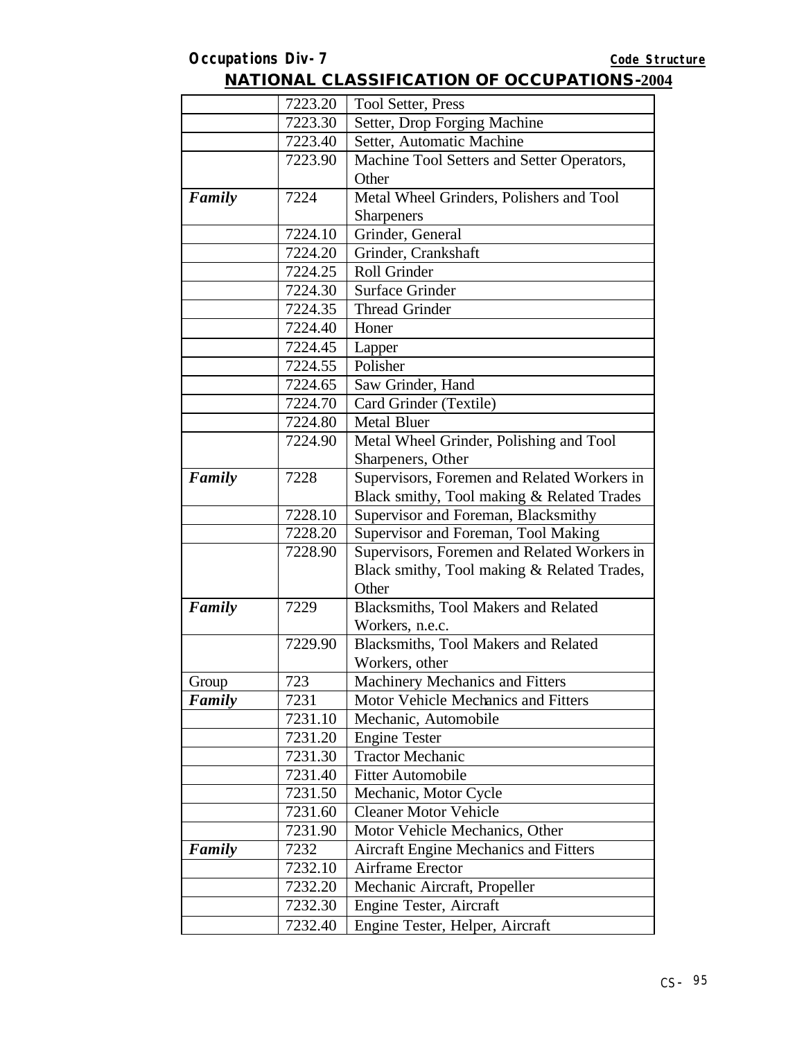|        | 7223.20            | <b>Tool Setter, Press</b>                                      |
|--------|--------------------|----------------------------------------------------------------|
|        | 7223.30            | Setter, Drop Forging Machine                                   |
|        | 7223.40            | Setter, Automatic Machine                                      |
|        | 7223.90            | Machine Tool Setters and Setter Operators,                     |
|        |                    | Other                                                          |
| Family | 7224               | Metal Wheel Grinders, Polishers and Tool                       |
|        |                    | <b>Sharpeners</b>                                              |
|        | 7224.10            | Grinder, General                                               |
|        | 7224.20            | Grinder, Crankshaft                                            |
|        | 7224.25            | Roll Grinder                                                   |
|        | 7224.30            | <b>Surface Grinder</b>                                         |
|        | 7224.35            | <b>Thread Grinder</b>                                          |
|        | 7224.40            | Honer                                                          |
|        | 7224.45            | Lapper                                                         |
|        | 7224.55            | Polisher                                                       |
|        | 7224.65            | Saw Grinder, Hand                                              |
|        | 7224.70            | Card Grinder (Textile)                                         |
|        | 7224.80            | <b>Metal Bluer</b>                                             |
|        | 7224.90            | Metal Wheel Grinder, Polishing and Tool                        |
|        |                    | Sharpeners, Other                                              |
| Family | 7228               | Supervisors, Foremen and Related Workers in                    |
|        |                    | Black smithy, Tool making & Related Trades                     |
|        | 7228.10            | Supervisor and Foreman, Blacksmithy                            |
|        | 7228.20            | Supervisor and Foreman, Tool Making                            |
|        | 7228.90            | Supervisors, Foremen and Related Workers in                    |
|        |                    | Black smithy, Tool making & Related Trades,                    |
|        |                    | Other                                                          |
| Family | 7229               | Blacksmiths, Tool Makers and Related                           |
|        |                    | Workers, n.e.c.                                                |
|        | 7229.90            | Blacksmiths, Tool Makers and Related                           |
|        |                    | Workers, other                                                 |
| Group  | 723                | Machinery Mechanics and Fitters                                |
| Family | 7231               | Motor Vehicle Mechanics and Fitters                            |
|        | 7231.10            | Mechanic, Automobile                                           |
|        | 7231.20            | <b>Engine Tester</b>                                           |
|        | 7231.30            | <b>Tractor Mechanic</b>                                        |
|        | 7231.40            | <b>Fitter Automobile</b>                                       |
|        | 7231.50            | Mechanic, Motor Cycle                                          |
|        | 7231.60            | <b>Cleaner Motor Vehicle</b><br>Motor Vehicle Mechanics, Other |
| Family | 7231.90<br>7232    | <b>Aircraft Engine Mechanics and Fitters</b>                   |
|        |                    |                                                                |
|        | 7232.10<br>7232.20 | Airframe Erector<br>Mechanic Aircraft, Propeller               |
|        |                    |                                                                |
|        | 7232.30            | Engine Tester, Aircraft                                        |
|        | 7232.40            | Engine Tester, Helper, Aircraft                                |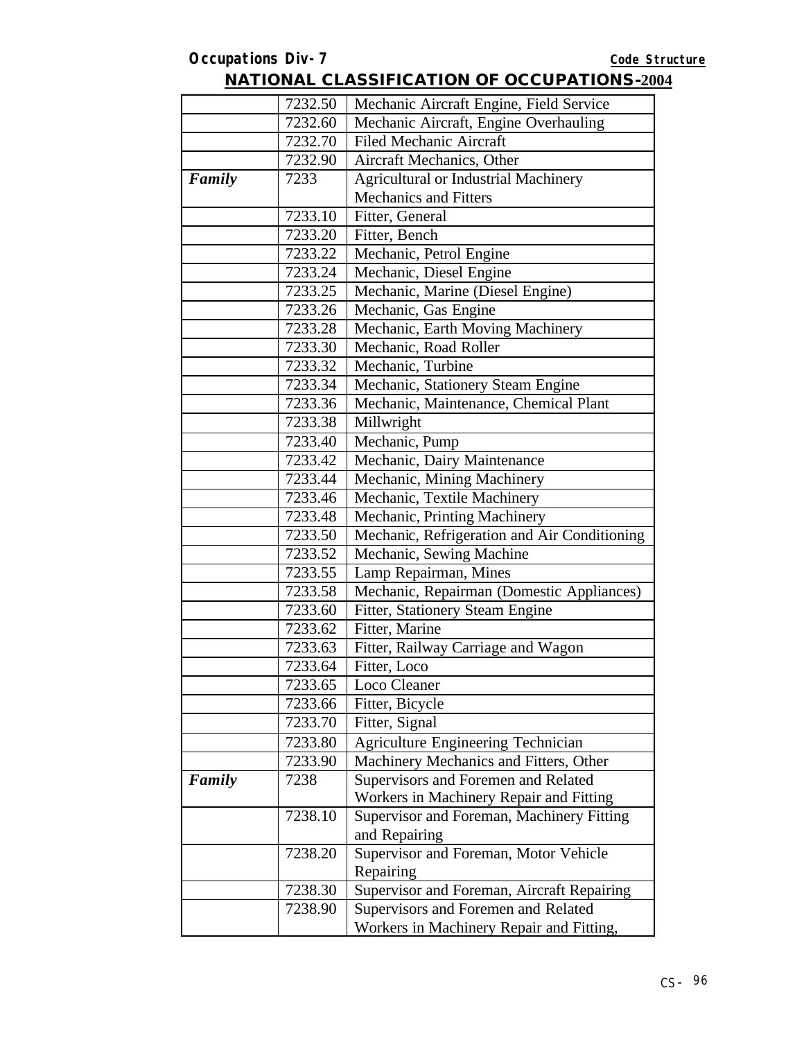|        | 7232.50 | Mechanic Aircraft Engine, Field Service      |
|--------|---------|----------------------------------------------|
|        | 7232.60 | Mechanic Aircraft, Engine Overhauling        |
|        | 7232.70 | <b>Filed Mechanic Aircraft</b>               |
|        | 7232.90 | Aircraft Mechanics, Other                    |
| Family | 7233    | <b>Agricultural or Industrial Machinery</b>  |
|        |         | <b>Mechanics and Fitters</b>                 |
|        | 7233.10 | Fitter, General                              |
|        | 7233.20 | Fitter, Bench                                |
|        | 7233.22 | Mechanic, Petrol Engine                      |
|        | 7233.24 | Mechanic, Diesel Engine                      |
|        | 7233.25 | Mechanic, Marine (Diesel Engine)             |
|        | 7233.26 | Mechanic, Gas Engine                         |
|        | 7233.28 | Mechanic, Earth Moving Machinery             |
|        | 7233.30 | Mechanic, Road Roller                        |
|        | 7233.32 | Mechanic, Turbine                            |
|        | 7233.34 | Mechanic, Stationery Steam Engine            |
|        | 7233.36 | Mechanic, Maintenance, Chemical Plant        |
|        | 7233.38 | Millwright                                   |
|        | 7233.40 | Mechanic, Pump                               |
|        | 7233.42 | Mechanic, Dairy Maintenance                  |
|        | 7233.44 | Mechanic, Mining Machinery                   |
|        | 7233.46 | Mechanic, Textile Machinery                  |
|        | 7233.48 | Mechanic, Printing Machinery                 |
|        | 7233.50 | Mechanic, Refrigeration and Air Conditioning |
|        | 7233.52 | Mechanic, Sewing Machine                     |
|        | 7233.55 | Lamp Repairman, Mines                        |
|        | 7233.58 | Mechanic, Repairman (Domestic Appliances)    |
|        | 7233.60 | Fitter, Stationery Steam Engine              |
|        | 7233.62 | Fitter, Marine                               |
|        | 7233.63 | Fitter, Railway Carriage and Wagon           |
|        | 7233.64 | Fitter, Loco                                 |
|        | 7233.65 | Loco Cleaner                                 |
|        | 7233.66 | Fitter, Bicycle                              |
|        | 7233.70 | Fitter, Signal                               |
|        | 7233.80 | Agriculture Engineering Technician           |
|        | 7233.90 | Machinery Mechanics and Fitters, Other       |
| Family | 7238    | Supervisors and Foremen and Related          |
|        |         | Workers in Machinery Repair and Fitting      |
|        | 7238.10 | Supervisor and Foreman, Machinery Fitting    |
|        |         | and Repairing                                |
|        | 7238.20 | Supervisor and Foreman, Motor Vehicle        |
|        |         | Repairing                                    |
|        | 7238.30 | Supervisor and Foreman, Aircraft Repairing   |
|        | 7238.90 | Supervisors and Foremen and Related          |
|        |         | Workers in Machinery Repair and Fitting,     |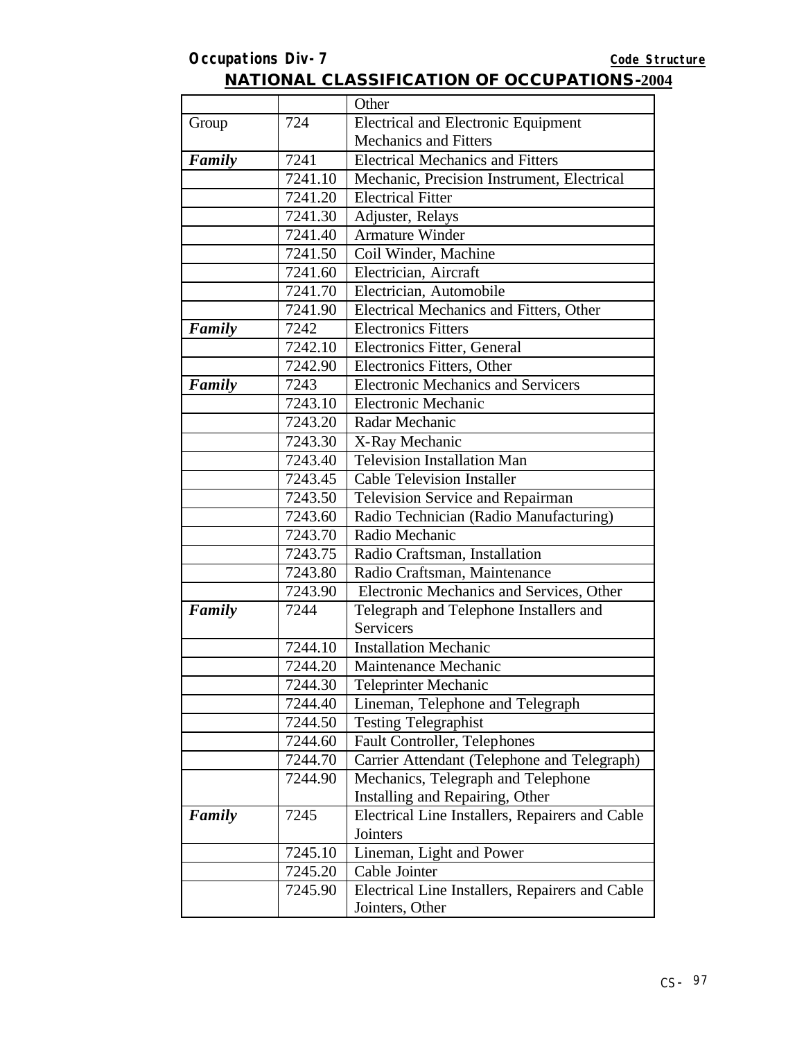### **Occupations Div-7** *Code Structure* **NATIONAL CLASSIFICATION OF OCCUPATIONS-2004**

|        |         | Other                                           |
|--------|---------|-------------------------------------------------|
| Group  | 724     | <b>Electrical and Electronic Equipment</b>      |
|        |         | <b>Mechanics and Fitters</b>                    |
| Family | 7241    | <b>Electrical Mechanics and Fitters</b>         |
|        | 7241.10 | Mechanic, Precision Instrument, Electrical      |
|        | 7241.20 | <b>Electrical Fitter</b>                        |
|        | 7241.30 | Adjuster, Relays                                |
|        | 7241.40 | <b>Armature Winder</b>                          |
|        | 7241.50 | Coil Winder, Machine                            |
|        | 7241.60 | Electrician, Aircraft                           |
|        | 7241.70 | Electrician, Automobile                         |
|        | 7241.90 | Electrical Mechanics and Fitters, Other         |
| Family | 7242    | <b>Electronics Fitters</b>                      |
|        | 7242.10 | Electronics Fitter, General                     |
|        | 7242.90 | Electronics Fitters, Other                      |
| Family | 7243    | <b>Electronic Mechanics and Servicers</b>       |
|        | 7243.10 | <b>Electronic Mechanic</b>                      |
|        | 7243.20 | Radar Mechanic                                  |
|        | 7243.30 | X-Ray Mechanic                                  |
|        | 7243.40 | <b>Television Installation Man</b>              |
|        | 7243.45 | <b>Cable Television Installer</b>               |
|        | 7243.50 | Television Service and Repairman                |
|        | 7243.60 | Radio Technician (Radio Manufacturing)          |
|        | 7243.70 | Radio Mechanic                                  |
|        | 7243.75 | Radio Craftsman, Installation                   |
|        | 7243.80 | Radio Craftsman, Maintenance                    |
|        | 7243.90 | Electronic Mechanics and Services, Other        |
| Family | 7244    | Telegraph and Telephone Installers and          |
|        |         | Servicers                                       |
|        | 7244.10 | <b>Installation Mechanic</b>                    |
|        | 7244.20 | Maintenance Mechanic                            |
|        | 7244.30 | Teleprinter Mechanic                            |
|        | 7244.40 | Lineman, Telephone and Telegraph                |
|        | 7244.50 | <b>Testing Telegraphist</b>                     |
|        | 7244.60 | Fault Controller, Telephones                    |
|        | 7244.70 | Carrier Attendant (Telephone and Telegraph)     |
|        | 7244.90 | Mechanics, Telegraph and Telephone              |
|        |         | Installing and Repairing, Other                 |
| Family | 7245    | Electrical Line Installers, Repairers and Cable |
|        |         | Jointers                                        |
|        | 7245.10 | Lineman, Light and Power                        |
|        | 7245.20 | Cable Jointer                                   |
|        | 7245.90 | Electrical Line Installers, Repairers and Cable |
|        |         | Jointers, Other                                 |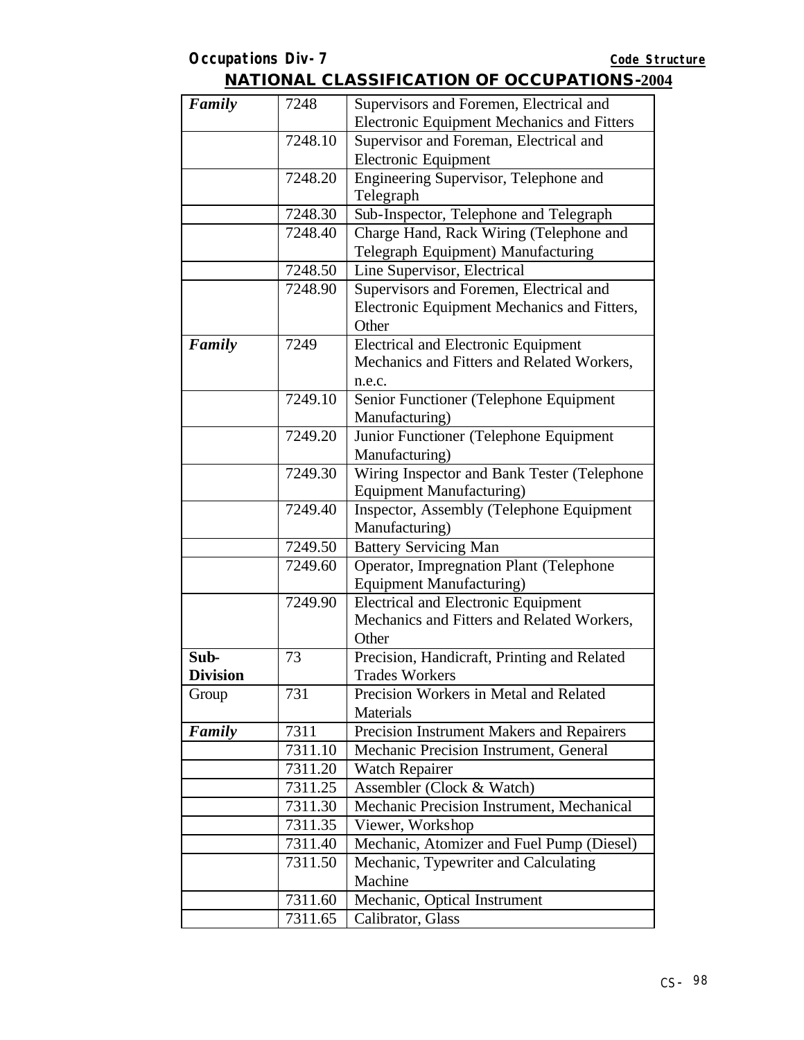| Family          | 7248    | Supervisors and Foremen, Electrical and           |
|-----------------|---------|---------------------------------------------------|
|                 |         | <b>Electronic Equipment Mechanics and Fitters</b> |
|                 | 7248.10 | Supervisor and Foreman, Electrical and            |
|                 |         | <b>Electronic Equipment</b>                       |
|                 | 7248.20 | Engineering Supervisor, Telephone and             |
|                 |         | Telegraph                                         |
|                 | 7248.30 | Sub-Inspector, Telephone and Telegraph            |
|                 | 7248.40 | Charge Hand, Rack Wiring (Telephone and           |
|                 |         | Telegraph Equipment) Manufacturing                |
|                 | 7248.50 | Line Supervisor, Electrical                       |
|                 | 7248.90 | Supervisors and Foremen, Electrical and           |
|                 |         | Electronic Equipment Mechanics and Fitters,       |
|                 |         | Other                                             |
| Family          | 7249    | <b>Electrical and Electronic Equipment</b>        |
|                 |         | Mechanics and Fitters and Related Workers,        |
|                 |         | n.e.c.                                            |
|                 | 7249.10 | Senior Functioner (Telephone Equipment            |
|                 |         | Manufacturing)                                    |
|                 | 7249.20 | Junior Functioner (Telephone Equipment            |
|                 |         | Manufacturing)                                    |
|                 | 7249.30 | Wiring Inspector and Bank Tester (Telephone       |
|                 |         | <b>Equipment Manufacturing)</b>                   |
|                 | 7249.40 | Inspector, Assembly (Telephone Equipment          |
|                 |         | Manufacturing)                                    |
|                 | 7249.50 | <b>Battery Servicing Man</b>                      |
|                 | 7249.60 | Operator, Impregnation Plant (Telephone           |
|                 |         | <b>Equipment Manufacturing)</b>                   |
|                 | 7249.90 | <b>Electrical and Electronic Equipment</b>        |
|                 |         | Mechanics and Fitters and Related Workers,        |
|                 |         | Other                                             |
| Sub-            | 73      | Precision, Handicraft, Printing and Related       |
| <b>Division</b> |         | <b>Trades Workers</b>                             |
| Group           | 731     | Precision Workers in Metal and Related            |
|                 |         | <b>Materials</b>                                  |
| Family          | 7311    | Precision Instrument Makers and Repairers         |
|                 | 7311.10 | Mechanic Precision Instrument, General            |
|                 | 7311.20 | <b>Watch Repairer</b>                             |
|                 | 7311.25 | Assembler (Clock & Watch)                         |
|                 | 7311.30 | Mechanic Precision Instrument, Mechanical         |
|                 | 7311.35 | Viewer, Workshop                                  |
|                 | 7311.40 | Mechanic, Atomizer and Fuel Pump (Diesel)         |
|                 | 7311.50 | Mechanic, Typewriter and Calculating              |
|                 |         | Machine                                           |
|                 | 7311.60 | Mechanic, Optical Instrument                      |
|                 | 7311.65 | Calibrator, Glass                                 |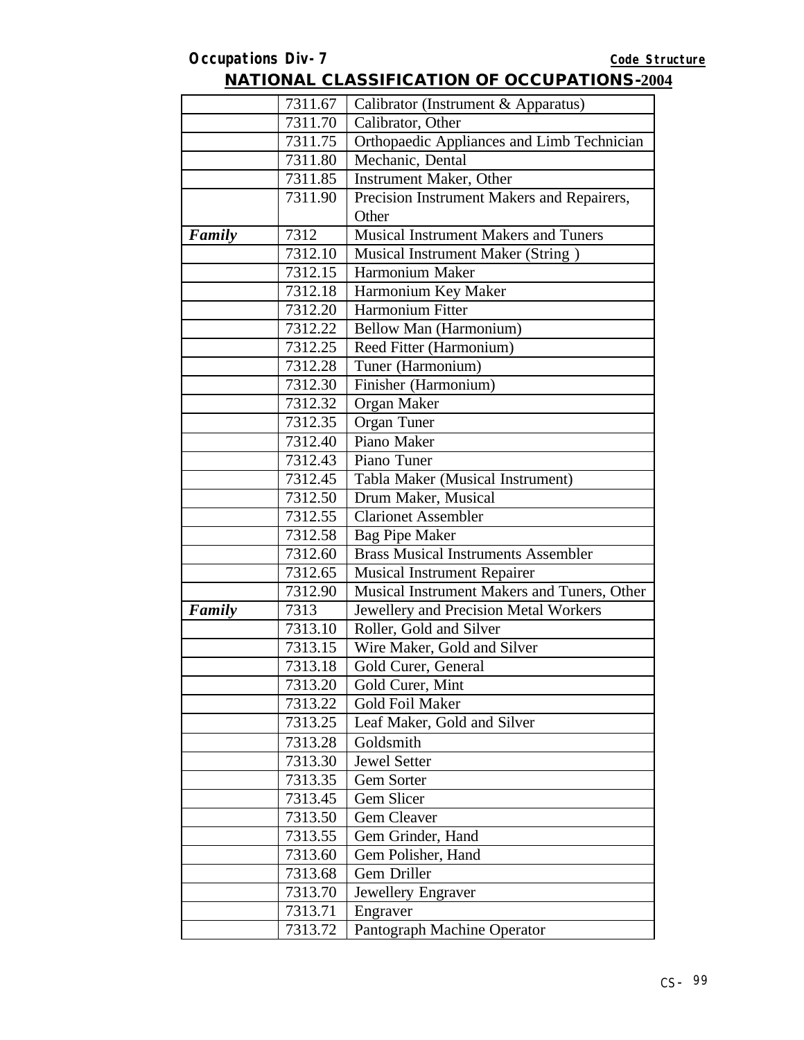|        | 7311.67 | Calibrator (Instrument & Apparatus)         |
|--------|---------|---------------------------------------------|
|        | 7311.70 | Calibrator, Other                           |
|        | 7311.75 | Orthopaedic Appliances and Limb Technician  |
|        | 7311.80 | Mechanic, Dental                            |
|        | 7311.85 | Instrument Maker, Other                     |
|        | 7311.90 | Precision Instrument Makers and Repairers,  |
|        |         | Other                                       |
| Family | 7312    | <b>Musical Instrument Makers and Tuners</b> |
|        | 7312.10 | Musical Instrument Maker (String)           |
|        | 7312.15 | Harmonium Maker                             |
|        | 7312.18 | Harmonium Key Maker                         |
|        | 7312.20 | Harmonium Fitter                            |
|        | 7312.22 | Bellow Man (Harmonium)                      |
|        | 7312.25 | Reed Fitter (Harmonium)                     |
|        | 7312.28 | Tuner (Harmonium)                           |
|        | 7312.30 | Finisher (Harmonium)                        |
|        | 7312.32 | Organ Maker                                 |
|        | 7312.35 | Organ Tuner                                 |
|        | 7312.40 | Piano Maker                                 |
|        | 7312.43 | Piano Tuner                                 |
|        | 7312.45 | Tabla Maker (Musical Instrument)            |
|        | 7312.50 | Drum Maker, Musical                         |
|        | 7312.55 | <b>Clarionet Assembler</b>                  |
|        | 7312.58 | <b>Bag Pipe Maker</b>                       |
|        | 7312.60 | <b>Brass Musical Instruments Assembler</b>  |
|        | 7312.65 | <b>Musical Instrument Repairer</b>          |
|        | 7312.90 | Musical Instrument Makers and Tuners, Other |
| Family | 7313    | Jewellery and Precision Metal Workers       |
|        | 7313.10 | Roller, Gold and Silver                     |
|        | 7313.15 | Wire Maker, Gold and Silver                 |
|        | 7313.18 | Gold Curer, General                         |
|        | 7313.20 | Gold Curer, Mint                            |
|        | 7313.22 | <b>Gold Foil Maker</b>                      |
|        | 7313.25 | Leaf Maker, Gold and Silver                 |
|        | 7313.28 | Goldsmith                                   |
|        | 7313.30 | <b>Jewel Setter</b>                         |
|        | 7313.35 | Gem Sorter                                  |
|        | 7313.45 | Gem Slicer                                  |
|        | 7313.50 | Gem Cleaver                                 |
|        | 7313.55 | Gem Grinder, Hand                           |
|        | 7313.60 | Gem Polisher, Hand                          |
|        | 7313.68 | Gem Driller                                 |
|        | 7313.70 | Jewellery Engraver                          |
|        | 7313.71 | Engraver                                    |
|        | 7313.72 | Pantograph Machine Operator                 |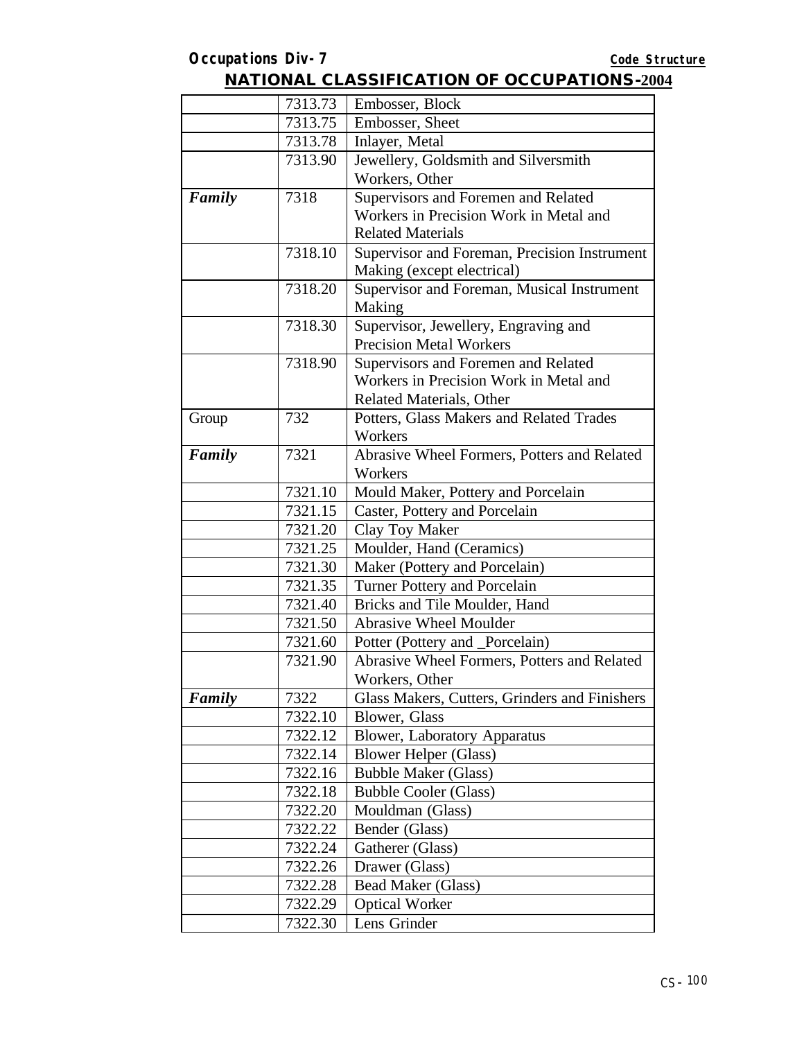|        | 7313.73 | Embosser, Block                               |
|--------|---------|-----------------------------------------------|
|        | 7313.75 | Embosser, Sheet                               |
|        | 7313.78 | Inlayer, Metal                                |
|        | 7313.90 | Jewellery, Goldsmith and Silversmith          |
|        |         | Workers, Other                                |
| Family | 7318    | Supervisors and Foremen and Related           |
|        |         | Workers in Precision Work in Metal and        |
|        |         | <b>Related Materials</b>                      |
|        | 7318.10 | Supervisor and Foreman, Precision Instrument  |
|        |         | Making (except electrical)                    |
|        | 7318.20 | Supervisor and Foreman, Musical Instrument    |
|        |         | Making                                        |
|        | 7318.30 | Supervisor, Jewellery, Engraving and          |
|        |         | <b>Precision Metal Workers</b>                |
|        | 7318.90 | Supervisors and Foremen and Related           |
|        |         | Workers in Precision Work in Metal and        |
|        |         | <b>Related Materials, Other</b>               |
| Group  | 732     | Potters, Glass Makers and Related Trades      |
|        |         | Workers                                       |
| Family | 7321    | Abrasive Wheel Formers, Potters and Related   |
|        |         | Workers                                       |
|        | 7321.10 | Mould Maker, Pottery and Porcelain            |
|        | 7321.15 | Caster, Pottery and Porcelain                 |
|        | 7321.20 | Clay Toy Maker                                |
|        | 7321.25 | Moulder, Hand (Ceramics)                      |
|        | 7321.30 | Maker (Pottery and Porcelain)                 |
|        | 7321.35 | <b>Turner Pottery and Porcelain</b>           |
|        | 7321.40 | Bricks and Tile Moulder, Hand                 |
|        | 7321.50 | <b>Abrasive Wheel Moulder</b>                 |
|        | 7321.60 | Potter (Pottery and _Porcelain)               |
|        | 7321.90 | Abrasive Wheel Formers, Potters and Related   |
|        |         | Workers, Other                                |
| Family | 7322    | Glass Makers, Cutters, Grinders and Finishers |
|        | 7322.10 | Blower, Glass                                 |
|        | 7322.12 | <b>Blower, Laboratory Apparatus</b>           |
|        | 7322.14 | <b>Blower Helper (Glass)</b>                  |
|        | 7322.16 | <b>Bubble Maker (Glass)</b>                   |
|        | 7322.18 | <b>Bubble Cooler (Glass)</b>                  |
|        | 7322.20 | Mouldman (Glass)                              |
|        | 7322.22 | Bender (Glass)                                |
|        | 7322.24 | Gatherer (Glass)                              |
|        | 7322.26 | Drawer (Glass)                                |
|        | 7322.28 | Bead Maker (Glass)                            |
|        | 7322.29 | <b>Optical Worker</b>                         |
|        | 7322.30 | Lens Grinder                                  |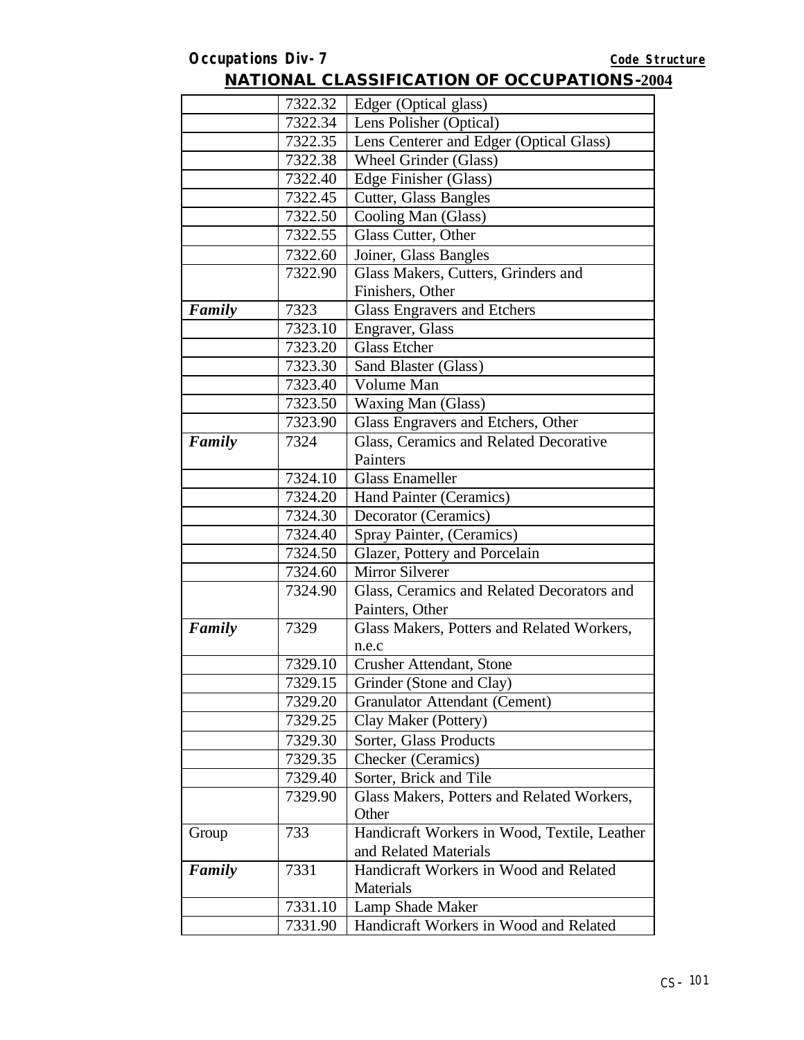|        | 7322.32 | Edger (Optical glass)                        |
|--------|---------|----------------------------------------------|
|        | 7322.34 | Lens Polisher (Optical)                      |
|        | 7322.35 | Lens Centerer and Edger (Optical Glass)      |
|        | 7322.38 | Wheel Grinder (Glass)                        |
|        | 7322.40 | Edge Finisher (Glass)                        |
|        | 7322.45 | <b>Cutter, Glass Bangles</b>                 |
|        | 7322.50 | Cooling Man (Glass)                          |
|        | 7322.55 | Glass Cutter, Other                          |
|        | 7322.60 | Joiner, Glass Bangles                        |
|        | 7322.90 | Glass Makers, Cutters, Grinders and          |
|        |         | Finishers, Other                             |
| Family | 7323    | <b>Glass Engravers and Etchers</b>           |
|        | 7323.10 | Engraver, Glass                              |
|        | 7323.20 | <b>Glass Etcher</b>                          |
|        | 7323.30 | Sand Blaster (Glass)                         |
|        | 7323.40 | Volume Man                                   |
|        | 7323.50 | <b>Waxing Man (Glass)</b>                    |
|        | 7323.90 | Glass Engravers and Etchers, Other           |
| Family | 7324    | Glass, Ceramics and Related Decorative       |
|        |         | Painters                                     |
|        | 7324.10 | <b>Glass Enameller</b>                       |
|        | 7324.20 | Hand Painter (Ceramics)                      |
|        | 7324.30 | Decorator (Ceramics)                         |
|        | 7324.40 | Spray Painter, (Ceramics)                    |
|        | 7324.50 | Glazer, Pottery and Porcelain                |
|        | 7324.60 | Mirror Silverer                              |
|        | 7324.90 | Glass, Ceramics and Related Decorators and   |
|        |         | Painters, Other                              |
| Family | 7329    | Glass Makers, Potters and Related Workers,   |
|        |         | n.e.c                                        |
|        | 7329.10 | Crusher Attendant, Stone                     |
|        | 7329.15 | Grinder (Stone and Clay)                     |
|        | 7329.20 | Granulator Attendant (Cement)                |
|        | 7329.25 | Clay Maker (Pottery)                         |
|        | 7329.30 | Sorter, Glass Products                       |
|        | 7329.35 | Checker (Ceramics)                           |
|        | 7329.40 | Sorter, Brick and Tile                       |
|        | 7329.90 | Glass Makers, Potters and Related Workers,   |
|        |         | Other                                        |
| Group  | 733     | Handicraft Workers in Wood, Textile, Leather |
|        |         | and Related Materials                        |
| Family | 7331    | Handicraft Workers in Wood and Related       |
|        |         | Materials                                    |
|        | 7331.10 | Lamp Shade Maker                             |
|        | 7331.90 | Handicraft Workers in Wood and Related       |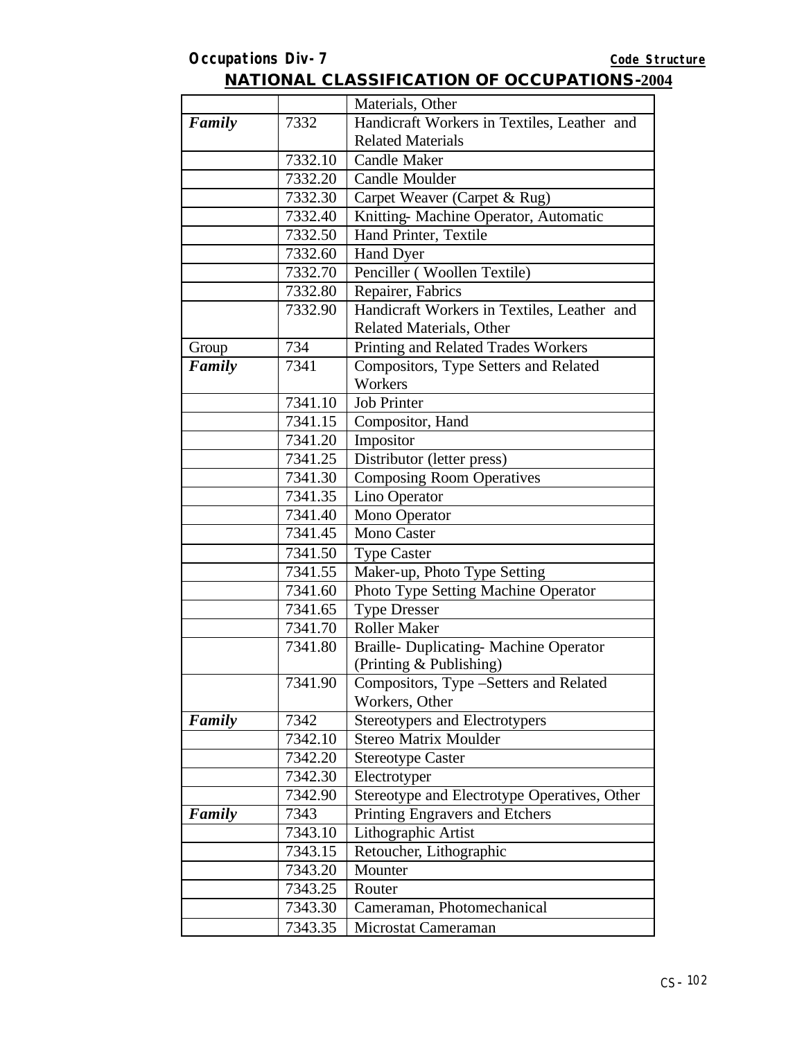|        |         | Materials, Other                             |
|--------|---------|----------------------------------------------|
| Family | 7332    | Handicraft Workers in Textiles, Leather and  |
|        |         | <b>Related Materials</b>                     |
|        | 7332.10 | <b>Candle Maker</b>                          |
|        | 7332.20 | <b>Candle Moulder</b>                        |
|        | 7332.30 | Carpet Weaver (Carpet & Rug)                 |
|        | 7332.40 | Knitting- Machine Operator, Automatic        |
|        | 7332.50 | Hand Printer, Textile                        |
|        | 7332.60 | Hand Dyer                                    |
|        | 7332.70 | Penciller (Woollen Textile)                  |
|        | 7332.80 | Repairer, Fabrics                            |
|        | 7332.90 | Handicraft Workers in Textiles, Leather and  |
|        |         | Related Materials, Other                     |
| Group  | 734     | Printing and Related Trades Workers          |
| Family | 7341    | Compositors, Type Setters and Related        |
|        |         | Workers                                      |
|        | 7341.10 | <b>Job Printer</b>                           |
|        | 7341.15 | Compositor, Hand                             |
|        | 7341.20 | Impositor                                    |
|        | 7341.25 | Distributor (letter press)                   |
|        | 7341.30 | <b>Composing Room Operatives</b>             |
|        | 7341.35 | Lino Operator                                |
|        | 7341.40 | Mono Operator                                |
|        | 7341.45 | <b>Mono Caster</b>                           |
|        | 7341.50 | <b>Type Caster</b>                           |
|        | 7341.55 | Maker-up, Photo Type Setting                 |
|        | 7341.60 | Photo Type Setting Machine Operator          |
|        | 7341.65 | <b>Type Dresser</b>                          |
|        | 7341.70 | <b>Roller Maker</b>                          |
|        | 7341.80 | Braille- Duplicating- Machine Operator       |
|        |         | (Printing & Publishing)                      |
|        | 7341.90 | Compositors, Type -Setters and Related       |
|        |         | Workers, Other                               |
| Family | 7342    | Stereotypers and Electrotypers               |
|        | 7342.10 | <b>Stereo Matrix Moulder</b>                 |
|        | 7342.20 | <b>Stereotype Caster</b>                     |
|        | 7342.30 | Electrotyper                                 |
|        | 7342.90 | Stereotype and Electrotype Operatives, Other |
| Family | 7343    | Printing Engravers and Etchers               |
|        | 7343.10 | Lithographic Artist                          |
|        | 7343.15 | Retoucher, Lithographic                      |
|        | 7343.20 | Mounter                                      |
|        | 7343.25 | Router                                       |
|        | 7343.30 | Cameraman, Photomechanical                   |
|        | 7343.35 | Microstat Cameraman                          |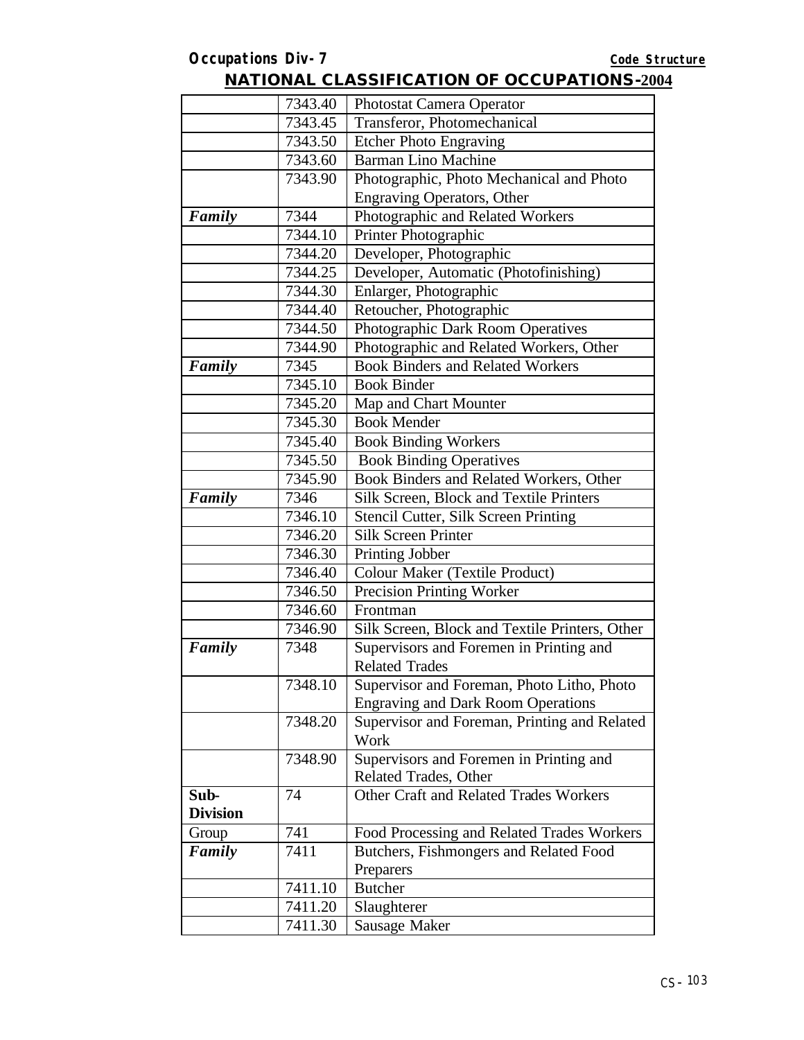|                 | 7343.40 | Photostat Camera Operator                      |
|-----------------|---------|------------------------------------------------|
|                 | 7343.45 | Transferor, Photomechanical                    |
|                 | 7343.50 | <b>Etcher Photo Engraving</b>                  |
|                 | 7343.60 | <b>Barman Lino Machine</b>                     |
|                 | 7343.90 | Photographic, Photo Mechanical and Photo       |
|                 |         | <b>Engraving Operators, Other</b>              |
| Family          | 7344    | Photographic and Related Workers               |
|                 | 7344.10 | Printer Photographic                           |
|                 | 7344.20 | Developer, Photographic                        |
|                 | 7344.25 | Developer, Automatic (Photofinishing)          |
|                 | 7344.30 | Enlarger, Photographic                         |
|                 | 7344.40 | Retoucher, Photographic                        |
|                 | 7344.50 | Photographic Dark Room Operatives              |
|                 | 7344.90 | Photographic and Related Workers, Other        |
| Family          | 7345    | <b>Book Binders and Related Workers</b>        |
|                 | 7345.10 | <b>Book Binder</b>                             |
|                 | 7345.20 | Map and Chart Mounter                          |
|                 | 7345.30 | <b>Book Mender</b>                             |
|                 | 7345.40 | <b>Book Binding Workers</b>                    |
|                 | 7345.50 | <b>Book Binding Operatives</b>                 |
|                 | 7345.90 | Book Binders and Related Workers, Other        |
| Family          | 7346    | Silk Screen, Block and Textile Printers        |
|                 | 7346.10 | Stencil Cutter, Silk Screen Printing           |
|                 | 7346.20 | <b>Silk Screen Printer</b>                     |
|                 | 7346.30 | Printing Jobber                                |
|                 | 7346.40 | <b>Colour Maker (Textile Product)</b>          |
|                 | 7346.50 | Precision Printing Worker                      |
|                 | 7346.60 | Frontman                                       |
|                 | 7346.90 | Silk Screen, Block and Textile Printers, Other |
| Family          | 7348    | Supervisors and Foremen in Printing and        |
|                 |         | <b>Related Trades</b>                          |
|                 | 7348.10 | Supervisor and Foreman, Photo Litho, Photo     |
|                 |         | <b>Engraving and Dark Room Operations</b>      |
|                 | 7348.20 | Supervisor and Foreman, Printing and Related   |
|                 |         | Work                                           |
|                 | 7348.90 | Supervisors and Foremen in Printing and        |
|                 |         | Related Trades, Other                          |
| Sub-            | 74      | Other Craft and Related Trades Workers         |
| <b>Division</b> |         |                                                |
| Group           | 741     | Food Processing and Related Trades Workers     |
| Family          | 7411    | Butchers, Fishmongers and Related Food         |
|                 |         | Preparers                                      |
|                 | 7411.10 | <b>Butcher</b>                                 |
|                 | 7411.20 | Slaughterer                                    |
|                 | 7411.30 | Sausage Maker                                  |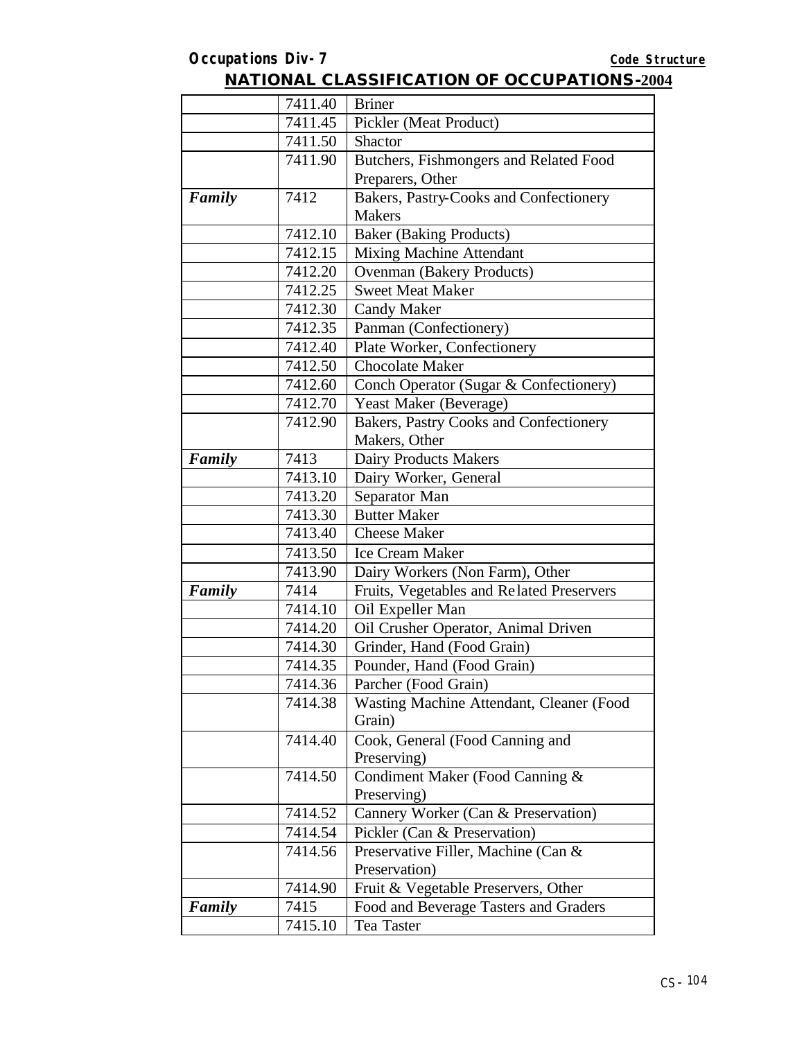|        | 7411.40 | <b>Briner</b>                                           |
|--------|---------|---------------------------------------------------------|
|        | 7411.45 | Pickler (Meat Product)                                  |
|        | 7411.50 | <b>Shactor</b>                                          |
|        | 7411.90 | Butchers, Fishmongers and Related Food                  |
|        |         | Preparers, Other                                        |
| Family | 7412    | Bakers, Pastry-Cooks and Confectionery<br><b>Makers</b> |
|        | 7412.10 | <b>Baker</b> (Baking Products)                          |
|        | 7412.15 | <b>Mixing Machine Attendant</b>                         |
|        | 7412.20 | Ovenman (Bakery Products)                               |
|        | 7412.25 | <b>Sweet Meat Maker</b>                                 |
|        | 7412.30 | <b>Candy Maker</b>                                      |
|        | 7412.35 | Panman (Confectionery)                                  |
|        | 7412.40 | Plate Worker, Confectionery                             |
|        | 7412.50 | <b>Chocolate Maker</b>                                  |
|        | 7412.60 | Conch Operator (Sugar & Confectionery)                  |
|        | 7412.70 | Yeast Maker (Beverage)                                  |
|        | 7412.90 | Bakers, Pastry Cooks and Confectionery                  |
|        |         | Makers, Other                                           |
| Family | 7413    | Dairy Products Makers                                   |
|        | 7413.10 | Dairy Worker, General                                   |
|        | 7413.20 | Separator Man                                           |
|        | 7413.30 | <b>Butter Maker</b>                                     |
|        | 7413.40 | <b>Cheese Maker</b>                                     |
|        | 7413.50 | <b>Ice Cream Maker</b>                                  |
|        | 7413.90 | Dairy Workers (Non Farm), Other                         |
| Family | 7414    | Fruits, Vegetables and Related Preservers               |
|        | 7414.10 | Oil Expeller Man                                        |
|        | 7414.20 | Oil Crusher Operator, Animal Driven                     |
|        | 7414.30 | Grinder, Hand (Food Grain)                              |
|        | 7414.35 | Pounder, Hand (Food Grain)                              |
|        | 7414.36 | Parcher (Food Grain)                                    |
|        | 7414.38 | Wasting Machine Attendant, Cleaner (Food<br>Grain)      |
|        | 7414.40 | Cook, General (Food Canning and<br>Preserving)          |
|        | 7414.50 | Condiment Maker (Food Canning &<br>Preserving)          |
|        | 7414.52 | Cannery Worker (Can & Preservation)                     |
|        | 7414.54 | Pickler (Can & Preservation)                            |
|        | 7414.56 | Preservative Filler, Machine (Can &                     |
|        |         | Preservation)                                           |
|        | 7414.90 | Fruit & Vegetable Preservers, Other                     |
| Family | 7415    | Food and Beverage Tasters and Graders                   |
|        | 7415.10 | Tea Taster                                              |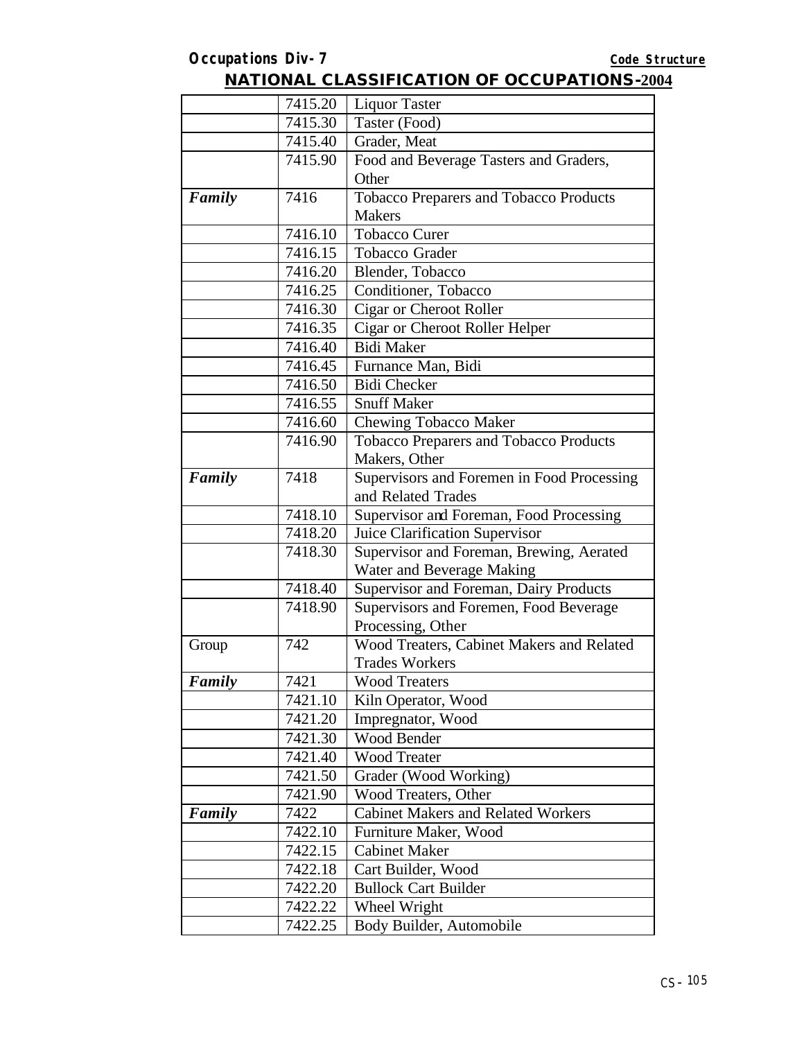|        | 7415.20 | <b>Liquor Taster</b>                          |
|--------|---------|-----------------------------------------------|
|        | 7415.30 | Taster (Food)                                 |
|        | 7415.40 | Grader, Meat                                  |
|        | 7415.90 | Food and Beverage Tasters and Graders,        |
|        |         | Other                                         |
| Family | 7416    | <b>Tobacco Preparers and Tobacco Products</b> |
|        |         | <b>Makers</b>                                 |
|        | 7416.10 | <b>Tobacco Curer</b>                          |
|        | 7416.15 | <b>Tobacco Grader</b>                         |
|        | 7416.20 | Blender, Tobacco                              |
|        | 7416.25 | Conditioner, Tobacco                          |
|        | 7416.30 | Cigar or Cheroot Roller                       |
|        | 7416.35 | Cigar or Cheroot Roller Helper                |
|        | 7416.40 | <b>Bidi Maker</b>                             |
|        | 7416.45 | Furnance Man, Bidi                            |
|        | 7416.50 | <b>Bidi</b> Checker                           |
|        | 7416.55 | <b>Snuff Maker</b>                            |
|        | 7416.60 | Chewing Tobacco Maker                         |
|        | 7416.90 | Tobacco Preparers and Tobacco Products        |
|        |         | Makers, Other                                 |
| Family | 7418    | Supervisors and Foremen in Food Processing    |
|        |         | and Related Trades                            |
|        | 7418.10 | Supervisor and Foreman, Food Processing       |
|        | 7418.20 | Juice Clarification Supervisor                |
|        | 7418.30 | Supervisor and Foreman, Brewing, Aerated      |
|        |         | Water and Beverage Making                     |
|        | 7418.40 | Supervisor and Foreman, Dairy Products        |
|        | 7418.90 | Supervisors and Foremen, Food Beverage        |
|        |         | Processing, Other                             |
| Group  | 742     | Wood Treaters, Cabinet Makers and Related     |
|        |         | <b>Trades Workers</b>                         |
| Family | 7421    | <b>Wood Treaters</b>                          |
|        | 7421.10 | Kiln Operator, Wood                           |
|        | 7421.20 | Impregnator, Wood                             |
|        | 7421.30 | Wood Bender                                   |
|        | 7421.40 | <b>Wood Treater</b>                           |
|        | 7421.50 | Grader (Wood Working)                         |
|        | 7421.90 | Wood Treaters, Other                          |
| Family | 7422    | <b>Cabinet Makers and Related Workers</b>     |
|        | 7422.10 | Furniture Maker, Wood                         |
|        | 7422.15 | <b>Cabinet Maker</b>                          |
|        | 7422.18 | Cart Builder, Wood                            |
|        | 7422.20 | <b>Bullock Cart Builder</b>                   |
|        | 7422.22 | Wheel Wright                                  |
|        | 7422.25 | Body Builder, Automobile                      |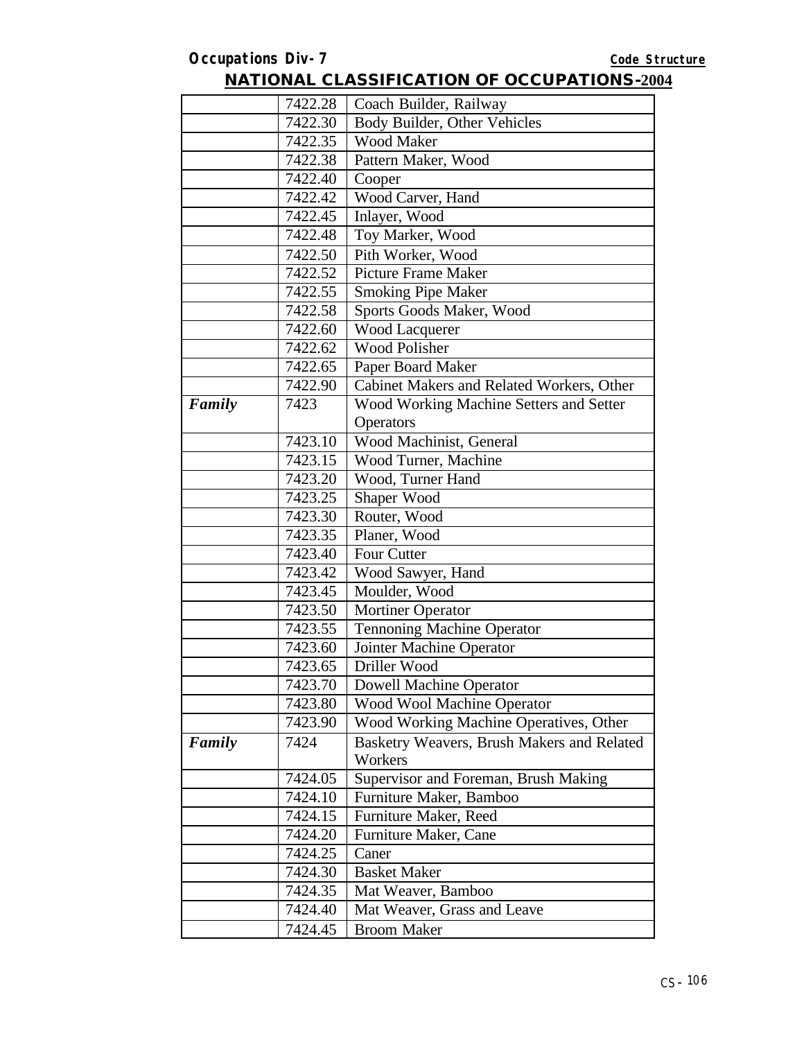| 7422.28<br>Coach Builder, Railway<br>Body Builder, Other Vehicles<br>7422.30<br><b>Wood Maker</b><br>7422.35<br>Pattern Maker, Wood<br>7422.38<br>7422.40<br>Cooper<br>Wood Carver, Hand<br>7422.42<br>Inlayer, Wood<br>7422.45<br>Toy Marker, Wood<br>7422.48<br>Pith Worker, Wood<br>7422.50<br><b>Picture Frame Maker</b><br>7422.52<br><b>Smoking Pipe Maker</b><br>7422.55<br>Sports Goods Maker, Wood<br>7422.58<br><b>Wood Lacquerer</b><br>7422.60<br><b>Wood Polisher</b><br>7422.62<br>7422.65<br>Paper Board Maker<br>Cabinet Makers and Related Workers, Other<br>7422.90<br>Wood Working Machine Setters and Setter<br>Family<br>7423<br>Operators<br>7423.10<br>Wood Machinist, General<br>7423.15<br>Wood Turner, Machine<br>Wood, Turner Hand<br>7423.20<br>Shaper Wood<br>7423.25<br>Router, Wood<br>7423.30<br>Planer, Wood<br>7423.35<br>7423.40<br>Four Cutter<br>7423.42<br>Wood Sawyer, Hand<br>Moulder, Wood<br>7423.45<br>7423.50<br><b>Mortiner Operator</b><br><b>Tennoning Machine Operator</b><br>7423.55<br>7423.60<br>Jointer Machine Operator<br>7423.65<br>Driller Wood<br><b>Dowell Machine Operator</b><br>7423.70<br>7423.80<br>Wood Wool Machine Operator<br>Wood Working Machine Operatives, Other<br>7423.90<br>Basketry Weavers, Brush Makers and Related<br>Family<br>7424<br>Workers<br>7424.05<br>Supervisor and Foreman, Brush Making<br>Furniture Maker, Bamboo<br>7424.10<br>7424.15<br>Furniture Maker, Reed<br>7424.20<br>Furniture Maker, Cane<br>7424.25<br>Caner<br><b>Basket Maker</b><br>7424.30 |         |                    |
|------------------------------------------------------------------------------------------------------------------------------------------------------------------------------------------------------------------------------------------------------------------------------------------------------------------------------------------------------------------------------------------------------------------------------------------------------------------------------------------------------------------------------------------------------------------------------------------------------------------------------------------------------------------------------------------------------------------------------------------------------------------------------------------------------------------------------------------------------------------------------------------------------------------------------------------------------------------------------------------------------------------------------------------------------------------------------------------------------------------------------------------------------------------------------------------------------------------------------------------------------------------------------------------------------------------------------------------------------------------------------------------------------------------------------------------------------------------------------------------------------------------------------------------------------|---------|--------------------|
|                                                                                                                                                                                                                                                                                                                                                                                                                                                                                                                                                                                                                                                                                                                                                                                                                                                                                                                                                                                                                                                                                                                                                                                                                                                                                                                                                                                                                                                                                                                                                      |         |                    |
|                                                                                                                                                                                                                                                                                                                                                                                                                                                                                                                                                                                                                                                                                                                                                                                                                                                                                                                                                                                                                                                                                                                                                                                                                                                                                                                                                                                                                                                                                                                                                      |         |                    |
|                                                                                                                                                                                                                                                                                                                                                                                                                                                                                                                                                                                                                                                                                                                                                                                                                                                                                                                                                                                                                                                                                                                                                                                                                                                                                                                                                                                                                                                                                                                                                      |         |                    |
|                                                                                                                                                                                                                                                                                                                                                                                                                                                                                                                                                                                                                                                                                                                                                                                                                                                                                                                                                                                                                                                                                                                                                                                                                                                                                                                                                                                                                                                                                                                                                      |         |                    |
|                                                                                                                                                                                                                                                                                                                                                                                                                                                                                                                                                                                                                                                                                                                                                                                                                                                                                                                                                                                                                                                                                                                                                                                                                                                                                                                                                                                                                                                                                                                                                      |         |                    |
|                                                                                                                                                                                                                                                                                                                                                                                                                                                                                                                                                                                                                                                                                                                                                                                                                                                                                                                                                                                                                                                                                                                                                                                                                                                                                                                                                                                                                                                                                                                                                      |         |                    |
|                                                                                                                                                                                                                                                                                                                                                                                                                                                                                                                                                                                                                                                                                                                                                                                                                                                                                                                                                                                                                                                                                                                                                                                                                                                                                                                                                                                                                                                                                                                                                      |         |                    |
|                                                                                                                                                                                                                                                                                                                                                                                                                                                                                                                                                                                                                                                                                                                                                                                                                                                                                                                                                                                                                                                                                                                                                                                                                                                                                                                                                                                                                                                                                                                                                      |         |                    |
|                                                                                                                                                                                                                                                                                                                                                                                                                                                                                                                                                                                                                                                                                                                                                                                                                                                                                                                                                                                                                                                                                                                                                                                                                                                                                                                                                                                                                                                                                                                                                      |         |                    |
|                                                                                                                                                                                                                                                                                                                                                                                                                                                                                                                                                                                                                                                                                                                                                                                                                                                                                                                                                                                                                                                                                                                                                                                                                                                                                                                                                                                                                                                                                                                                                      |         |                    |
|                                                                                                                                                                                                                                                                                                                                                                                                                                                                                                                                                                                                                                                                                                                                                                                                                                                                                                                                                                                                                                                                                                                                                                                                                                                                                                                                                                                                                                                                                                                                                      |         |                    |
|                                                                                                                                                                                                                                                                                                                                                                                                                                                                                                                                                                                                                                                                                                                                                                                                                                                                                                                                                                                                                                                                                                                                                                                                                                                                                                                                                                                                                                                                                                                                                      |         |                    |
|                                                                                                                                                                                                                                                                                                                                                                                                                                                                                                                                                                                                                                                                                                                                                                                                                                                                                                                                                                                                                                                                                                                                                                                                                                                                                                                                                                                                                                                                                                                                                      |         |                    |
|                                                                                                                                                                                                                                                                                                                                                                                                                                                                                                                                                                                                                                                                                                                                                                                                                                                                                                                                                                                                                                                                                                                                                                                                                                                                                                                                                                                                                                                                                                                                                      |         |                    |
|                                                                                                                                                                                                                                                                                                                                                                                                                                                                                                                                                                                                                                                                                                                                                                                                                                                                                                                                                                                                                                                                                                                                                                                                                                                                                                                                                                                                                                                                                                                                                      |         |                    |
|                                                                                                                                                                                                                                                                                                                                                                                                                                                                                                                                                                                                                                                                                                                                                                                                                                                                                                                                                                                                                                                                                                                                                                                                                                                                                                                                                                                                                                                                                                                                                      |         |                    |
|                                                                                                                                                                                                                                                                                                                                                                                                                                                                                                                                                                                                                                                                                                                                                                                                                                                                                                                                                                                                                                                                                                                                                                                                                                                                                                                                                                                                                                                                                                                                                      |         |                    |
|                                                                                                                                                                                                                                                                                                                                                                                                                                                                                                                                                                                                                                                                                                                                                                                                                                                                                                                                                                                                                                                                                                                                                                                                                                                                                                                                                                                                                                                                                                                                                      |         |                    |
|                                                                                                                                                                                                                                                                                                                                                                                                                                                                                                                                                                                                                                                                                                                                                                                                                                                                                                                                                                                                                                                                                                                                                                                                                                                                                                                                                                                                                                                                                                                                                      |         |                    |
|                                                                                                                                                                                                                                                                                                                                                                                                                                                                                                                                                                                                                                                                                                                                                                                                                                                                                                                                                                                                                                                                                                                                                                                                                                                                                                                                                                                                                                                                                                                                                      |         |                    |
|                                                                                                                                                                                                                                                                                                                                                                                                                                                                                                                                                                                                                                                                                                                                                                                                                                                                                                                                                                                                                                                                                                                                                                                                                                                                                                                                                                                                                                                                                                                                                      |         |                    |
|                                                                                                                                                                                                                                                                                                                                                                                                                                                                                                                                                                                                                                                                                                                                                                                                                                                                                                                                                                                                                                                                                                                                                                                                                                                                                                                                                                                                                                                                                                                                                      |         |                    |
|                                                                                                                                                                                                                                                                                                                                                                                                                                                                                                                                                                                                                                                                                                                                                                                                                                                                                                                                                                                                                                                                                                                                                                                                                                                                                                                                                                                                                                                                                                                                                      |         |                    |
|                                                                                                                                                                                                                                                                                                                                                                                                                                                                                                                                                                                                                                                                                                                                                                                                                                                                                                                                                                                                                                                                                                                                                                                                                                                                                                                                                                                                                                                                                                                                                      |         |                    |
|                                                                                                                                                                                                                                                                                                                                                                                                                                                                                                                                                                                                                                                                                                                                                                                                                                                                                                                                                                                                                                                                                                                                                                                                                                                                                                                                                                                                                                                                                                                                                      |         |                    |
|                                                                                                                                                                                                                                                                                                                                                                                                                                                                                                                                                                                                                                                                                                                                                                                                                                                                                                                                                                                                                                                                                                                                                                                                                                                                                                                                                                                                                                                                                                                                                      |         |                    |
|                                                                                                                                                                                                                                                                                                                                                                                                                                                                                                                                                                                                                                                                                                                                                                                                                                                                                                                                                                                                                                                                                                                                                                                                                                                                                                                                                                                                                                                                                                                                                      |         |                    |
|                                                                                                                                                                                                                                                                                                                                                                                                                                                                                                                                                                                                                                                                                                                                                                                                                                                                                                                                                                                                                                                                                                                                                                                                                                                                                                                                                                                                                                                                                                                                                      |         |                    |
|                                                                                                                                                                                                                                                                                                                                                                                                                                                                                                                                                                                                                                                                                                                                                                                                                                                                                                                                                                                                                                                                                                                                                                                                                                                                                                                                                                                                                                                                                                                                                      |         |                    |
|                                                                                                                                                                                                                                                                                                                                                                                                                                                                                                                                                                                                                                                                                                                                                                                                                                                                                                                                                                                                                                                                                                                                                                                                                                                                                                                                                                                                                                                                                                                                                      |         |                    |
|                                                                                                                                                                                                                                                                                                                                                                                                                                                                                                                                                                                                                                                                                                                                                                                                                                                                                                                                                                                                                                                                                                                                                                                                                                                                                                                                                                                                                                                                                                                                                      |         |                    |
|                                                                                                                                                                                                                                                                                                                                                                                                                                                                                                                                                                                                                                                                                                                                                                                                                                                                                                                                                                                                                                                                                                                                                                                                                                                                                                                                                                                                                                                                                                                                                      |         |                    |
|                                                                                                                                                                                                                                                                                                                                                                                                                                                                                                                                                                                                                                                                                                                                                                                                                                                                                                                                                                                                                                                                                                                                                                                                                                                                                                                                                                                                                                                                                                                                                      |         |                    |
|                                                                                                                                                                                                                                                                                                                                                                                                                                                                                                                                                                                                                                                                                                                                                                                                                                                                                                                                                                                                                                                                                                                                                                                                                                                                                                                                                                                                                                                                                                                                                      |         |                    |
|                                                                                                                                                                                                                                                                                                                                                                                                                                                                                                                                                                                                                                                                                                                                                                                                                                                                                                                                                                                                                                                                                                                                                                                                                                                                                                                                                                                                                                                                                                                                                      |         |                    |
|                                                                                                                                                                                                                                                                                                                                                                                                                                                                                                                                                                                                                                                                                                                                                                                                                                                                                                                                                                                                                                                                                                                                                                                                                                                                                                                                                                                                                                                                                                                                                      |         |                    |
|                                                                                                                                                                                                                                                                                                                                                                                                                                                                                                                                                                                                                                                                                                                                                                                                                                                                                                                                                                                                                                                                                                                                                                                                                                                                                                                                                                                                                                                                                                                                                      |         |                    |
|                                                                                                                                                                                                                                                                                                                                                                                                                                                                                                                                                                                                                                                                                                                                                                                                                                                                                                                                                                                                                                                                                                                                                                                                                                                                                                                                                                                                                                                                                                                                                      |         |                    |
|                                                                                                                                                                                                                                                                                                                                                                                                                                                                                                                                                                                                                                                                                                                                                                                                                                                                                                                                                                                                                                                                                                                                                                                                                                                                                                                                                                                                                                                                                                                                                      |         |                    |
|                                                                                                                                                                                                                                                                                                                                                                                                                                                                                                                                                                                                                                                                                                                                                                                                                                                                                                                                                                                                                                                                                                                                                                                                                                                                                                                                                                                                                                                                                                                                                      |         |                    |
|                                                                                                                                                                                                                                                                                                                                                                                                                                                                                                                                                                                                                                                                                                                                                                                                                                                                                                                                                                                                                                                                                                                                                                                                                                                                                                                                                                                                                                                                                                                                                      |         |                    |
|                                                                                                                                                                                                                                                                                                                                                                                                                                                                                                                                                                                                                                                                                                                                                                                                                                                                                                                                                                                                                                                                                                                                                                                                                                                                                                                                                                                                                                                                                                                                                      |         |                    |
|                                                                                                                                                                                                                                                                                                                                                                                                                                                                                                                                                                                                                                                                                                                                                                                                                                                                                                                                                                                                                                                                                                                                                                                                                                                                                                                                                                                                                                                                                                                                                      |         |                    |
| 7424.40<br>Mat Weaver, Grass and Leave                                                                                                                                                                                                                                                                                                                                                                                                                                                                                                                                                                                                                                                                                                                                                                                                                                                                                                                                                                                                                                                                                                                                                                                                                                                                                                                                                                                                                                                                                                               | 7424.35 | Mat Weaver, Bamboo |
| <b>Broom Maker</b><br>7424.45                                                                                                                                                                                                                                                                                                                                                                                                                                                                                                                                                                                                                                                                                                                                                                                                                                                                                                                                                                                                                                                                                                                                                                                                                                                                                                                                                                                                                                                                                                                        |         |                    |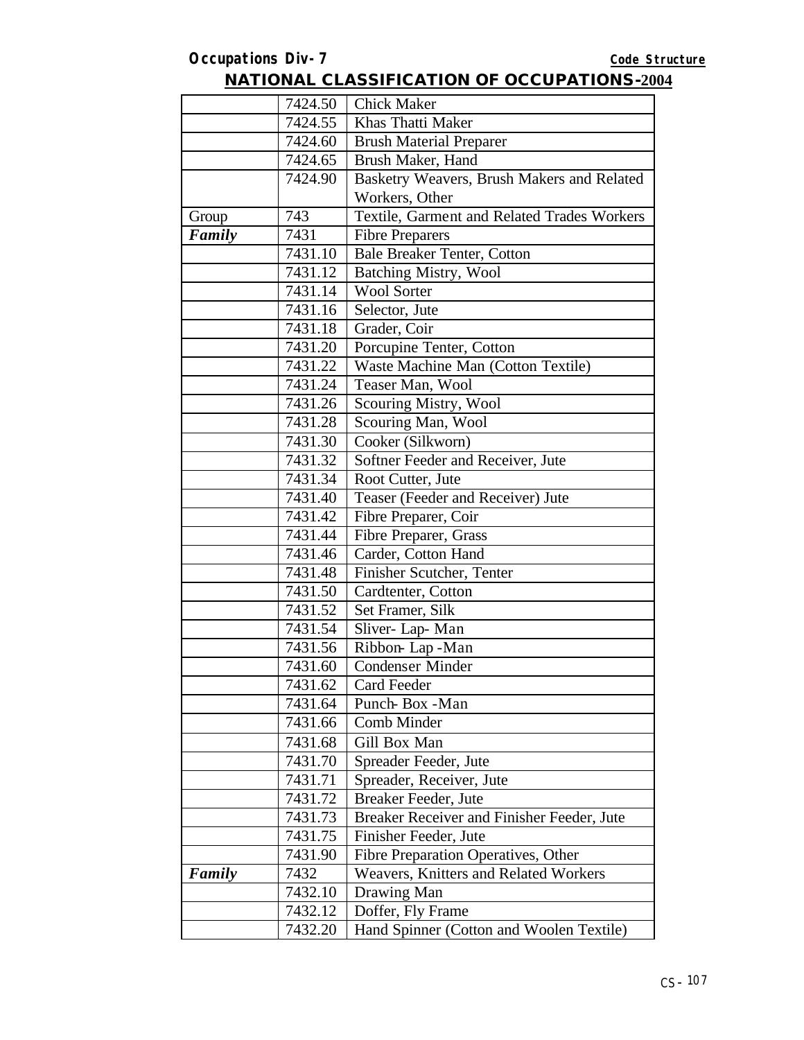|               | 7424.50 | <b>Chick Maker</b>                          |
|---------------|---------|---------------------------------------------|
|               | 7424.55 | Khas Thatti Maker                           |
|               | 7424.60 | <b>Brush Material Preparer</b>              |
|               | 7424.65 | Brush Maker, Hand                           |
|               | 7424.90 | Basketry Weavers, Brush Makers and Related  |
|               |         | Workers, Other                              |
| Group         | 743     | Textile, Garment and Related Trades Workers |
| <b>Family</b> | 7431    | <b>Fibre Preparers</b>                      |
|               | 7431.10 | <b>Bale Breaker Tenter, Cotton</b>          |
|               | 7431.12 | <b>Batching Mistry, Wool</b>                |
|               | 7431.14 | <b>Wool Sorter</b>                          |
|               | 7431.16 | Selector, Jute                              |
|               | 7431.18 | Grader, Coir                                |
|               | 7431.20 | Porcupine Tenter, Cotton                    |
|               | 7431.22 | Waste Machine Man (Cotton Textile)          |
|               | 7431.24 | Teaser Man, Wool                            |
|               | 7431.26 | Scouring Mistry, Wool                       |
|               | 7431.28 | Scouring Man, Wool                          |
|               | 7431.30 | Cooker (Silkworn)                           |
|               | 7431.32 | Softner Feeder and Receiver, Jute           |
|               | 7431.34 | Root Cutter, Jute                           |
|               | 7431.40 | Teaser (Feeder and Receiver) Jute           |
|               | 7431.42 | Fibre Preparer, Coir                        |
|               | 7431.44 | Fibre Preparer, Grass                       |
|               | 7431.46 | Carder, Cotton Hand                         |
|               | 7431.48 | Finisher Scutcher, Tenter                   |
|               | 7431.50 | Cardtenter, Cotton                          |
|               | 7431.52 | Set Framer, Silk                            |
|               | 7431.54 | Sliver-Lap-Man                              |
|               | 7431.56 | Ribbon-Lap-Man                              |
|               | 7431.60 | <b>Condenser Minder</b>                     |
|               | 7431.62 | Card Feeder                                 |
|               | 7431.64 | Punch Box -Man                              |
|               | 7431.66 | Comb Minder                                 |
|               | 7431.68 | Gill Box Man                                |
|               | 7431.70 | Spreader Feeder, Jute                       |
|               | 7431.71 | Spreader, Receiver, Jute                    |
|               | 7431.72 | Breaker Feeder, Jute                        |
|               | 7431.73 | Breaker Receiver and Finisher Feeder, Jute  |
|               | 7431.75 | Finisher Feeder, Jute                       |
|               | 7431.90 | Fibre Preparation Operatives, Other         |
| Family        | 7432    | Weavers, Knitters and Related Workers       |
|               | 7432.10 | Drawing Man                                 |
|               | 7432.12 | Doffer, Fly Frame                           |
|               | 7432.20 | Hand Spinner (Cotton and Woolen Textile)    |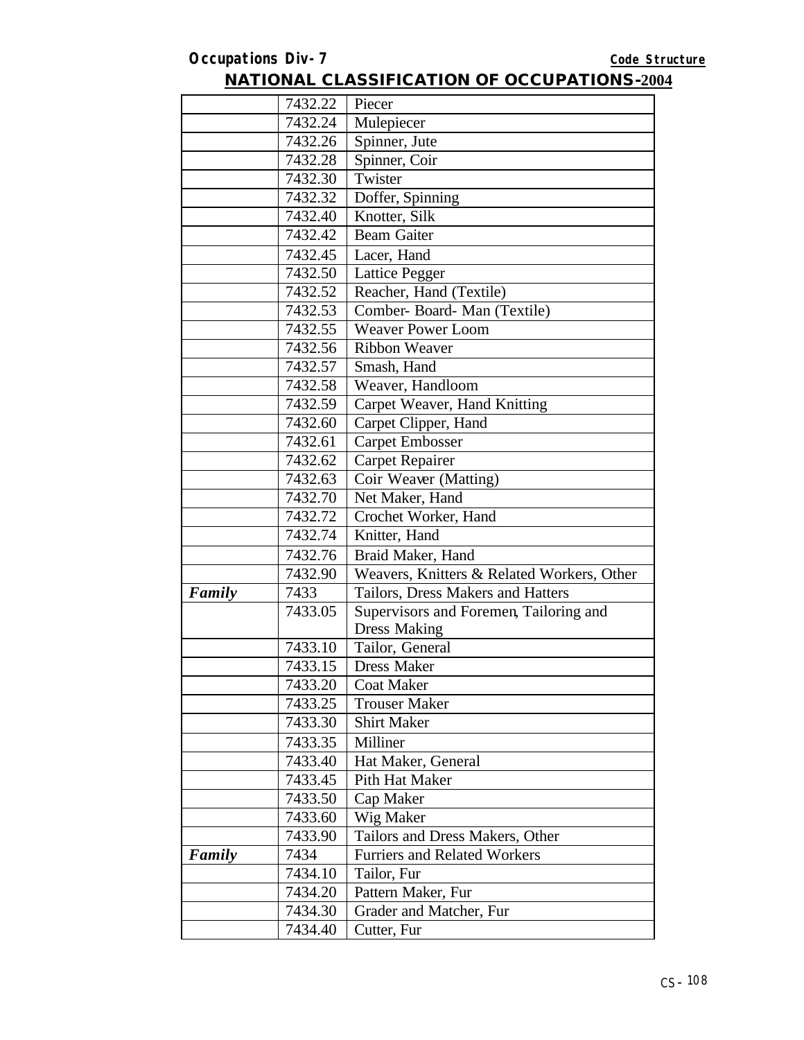|        | 7432.22 | Piecer                                     |
|--------|---------|--------------------------------------------|
|        | 7432.24 | Mulepiecer                                 |
|        | 7432.26 | Spinner, Jute                              |
|        | 7432.28 | Spinner, Coir                              |
|        | 7432.30 | Twister                                    |
|        | 7432.32 | Doffer, Spinning                           |
|        | 7432.40 | Knotter, Silk                              |
|        | 7432.42 | <b>Beam Gaiter</b>                         |
|        | 7432.45 | Lacer, Hand                                |
|        | 7432.50 | <b>Lattice Pegger</b>                      |
|        | 7432.52 | Reacher, Hand (Textile)                    |
|        | 7432.53 | Comber- Board- Man (Textile)               |
|        | 7432.55 | <b>Weaver Power Loom</b>                   |
|        | 7432.56 | <b>Ribbon Weaver</b>                       |
|        | 7432.57 | Smash, Hand                                |
|        | 7432.58 | Weaver, Handloom                           |
|        | 7432.59 | Carpet Weaver, Hand Knitting               |
|        | 7432.60 | Carpet Clipper, Hand                       |
|        | 7432.61 | <b>Carpet Embosser</b>                     |
|        | 7432.62 | Carpet Repairer                            |
|        | 7432.63 | Coir Weaver (Matting)                      |
|        | 7432.70 | Net Maker, Hand                            |
|        | 7432.72 | Crochet Worker, Hand                       |
|        | 7432.74 | Knitter, Hand                              |
|        | 7432.76 | Braid Maker, Hand                          |
|        | 7432.90 | Weavers, Knitters & Related Workers, Other |
| Family | 7433    | Tailors, Dress Makers and Hatters          |
|        | 7433.05 | Supervisors and Foremen, Tailoring and     |
|        |         | <b>Dress Making</b>                        |
|        | 7433.10 | Tailor, General                            |
|        | 7433.15 | <b>Dress Maker</b>                         |
|        | 7433.20 | <b>Coat Maker</b>                          |
|        | 7433.25 | <b>Trouser Maker</b>                       |
|        | 7433.30 | <b>Shirt Maker</b>                         |
|        | 7433.35 | Milliner                                   |
|        | 7433.40 | Hat Maker, General                         |
|        | 7433.45 | Pith Hat Maker                             |
|        | 7433.50 | Cap Maker                                  |
|        | 7433.60 | Wig Maker                                  |
|        | 7433.90 | Tailors and Dress Makers, Other            |
| Family | 7434    | <b>Furriers and Related Workers</b>        |
|        | 7434.10 | Tailor, Fur                                |
|        | 7434.20 | Pattern Maker, Fur                         |
|        | 7434.30 | Grader and Matcher, Fur                    |
|        | 7434.40 | Cutter, Fur                                |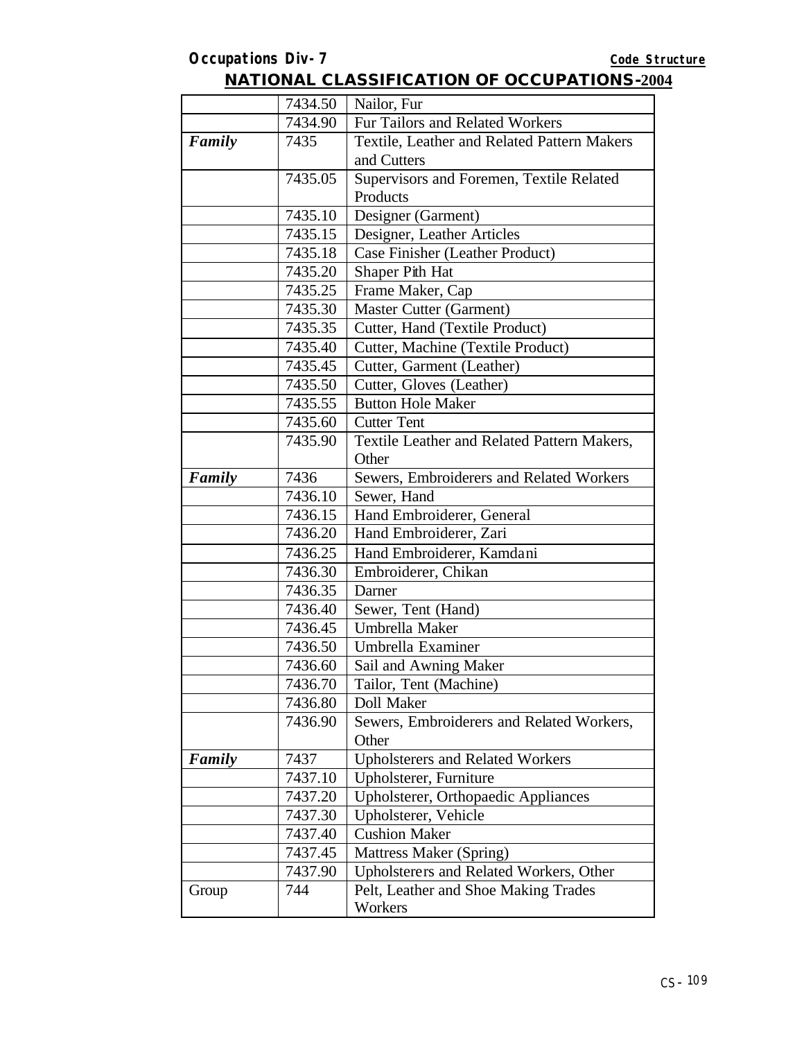|        | 7434.50 | Nailor, Fur                                 |
|--------|---------|---------------------------------------------|
|        | 7434.90 | Fur Tailors and Related Workers             |
| Family | 7435    | Textile, Leather and Related Pattern Makers |
|        |         | and Cutters                                 |
|        | 7435.05 | Supervisors and Foremen, Textile Related    |
|        |         | Products                                    |
|        | 7435.10 | Designer (Garment)                          |
|        | 7435.15 | Designer, Leather Articles                  |
|        | 7435.18 | Case Finisher (Leather Product)             |
|        | 7435.20 | Shaper Pith Hat                             |
|        | 7435.25 | Frame Maker, Cap                            |
|        | 7435.30 | Master Cutter (Garment)                     |
|        | 7435.35 | Cutter, Hand (Textile Product)              |
|        | 7435.40 | Cutter, Machine (Textile Product)           |
|        | 7435.45 | Cutter, Garment (Leather)                   |
|        | 7435.50 | Cutter, Gloves (Leather)                    |
|        | 7435.55 | <b>Button Hole Maker</b>                    |
|        | 7435.60 | <b>Cutter Tent</b>                          |
|        | 7435.90 | Textile Leather and Related Pattern Makers, |
|        |         | Other                                       |
| Family | 7436    | Sewers, Embroiderers and Related Workers    |
|        | 7436.10 | Sewer, Hand                                 |
|        | 7436.15 | Hand Embroiderer, General                   |
|        | 7436.20 | Hand Embroiderer, Zari                      |
|        | 7436.25 | Hand Embroiderer, Kamdani                   |
|        | 7436.30 | Embroiderer, Chikan                         |
|        | 7436.35 | Darner                                      |
|        | 7436.40 | Sewer, Tent (Hand)                          |
|        | 7436.45 | Umbrella Maker                              |
|        | 7436.50 | Umbrella Examiner                           |
|        | 7436.60 | Sail and Awning Maker                       |
|        | 7436.70 | Tailor, Tent (Machine)                      |
|        | 7436.80 | Doll Maker                                  |
|        | 7436.90 | Sewers, Embroiderers and Related Workers,   |
|        |         | Other                                       |
| Family | 7437    | <b>Upholsterers and Related Workers</b>     |
|        | 7437.10 | Upholsterer, Furniture                      |
|        | 7437.20 | Upholsterer, Orthopaedic Appliances         |
|        | 7437.30 | Upholsterer, Vehicle                        |
|        | 7437.40 | <b>Cushion Maker</b>                        |
|        | 7437.45 | Mattress Maker (Spring)                     |
|        | 7437.90 | Upholsterers and Related Workers, Other     |
| Group  | 744     | Pelt, Leather and Shoe Making Trades        |
|        |         | Workers                                     |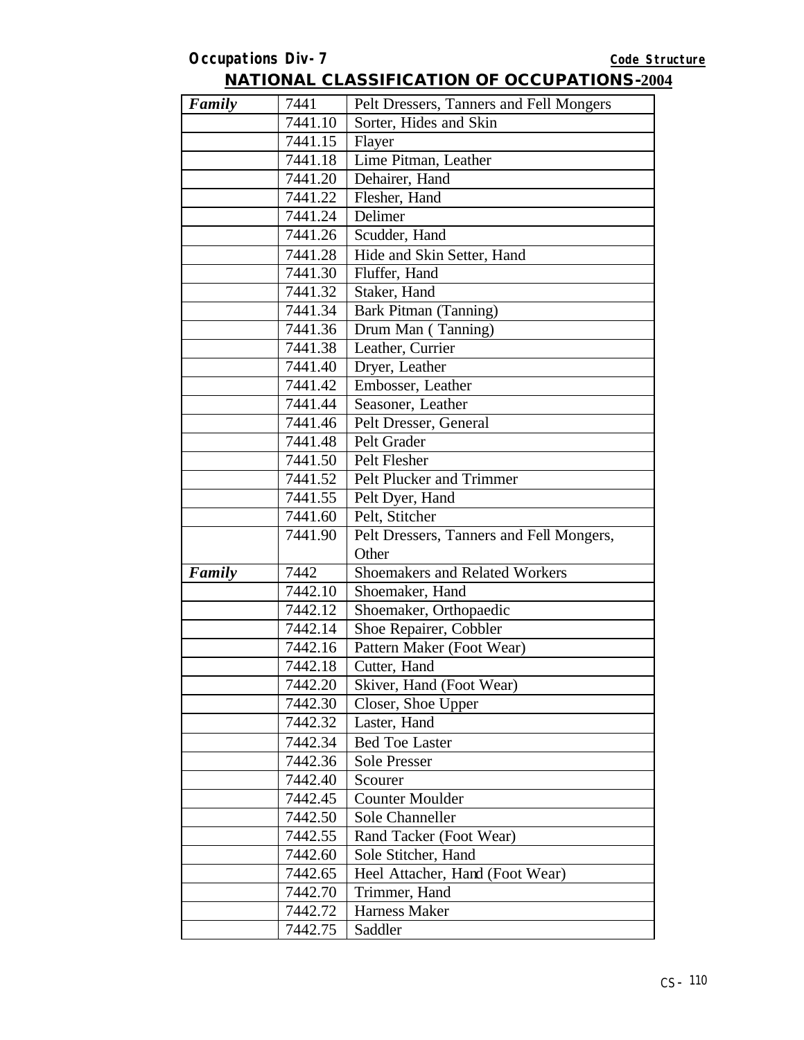| Family | 7441    | Pelt Dressers, Tanners and Fell Mongers  |
|--------|---------|------------------------------------------|
|        | 7441.10 | Sorter, Hides and Skin                   |
|        | 7441.15 | Flayer                                   |
|        | 7441.18 | Lime Pitman, Leather                     |
|        | 7441.20 | Dehairer, Hand                           |
|        | 7441.22 | Flesher, Hand                            |
|        | 7441.24 | Delimer                                  |
|        | 7441.26 | Scudder, Hand                            |
|        | 7441.28 | Hide and Skin Setter, Hand               |
|        | 7441.30 | Fluffer, Hand                            |
|        | 7441.32 | Staker, Hand                             |
|        | 7441.34 | Bark Pitman (Tanning)                    |
|        | 7441.36 | Drum Man (Tanning)                       |
|        | 7441.38 | Leather, Currier                         |
|        | 7441.40 | Dryer, Leather                           |
|        | 7441.42 | Embosser, Leather                        |
|        | 7441.44 | Seasoner, Leather                        |
|        | 7441.46 | Pelt Dresser, General                    |
|        | 7441.48 | Pelt Grader                              |
|        | 7441.50 | Pelt Flesher                             |
|        | 7441.52 | Pelt Plucker and Trimmer                 |
|        | 7441.55 | Pelt Dyer, Hand                          |
|        | 7441.60 | Pelt, Stitcher                           |
|        | 7441.90 | Pelt Dressers, Tanners and Fell Mongers, |
|        |         | Other                                    |
| Family | 7442    | Shoemakers and Related Workers           |
|        | 7442.10 | Shoemaker, Hand                          |
|        | 7442.12 | Shoemaker, Orthopaedic                   |
|        | 7442.14 | Shoe Repairer, Cobbler                   |
|        | 7442.16 | Pattern Maker (Foot Wear)                |
|        | 7442.18 | Cutter, Hand                             |
|        | 7442.20 | Skiver, Hand (Foot Wear)                 |
|        | 7442.30 | Closer, Shoe Upper                       |
|        | 7442.32 | Laster, Hand                             |
|        | 7442.34 | <b>Bed Toe Laster</b>                    |
|        | 7442.36 | <b>Sole Presser</b>                      |
|        | 7442.40 | Scourer                                  |
|        | 7442.45 | <b>Counter Moulder</b>                   |
|        | 7442.50 | Sole Channeller                          |
|        | 7442.55 | Rand Tacker (Foot Wear)                  |
|        | 7442.60 | Sole Stitcher, Hand                      |
|        | 7442.65 | Heel Attacher, Hand (Foot Wear)          |
|        | 7442.70 | Trimmer, Hand                            |
|        | 7442.72 | Harness Maker                            |
|        | 7442.75 | Saddler                                  |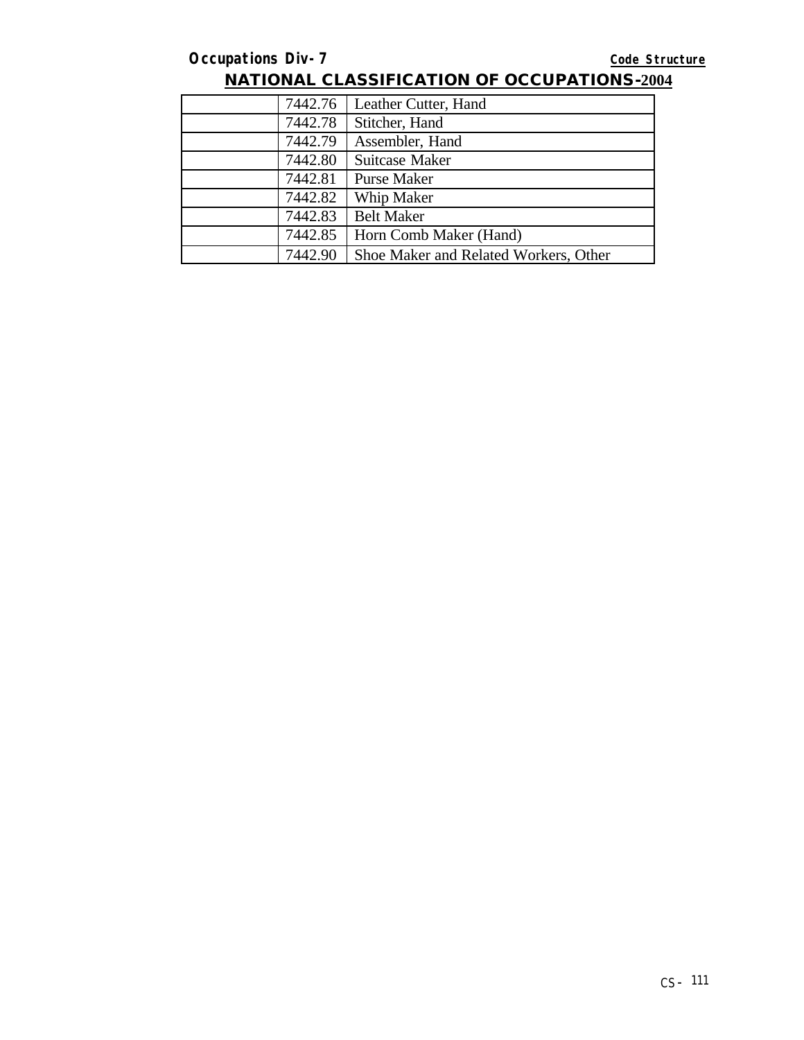| 7442.76 | Leather Cutter, Hand                  |
|---------|---------------------------------------|
| 7442.78 | Stitcher, Hand                        |
| 7442.79 | Assembler, Hand                       |
| 7442.80 | Suitcase Maker                        |
| 7442.81 | <b>Purse Maker</b>                    |
| 7442.82 | Whip Maker                            |
| 7442.83 | <b>Belt Maker</b>                     |
| 7442.85 | Horn Comb Maker (Hand)                |
| 7442.90 | Shoe Maker and Related Workers, Other |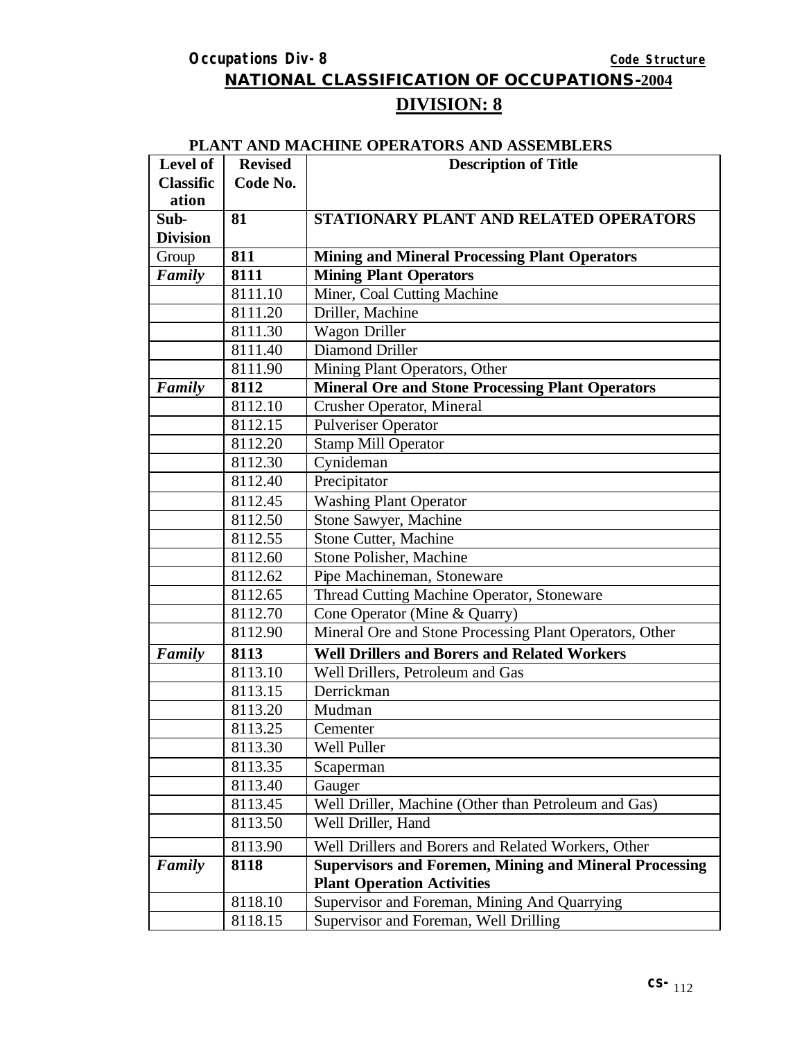**NATIONAL CLASSIFICATION OF OCCUPATIONS-2004**

# **DIVISION: 8**

#### **PLANT AND MACHINE OPERATORS AND ASSEMBLERS**

| Level of         | <b>Revised</b> | <b>Description of Title</b>                                   |
|------------------|----------------|---------------------------------------------------------------|
| <b>Classific</b> | Code No.       |                                                               |
| ation            |                |                                                               |
| Sub-             | 81             | STATIONARY PLANT AND RELATED OPERATORS                        |
| <b>Division</b>  |                |                                                               |
| Group            | 811            | <b>Mining and Mineral Processing Plant Operators</b>          |
| Family           | 8111           | <b>Mining Plant Operators</b>                                 |
|                  | 8111.10        | Miner, Coal Cutting Machine                                   |
|                  | 8111.20        | Driller, Machine                                              |
|                  | 8111.30        | Wagon Driller                                                 |
|                  | 8111.40        | <b>Diamond Driller</b>                                        |
|                  | 8111.90        | Mining Plant Operators, Other                                 |
| Family           | 8112           | <b>Mineral Ore and Stone Processing Plant Operators</b>       |
|                  | 8112.10        | <b>Crusher Operator, Mineral</b>                              |
|                  | 8112.15        | <b>Pulveriser Operator</b>                                    |
|                  | 8112.20        | <b>Stamp Mill Operator</b>                                    |
|                  | 8112.30        | Cynideman                                                     |
|                  | 8112.40        | Precipitator                                                  |
|                  | 8112.45        | <b>Washing Plant Operator</b>                                 |
|                  | 8112.50        | Stone Sawyer, Machine                                         |
|                  | 8112.55        | Stone Cutter, Machine                                         |
|                  | 8112.60        | Stone Polisher, Machine                                       |
|                  | 8112.62        | Pipe Machineman, Stoneware                                    |
|                  | 8112.65        | Thread Cutting Machine Operator, Stoneware                    |
|                  | 8112.70        | Cone Operator (Mine & Quarry)                                 |
|                  | 8112.90        | Mineral Ore and Stone Processing Plant Operators, Other       |
| Family           | 8113           | <b>Well Drillers and Borers and Related Workers</b>           |
|                  | 8113.10        | Well Drillers, Petroleum and Gas                              |
|                  | 8113.15        | Derrickman                                                    |
|                  | 8113.20        | Mudman                                                        |
|                  | 8113.25        | Cementer                                                      |
|                  | 8113.30        | Well Puller                                                   |
|                  | 8113.35        | Scaperman                                                     |
|                  | 8113.40        | Gauger                                                        |
|                  | 8113.45        | Well Driller, Machine (Other than Petroleum and Gas)          |
|                  | 8113.50        | Well Driller, Hand                                            |
|                  | 8113.90        | Well Drillers and Borers and Related Workers, Other           |
| Family           | 8118           | <b>Supervisors and Foremen, Mining and Mineral Processing</b> |
|                  |                | <b>Plant Operation Activities</b>                             |
|                  | 8118.10        | Supervisor and Foreman, Mining And Quarrying                  |
|                  | 8118.15        | Supervisor and Foreman, Well Drilling                         |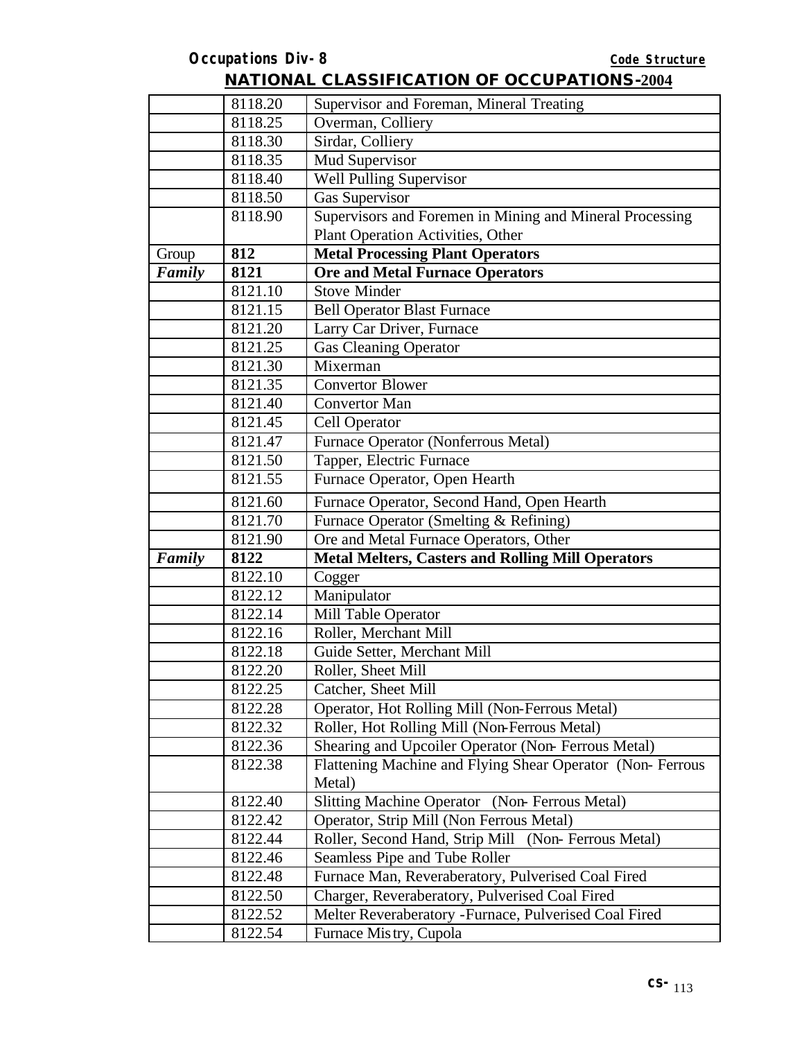|        | 8118.20 | Supervisor and Foreman, Mineral Treating                  |
|--------|---------|-----------------------------------------------------------|
|        | 8118.25 | Overman, Colliery                                         |
|        | 8118.30 | Sirdar, Colliery                                          |
|        | 8118.35 | Mud Supervisor                                            |
|        | 8118.40 | <b>Well Pulling Supervisor</b>                            |
|        | 8118.50 | Gas Supervisor                                            |
|        | 8118.90 | Supervisors and Foremen in Mining and Mineral Processing  |
|        |         | Plant Operation Activities, Other                         |
| Group  | 812     | <b>Metal Processing Plant Operators</b>                   |
| Family | 8121    | <b>Ore and Metal Furnace Operators</b>                    |
|        | 8121.10 | <b>Stove Minder</b>                                       |
|        | 8121.15 | <b>Bell Operator Blast Furnace</b>                        |
|        | 8121.20 | Larry Car Driver, Furnace                                 |
|        | 8121.25 | <b>Gas Cleaning Operator</b>                              |
|        | 8121.30 | Mixerman                                                  |
|        | 8121.35 | <b>Convertor Blower</b>                                   |
|        | 8121.40 | <b>Convertor Man</b>                                      |
|        | 8121.45 | Cell Operator                                             |
|        | 8121.47 | Furnace Operator (Nonferrous Metal)                       |
|        | 8121.50 | Tapper, Electric Furnace                                  |
|        | 8121.55 | Furnace Operator, Open Hearth                             |
|        | 8121.60 | Furnace Operator, Second Hand, Open Hearth                |
|        | 8121.70 | Furnace Operator (Smelting & Refining)                    |
|        | 8121.90 | Ore and Metal Furnace Operators, Other                    |
| Family | 8122    | <b>Metal Melters, Casters and Rolling Mill Operators</b>  |
|        | 8122.10 | Cogger                                                    |
|        | 8122.12 | Manipulator                                               |
|        | 8122.14 | Mill Table Operator                                       |
|        | 8122.16 | Roller, Merchant Mill                                     |
|        | 8122.18 | Guide Setter, Merchant Mill                               |
|        | 8122.20 | Roller, Sheet Mill                                        |
|        | 8122.25 | Catcher, Sheet Mill                                       |
|        | 8122.28 | Operator, Hot Rolling Mill (Non-Ferrous Metal)            |
|        | 8122.32 | Roller, Hot Rolling Mill (Non-Ferrous Metal)              |
|        | 8122.36 | Shearing and Upcoiler Operator (Non-Ferrous Metal)        |
|        | 8122.38 | Flattening Machine and Flying Shear Operator (Non-Ferrous |
|        |         | Metal)                                                    |
|        | 8122.40 | Slitting Machine Operator (Non-Ferrous Metal)             |
|        | 8122.42 | Operator, Strip Mill (Non Ferrous Metal)                  |
|        | 8122.44 | Roller, Second Hand, Strip Mill (Non-Ferrous Metal)       |
|        | 8122.46 | Seamless Pipe and Tube Roller                             |
|        | 8122.48 | Furnace Man, Reveraberatory, Pulverised Coal Fired        |
|        | 8122.50 | Charger, Reveraberatory, Pulverised Coal Fired            |
|        | 8122.52 | Melter Reveraberatory - Furnace, Pulverised Coal Fired    |
|        | 8122.54 | Furnace Mistry, Cupola                                    |
|        |         |                                                           |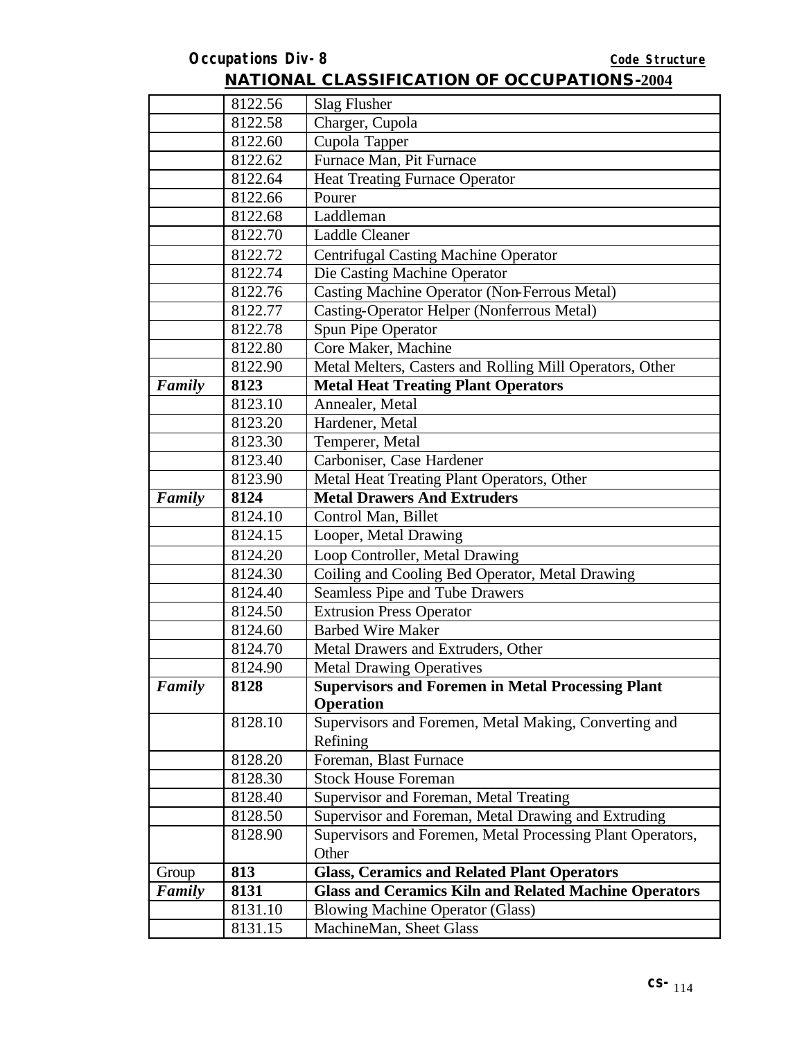|        | 8131.15 | MachineMan, Sheet Glass                                                   |
|--------|---------|---------------------------------------------------------------------------|
|        | 8131.10 | <b>Blowing Machine Operator (Glass)</b>                                   |
| Family | 8131    | <b>Glass and Ceramics Kiln and Related Machine Operators</b>              |
| Group  | 813     | <b>Glass, Ceramics and Related Plant Operators</b>                        |
|        |         | Other                                                                     |
|        | 8128.90 | Supervisors and Foremen, Metal Processing Plant Operators,                |
|        | 8128.50 | Supervisor and Foreman, Metal Drawing and Extruding                       |
|        | 8128.40 | Supervisor and Foreman, Metal Treating                                    |
|        | 8128.30 | <b>Stock House Foreman</b>                                                |
|        | 8128.20 | Foreman, Blast Furnace                                                    |
|        |         | Refining                                                                  |
|        | 8128.10 | <b>Operation</b><br>Supervisors and Foremen, Metal Making, Converting and |
| Family | 8128    | <b>Supervisors and Foremen in Metal Processing Plant</b>                  |
|        | 8124.90 | <b>Metal Drawing Operatives</b>                                           |
|        | 8124.70 | Metal Drawers and Extruders, Other                                        |
|        | 8124.60 | <b>Barbed Wire Maker</b>                                                  |
|        | 8124.50 | <b>Extrusion Press Operator</b>                                           |
|        | 8124.40 | Seamless Pipe and Tube Drawers                                            |
|        | 8124.30 | Coiling and Cooling Bed Operator, Metal Drawing                           |
|        | 8124.20 | Loop Controller, Metal Drawing                                            |
|        | 8124.15 | Looper, Metal Drawing                                                     |
|        | 8124.10 | Control Man, Billet                                                       |
| Family | 8124    | <b>Metal Drawers And Extruders</b>                                        |
|        | 8123.90 | Metal Heat Treating Plant Operators, Other                                |
|        | 8123.40 | Carboniser, Case Hardener                                                 |
|        | 8123.30 | Temperer, Metal                                                           |
|        | 8123.20 | Hardener, Metal                                                           |
|        | 8123.10 | Annealer, Metal                                                           |
| Family | 8123    | <b>Metal Heat Treating Plant Operators</b>                                |
|        | 8122.90 | Metal Melters, Casters and Rolling Mill Operators, Other                  |
|        | 8122.80 | Core Maker, Machine                                                       |
|        | 8122.78 | Spun Pipe Operator                                                        |
|        | 8122.77 | Casting-Operator Helper (Nonferrous Metal)                                |
|        | 8122.76 | Casting Machine Operator (Non-Ferrous Metal)                              |
|        | 8122.74 | Die Casting Machine Operator                                              |
|        | 8122.72 | <b>Centrifugal Casting Machine Operator</b>                               |
|        | 8122.70 | <b>Laddle Cleaner</b>                                                     |
|        | 8122.68 | Laddleman                                                                 |
|        | 8122.66 | Pourer                                                                    |
|        | 8122.64 | <b>Heat Treating Furnace Operator</b>                                     |
|        | 8122.62 | Furnace Man, Pit Furnace                                                  |
|        | 8122.60 | Cupola Tapper                                                             |
|        | 8122.58 | Charger, Cupola                                                           |
|        | 8122.56 | Slag Flusher                                                              |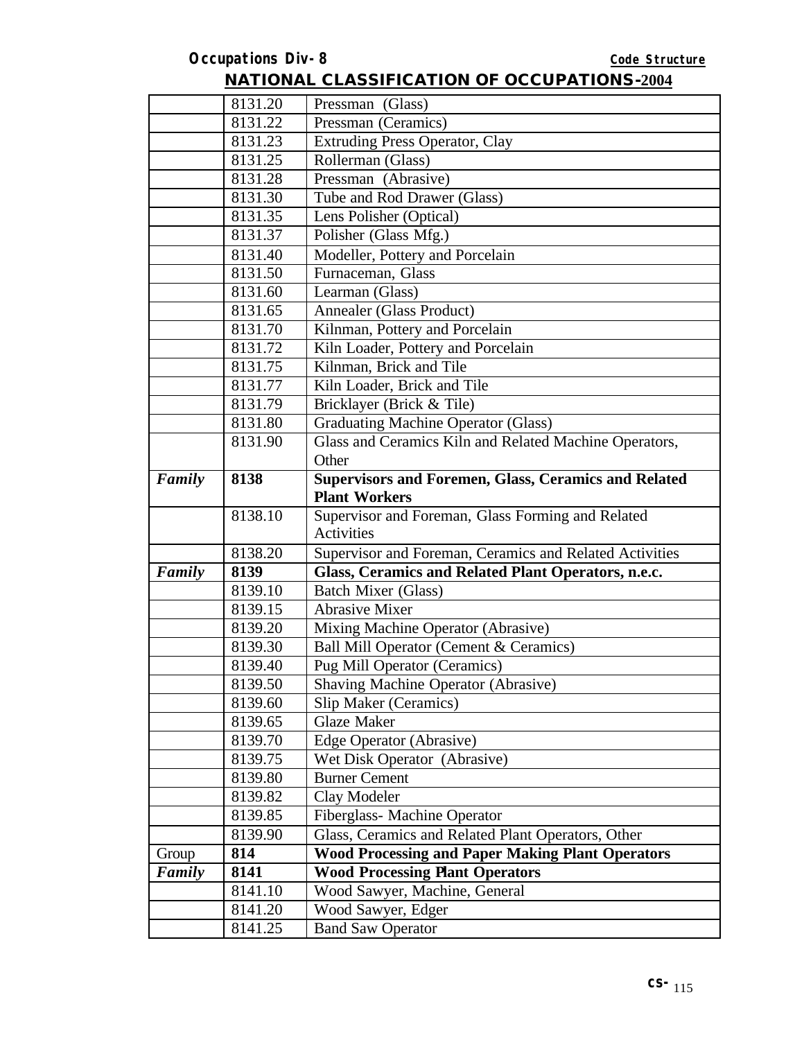|        | 8131.20 | Pressman (Glass)                                        |
|--------|---------|---------------------------------------------------------|
|        | 8131.22 | Pressman (Ceramics)                                     |
|        | 8131.23 | <b>Extruding Press Operator, Clay</b>                   |
|        | 8131.25 | Rollerman (Glass)                                       |
|        | 8131.28 | Pressman (Abrasive)                                     |
|        | 8131.30 | Tube and Rod Drawer (Glass)                             |
|        | 8131.35 | Lens Polisher (Optical)                                 |
|        | 8131.37 | Polisher (Glass Mfg.)                                   |
|        | 8131.40 | Modeller, Pottery and Porcelain                         |
|        | 8131.50 | Furnaceman, Glass                                       |
|        | 8131.60 | Learman (Glass)                                         |
|        | 8131.65 | <b>Annealer (Glass Product)</b>                         |
|        | 8131.70 | Kilnman, Pottery and Porcelain                          |
|        | 8131.72 | Kiln Loader, Pottery and Porcelain                      |
|        | 8131.75 | Kilnman, Brick and Tile                                 |
|        | 8131.77 | Kiln Loader, Brick and Tile                             |
|        | 8131.79 | Bricklayer (Brick & Tile)                               |
|        | 8131.80 | <b>Graduating Machine Operator (Glass)</b>              |
|        | 8131.90 | Glass and Ceramics Kiln and Related Machine Operators,  |
|        |         | Other                                                   |
| Family | 8138    | Supervisors and Foremen, Glass, Ceramics and Related    |
|        |         | <b>Plant Workers</b>                                    |
|        | 8138.10 | Supervisor and Foreman, Glass Forming and Related       |
|        |         | Activities                                              |
|        | 8138.20 | Supervisor and Foreman, Ceramics and Related Activities |
| Family | 8139    | Glass, Ceramics and Related Plant Operators, n.e.c.     |
|        | 8139.10 | <b>Batch Mixer (Glass)</b>                              |
|        | 8139.15 | <b>Abrasive Mixer</b>                                   |
|        | 8139.20 | Mixing Machine Operator (Abrasive)                      |
|        | 8139.30 | Ball Mill Operator (Cement & Ceramics)                  |
|        | 8139.40 | <b>Pug Mill Operator (Ceramics)</b>                     |
|        | 8139.50 | <b>Shaving Machine Operator (Abrasive)</b>              |
|        | 8139.60 | Slip Maker (Ceramics)                                   |
|        | 8139.65 | <b>Glaze Maker</b>                                      |
|        | 8139.70 | Edge Operator (Abrasive)                                |
|        | 8139.75 | Wet Disk Operator (Abrasive)                            |
|        | 8139.80 | <b>Burner Cement</b>                                    |
|        | 8139.82 | Clay Modeler                                            |
|        | 8139.85 | Fiberglass-Machine Operator                             |
|        | 8139.90 | Glass, Ceramics and Related Plant Operators, Other      |
| Group  | 814     | <b>Wood Processing and Paper Making Plant Operators</b> |
| Family | 8141    | <b>Wood Processing Plant Operators</b>                  |
|        | 8141.10 | Wood Sawyer, Machine, General                           |
|        | 8141.20 | Wood Sawyer, Edger                                      |
|        | 8141.25 | <b>Band Saw Operator</b>                                |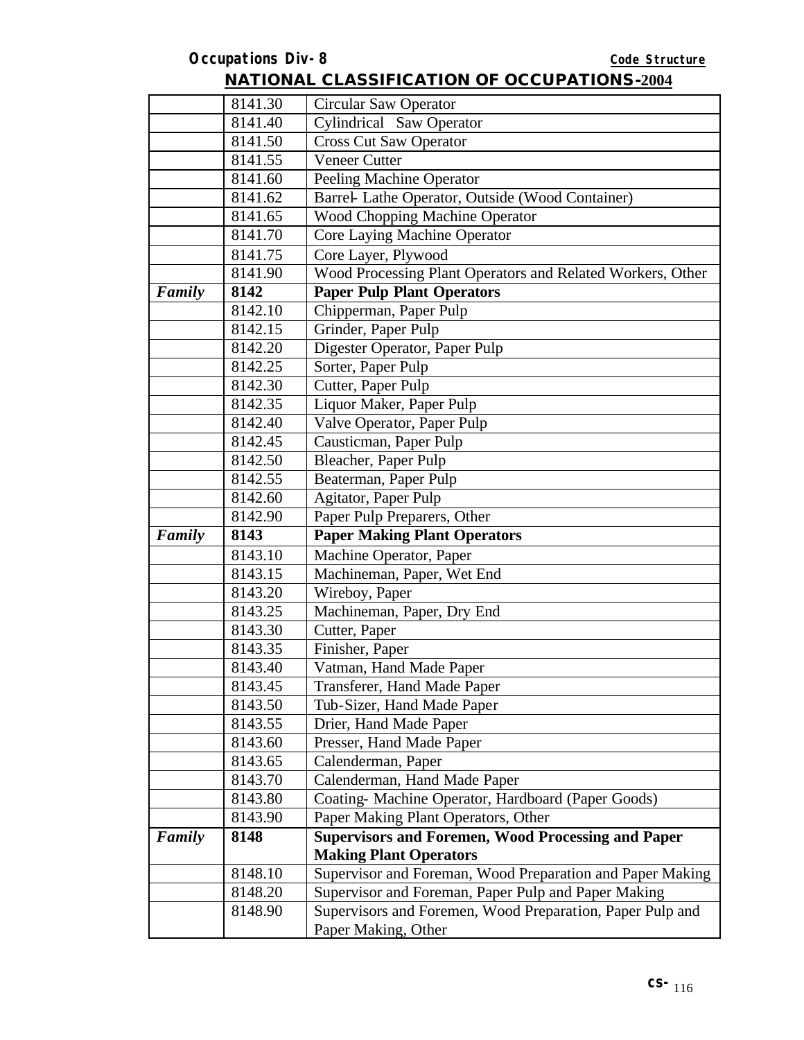|        | 8141.30 | <b>Circular Saw Operator</b>                               |
|--------|---------|------------------------------------------------------------|
|        | 8141.40 | <b>Cylindrical</b> Saw Operator                            |
|        | 8141.50 | <b>Cross Cut Saw Operator</b>                              |
|        | 8141.55 | <b>Veneer Cutter</b>                                       |
|        | 8141.60 | <b>Peeling Machine Operator</b>                            |
|        | 8141.62 | Barrel- Lathe Operator, Outside (Wood Container)           |
|        | 8141.65 | Wood Chopping Machine Operator                             |
|        | 8141.70 | Core Laying Machine Operator                               |
|        | 8141.75 | Core Layer, Plywood                                        |
|        | 8141.90 | Wood Processing Plant Operators and Related Workers, Other |
| Family | 8142    | <b>Paper Pulp Plant Operators</b>                          |
|        | 8142.10 | Chipperman, Paper Pulp                                     |
|        | 8142.15 | Grinder, Paper Pulp                                        |
|        | 8142.20 | Digester Operator, Paper Pulp                              |
|        | 8142.25 | Sorter, Paper Pulp                                         |
|        | 8142.30 | Cutter, Paper Pulp                                         |
|        | 8142.35 | Liquor Maker, Paper Pulp                                   |
|        | 8142.40 | Valve Operator, Paper Pulp                                 |
|        | 8142.45 | Causticman, Paper Pulp                                     |
|        | 8142.50 | Bleacher, Paper Pulp                                       |
|        | 8142.55 | Beaterman, Paper Pulp                                      |
|        | 8142.60 | Agitator, Paper Pulp                                       |
|        | 8142.90 | Paper Pulp Preparers, Other                                |
| Family | 8143    | <b>Paper Making Plant Operators</b>                        |
|        | 8143.10 | Machine Operator, Paper                                    |
|        | 8143.15 | Machineman, Paper, Wet End                                 |
|        | 8143.20 | Wireboy, Paper                                             |
|        | 8143.25 | Machineman, Paper, Dry End                                 |
|        | 8143.30 | Cutter, Paper                                              |
|        | 8143.35 | Finisher, Paper                                            |
|        | 8143.40 | Vatman, Hand Made Paper                                    |
|        | 8143.45 | Transferer, Hand Made Paper                                |
|        | 8143.50 | Tub-Sizer, Hand Made Paper                                 |
|        | 8143.55 | Drier, Hand Made Paper                                     |
|        | 8143.60 | Presser, Hand Made Paper                                   |
|        | 8143.65 | Calenderman, Paper                                         |
|        | 8143.70 | Calenderman, Hand Made Paper                               |
|        | 8143.80 | Coating-Machine Operator, Hardboard (Paper Goods)          |
|        | 8143.90 | Paper Making Plant Operators, Other                        |
| Family | 8148    | <b>Supervisors and Foremen, Wood Processing and Paper</b>  |
|        |         | <b>Making Plant Operators</b>                              |
|        | 8148.10 | Supervisor and Foreman, Wood Preparation and Paper Making  |
|        | 8148.20 | Supervisor and Foreman, Paper Pulp and Paper Making        |
|        |         |                                                            |
|        | 8148.90 | Supervisors and Foremen, Wood Preparation, Paper Pulp and  |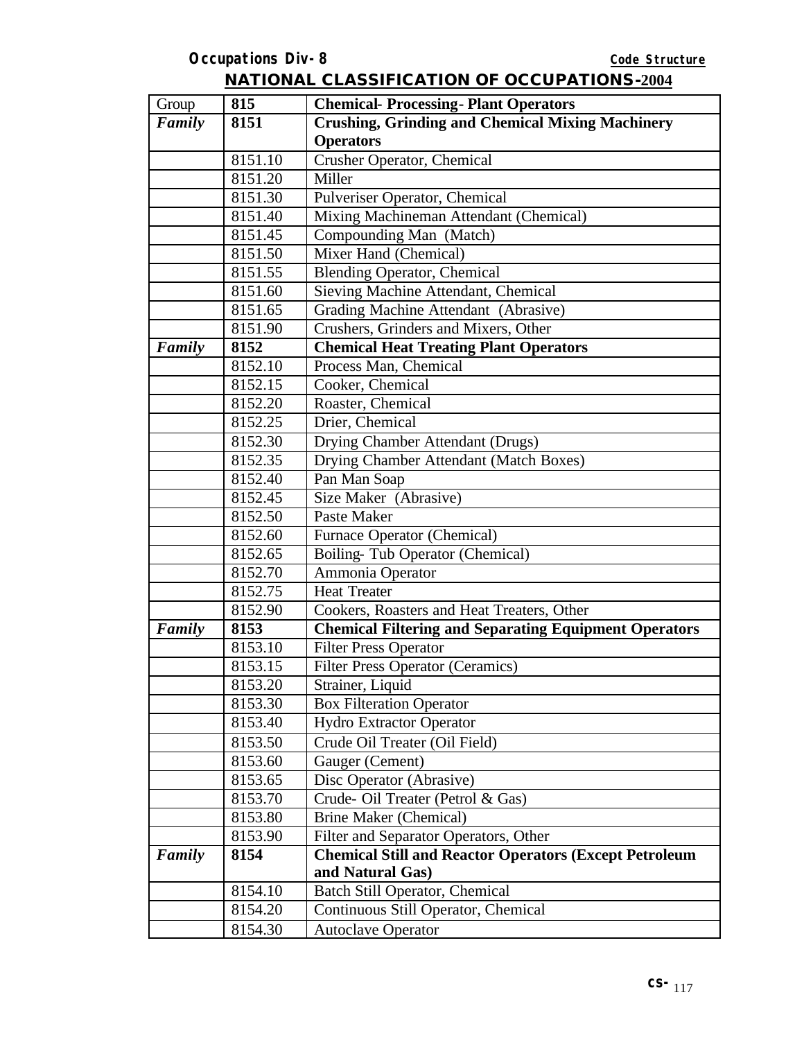| Group  | 815     | <b>Chemical-Processing-Plant Operators</b>                    |
|--------|---------|---------------------------------------------------------------|
| Family | 8151    | <b>Crushing, Grinding and Chemical Mixing Machinery</b>       |
|        |         | <b>Operators</b>                                              |
|        | 8151.10 | Crusher Operator, Chemical                                    |
|        | 8151.20 | Miller                                                        |
|        | 8151.30 | Pulveriser Operator, Chemical                                 |
|        | 8151.40 | Mixing Machineman Attendant (Chemical)                        |
|        | 8151.45 | Compounding Man (Match)                                       |
|        | 8151.50 | Mixer Hand (Chemical)                                         |
|        | 8151.55 | <b>Blending Operator, Chemical</b>                            |
|        | 8151.60 | Sieving Machine Attendant, Chemical                           |
|        | 8151.65 | Grading Machine Attendant (Abrasive)                          |
|        | 8151.90 | Crushers, Grinders and Mixers, Other                          |
| Family | 8152    | <b>Chemical Heat Treating Plant Operators</b>                 |
|        | 8152.10 | Process Man, Chemical                                         |
|        | 8152.15 | Cooker, Chemical                                              |
|        | 8152.20 | Roaster, Chemical                                             |
|        | 8152.25 | Drier, Chemical                                               |
|        | 8152.30 | Drying Chamber Attendant (Drugs)                              |
|        | 8152.35 | Drying Chamber Attendant (Match Boxes)                        |
|        | 8152.40 | Pan Man Soap                                                  |
|        | 8152.45 | Size Maker (Abrasive)                                         |
|        | 8152.50 | Paste Maker                                                   |
|        | 8152.60 | Furnace Operator (Chemical)                                   |
|        | 8152.65 | Boiling-Tub Operator (Chemical)                               |
|        | 8152.70 | Ammonia Operator                                              |
|        | 8152.75 | <b>Heat Treater</b>                                           |
|        | 8152.90 | Cookers, Roasters and Heat Treaters, Other                    |
| Family | 8153    | <b>Chemical Filtering and Separating Equipment Operators</b>  |
|        | 8153.10 | <b>Filter Press Operator</b>                                  |
|        | 8153.15 | <b>Filter Press Operator (Ceramics)</b>                       |
|        | 8153.20 | Strainer, Liquid                                              |
|        | 8153.30 | <b>Box Filteration Operator</b>                               |
|        | 8153.40 | <b>Hydro Extractor Operator</b>                               |
|        | 8153.50 | Crude Oil Treater (Oil Field)                                 |
|        | 8153.60 | Gauger (Cement)                                               |
|        | 8153.65 | Disc Operator (Abrasive)                                      |
|        | 8153.70 | Crude- Oil Treater (Petrol & Gas)                             |
|        | 8153.80 | <b>Brine Maker (Chemical)</b>                                 |
|        | 8153.90 | Filter and Separator Operators, Other                         |
| Family | 8154    | <b>Chemical Still and Reactor Operators (Except Petroleum</b> |
|        |         | and Natural Gas)                                              |
|        | 8154.10 | <b>Batch Still Operator, Chemical</b>                         |
|        | 8154.20 | Continuous Still Operator, Chemical                           |
|        | 8154.30 | <b>Autoclave Operator</b>                                     |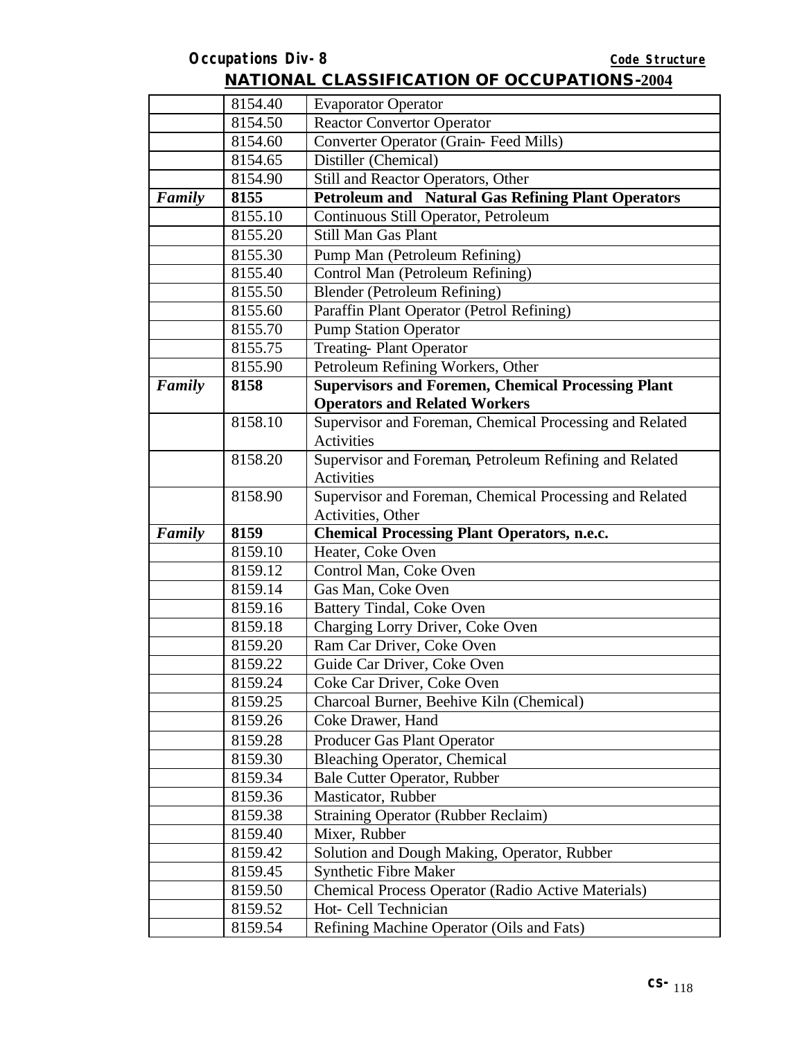|        | 8154.40            | <b>Evaporator Operator</b>                                        |
|--------|--------------------|-------------------------------------------------------------------|
|        | 8154.50            | <b>Reactor Convertor Operator</b>                                 |
|        | 8154.60            | Converter Operator (Grain-Feed Mills)                             |
|        | 8154.65            | Distiller (Chemical)                                              |
|        | 8154.90            | Still and Reactor Operators, Other                                |
| Family | 8155               | <b>Petroleum and Natural Gas Refining Plant Operators</b>         |
|        | 8155.10            | Continuous Still Operator, Petroleum                              |
|        | 8155.20            | Still Man Gas Plant                                               |
|        | 8155.30            | Pump Man (Petroleum Refining)                                     |
|        | 8155.40            | Control Man (Petroleum Refining)                                  |
|        | 8155.50            | Blender (Petroleum Refining)                                      |
|        | 8155.60            | Paraffin Plant Operator (Petrol Refining)                         |
|        | 8155.70            | <b>Pump Station Operator</b>                                      |
|        | 8155.75            | <b>Treating-Plant Operator</b>                                    |
|        | 8155.90            | Petroleum Refining Workers, Other                                 |
| Family | 8158               | <b>Supervisors and Foremen, Chemical Processing Plant</b>         |
|        |                    | <b>Operators and Related Workers</b>                              |
|        | 8158.10            | Supervisor and Foreman, Chemical Processing and Related           |
|        |                    | Activities                                                        |
|        | 8158.20            | Supervisor and Foreman, Petroleum Refining and Related            |
|        |                    | <b>Activities</b>                                                 |
|        | 8158.90            | Supervisor and Foreman, Chemical Processing and Related           |
|        |                    | Activities, Other                                                 |
| Family | 8159               | <b>Chemical Processing Plant Operators, n.e.c.</b>                |
|        | 8159.10            | Heater, Coke Oven                                                 |
|        | 8159.12            | Control Man, Coke Oven                                            |
|        | 8159.14            | Gas Man, Coke Oven                                                |
|        | 8159.16            | Battery Tindal, Coke Oven                                         |
|        | 8159.18            | Charging Lorry Driver, Coke Oven                                  |
|        | 8159.20            | Ram Car Driver, Coke Oven                                         |
|        | 8159.22            | Guide Car Driver, Coke Oven                                       |
|        | 8159.24            | Coke Car Driver, Coke Oven                                        |
|        | 8159.25            | Charcoal Burner, Beehive Kiln (Chemical)                          |
|        | 8159.26            | Coke Drawer, Hand                                                 |
|        |                    |                                                                   |
|        | 8159.28            | Producer Gas Plant Operator                                       |
|        | 8159.30            | <b>Bleaching Operator, Chemical</b>                               |
|        | 8159.34            | Bale Cutter Operator, Rubber                                      |
|        | 8159.36            | Masticator, Rubber                                                |
|        | 8159.38            | <b>Straining Operator (Rubber Reclaim)</b>                        |
|        | 8159.40            | Mixer, Rubber                                                     |
|        | 8159.42            | Solution and Dough Making, Operator, Rubber                       |
|        | 8159.45            | Synthetic Fibre Maker                                             |
|        | 8159.50            | <b>Chemical Process Operator (Radio Active Materials)</b>         |
|        | 8159.52<br>8159.54 | Hot- Cell Technician<br>Refining Machine Operator (Oils and Fats) |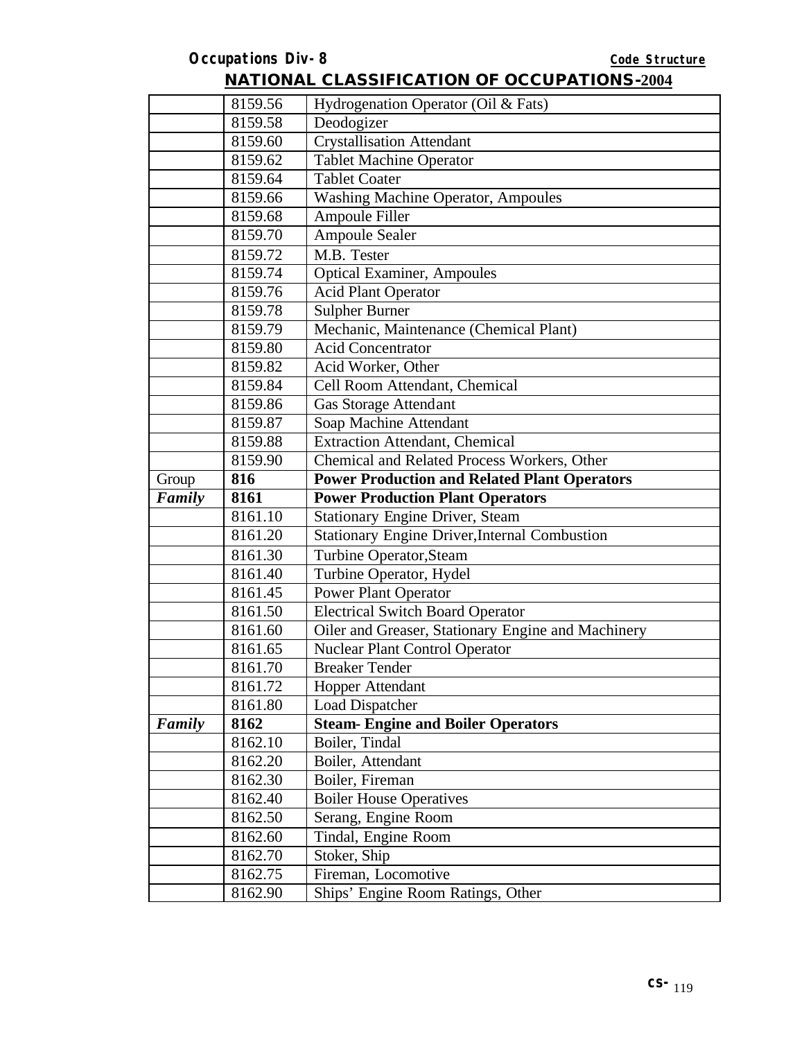|        | 8159.56 | Hydrogenation Operator (Oil & Fats)                  |
|--------|---------|------------------------------------------------------|
|        | 8159.58 | Deodogizer                                           |
|        | 8159.60 | <b>Crystallisation Attendant</b>                     |
|        | 8159.62 | <b>Tablet Machine Operator</b>                       |
|        | 8159.64 | <b>Tablet Coater</b>                                 |
|        | 8159.66 | Washing Machine Operator, Ampoules                   |
|        | 8159.68 | Ampoule Filler                                       |
|        | 8159.70 | <b>Ampoule Sealer</b>                                |
|        | 8159.72 | M.B. Tester                                          |
|        | 8159.74 | <b>Optical Examiner</b> , Ampoules                   |
|        | 8159.76 | <b>Acid Plant Operator</b>                           |
|        | 8159.78 | <b>Sulpher Burner</b>                                |
|        | 8159.79 | Mechanic, Maintenance (Chemical Plant)               |
|        | 8159.80 | <b>Acid Concentrator</b>                             |
|        | 8159.82 | Acid Worker, Other                                   |
|        | 8159.84 | Cell Room Attendant, Chemical                        |
|        | 8159.86 | Gas Storage Attendant                                |
|        | 8159.87 | Soap Machine Attendant                               |
|        | 8159.88 | <b>Extraction Attendant, Chemical</b>                |
|        | 8159.90 | Chemical and Related Process Workers, Other          |
| Group  | 816     | <b>Power Production and Related Plant Operators</b>  |
| Family | 8161    | <b>Power Production Plant Operators</b>              |
|        | 8161.10 | <b>Stationary Engine Driver, Steam</b>               |
|        | 8161.20 | <b>Stationary Engine Driver, Internal Combustion</b> |
|        | 8161.30 | Turbine Operator, Steam                              |
|        | 8161.40 | Turbine Operator, Hydel                              |
|        | 8161.45 | <b>Power Plant Operator</b>                          |
|        | 8161.50 | <b>Electrical Switch Board Operator</b>              |
|        | 8161.60 | Oiler and Greaser, Stationary Engine and Machinery   |
|        | 8161.65 | <b>Nuclear Plant Control Operator</b>                |
|        | 8161.70 | <b>Breaker Tender</b>                                |
|        | 8161.72 | Hopper Attendant                                     |
|        | 8161.80 | Load Dispatcher                                      |
| Family | 8162    | <b>Steam- Engine and Boiler Operators</b>            |
|        | 8162.10 | Boiler, Tindal                                       |
|        | 8162.20 | Boiler, Attendant                                    |
|        | 8162.30 | Boiler, Fireman                                      |
|        | 8162.40 | <b>Boiler House Operatives</b>                       |
|        | 8162.50 | Serang, Engine Room                                  |
|        | 8162.60 | Tindal, Engine Room                                  |
|        | 8162.70 | Stoker, Ship                                         |
|        | 8162.75 | Fireman, Locomotive                                  |
|        | 8162.90 | Ships' Engine Room Ratings, Other                    |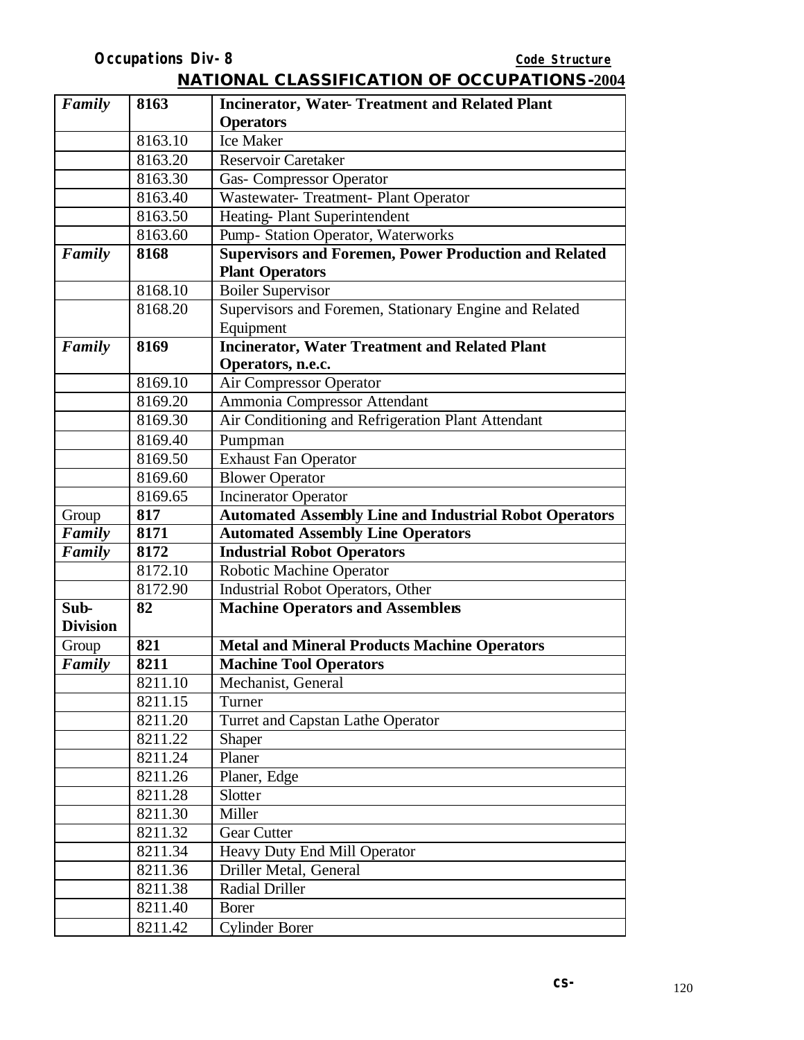| Family          | 8163    | <b>Incinerator, Water- Treatment and Related Plant</b>        |
|-----------------|---------|---------------------------------------------------------------|
|                 |         | <b>Operators</b>                                              |
|                 | 8163.10 | <b>Ice Maker</b>                                              |
|                 | 8163.20 | <b>Reservoir Caretaker</b>                                    |
|                 | 8163.30 | <b>Gas- Compressor Operator</b>                               |
|                 | 8163.40 | Wastewater- Treatment- Plant Operator                         |
|                 | 8163.50 | Heating-Plant Superintendent                                  |
|                 | 8163.60 | Pump- Station Operator, Waterworks                            |
| Family          | 8168    | <b>Supervisors and Foremen, Power Production and Related</b>  |
|                 |         | <b>Plant Operators</b>                                        |
|                 | 8168.10 | <b>Boiler Supervisor</b>                                      |
|                 | 8168.20 | Supervisors and Foremen, Stationary Engine and Related        |
|                 |         | Equipment                                                     |
| Family          | 8169    | <b>Incinerator, Water Treatment and Related Plant</b>         |
|                 |         | Operators, n.e.c.                                             |
|                 | 8169.10 | <b>Air Compressor Operator</b>                                |
|                 | 8169.20 | Ammonia Compressor Attendant                                  |
|                 | 8169.30 | Air Conditioning and Refrigeration Plant Attendant            |
|                 | 8169.40 | Pumpman                                                       |
|                 | 8169.50 | <b>Exhaust Fan Operator</b>                                   |
|                 | 8169.60 | <b>Blower Operator</b>                                        |
|                 | 8169.65 | <b>Incinerator Operator</b>                                   |
| Group           | 817     | <b>Automated Assembly Line and Industrial Robot Operators</b> |
| Family          | 8171    | <b>Automated Assembly Line Operators</b>                      |
| Family          | 8172    | <b>Industrial Robot Operators</b>                             |
|                 | 8172.10 | Robotic Machine Operator                                      |
|                 | 8172.90 | Industrial Robot Operators, Other                             |
| Sub-            | 82      | <b>Machine Operators and Assemblers</b>                       |
| <b>Division</b> |         |                                                               |
|                 |         |                                                               |
| Group           | 821     | <b>Metal and Mineral Products Machine Operators</b>           |
| Family          | 8211    | <b>Machine Tool Operators</b>                                 |
|                 | 8211.10 | Mechanist, General                                            |
|                 | 8211.15 | Turner                                                        |
|                 | 8211.20 | Turret and Capstan Lathe Operator                             |
|                 | 8211.22 | <b>Shaper</b>                                                 |
|                 | 8211.24 | Planer                                                        |
|                 | 8211.26 | Planer, Edge                                                  |
|                 | 8211.28 | Slotter                                                       |
|                 | 8211.30 | Miller                                                        |
|                 | 8211.32 | Gear Cutter                                                   |
|                 | 8211.34 | Heavy Duty End Mill Operator                                  |
|                 | 8211.36 | Driller Metal, General                                        |
|                 | 8211.38 | <b>Radial Driller</b>                                         |
|                 | 8211.40 | <b>Borer</b>                                                  |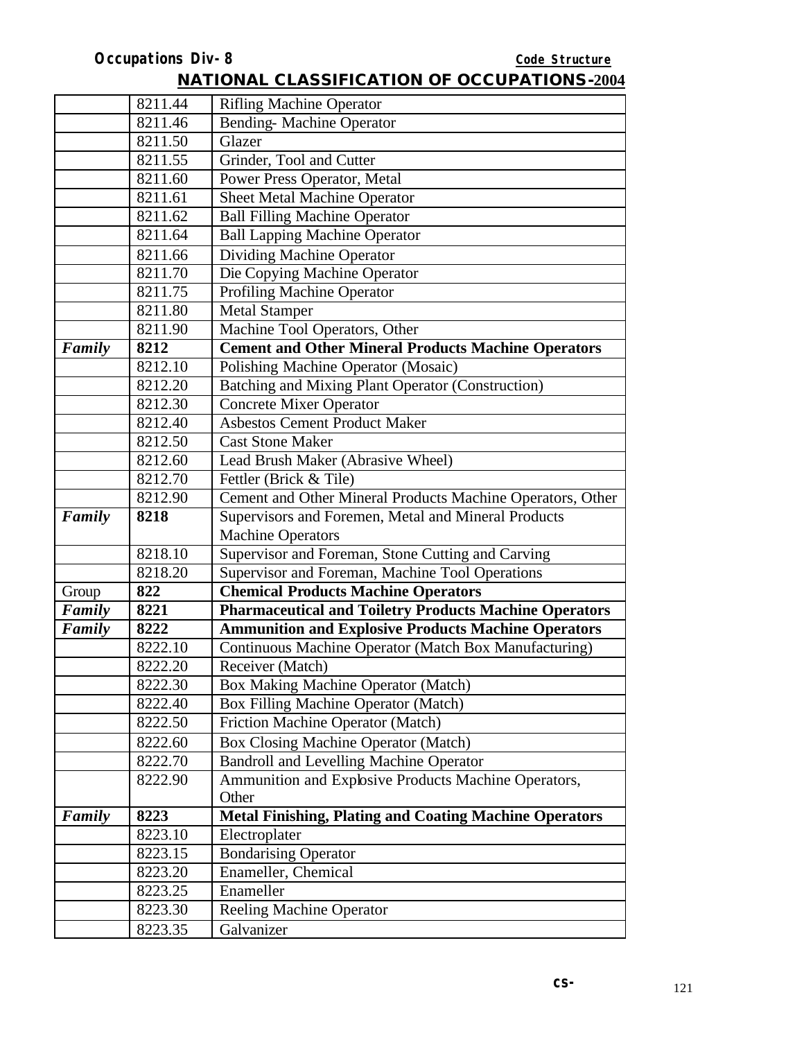|        | 8211.44 | <b>Rifling Machine Operator</b>                               |
|--------|---------|---------------------------------------------------------------|
|        | 8211.46 | <b>Bending-Machine Operator</b>                               |
|        | 8211.50 | Glazer                                                        |
|        | 8211.55 | Grinder, Tool and Cutter                                      |
|        | 8211.60 | Power Press Operator, Metal                                   |
|        | 8211.61 | <b>Sheet Metal Machine Operator</b>                           |
|        | 8211.62 | <b>Ball Filling Machine Operator</b>                          |
|        | 8211.64 | <b>Ball Lapping Machine Operator</b>                          |
|        | 8211.66 | <b>Dividing Machine Operator</b>                              |
|        | 8211.70 | Die Copying Machine Operator                                  |
|        | 8211.75 | <b>Profiling Machine Operator</b>                             |
|        | 8211.80 | <b>Metal Stamper</b>                                          |
|        | 8211.90 | Machine Tool Operators, Other                                 |
| Family | 8212    | <b>Cement and Other Mineral Products Machine Operators</b>    |
|        | 8212.10 | Polishing Machine Operator (Mosaic)                           |
|        | 8212.20 | <b>Batching and Mixing Plant Operator (Construction)</b>      |
|        | 8212.30 | <b>Concrete Mixer Operator</b>                                |
|        | 8212.40 | <b>Asbestos Cement Product Maker</b>                          |
|        | 8212.50 | <b>Cast Stone Maker</b>                                       |
|        | 8212.60 | Lead Brush Maker (Abrasive Wheel)                             |
|        | 8212.70 | Fettler (Brick & Tile)                                        |
|        | 8212.90 | Cement and Other Mineral Products Machine Operators, Other    |
| Family | 8218    | Supervisors and Foremen, Metal and Mineral Products           |
|        |         | <b>Machine Operators</b>                                      |
|        | 8218.10 | Supervisor and Foreman, Stone Cutting and Carving             |
|        | 8218.20 | Supervisor and Foreman, Machine Tool Operations               |
| Group  | 822     | <b>Chemical Products Machine Operators</b>                    |
| Family | 8221    | <b>Pharmaceutical and Toiletry Products Machine Operators</b> |
| Family | 8222    | <b>Ammunition and Explosive Products Machine Operators</b>    |
|        | 8222.10 | Continuous Machine Operator (Match Box Manufacturing)         |
|        | 8222.20 | Receiver (Match)                                              |
|        | 8222.30 | Box Making Machine Operator (Match)                           |
|        | 8222.40 | Box Filling Machine Operator (Match)                          |
|        | 8222.50 | Friction Machine Operator (Match)                             |
|        | 8222.60 | Box Closing Machine Operator (Match)                          |
|        | 8222.70 | <b>Bandroll and Levelling Machine Operator</b>                |
|        | 8222.90 | Ammunition and Explosive Products Machine Operators,<br>Other |
| Family | 8223    | <b>Metal Finishing, Plating and Coating Machine Operators</b> |
|        | 8223.10 | Electroplater                                                 |
|        | 8223.15 | <b>Bondarising Operator</b>                                   |
|        | 8223.20 | Enameller, Chemical                                           |
|        | 8223.25 | Enameller                                                     |
|        | 8223.30 | <b>Reeling Machine Operator</b>                               |
|        | 8223.35 | Galvanizer                                                    |
|        |         |                                                               |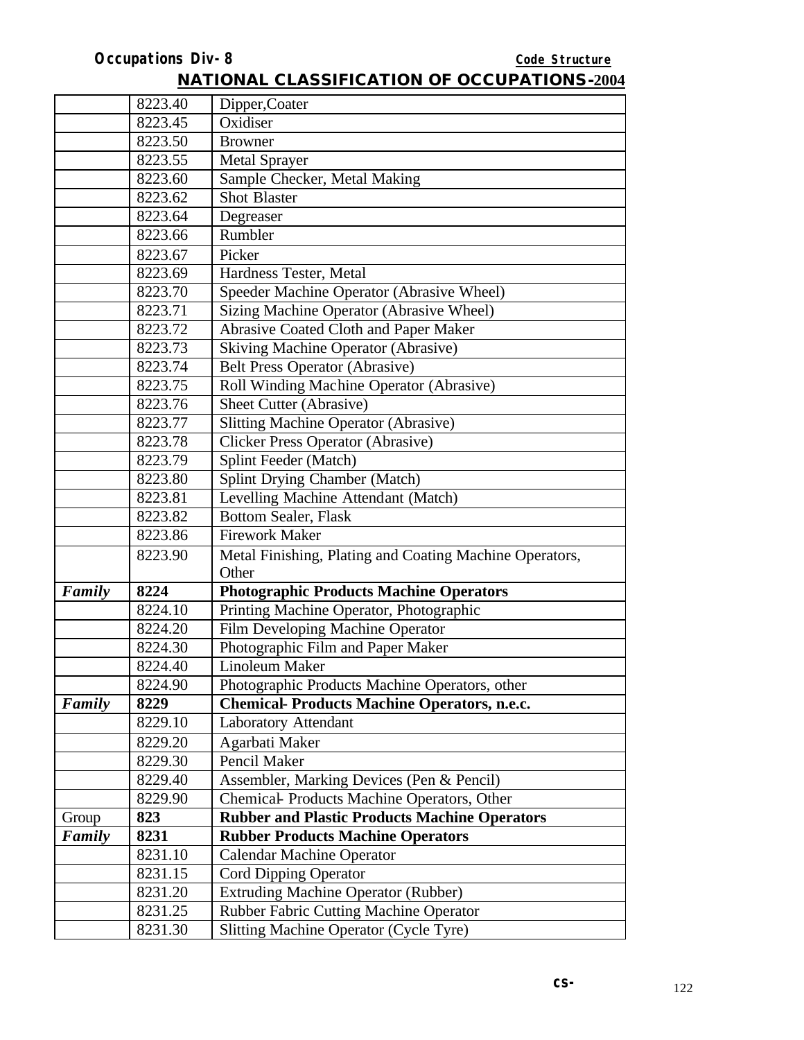|        | 8223.40 | Dipper, Coater                                          |
|--------|---------|---------------------------------------------------------|
|        | 8223.45 | Oxidiser                                                |
|        | 8223.50 | <b>Browner</b>                                          |
|        | 8223.55 | <b>Metal Sprayer</b>                                    |
|        | 8223.60 | Sample Checker, Metal Making                            |
|        | 8223.62 | <b>Shot Blaster</b>                                     |
|        | 8223.64 | Degreaser                                               |
|        | 8223.66 | Rumbler                                                 |
|        | 8223.67 | Picker                                                  |
|        | 8223.69 | Hardness Tester, Metal                                  |
|        | 8223.70 | Speeder Machine Operator (Abrasive Wheel)               |
|        | 8223.71 | Sizing Machine Operator (Abrasive Wheel)                |
|        | 8223.72 | <b>Abrasive Coated Cloth and Paper Maker</b>            |
|        | 8223.73 | <b>Skiving Machine Operator (Abrasive)</b>              |
|        | 8223.74 | <b>Belt Press Operator (Abrasive)</b>                   |
|        | 8223.75 | Roll Winding Machine Operator (Abrasive)                |
|        | 8223.76 | Sheet Cutter (Abrasive)                                 |
|        | 8223.77 | <b>Slitting Machine Operator (Abrasive)</b>             |
|        | 8223.78 | <b>Clicker Press Operator (Abrasive)</b>                |
|        | 8223.79 | Splint Feeder (Match)                                   |
|        | 8223.80 | Splint Drying Chamber (Match)                           |
|        | 8223.81 | Levelling Machine Attendant (Match)                     |
|        | 8223.82 | <b>Bottom Sealer, Flask</b>                             |
|        | 8223.86 | <b>Firework Maker</b>                                   |
|        | 8223.90 | Metal Finishing, Plating and Coating Machine Operators, |
|        |         | Other                                                   |
| Family | 8224    | <b>Photographic Products Machine Operators</b>          |
|        | 8224.10 | Printing Machine Operator, Photographic                 |
|        | 8224.20 | Film Developing Machine Operator                        |
|        | 8224.30 | Photographic Film and Paper Maker                       |
|        | 8224.40 | Linoleum Maker                                          |
|        | 8224.90 | Photographic Products Machine Operators, other          |
| Family | 8229    | <b>Chemical-Products Machine Operators, n.e.c.</b>      |
|        | 8229.10 | <b>Laboratory Attendant</b>                             |
|        | 8229.20 | Agarbati Maker                                          |
|        | 8229.30 | Pencil Maker                                            |
|        | 8229.40 | Assembler, Marking Devices (Pen & Pencil)               |
|        | 8229.90 | Chemical-Products Machine Operators, Other              |
| Group  | 823     | <b>Rubber and Plastic Products Machine Operators</b>    |
| Family | 8231    | <b>Rubber Products Machine Operators</b>                |
|        | 8231.10 | <b>Calendar Machine Operator</b>                        |
|        | 8231.15 | Cord Dipping Operator                                   |
|        | 8231.20 | <b>Extruding Machine Operator (Rubber)</b>              |
|        | 8231.25 | <b>Rubber Fabric Cutting Machine Operator</b>           |
|        | 8231.30 | Slitting Machine Operator (Cycle Tyre)                  |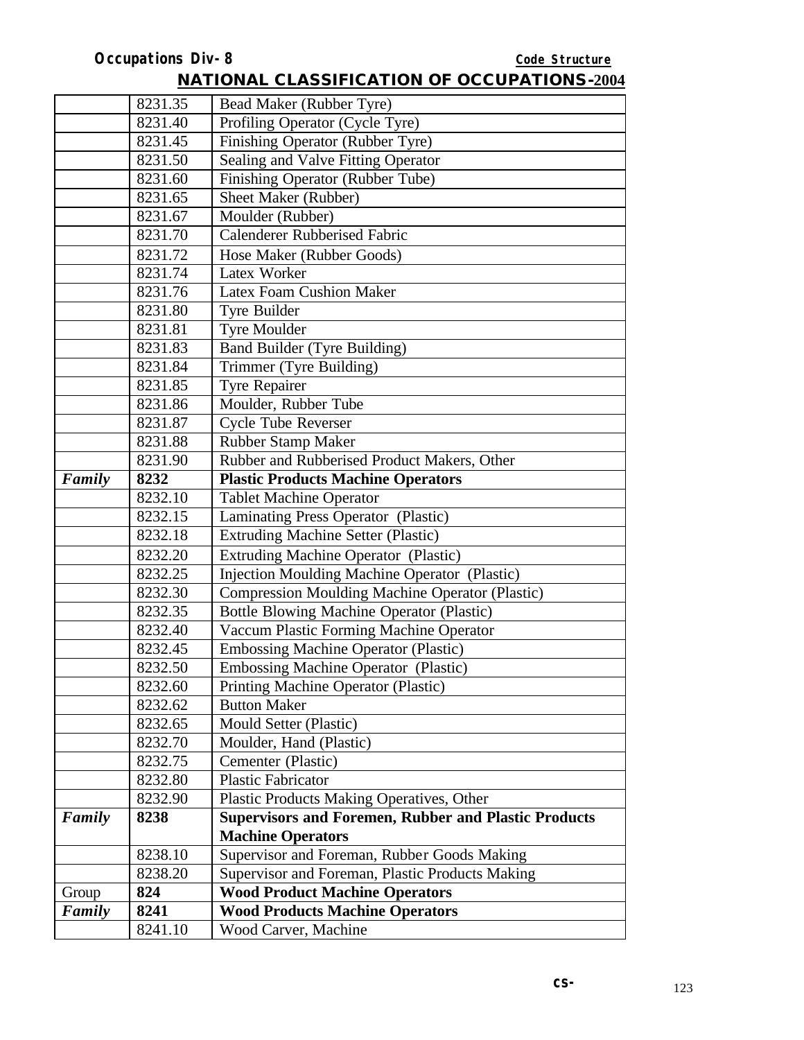|        | 8231.35 | Bead Maker (Rubber Tyre)                                    |
|--------|---------|-------------------------------------------------------------|
|        | 8231.40 | Profiling Operator (Cycle Tyre)                             |
|        | 8231.45 | Finishing Operator (Rubber Tyre)                            |
|        | 8231.50 | Sealing and Valve Fitting Operator                          |
|        | 8231.60 | Finishing Operator (Rubber Tube)                            |
|        | 8231.65 | Sheet Maker (Rubber)                                        |
|        | 8231.67 | Moulder (Rubber)                                            |
|        | 8231.70 | <b>Calenderer Rubberised Fabric</b>                         |
|        | 8231.72 | Hose Maker (Rubber Goods)                                   |
|        | 8231.74 | Latex Worker                                                |
|        | 8231.76 | Latex Foam Cushion Maker                                    |
|        | 8231.80 | Tyre Builder                                                |
|        | 8231.81 | <b>Tyre Moulder</b>                                         |
|        | 8231.83 | Band Builder (Tyre Building)                                |
|        | 8231.84 | Trimmer (Tyre Building)                                     |
|        | 8231.85 | <b>Tyre Repairer</b>                                        |
|        | 8231.86 | Moulder, Rubber Tube                                        |
|        | 8231.87 | <b>Cycle Tube Reverser</b>                                  |
|        | 8231.88 | Rubber Stamp Maker                                          |
|        | 8231.90 | Rubber and Rubberised Product Makers, Other                 |
| Family | 8232    | <b>Plastic Products Machine Operators</b>                   |
|        | 8232.10 | <b>Tablet Machine Operator</b>                              |
|        | 8232.15 | Laminating Press Operator (Plastic)                         |
|        | 8232.18 | <b>Extruding Machine Setter (Plastic)</b>                   |
|        | 8232.20 | <b>Extruding Machine Operator (Plastic)</b>                 |
|        | 8232.25 | <b>Injection Moulding Machine Operator (Plastic)</b>        |
|        | 8232.30 | <b>Compression Moulding Machine Operator (Plastic)</b>      |
|        | 8232.35 | <b>Bottle Blowing Machine Operator (Plastic)</b>            |
|        | 8232.40 | Vaccum Plastic Forming Machine Operator                     |
|        | 8232.45 | <b>Embossing Machine Operator (Plastic)</b>                 |
|        | 8232.50 | Embossing Machine Operator (Plastic)                        |
|        | 8232.60 | Printing Machine Operator (Plastic)                         |
|        | 8232.62 | <b>Button Maker</b>                                         |
|        | 8232.65 | Mould Setter (Plastic)                                      |
|        | 8232.70 | Moulder, Hand (Plastic)                                     |
|        | 8232.75 | Cementer (Plastic)                                          |
|        | 8232.80 | <b>Plastic Fabricator</b>                                   |
|        | 8232.90 | <b>Plastic Products Making Operatives, Other</b>            |
| Family | 8238    | <b>Supervisors and Foremen, Rubber and Plastic Products</b> |
|        |         | <b>Machine Operators</b>                                    |
|        | 8238.10 | Supervisor and Foreman, Rubber Goods Making                 |
|        | 8238.20 | Supervisor and Foreman, Plastic Products Making             |
| Group  | 824     | <b>Wood Product Machine Operators</b>                       |
| Family | 8241    | <b>Wood Products Machine Operators</b>                      |
|        | 8241.10 | Wood Carver, Machine                                        |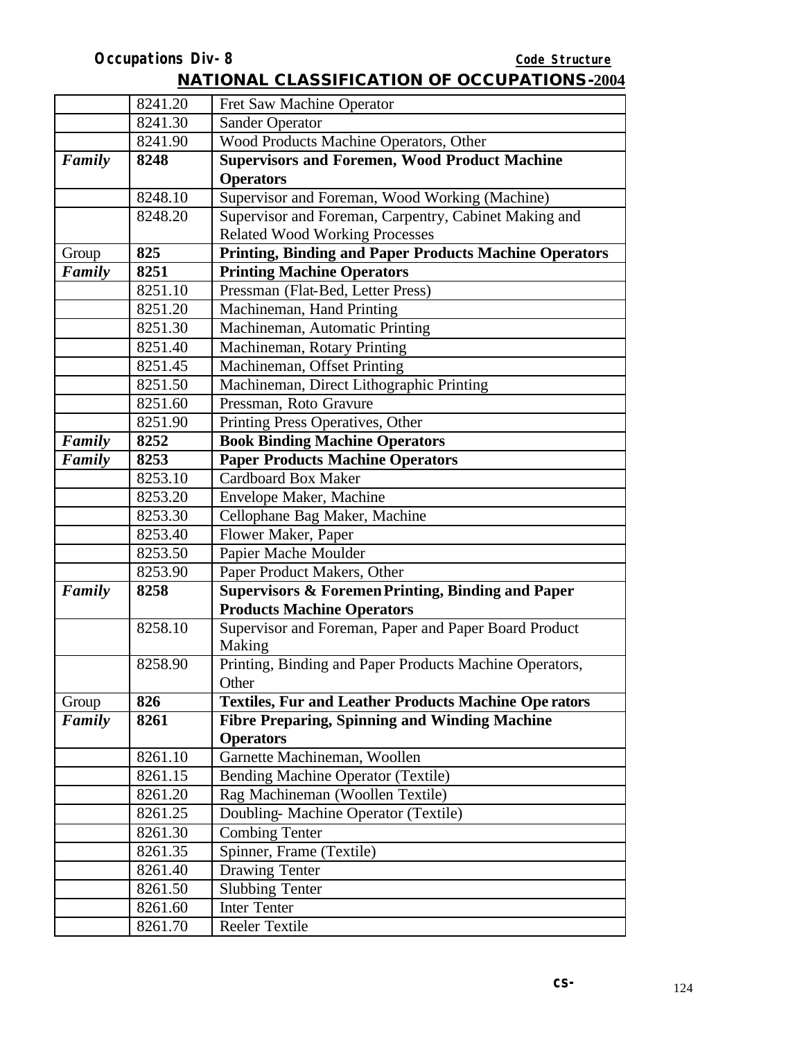|        | 8241.20 | Fret Saw Machine Operator                                     |
|--------|---------|---------------------------------------------------------------|
|        | 8241.30 | <b>Sander Operator</b>                                        |
|        | 8241.90 | Wood Products Machine Operators, Other                        |
| Family | 8248    | <b>Supervisors and Foremen, Wood Product Machine</b>          |
|        |         | <b>Operators</b>                                              |
|        | 8248.10 | Supervisor and Foreman, Wood Working (Machine)                |
|        | 8248.20 | Supervisor and Foreman, Carpentry, Cabinet Making and         |
|        |         | <b>Related Wood Working Processes</b>                         |
| Group  | 825     | <b>Printing, Binding and Paper Products Machine Operators</b> |
| Family | 8251    | <b>Printing Machine Operators</b>                             |
|        | 8251.10 | Pressman (Flat-Bed, Letter Press)                             |
|        | 8251.20 | Machineman, Hand Printing                                     |
|        | 8251.30 | Machineman, Automatic Printing                                |
|        | 8251.40 | Machineman, Rotary Printing                                   |
|        | 8251.45 | Machineman, Offset Printing                                   |
|        | 8251.50 | Machineman, Direct Lithographic Printing                      |
|        | 8251.60 | Pressman, Roto Gravure                                        |
|        | 8251.90 | Printing Press Operatives, Other                              |
| Family | 8252    | <b>Book Binding Machine Operators</b>                         |
| Family | 8253    | <b>Paper Products Machine Operators</b>                       |
|        | 8253.10 | <b>Cardboard Box Maker</b>                                    |
|        | 8253.20 | Envelope Maker, Machine                                       |
|        | 8253.30 | Cellophane Bag Maker, Machine                                 |
|        | 8253.40 | Flower Maker, Paper                                           |
|        | 8253.50 | Papier Mache Moulder                                          |
|        | 8253.90 | Paper Product Makers, Other                                   |
| Family | 8258    | <b>Supervisors &amp; Foremen Printing, Binding and Paper</b>  |
|        |         | <b>Products Machine Operators</b>                             |
|        | 8258.10 | Supervisor and Foreman, Paper and Paper Board Product         |
|        |         | Making                                                        |
|        | 8258.90 | Printing, Binding and Paper Products Machine Operators,       |
|        |         | Other                                                         |
| Group  | 826     | <b>Textiles, Fur and Leather Products Machine Ope rators</b>  |
| Family | 8261    | <b>Fibre Preparing, Spinning and Winding Machine</b>          |
|        |         | <b>Operators</b>                                              |
|        | 8261.10 | Garnette Machineman, Woollen                                  |
|        | 8261.15 | Bending Machine Operator (Textile)                            |
|        | 8261.20 | Rag Machineman (Woollen Textile)                              |
|        | 8261.25 | Doubling-Machine Operator (Textile)                           |
|        | 8261.30 | <b>Combing Tenter</b>                                         |
|        | 8261.35 | Spinner, Frame (Textile)                                      |
|        | 8261.40 | Drawing Tenter                                                |
|        | 8261.50 | <b>Slubbing Tenter</b>                                        |
|        | 8261.60 | <b>Inter Tenter</b>                                           |
|        | 8261.70 | <b>Reeler Textile</b>                                         |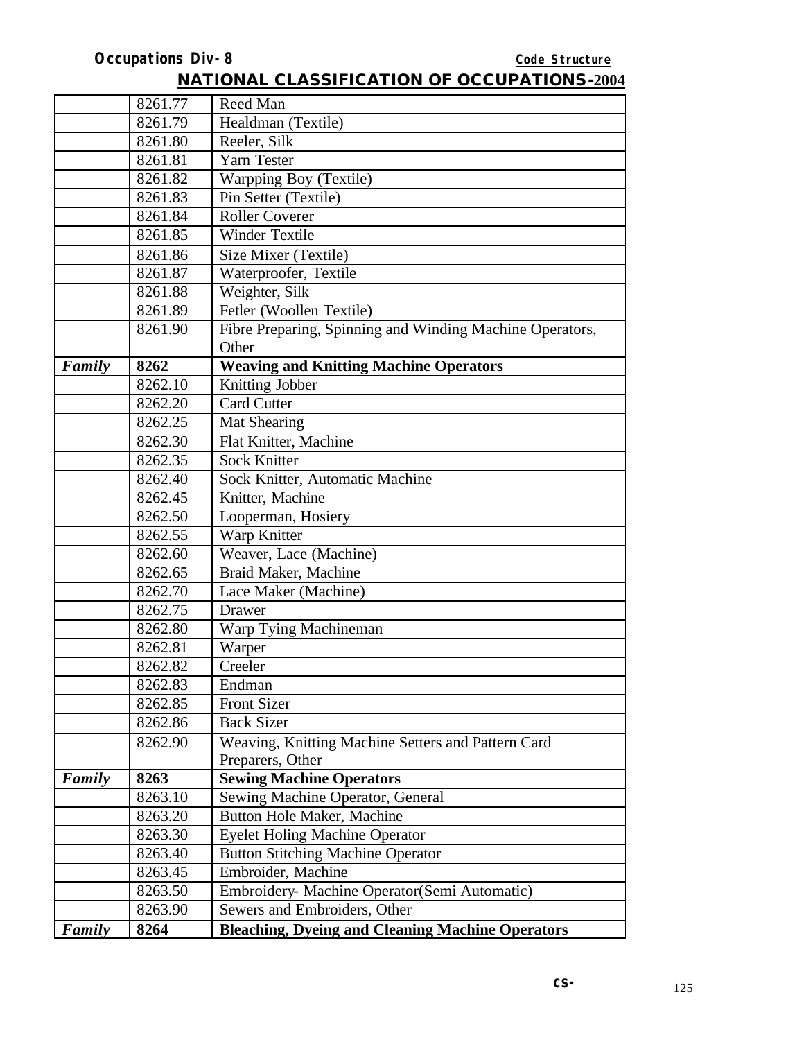|        | 8261.77 | Reed Man                                                 |
|--------|---------|----------------------------------------------------------|
|        | 8261.79 | Healdman (Textile)                                       |
|        | 8261.80 | Reeler, Silk                                             |
|        | 8261.81 | Yarn Tester                                              |
|        | 8261.82 | Warpping Boy (Textile)                                   |
|        | 8261.83 | Pin Setter (Textile)                                     |
|        | 8261.84 | <b>Roller Coverer</b>                                    |
|        | 8261.85 | <b>Winder Textile</b>                                    |
|        | 8261.86 | Size Mixer (Textile)                                     |
|        | 8261.87 | Waterproofer, Textile                                    |
|        | 8261.88 | Weighter, Silk                                           |
|        | 8261.89 | Fetler (Woollen Textile)                                 |
|        | 8261.90 | Fibre Preparing, Spinning and Winding Machine Operators, |
|        |         | Other                                                    |
| Family | 8262    | <b>Weaving and Knitting Machine Operators</b>            |
|        | 8262.10 | Knitting Jobber                                          |
|        | 8262.20 | <b>Card Cutter</b>                                       |
|        | 8262.25 | <b>Mat Shearing</b>                                      |
|        | 8262.30 | Flat Knitter, Machine                                    |
|        | 8262.35 | <b>Sock Knitter</b>                                      |
|        | 8262.40 | Sock Knitter, Automatic Machine                          |
|        | 8262.45 | Knitter, Machine                                         |
|        | 8262.50 | Looperman, Hosiery                                       |
|        | 8262.55 | Warp Knitter                                             |
|        | 8262.60 | Weaver, Lace (Machine)                                   |
|        | 8262.65 | Braid Maker, Machine                                     |
|        | 8262.70 | Lace Maker (Machine)                                     |
|        | 8262.75 | Drawer                                                   |
|        | 8262.80 | Warp Tying Machineman                                    |
|        | 8262.81 | Warper                                                   |
|        | 8262.82 | Creeler                                                  |
|        | 8262.83 | Endman                                                   |
|        | 8262.85 | <b>Front Sizer</b>                                       |
|        | 8262.86 | <b>Back Sizer</b>                                        |
|        | 8262.90 | Weaving, Knitting Machine Setters and Pattern Card       |
|        |         | Preparers, Other                                         |
| Family | 8263    | <b>Sewing Machine Operators</b>                          |
|        | 8263.10 | Sewing Machine Operator, General                         |
|        | 8263.20 | Button Hole Maker, Machine                               |
|        | 8263.30 | <b>Eyelet Holing Machine Operator</b>                    |
|        | 8263.40 | <b>Button Stitching Machine Operator</b>                 |
|        | 8263.45 | Embroider, Machine                                       |
|        | 8263.50 | Embroidery- Machine Operator(Semi Automatic)             |
|        | 8263.90 | Sewers and Embroiders, Other                             |
| Family | 8264    | <b>Bleaching, Dyeing and Cleaning Machine Operators</b>  |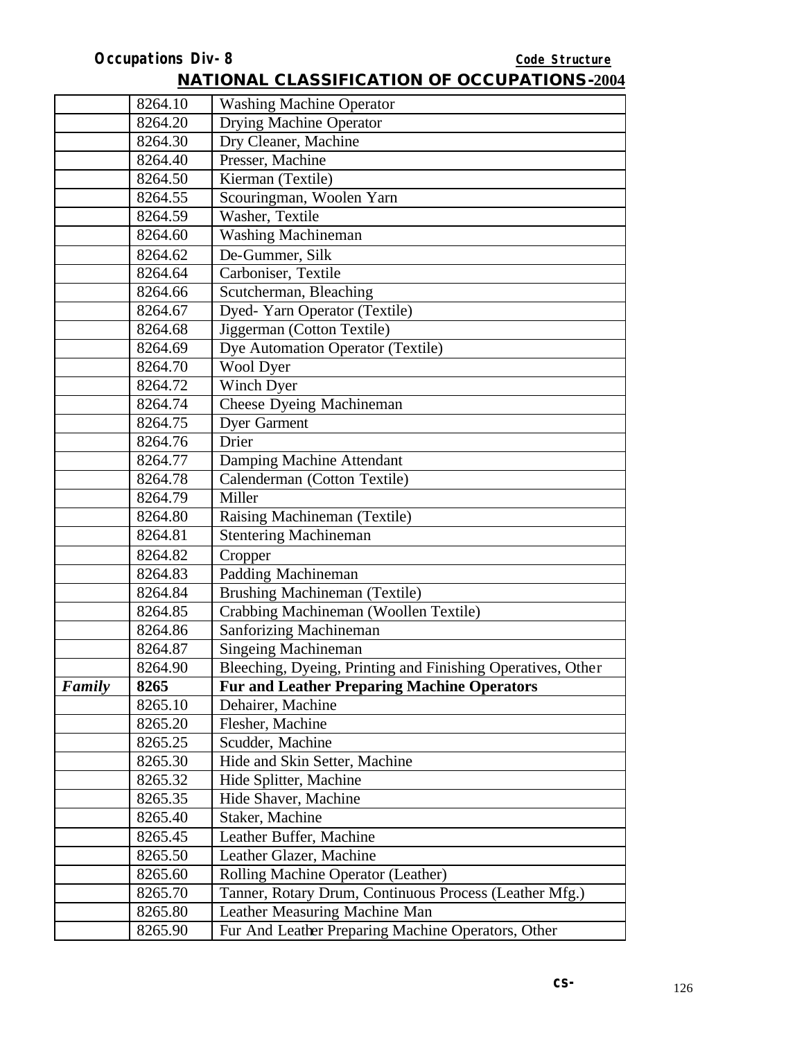|        | 8264.10 | <b>Washing Machine Operator</b>                             |
|--------|---------|-------------------------------------------------------------|
|        | 8264.20 | <b>Drying Machine Operator</b>                              |
|        | 8264.30 | Dry Cleaner, Machine                                        |
|        | 8264.40 | Presser, Machine                                            |
|        | 8264.50 | Kierman (Textile)                                           |
|        | 8264.55 | Scouringman, Woolen Yarn                                    |
|        | 8264.59 | Washer, Textile                                             |
|        | 8264.60 | <b>Washing Machineman</b>                                   |
|        | 8264.62 | De-Gummer, Silk                                             |
|        | 8264.64 | Carboniser, Textile                                         |
|        | 8264.66 | Scutcherman, Bleaching                                      |
|        | 8264.67 | Dyed- Yarn Operator (Textile)                               |
|        | 8264.68 | Jiggerman (Cotton Textile)                                  |
|        | 8264.69 | Dye Automation Operator (Textile)                           |
|        | 8264.70 | <b>Wool Dyer</b>                                            |
|        | 8264.72 | Winch Dyer                                                  |
|        | 8264.74 | <b>Cheese Dyeing Machineman</b>                             |
|        | 8264.75 | <b>Dyer Garment</b>                                         |
|        | 8264.76 | Drier                                                       |
|        | 8264.77 | Damping Machine Attendant                                   |
|        | 8264.78 | Calenderman (Cotton Textile)                                |
|        | 8264.79 | Miller                                                      |
|        | 8264.80 | Raising Machineman (Textile)                                |
|        | 8264.81 | <b>Stentering Machineman</b>                                |
|        | 8264.82 | Cropper                                                     |
|        | 8264.83 | Padding Machineman                                          |
|        | 8264.84 | <b>Brushing Machineman (Textile)</b>                        |
|        | 8264.85 | Crabbing Machineman (Woollen Textile)                       |
|        | 8264.86 | <b>Sanforizing Machineman</b>                               |
|        | 8264.87 | <b>Singeing Machineman</b>                                  |
|        | 8264.90 | Bleeching, Dyeing, Printing and Finishing Operatives, Other |
| Family | 8265    | <b>Fur and Leather Preparing Machine Operators</b>          |
|        | 8265.10 | Dehairer, Machine                                           |
|        | 8265.20 | Flesher, Machine                                            |
|        | 8265.25 | Scudder, Machine                                            |
|        | 8265.30 | Hide and Skin Setter, Machine                               |
|        | 8265.32 | Hide Splitter, Machine                                      |
|        | 8265.35 | Hide Shaver, Machine                                        |
|        | 8265.40 | Staker, Machine                                             |
|        | 8265.45 | Leather Buffer, Machine                                     |
|        | 8265.50 | Leather Glazer, Machine                                     |
|        | 8265.60 | Rolling Machine Operator (Leather)                          |
|        | 8265.70 | Tanner, Rotary Drum, Continuous Process (Leather Mfg.)      |
|        | 8265.80 | Leather Measuring Machine Man                               |
|        | 8265.90 | Fur And Leather Preparing Machine Operators, Other          |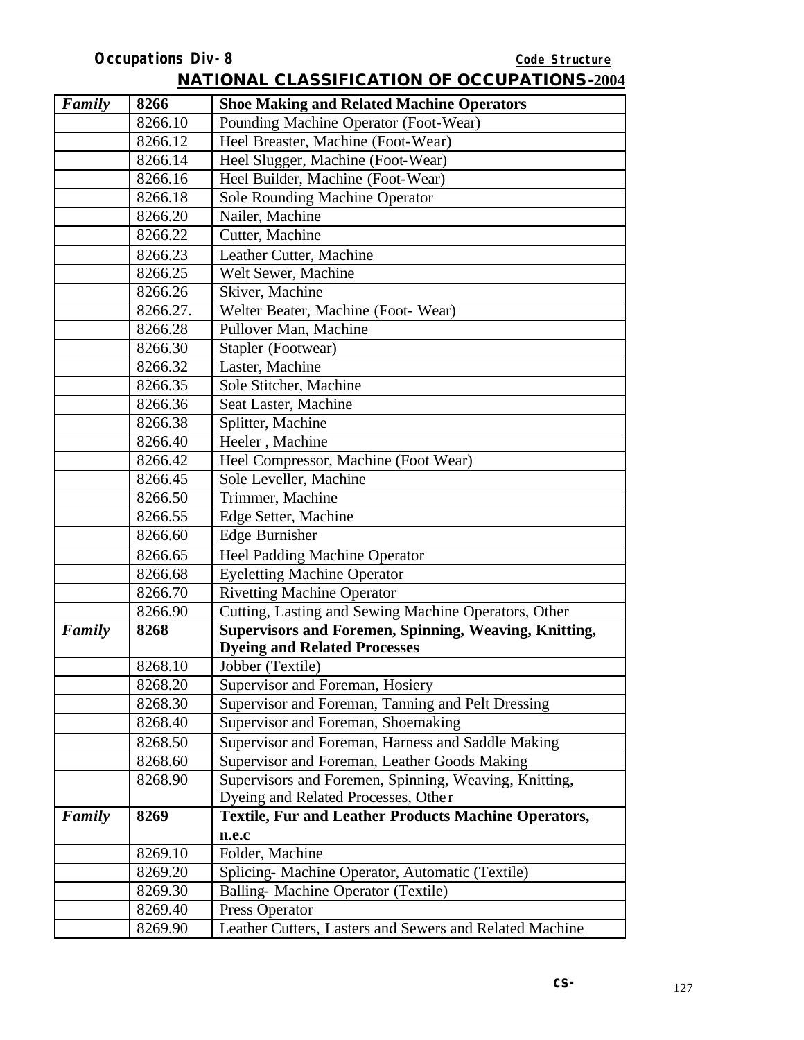| Family | 8266     | <b>Shoe Making and Related Machine Operators</b>             |
|--------|----------|--------------------------------------------------------------|
|        | 8266.10  | Pounding Machine Operator (Foot-Wear)                        |
|        | 8266.12  | Heel Breaster, Machine (Foot-Wear)                           |
|        | 8266.14  | Heel Slugger, Machine (Foot-Wear)                            |
|        | 8266.16  | Heel Builder, Machine (Foot-Wear)                            |
|        | 8266.18  | Sole Rounding Machine Operator                               |
|        | 8266.20  | Nailer, Machine                                              |
|        | 8266.22  | Cutter, Machine                                              |
|        | 8266.23  | Leather Cutter, Machine                                      |
|        | 8266.25  | Welt Sewer, Machine                                          |
|        | 8266.26  | Skiver, Machine                                              |
|        | 8266.27. | Welter Beater, Machine (Foot-Wear)                           |
|        | 8266.28  | Pullover Man, Machine                                        |
|        | 8266.30  | Stapler (Footwear)                                           |
|        | 8266.32  | Laster, Machine                                              |
|        | 8266.35  | Sole Stitcher, Machine                                       |
|        | 8266.36  | Seat Laster, Machine                                         |
|        | 8266.38  | Splitter, Machine                                            |
|        | 8266.40  | Heeler, Machine                                              |
|        | 8266.42  | Heel Compressor, Machine (Foot Wear)                         |
|        | 8266.45  | Sole Leveller, Machine                                       |
|        | 8266.50  | Trimmer, Machine                                             |
|        | 8266.55  | Edge Setter, Machine                                         |
|        | 8266.60  | <b>Edge Burnisher</b>                                        |
|        | 8266.65  | <b>Heel Padding Machine Operator</b>                         |
|        | 8266.68  | <b>Eyeletting Machine Operator</b>                           |
|        | 8266.70  | <b>Rivetting Machine Operator</b>                            |
|        | 8266.90  | Cutting, Lasting and Sewing Machine Operators, Other         |
| Family | 8268     | <b>Supervisors and Foremen, Spinning, Weaving, Knitting,</b> |
|        |          | <b>Dyeing and Related Processes</b>                          |
|        | 8268.10  | Jobber (Textile)                                             |
|        | 8268.20  | Supervisor and Foreman, Hosiery                              |
|        | 8268.30  | Supervisor and Foreman, Tanning and Pelt Dressing            |
|        | 8268.40  | Supervisor and Foreman, Shoemaking                           |
|        | 8268.50  | Supervisor and Foreman, Harness and Saddle Making            |
|        | 8268.60  | Supervisor and Foreman, Leather Goods Making                 |
|        | 8268.90  | Supervisors and Foremen, Spinning, Weaving, Knitting,        |
|        |          | Dyeing and Related Processes, Other                          |
| Family | 8269     | <b>Textile, Fur and Leather Products Machine Operators,</b>  |
|        |          | n.e.c                                                        |
|        | 8269.10  | Folder, Machine                                              |
|        | 8269.20  | Splicing- Machine Operator, Automatic (Textile)              |
|        | 8269.30  | Balling- Machine Operator (Textile)                          |
|        | 8269.40  | Press Operator                                               |
|        | 8269.90  | Leather Cutters, Lasters and Sewers and Related Machine      |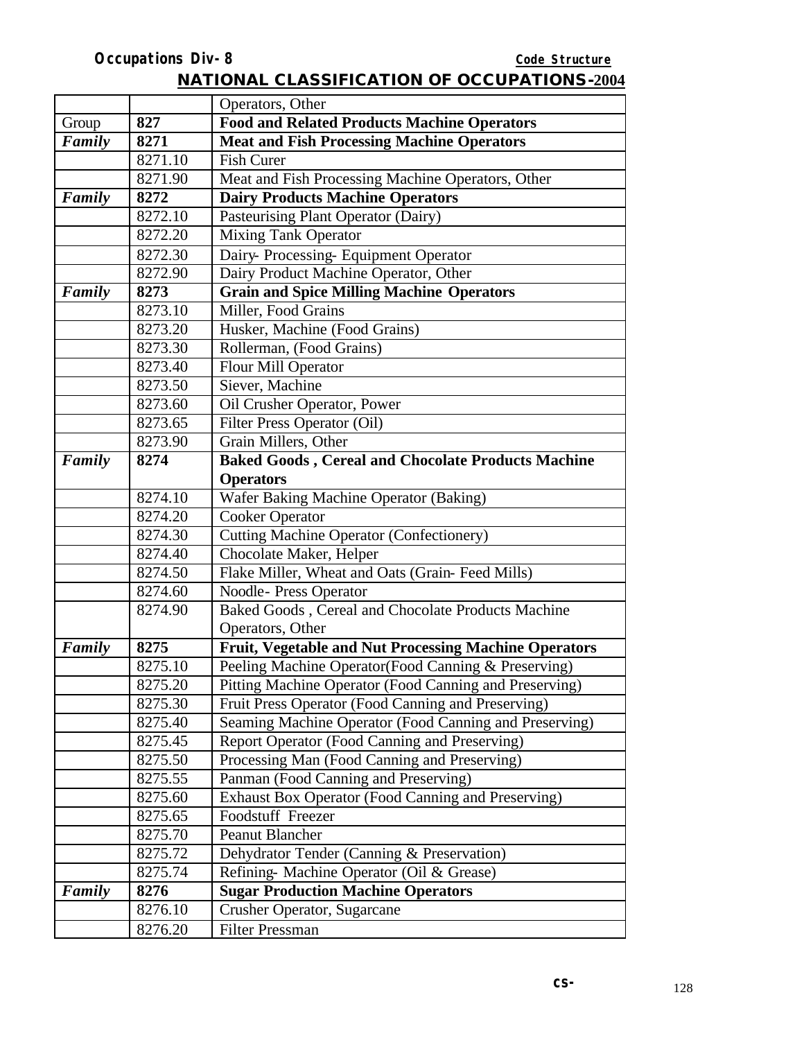|        |                 | Operators, Other                                          |
|--------|-----------------|-----------------------------------------------------------|
| Group  | 827             | <b>Food and Related Products Machine Operators</b>        |
| Family | 8271            | <b>Meat and Fish Processing Machine Operators</b>         |
|        | 8271.10         | <b>Fish Curer</b>                                         |
|        | 8271.90         | Meat and Fish Processing Machine Operators, Other         |
| Family | 8272            | <b>Dairy Products Machine Operators</b>                   |
|        | 8272.10         | Pasteurising Plant Operator (Dairy)                       |
|        | 8272.20         | <b>Mixing Tank Operator</b>                               |
|        | 8272.30         | Dairy-Processing-Equipment Operator                       |
|        | 8272.90         | Dairy Product Machine Operator, Other                     |
| Family | 8273            | <b>Grain and Spice Milling Machine Operators</b>          |
|        | 8273.10         | Miller, Food Grains                                       |
|        | 8273.20         | Husker, Machine (Food Grains)                             |
|        | 8273.30         | Rollerman, (Food Grains)                                  |
|        | 8273.40         | Flour Mill Operator                                       |
|        | 8273.50         | Siever, Machine                                           |
|        | 8273.60         | Oil Crusher Operator, Power                               |
|        | 8273.65         | Filter Press Operator (Oil)                               |
|        |                 | Grain Millers, Other                                      |
|        | 8273.90<br>8274 | <b>Baked Goods, Cereal and Chocolate Products Machine</b> |
| Family |                 | <b>Operators</b>                                          |
|        | 8274.10         | Wafer Baking Machine Operator (Baking)                    |
|        | 8274.20         | <b>Cooker Operator</b>                                    |
|        | 8274.30         | <b>Cutting Machine Operator (Confectionery)</b>           |
|        | 8274.40         | Chocolate Maker, Helper                                   |
|        | 8274.50         | Flake Miller, Wheat and Oats (Grain-Feed Mills)           |
|        | 8274.60         | <b>Noodle-Press Operator</b>                              |
|        | 8274.90         | Baked Goods, Cereal and Chocolate Products Machine        |
|        |                 | Operators, Other                                          |
| Family | 8275            | Fruit, Vegetable and Nut Processing Machine Operators     |
|        | 8275.10         | Peeling Machine Operator (Food Canning & Preserving)      |
|        | 8275.20         | Pitting Machine Operator (Food Canning and Preserving)    |
|        | 8275.30         | Fruit Press Operator (Food Canning and Preserving)        |
|        | 8275.40         | Seaming Machine Operator (Food Canning and Preserving)    |
|        | 8275.45         | Report Operator (Food Canning and Preserving)             |
|        | 8275.50         | Processing Man (Food Canning and Preserving)              |
|        | 8275.55         | Panman (Food Canning and Preserving)                      |
|        | 8275.60         | Exhaust Box Operator (Food Canning and Preserving)        |
|        | 8275.65         | Foodstuff Freezer                                         |
|        | 8275.70         | Peanut Blancher                                           |
|        | 8275.72         | Dehydrator Tender (Canning & Preservation)                |
|        | 8275.74         | Refining- Machine Operator (Oil & Grease)                 |
| Family | 8276            | <b>Sugar Production Machine Operators</b>                 |
|        | 8276.10         | Crusher Operator, Sugarcane                               |
|        | 8276.20         | <b>Filter Pressman</b>                                    |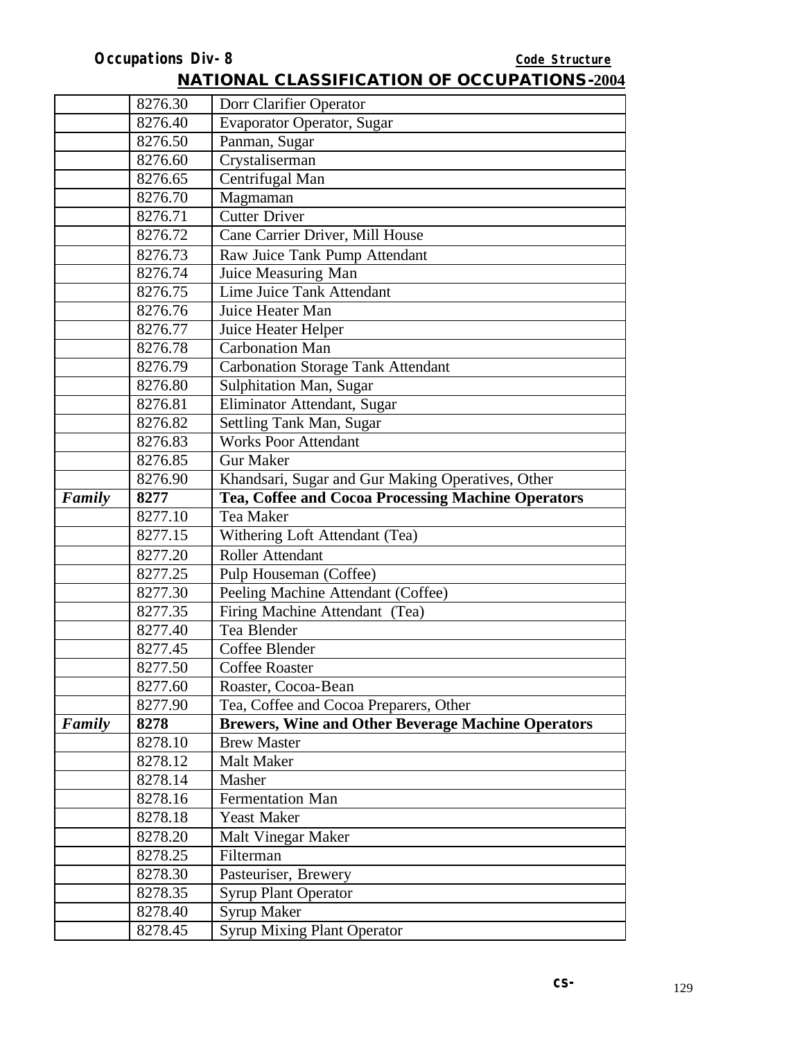8278.25 Filterman<br>8278.30 Pasteuriser

8278.40 Syrup Maker<br>8278.45 Syrup Mixing

8278.30 Pasteuriser, Brewery<br>8278.35 Syrup Plant Operator 8278.35 Syrup Plant Operator<br>8278.40 Syrup Maker

**Syrup Mixing Plant Operator** 

|        | <b>Occupations Div-8</b>                 | Code Structure                                                                  |
|--------|------------------------------------------|---------------------------------------------------------------------------------|
|        |                                          | <b>NATIONAL CLASSIFICATION OF OCCUPATIONS-2004</b>                              |
|        | 8276.30                                  | Dorr Clarifier Operator                                                         |
|        | 8276.40                                  | <b>Evaporator Operator, Sugar</b>                                               |
|        | 8276.50                                  | Panman, Sugar                                                                   |
|        | 8276.60                                  | Crystaliserman                                                                  |
|        | 8276.65                                  | Centrifugal Man                                                                 |
|        | 8276.70                                  | Magmaman                                                                        |
|        | 8276.71                                  | <b>Cutter Driver</b>                                                            |
|        | 8276.72                                  | Cane Carrier Driver, Mill House                                                 |
|        | 8276.73                                  | Raw Juice Tank Pump Attendant                                                   |
|        | 8276.74                                  | Juice Measuring Man                                                             |
|        | 8276.75                                  | Lime Juice Tank Attendant                                                       |
|        | 8276.76                                  | Juice Heater Man                                                                |
|        | 8276.77                                  | Juice Heater Helper                                                             |
|        | 8276.78                                  | <b>Carbonation Man</b>                                                          |
|        | 8276.79                                  | <b>Carbonation Storage Tank Attendant</b>                                       |
|        | 8276.80                                  | Sulphitation Man, Sugar                                                         |
|        | 8276.81                                  | Eliminator Attendant, Sugar                                                     |
|        | 8276.82                                  | Settling Tank Man, Sugar                                                        |
|        | 8276.83                                  | <b>Works Poor Attendant</b>                                                     |
|        | 8276.85                                  | <b>Gur Maker</b>                                                                |
|        | 8276.90                                  | Khandsari, Sugar and Gur Making Operatives, Other                               |
| Family | 8277                                     | Tea, Coffee and Cocoa Processing Machine Operators                              |
|        | 8277.10                                  | Tea Maker                                                                       |
|        | 8277.15                                  | Withering Loft Attendant (Tea)                                                  |
|        | 8277.20                                  | Roller Attendant                                                                |
|        | 8277.25                                  | Pulp Houseman (Coffee)                                                          |
|        | 8277.30                                  | Peeling Machine Attendant (Coffee)                                              |
|        | 8277.35                                  | Firing Machine Attendant (Tea)                                                  |
|        | 8277.40                                  | Tea Blender                                                                     |
|        |                                          |                                                                                 |
|        |                                          | <b>Coffee Roaster</b>                                                           |
|        |                                          |                                                                                 |
|        |                                          |                                                                                 |
| Family | 8278                                     | <b>Brewers, Wine and Other Beverage Machine Operators</b>                       |
|        | 8278.10                                  | <b>Brew Master</b>                                                              |
|        | 8278.12                                  | <b>Malt Maker</b>                                                               |
|        | 8278.14                                  | Masher                                                                          |
|        | 8278.16                                  | <b>Fermentation Man</b>                                                         |
|        | 8278.18                                  | <b>Yeast Maker</b>                                                              |
|        | 8278.20                                  | Malt Vinegar Maker                                                              |
|        |                                          |                                                                                 |
|        | 8277.45<br>8277.50<br>8277.60<br>8277.90 | Coffee Blender<br>Roaster, Cocoa-Bean<br>Tea, Coffee and Cocoa Preparers, Other |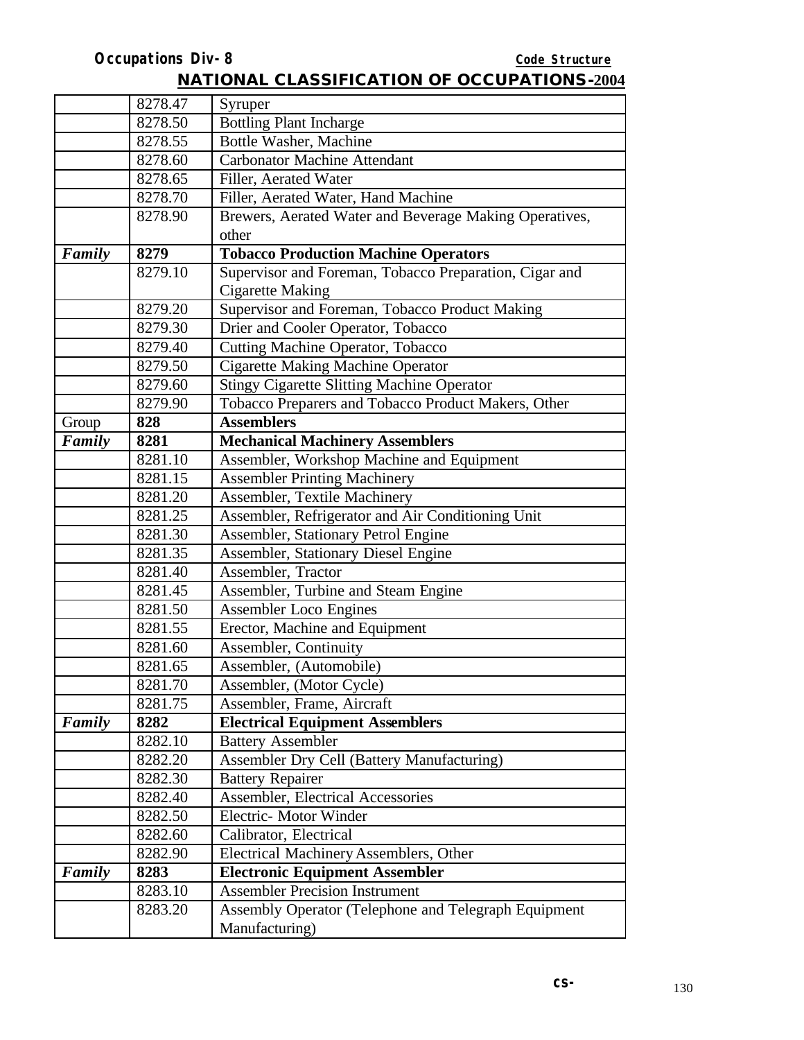|        | 8278.47 | Syruper                                                |
|--------|---------|--------------------------------------------------------|
|        | 8278.50 | <b>Bottling Plant Incharge</b>                         |
|        | 8278.55 | Bottle Washer, Machine                                 |
|        | 8278.60 | <b>Carbonator Machine Attendant</b>                    |
|        | 8278.65 | Filler, Aerated Water                                  |
|        | 8278.70 | Filler, Aerated Water, Hand Machine                    |
|        | 8278.90 | Brewers, Aerated Water and Beverage Making Operatives, |
|        |         | other                                                  |
| Family | 8279    | <b>Tobacco Production Machine Operators</b>            |
|        | 8279.10 | Supervisor and Foreman, Tobacco Preparation, Cigar and |
|        |         | <b>Cigarette Making</b>                                |
|        | 8279.20 | Supervisor and Foreman, Tobacco Product Making         |
|        | 8279.30 | Drier and Cooler Operator, Tobacco                     |
|        | 8279.40 | <b>Cutting Machine Operator, Tobacco</b>               |
|        | 8279.50 | <b>Cigarette Making Machine Operator</b>               |
|        | 8279.60 | <b>Stingy Cigarette Slitting Machine Operator</b>      |
|        | 8279.90 | Tobacco Preparers and Tobacco Product Makers, Other    |
| Group  | 828     | <b>Assemblers</b>                                      |
| Family | 8281    | <b>Mechanical Machinery Assemblers</b>                 |
|        | 8281.10 | Assembler, Workshop Machine and Equipment              |
|        | 8281.15 | <b>Assembler Printing Machinery</b>                    |
|        | 8281.20 | Assembler, Textile Machinery                           |
|        | 8281.25 | Assembler, Refrigerator and Air Conditioning Unit      |
|        | 8281.30 | Assembler, Stationary Petrol Engine                    |
|        | 8281.35 | Assembler, Stationary Diesel Engine                    |
|        | 8281.40 | Assembler, Tractor                                     |
|        | 8281.45 | Assembler, Turbine and Steam Engine                    |
|        | 8281.50 | <b>Assembler Loco Engines</b>                          |
|        | 8281.55 | Erector, Machine and Equipment                         |
|        | 8281.60 | <b>Assembler, Continuity</b>                           |
|        | 8281.65 | Assembler, (Automobile)                                |
|        | 8281.70 | Assembler, (Motor Cycle)                               |
|        | 8281.75 | Assembler, Frame, Aircraft                             |
| Family | 8282    | <b>Electrical Equipment Assemblers</b>                 |
|        | 8282.10 | <b>Battery Assembler</b>                               |
|        | 8282.20 | <b>Assembler Dry Cell (Battery Manufacturing)</b>      |
|        | 8282.30 | <b>Battery Repairer</b>                                |
|        | 8282.40 | Assembler, Electrical Accessories                      |
|        | 8282.50 | Electric- Motor Winder                                 |
|        | 8282.60 | Calibrator, Electrical                                 |
|        | 8282.90 | <b>Electrical Machinery Assemblers, Other</b>          |
| Family | 8283    | <b>Electronic Equipment Assembler</b>                  |
|        | 8283.10 | <b>Assembler Precision Instrument</b>                  |
|        | 8283.20 | Assembly Operator (Telephone and Telegraph Equipment   |
|        |         | Manufacturing)                                         |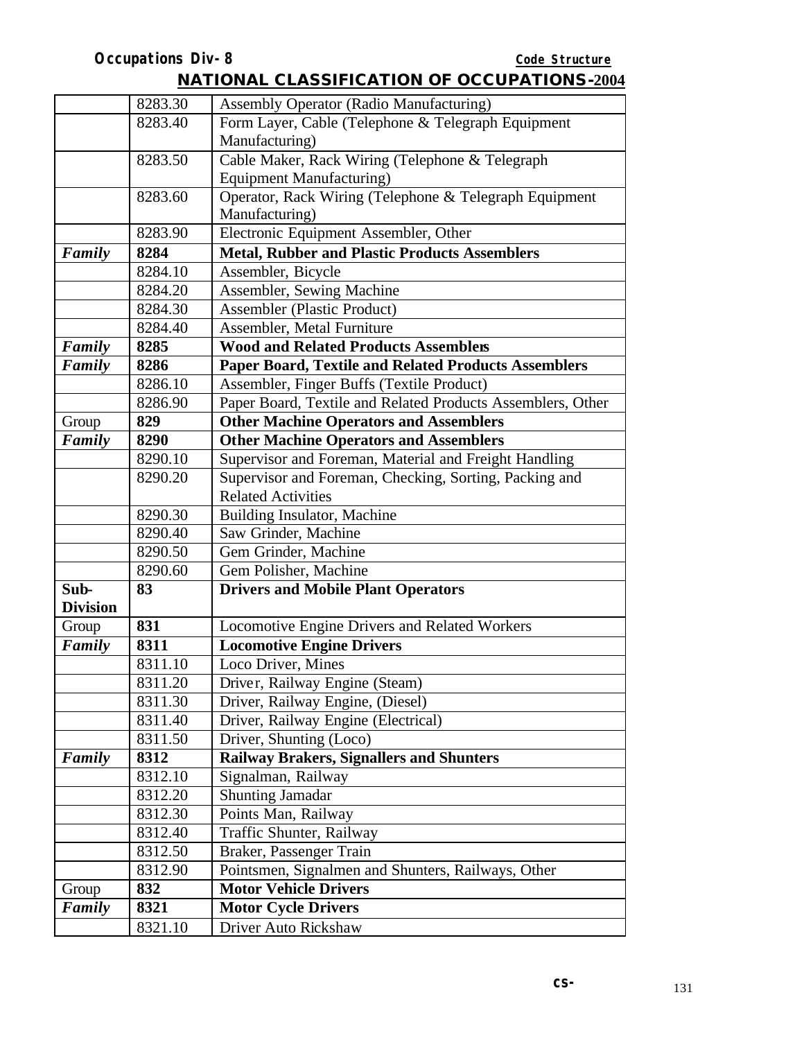|                 | 8283.30 | Assembly Operator (Radio Manufacturing)                     |
|-----------------|---------|-------------------------------------------------------------|
|                 | 8283.40 | Form Layer, Cable (Telephone & Telegraph Equipment          |
|                 |         | Manufacturing)                                              |
|                 | 8283.50 | Cable Maker, Rack Wiring (Telephone & Telegraph             |
|                 |         | <b>Equipment Manufacturing)</b>                             |
|                 | 8283.60 | Operator, Rack Wiring (Telephone & Telegraph Equipment      |
|                 |         | Manufacturing)                                              |
|                 | 8283.90 | Electronic Equipment Assembler, Other                       |
| Family          | 8284    | <b>Metal, Rubber and Plastic Products Assemblers</b>        |
|                 | 8284.10 | Assembler, Bicycle                                          |
|                 | 8284.20 | Assembler, Sewing Machine                                   |
|                 | 8284.30 | <b>Assembler</b> (Plastic Product)                          |
|                 | 8284.40 | Assembler, Metal Furniture                                  |
| Family          | 8285    | <b>Wood and Related Products Assemblers</b>                 |
| Family          | 8286    | <b>Paper Board, Textile and Related Products Assemblers</b> |
|                 | 8286.10 | Assembler, Finger Buffs (Textile Product)                   |
|                 | 8286.90 | Paper Board, Textile and Related Products Assemblers, Other |
| Group           | 829     | <b>Other Machine Operators and Assemblers</b>               |
| Family          | 8290    | <b>Other Machine Operators and Assemblers</b>               |
|                 | 8290.10 | Supervisor and Foreman, Material and Freight Handling       |
|                 | 8290.20 | Supervisor and Foreman, Checking, Sorting, Packing and      |
|                 |         | <b>Related Activities</b>                                   |
|                 | 8290.30 | <b>Building Insulator, Machine</b>                          |
|                 | 8290.40 | Saw Grinder, Machine                                        |
|                 | 8290.50 | Gem Grinder, Machine                                        |
|                 | 8290.60 | Gem Polisher, Machine                                       |
| Sub-            | 83      | <b>Drivers and Mobile Plant Operators</b>                   |
| <b>Division</b> |         |                                                             |
| Group           | 831     | Locomotive Engine Drivers and Related Workers               |
| Family          | 8311    | <b>Locomotive Engine Drivers</b>                            |
|                 | 8311.10 | Loco Driver, Mines                                          |
|                 | 8311.20 | Driver, Railway Engine (Steam)                              |
|                 | 8311.30 | Driver, Railway Engine, (Diesel)                            |
|                 | 8311.40 | Driver, Railway Engine (Electrical)                         |
|                 | 8311.50 | Driver, Shunting (Loco)                                     |
| Family          | 8312    | <b>Railway Brakers, Signallers and Shunters</b>             |
|                 | 8312.10 | Signalman, Railway                                          |
|                 | 8312.20 | <b>Shunting Jamadar</b>                                     |
|                 | 8312.30 | Points Man, Railway                                         |
|                 | 8312.40 | Traffic Shunter, Railway                                    |
|                 | 8312.50 | Braker, Passenger Train                                     |
|                 | 8312.90 | Pointsmen, Signalmen and Shunters, Railways, Other          |
| Group           | 832     | <b>Motor Vehicle Drivers</b>                                |
| Family          | 8321    | <b>Motor Cycle Drivers</b>                                  |
|                 | 8321.10 | Driver Auto Rickshaw                                        |
|                 |         |                                                             |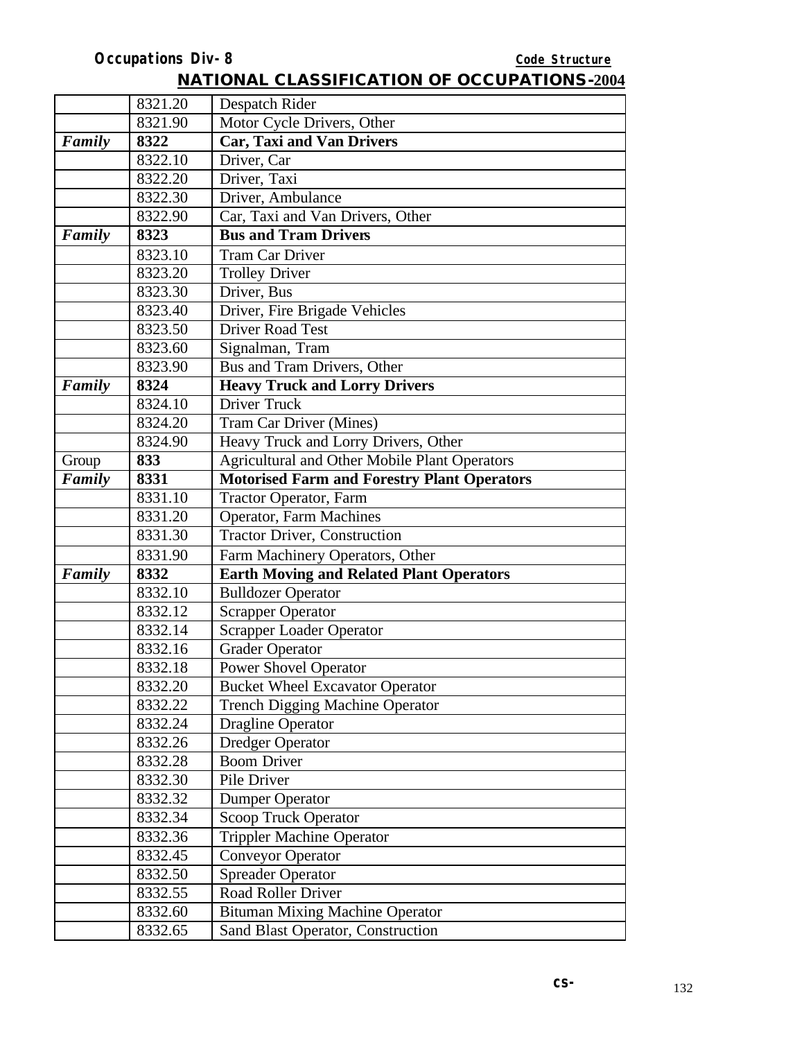|        | 8321.20 | Despatch Rider                                     |
|--------|---------|----------------------------------------------------|
|        | 8321.90 | Motor Cycle Drivers, Other                         |
| Family | 8322    | <b>Car, Taxi and Van Drivers</b>                   |
|        | 8322.10 | Driver, Car                                        |
|        | 8322.20 | Driver, Taxi                                       |
|        | 8322.30 | Driver, Ambulance                                  |
|        | 8322.90 | Car, Taxi and Van Drivers, Other                   |
| Family | 8323    | <b>Bus and Tram Drivers</b>                        |
|        | 8323.10 | <b>Tram Car Driver</b>                             |
|        | 8323.20 | <b>Trolley Driver</b>                              |
|        | 8323.30 | Driver, Bus                                        |
|        | 8323.40 | Driver, Fire Brigade Vehicles                      |
|        | 8323.50 | <b>Driver Road Test</b>                            |
|        | 8323.60 | Signalman, Tram                                    |
|        | 8323.90 | Bus and Tram Drivers, Other                        |
| Family | 8324    | <b>Heavy Truck and Lorry Drivers</b>               |
|        | 8324.10 | Driver Truck                                       |
|        | 8324.20 | Tram Car Driver (Mines)                            |
|        | 8324.90 | Heavy Truck and Lorry Drivers, Other               |
| Group  | 833     | Agricultural and Other Mobile Plant Operators      |
| Family | 8331    | <b>Motorised Farm and Forestry Plant Operators</b> |
|        | 8331.10 | <b>Tractor Operator</b> , Farm                     |
|        | 8331.20 | <b>Operator, Farm Machines</b>                     |
|        | 8331.30 | <b>Tractor Driver, Construction</b>                |
|        | 8331.90 | Farm Machinery Operators, Other                    |
| Family | 8332    | <b>Earth Moving and Related Plant Operators</b>    |
|        | 8332.10 | <b>Bulldozer Operator</b>                          |
|        | 8332.12 | <b>Scrapper Operator</b>                           |
|        | 8332.14 | <b>Scrapper Loader Operator</b>                    |
|        | 8332.16 | <b>Grader Operator</b>                             |
|        | 8332.18 | <b>Power Shovel Operator</b>                       |
|        | 8332.20 | <b>Bucket Wheel Excavator Operator</b>             |
|        | 8332.22 | <b>Trench Digging Machine Operator</b>             |
|        | 8332.24 | <b>Dragline Operator</b>                           |
|        | 8332.26 | <b>Dredger Operator</b>                            |
|        | 8332.28 | <b>Boom Driver</b>                                 |
|        | 8332.30 | Pile Driver                                        |
|        | 8332.32 | <b>Dumper Operator</b>                             |
|        | 8332.34 | <b>Scoop Truck Operator</b>                        |
|        | 8332.36 | <b>Trippler Machine Operator</b>                   |
|        | 8332.45 | <b>Conveyor Operator</b>                           |
|        | 8332.50 | <b>Spreader Operator</b>                           |
|        | 8332.55 | Road Roller Driver                                 |
|        | 8332.60 | <b>Bituman Mixing Machine Operator</b>             |
|        | 8332.65 | Sand Blast Operator, Construction                  |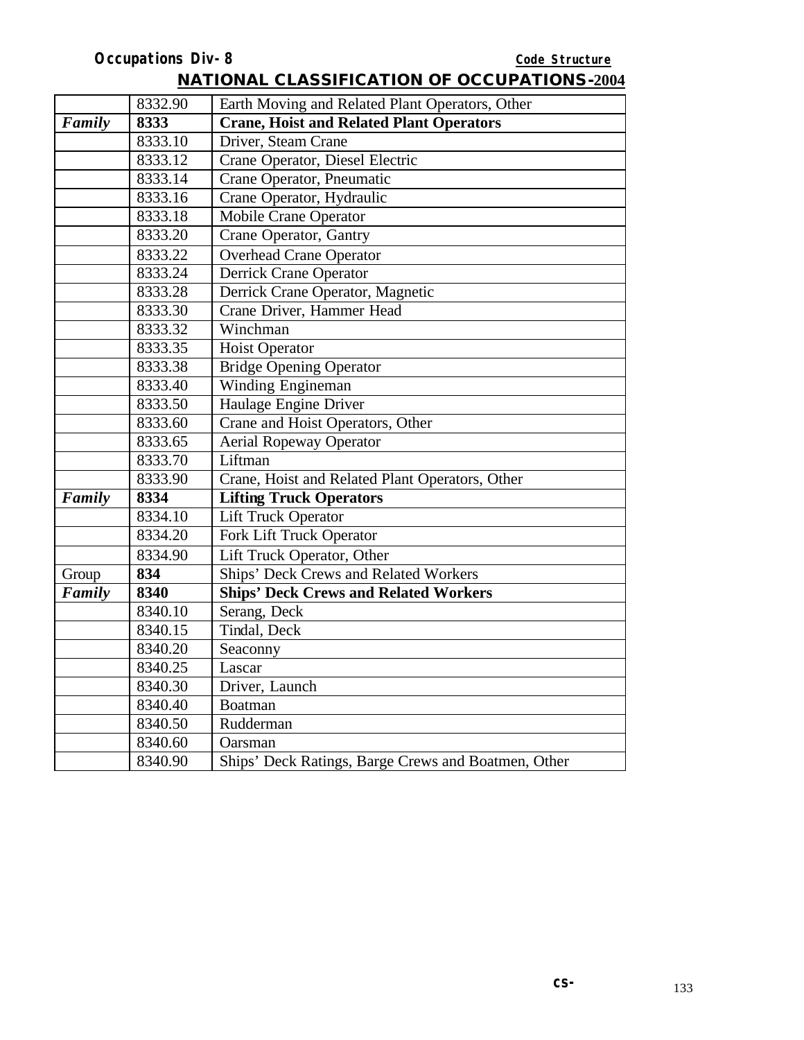|        | 8332.90 | Earth Moving and Related Plant Operators, Other     |  |
|--------|---------|-----------------------------------------------------|--|
| Family | 8333    | <b>Crane, Hoist and Related Plant Operators</b>     |  |
|        | 8333.10 | Driver, Steam Crane                                 |  |
|        | 8333.12 | Crane Operator, Diesel Electric                     |  |
|        | 8333.14 | Crane Operator, Pneumatic                           |  |
|        | 8333.16 | Crane Operator, Hydraulic                           |  |
|        | 8333.18 | <b>Mobile Crane Operator</b>                        |  |
|        | 8333.20 | Crane Operator, Gantry                              |  |
|        | 8333.22 | <b>Overhead Crane Operator</b>                      |  |
|        | 8333.24 | <b>Derrick Crane Operator</b>                       |  |
|        | 8333.28 | Derrick Crane Operator, Magnetic                    |  |
|        | 8333.30 | Crane Driver, Hammer Head                           |  |
|        | 8333.32 | Winchman                                            |  |
|        | 8333.35 | <b>Hoist Operator</b>                               |  |
|        | 8333.38 | <b>Bridge Opening Operator</b>                      |  |
|        | 8333.40 | Winding Engineman                                   |  |
|        | 8333.50 | Haulage Engine Driver                               |  |
|        | 8333.60 | Crane and Hoist Operators, Other                    |  |
|        | 8333.65 | <b>Aerial Ropeway Operator</b>                      |  |
|        | 8333.70 | Liftman                                             |  |
|        | 8333.90 | Crane, Hoist and Related Plant Operators, Other     |  |
| Family | 8334    | <b>Lifting Truck Operators</b>                      |  |
|        | 8334.10 | <b>Lift Truck Operator</b>                          |  |
|        | 8334.20 | Fork Lift Truck Operator                            |  |
|        | 8334.90 | Lift Truck Operator, Other                          |  |
| Group  | 834     | Ships' Deck Crews and Related Workers               |  |
| Family | 8340    | <b>Ships' Deck Crews and Related Workers</b>        |  |
|        | 8340.10 | Serang, Deck                                        |  |
|        | 8340.15 | Tindal, Deck                                        |  |
|        | 8340.20 | Seaconny                                            |  |
|        | 8340.25 | Lascar                                              |  |
|        | 8340.30 | Driver, Launch                                      |  |
|        | 8340.40 | <b>Boatman</b>                                      |  |
|        | 8340.50 | Rudderman                                           |  |
|        | 8340.60 | Oarsman                                             |  |
|        | 8340.90 | Ships' Deck Ratings, Barge Crews and Boatmen, Other |  |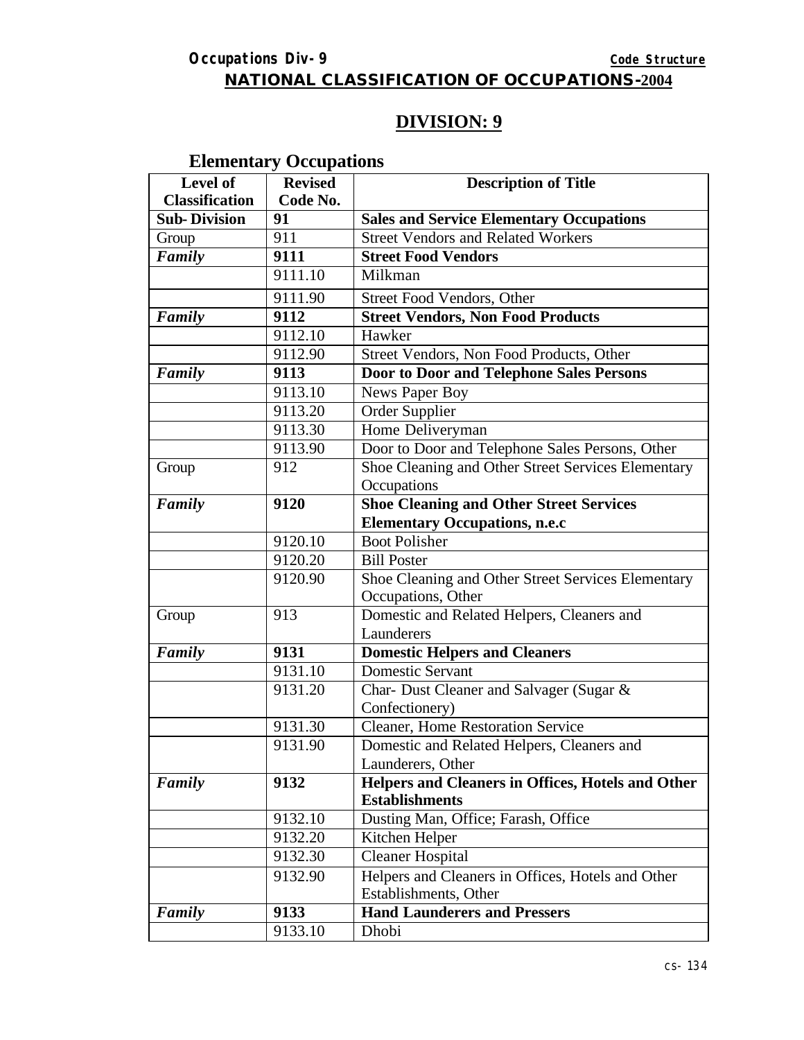#### **NATIONAL CLASSIFICATION OF OCCUPATIONS-2004**

# **DIVISION: 9**

# **Elementary Occupations**

| Level of              | <b>Revised</b> | <b>Description of Title</b>                        |
|-----------------------|----------------|----------------------------------------------------|
| <b>Classification</b> | Code No.       |                                                    |
| <b>Sub-Division</b>   | 91             | <b>Sales and Service Elementary Occupations</b>    |
| Group                 | 911            | <b>Street Vendors and Related Workers</b>          |
| Family                | 9111           | <b>Street Food Vendors</b>                         |
|                       | 9111.10        | Milkman                                            |
|                       | 9111.90        | Street Food Vendors, Other                         |
| Family                | 9112           | <b>Street Vendors, Non Food Products</b>           |
|                       | 9112.10        | Hawker                                             |
|                       | 9112.90        | Street Vendors, Non Food Products, Other           |
| Family                | 9113           | Door to Door and Telephone Sales Persons           |
|                       | 9113.10        | News Paper Boy                                     |
|                       | 9113.20        | Order Supplier                                     |
|                       | 9113.30        | Home Deliveryman                                   |
|                       | 9113.90        | Door to Door and Telephone Sales Persons, Other    |
| Group                 | 912            | Shoe Cleaning and Other Street Services Elementary |
|                       |                | Occupations                                        |
| Family                | 9120           | <b>Shoe Cleaning and Other Street Services</b>     |
|                       |                | <b>Elementary Occupations, n.e.c</b>               |
|                       | 9120.10        | <b>Boot Polisher</b>                               |
|                       | 9120.20        | <b>Bill Poster</b>                                 |
|                       | 9120.90        | Shoe Cleaning and Other Street Services Elementary |
|                       |                | Occupations, Other                                 |
| Group                 | 913            | Domestic and Related Helpers, Cleaners and         |
|                       |                | Launderers                                         |
| Family                | 9131           | <b>Domestic Helpers and Cleaners</b>               |
|                       | 9131.10        | <b>Domestic Servant</b>                            |
|                       | 9131.20        | Char- Dust Cleaner and Salvager (Sugar &           |
|                       |                | Confectionery)                                     |
|                       | 9131.30        | Cleaner, Home Restoration Service                  |
|                       | 9131.90        | Domestic and Related Helpers, Cleaners and         |
|                       |                | Launderers, Other                                  |
| Family                | 9132           | Helpers and Cleaners in Offices, Hotels and Other  |
|                       |                | <b>Establishments</b>                              |
|                       | 9132.10        | Dusting Man, Office; Farash, Office                |
|                       | 9132.20        | Kitchen Helper                                     |
|                       | 9132.30        | <b>Cleaner Hospital</b>                            |
|                       | 9132.90        | Helpers and Cleaners in Offices, Hotels and Other  |
|                       |                | Establishments, Other                              |
| Family                | 9133           | <b>Hand Launderers and Pressers</b>                |
|                       | 9133.10        | Dhobi                                              |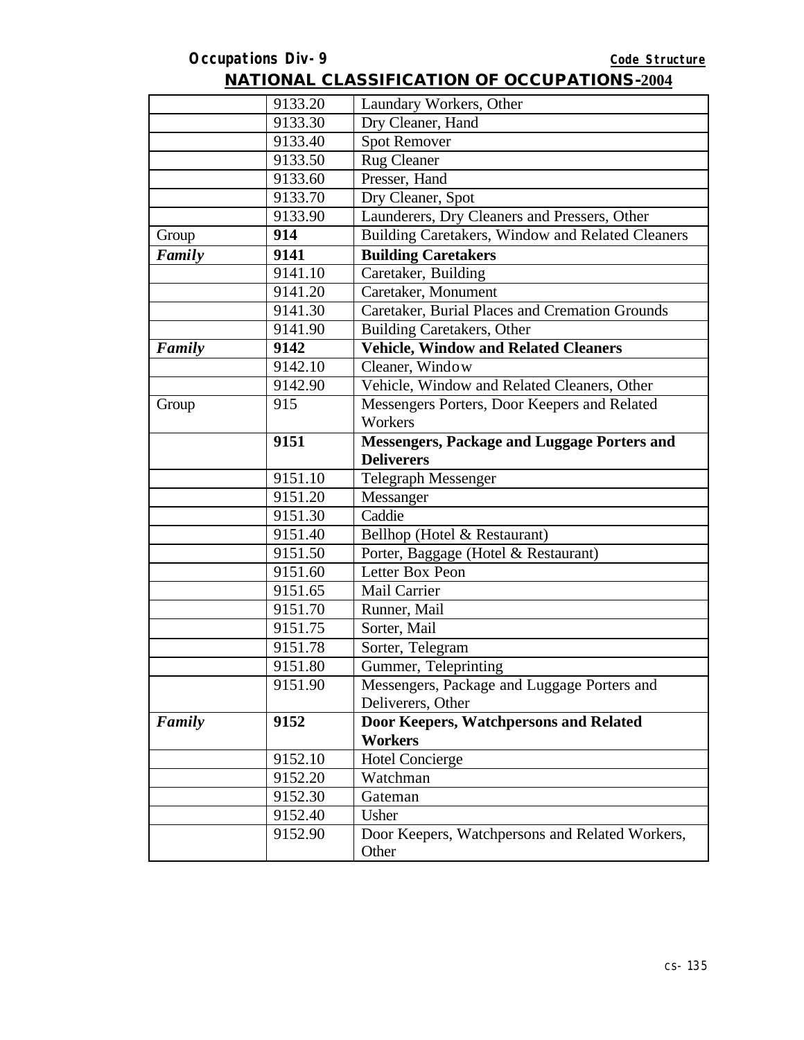|        | 9133.20 | Laundary Workers, Other                                  |
|--------|---------|----------------------------------------------------------|
|        | 9133.30 | Dry Cleaner, Hand                                        |
|        | 9133.40 | <b>Spot Remover</b>                                      |
|        | 9133.50 | <b>Rug Cleaner</b>                                       |
|        | 9133.60 | Presser, Hand                                            |
|        | 9133.70 | Dry Cleaner, Spot                                        |
|        | 9133.90 | Launderers, Dry Cleaners and Pressers, Other             |
| Group  | 914     | Building Caretakers, Window and Related Cleaners         |
| Family | 9141    | <b>Building Caretakers</b>                               |
|        | 9141.10 | Caretaker, Building                                      |
|        | 9141.20 | Caretaker, Monument                                      |
|        | 9141.30 | Caretaker, Burial Places and Cremation Grounds           |
|        | 9141.90 | <b>Building Caretakers, Other</b>                        |
| Family | 9142    | <b>Vehicle, Window and Related Cleaners</b>              |
|        | 9142.10 | Cleaner, Window                                          |
|        | 9142.90 | Vehicle, Window and Related Cleaners, Other              |
| Group  | 915     | Messengers Porters, Door Keepers and Related             |
|        |         | Workers                                                  |
|        | 9151    | <b>Messengers, Package and Luggage Porters and</b>       |
|        |         | <b>Deliverers</b>                                        |
|        | 9151.10 | <b>Telegraph Messenger</b>                               |
|        | 9151.20 | Messanger                                                |
|        | 9151.30 | Caddie                                                   |
|        | 9151.40 | Bellhop (Hotel & Restaurant)                             |
|        | 9151.50 | Porter, Baggage (Hotel & Restaurant)                     |
|        | 9151.60 | Letter Box Peon                                          |
|        | 9151.65 | Mail Carrier                                             |
|        | 9151.70 | Runner, Mail                                             |
|        | 9151.75 | Sorter, Mail                                             |
|        | 9151.78 | Sorter, Telegram                                         |
|        | 9151.80 | Gummer, Teleprinting                                     |
|        | 9151.90 | Messengers, Package and Luggage Porters and              |
|        |         | Deliverers, Other                                        |
| Family | 9152    | Door Keepers, Watchpersons and Related                   |
|        |         | <b>Workers</b>                                           |
|        | 9152.10 | Hotel Concierge                                          |
|        | 9152.20 | Watchman                                                 |
|        | 9152.30 | Gateman                                                  |
|        | 9152.40 | Usher                                                    |
|        | 9152.90 | Door Keepers, Watchpersons and Related Workers,<br>Other |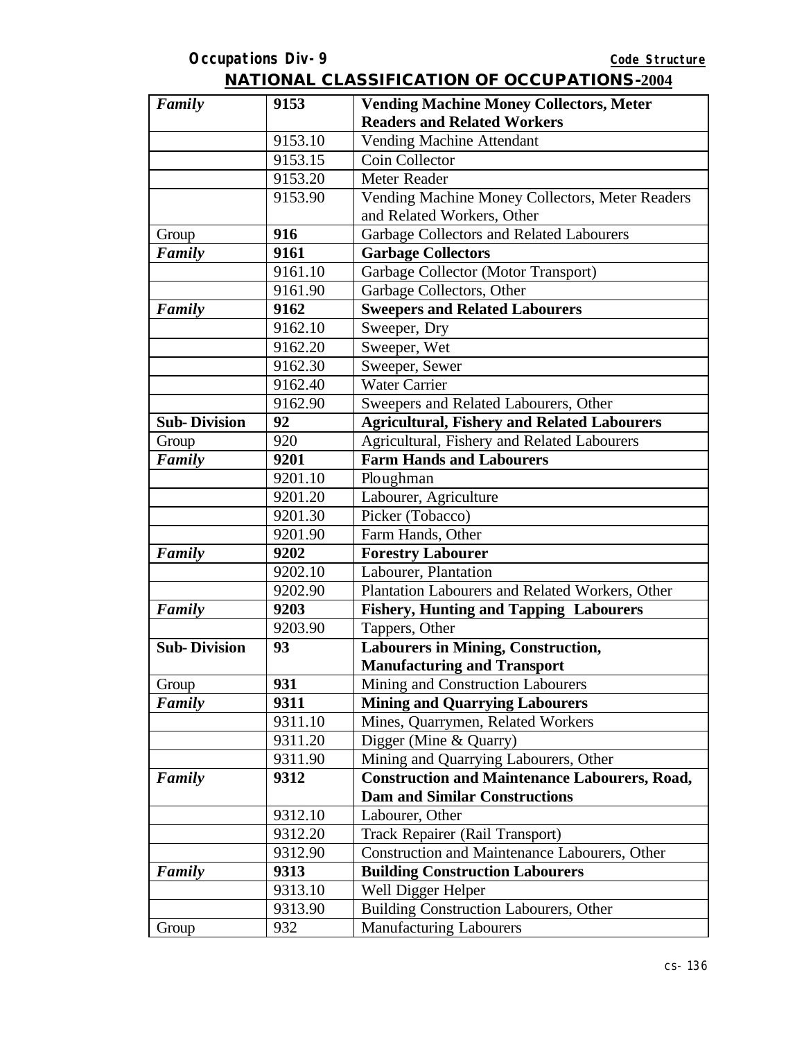| Family              | 9153    | <b>Vending Machine Money Collectors, Meter</b>       |
|---------------------|---------|------------------------------------------------------|
|                     |         | <b>Readers and Related Workers</b>                   |
|                     | 9153.10 | Vending Machine Attendant                            |
|                     | 9153.15 | Coin Collector                                       |
|                     | 9153.20 | Meter Reader                                         |
|                     | 9153.90 | Vending Machine Money Collectors, Meter Readers      |
|                     |         | and Related Workers, Other                           |
| Group               | 916     | Garbage Collectors and Related Labourers             |
| <b>Family</b>       | 9161    | <b>Garbage Collectors</b>                            |
|                     | 9161.10 | Garbage Collector (Motor Transport)                  |
|                     | 9161.90 | Garbage Collectors, Other                            |
| Family              | 9162    | <b>Sweepers and Related Labourers</b>                |
|                     | 9162.10 | Sweeper, Dry                                         |
|                     | 9162.20 | Sweeper, Wet                                         |
|                     | 9162.30 | Sweeper, Sewer                                       |
|                     | 9162.40 | <b>Water Carrier</b>                                 |
|                     | 9162.90 | Sweepers and Related Labourers, Other                |
| <b>Sub-Division</b> | 92      | <b>Agricultural, Fishery and Related Labourers</b>   |
| Group               | 920     | Agricultural, Fishery and Related Labourers          |
| Family              | 9201    | <b>Farm Hands and Labourers</b>                      |
|                     | 9201.10 | Ploughman                                            |
|                     | 9201.20 | Labourer, Agriculture                                |
|                     | 9201.30 | Picker (Tobacco)                                     |
|                     | 9201.90 | Farm Hands, Other                                    |
| Family              | 9202    | <b>Forestry Labourer</b>                             |
|                     | 9202.10 | Labourer, Plantation                                 |
|                     | 9202.90 | Plantation Labourers and Related Workers, Other      |
| Family              | 9203    | <b>Fishery, Hunting and Tapping Labourers</b>        |
|                     | 9203.90 | Tappers, Other                                       |
| <b>Sub-Division</b> | 93      | Labourers in Mining, Construction,                   |
|                     |         | <b>Manufacturing and Transport</b>                   |
| Group               | 931     | Mining and Construction Labourers                    |
| Family              | 9311    | <b>Mining and Quarrying Labourers</b>                |
|                     | 9311.10 | Mines, Quarrymen, Related Workers                    |
|                     | 9311.20 | Digger (Mine & Quarry)                               |
|                     | 9311.90 | Mining and Quarrying Labourers, Other                |
| Family              | 9312    | <b>Construction and Maintenance Labourers, Road,</b> |
|                     |         | <b>Dam and Similar Constructions</b>                 |
|                     | 9312.10 | Labourer, Other                                      |
|                     | 9312.20 | Track Repairer (Rail Transport)                      |
|                     | 9312.90 | Construction and Maintenance Labourers, Other        |
| Family              | 9313    | <b>Building Construction Labourers</b>               |
|                     | 9313.10 | Well Digger Helper                                   |
|                     | 9313.90 | Building Construction Labourers, Other               |
| Group               | 932     | <b>Manufacturing Labourers</b>                       |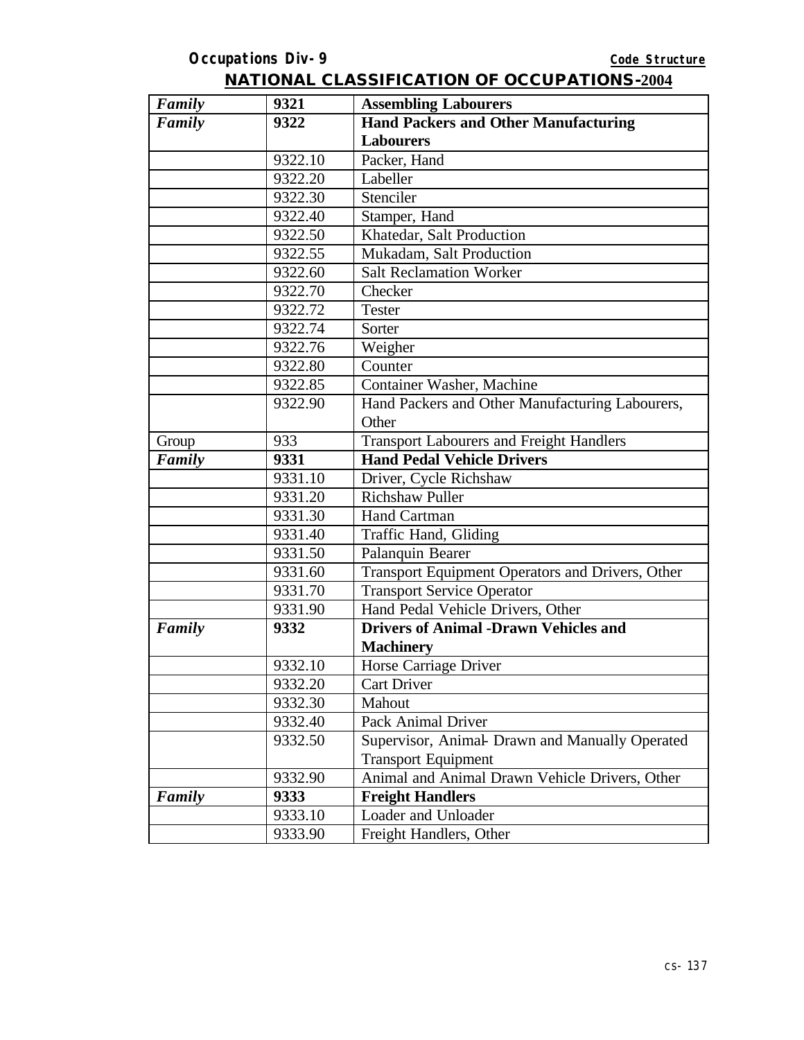| Family | 9321    | <b>Assembling Labourers</b>                      |
|--------|---------|--------------------------------------------------|
| Family | 9322    | <b>Hand Packers and Other Manufacturing</b>      |
|        |         | <b>Labourers</b>                                 |
|        | 9322.10 | Packer, Hand                                     |
|        | 9322.20 | Labeller                                         |
|        | 9322.30 | Stenciler                                        |
|        | 9322.40 | Stamper, Hand                                    |
|        | 9322.50 | Khatedar, Salt Production                        |
|        | 9322.55 | Mukadam, Salt Production                         |
|        | 9322.60 | <b>Salt Reclamation Worker</b>                   |
|        | 9322.70 | Checker                                          |
|        | 9322.72 | <b>Tester</b>                                    |
|        | 9322.74 | Sorter                                           |
|        | 9322.76 | Weigher                                          |
|        | 9322.80 | Counter                                          |
|        | 9322.85 | <b>Container Washer, Machine</b>                 |
|        | 9322.90 | Hand Packers and Other Manufacturing Labourers,  |
|        |         | Other                                            |
| Group  | 933     | <b>Transport Labourers and Freight Handlers</b>  |
| Family | 9331    | <b>Hand Pedal Vehicle Drivers</b>                |
|        | 9331.10 | Driver, Cycle Richshaw                           |
|        | 9331.20 | <b>Richshaw Puller</b>                           |
|        | 9331.30 | Hand Cartman                                     |
|        | 9331.40 | Traffic Hand, Gliding                            |
|        | 9331.50 | Palanquin Bearer                                 |
|        | 9331.60 | Transport Equipment Operators and Drivers, Other |
|        | 9331.70 | <b>Transport Service Operator</b>                |
|        | 9331.90 | Hand Pedal Vehicle Drivers, Other                |
| Family | 9332    | <b>Drivers of Animal -Drawn Vehicles and</b>     |
|        |         | <b>Machinery</b>                                 |
|        | 9332.10 | Horse Carriage Driver                            |
|        | 9332.20 | Cart Driver                                      |
|        | 9332.30 | Mahout                                           |
|        | 9332.40 | Pack Animal Driver                               |
|        | 9332.50 | Supervisor, Animal Drawn and Manually Operated   |
|        |         | <b>Transport Equipment</b>                       |
|        | 9332.90 | Animal and Animal Drawn Vehicle Drivers, Other   |
| Family | 9333    | <b>Freight Handlers</b>                          |
|        | 9333.10 | Loader and Unloader                              |
|        | 9333.90 | Freight Handlers, Other                          |